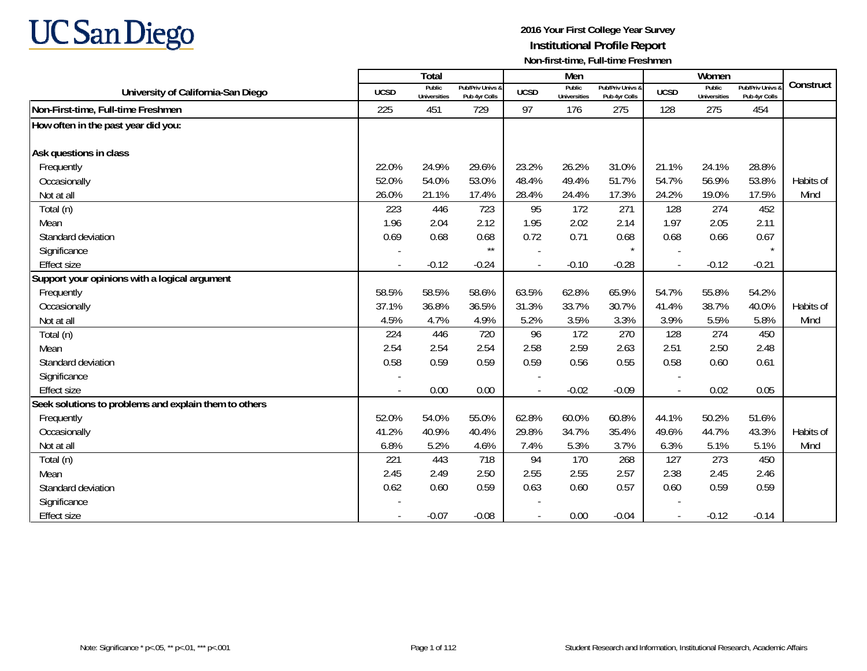

|                                                       |             | Total                         |                                   |             | Men                           |                                   |                          | Women                  |                                        |           |
|-------------------------------------------------------|-------------|-------------------------------|-----------------------------------|-------------|-------------------------------|-----------------------------------|--------------------------|------------------------|----------------------------------------|-----------|
| University of California-San Diego                    | <b>UCSD</b> | Public<br><b>Universities</b> | Pub/Priv Univs &<br>Pub 4yr Colls | <b>UCSD</b> | Public<br><b>Universities</b> | Pub/Priv Univs &<br>Pub 4yr Colls | <b>UCSD</b>              | Public<br>Universities | <b>Pub/Priv Univs</b><br>Pub 4yr Colls | Construct |
| Non-First-time, Full-time Freshmen                    | 225         | 451                           | 729                               | 97          | 176                           | 275                               | 128                      | 275                    | 454                                    |           |
| How often in the past year did you:                   |             |                               |                                   |             |                               |                                   |                          |                        |                                        |           |
| Ask questions in class                                |             |                               |                                   |             |                               |                                   |                          |                        |                                        |           |
| Frequently                                            | 22.0%       | 24.9%                         | 29.6%                             | 23.2%       | 26.2%                         | 31.0%                             | 21.1%                    | 24.1%                  | 28.8%                                  |           |
| Occasionally                                          | 52.0%       | 54.0%                         | 53.0%                             | 48.4%       | 49.4%                         | 51.7%                             | 54.7%                    | 56.9%                  | 53.8%                                  | Habits of |
| Not at all                                            | 26.0%       | 21.1%                         | 17.4%                             | 28.4%       | 24.4%                         | 17.3%                             | 24.2%                    | 19.0%                  | 17.5%                                  | Mind      |
| Total (n)                                             | 223         | 446                           | 723                               | 95          | 172                           | 271                               | 128                      | 274                    | 452                                    |           |
| Mean                                                  | 1.96        | 2.04                          | 2.12                              | 1.95        | 2.02                          | 2.14                              | 1.97                     | 2.05                   | 2.11                                   |           |
| Standard deviation                                    | 0.69        | 0.68                          | 0.68                              | 0.72        | 0.71                          | 0.68                              | 0.68                     | 0.66                   | 0.67                                   |           |
| Significance                                          |             |                               | $\star\star$                      |             |                               |                                   |                          |                        |                                        |           |
| <b>Effect size</b>                                    |             | $-0.12$                       | $-0.24$                           |             | $-0.10$                       | $-0.28$                           | $\overline{\phantom{a}}$ | $-0.12$                | $-0.21$                                |           |
| Support your opinions with a logical argument         |             |                               |                                   |             |                               |                                   |                          |                        |                                        |           |
| Frequently                                            | 58.5%       | 58.5%                         | 58.6%                             | 63.5%       | 62.8%                         | 65.9%                             | 54.7%                    | 55.8%                  | 54.2%                                  |           |
| Occasionally                                          | 37.1%       | 36.8%                         | 36.5%                             | 31.3%       | 33.7%                         | 30.7%                             | 41.4%                    | 38.7%                  | 40.0%                                  | Habits of |
| Not at all                                            | 4.5%        | 4.7%                          | 4.9%                              | 5.2%        | 3.5%                          | 3.3%                              | 3.9%                     | 5.5%                   | 5.8%                                   | Mind      |
| Total (n)                                             | 224         | 446                           | 720                               | 96          | 172                           | 270                               | 128                      | 274                    | 450                                    |           |
| Mean                                                  | 2.54        | 2.54                          | 2.54                              | 2.58        | 2.59                          | 2.63                              | 2.51                     | 2.50                   | 2.48                                   |           |
| Standard deviation                                    | 0.58        | 0.59                          | 0.59                              | 0.59        | 0.56                          | 0.55                              | 0.58                     | 0.60                   | 0.61                                   |           |
| Significance                                          |             |                               |                                   |             |                               |                                   |                          |                        |                                        |           |
| <b>Effect size</b>                                    |             | 0.00                          | 0.00                              |             | $-0.02$                       | $-0.09$                           | $\blacksquare$           | 0.02                   | 0.05                                   |           |
| Seek solutions to problems and explain them to others |             |                               |                                   |             |                               |                                   |                          |                        |                                        |           |
| Frequently                                            | 52.0%       | 54.0%                         | 55.0%                             | 62.8%       | 60.0%                         | 60.8%                             | 44.1%                    | 50.2%                  | 51.6%                                  |           |
| Occasionally                                          | 41.2%       | 40.9%                         | 40.4%                             | 29.8%       | 34.7%                         | 35.4%                             | 49.6%                    | 44.7%                  | 43.3%                                  | Habits of |
| Not at all                                            | 6.8%        | 5.2%                          | 4.6%                              | 7.4%        | 5.3%                          | 3.7%                              | 6.3%                     | 5.1%                   | 5.1%                                   | Mind      |
| Total (n)                                             | 221         | 443                           | 718                               | 94          | 170                           | 268                               | 127                      | 273                    | 450                                    |           |
| Mean                                                  | 2.45        | 2.49                          | 2.50                              | 2.55        | 2.55                          | 2.57                              | 2.38                     | 2.45                   | 2.46                                   |           |
| Standard deviation                                    | 0.62        | 0.60                          | 0.59                              | 0.63        | 0.60                          | 0.57                              | 0.60                     | 0.59                   | 0.59                                   |           |
| Significance                                          |             |                               |                                   |             |                               |                                   |                          |                        |                                        |           |
| <b>Effect size</b>                                    |             | $-0.07$                       | $-0.08$                           |             | 0.00                          | $-0.04$                           | $\blacksquare$           | $-0.12$                | $-0.14$                                |           |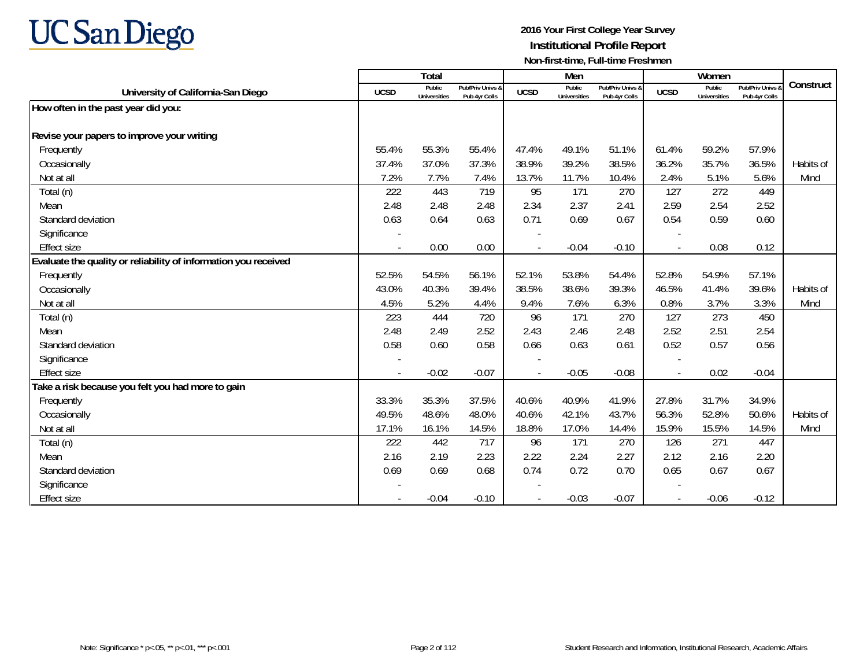

|                                                                 |                          | Total                         |                                   |                | Men                           |                                   |                | Women                         |                                 |           |
|-----------------------------------------------------------------|--------------------------|-------------------------------|-----------------------------------|----------------|-------------------------------|-----------------------------------|----------------|-------------------------------|---------------------------------|-----------|
| University of California-San Diego                              | <b>UCSD</b>              | Public<br><b>Universities</b> | Pub/Priv Univs &<br>Pub 4yr Colls | <b>UCSD</b>    | Public<br><b>Universities</b> | Pub/Priv Univs &<br>Pub 4yr Colls | <b>UCSD</b>    | Public<br><b>Universities</b> | Pub/Priv Univs<br>Pub 4yr Colls | Construct |
| How often in the past year did you:                             |                          |                               |                                   |                |                               |                                   |                |                               |                                 |           |
|                                                                 |                          |                               |                                   |                |                               |                                   |                |                               |                                 |           |
| Revise your papers to improve your writing                      |                          |                               |                                   |                |                               |                                   |                |                               |                                 |           |
| Frequently                                                      | 55.4%                    | 55.3%                         | 55.4%                             | 47.4%          | 49.1%                         | 51.1%                             | 61.4%          | 59.2%                         | 57.9%                           |           |
| Occasionally                                                    | 37.4%                    | 37.0%                         | 37.3%                             | 38.9%          | 39.2%                         | 38.5%                             | 36.2%          | 35.7%                         | 36.5%                           | Habits of |
| Not at all                                                      | 7.2%                     | 7.7%                          | 7.4%                              | 13.7%          | 11.7%                         | 10.4%                             | 2.4%           | 5.1%                          | 5.6%                            | Mind      |
| Total (n)                                                       | 222                      | 443                           | 719                               | 95             | 171                           | 270                               | 127            | 272                           | 449                             |           |
| Mean                                                            | 2.48                     | 2.48                          | 2.48                              | 2.34           | 2.37                          | 2.41                              | 2.59           | 2.54                          | 2.52                            |           |
| Standard deviation                                              | 0.63                     | 0.64                          | 0.63                              | 0.71           | 0.69                          | 0.67                              | 0.54           | 0.59                          | 0.60                            |           |
| Significance                                                    |                          |                               |                                   |                |                               |                                   |                |                               |                                 |           |
| <b>Effect size</b>                                              | $\overline{\phantom{a}}$ | 0.00                          | 0.00                              | $\overline{a}$ | $-0.04$                       | $-0.10$                           | $\blacksquare$ | 0.08                          | 0.12                            |           |
| Evaluate the quality or reliability of information you received |                          |                               |                                   |                |                               |                                   |                |                               |                                 |           |
| Frequently                                                      | 52.5%                    | 54.5%                         | 56.1%                             | 52.1%          | 53.8%                         | 54.4%                             | 52.8%          | 54.9%                         | 57.1%                           |           |
| Occasionally                                                    | 43.0%                    | 40.3%                         | 39.4%                             | 38.5%          | 38.6%                         | 39.3%                             | 46.5%          | 41.4%                         | 39.6%                           | Habits of |
| Not at all                                                      | 4.5%                     | 5.2%                          | 4.4%                              | 9.4%           | 7.6%                          | 6.3%                              | 0.8%           | 3.7%                          | 3.3%                            | Mind      |
| Total (n)                                                       | 223                      | 444                           | 720                               | 96             | 171                           | 270                               | 127            | 273                           | 450                             |           |
| Mean                                                            | 2.48                     | 2.49                          | 2.52                              | 2.43           | 2.46                          | 2.48                              | 2.52           | 2.51                          | 2.54                            |           |
| Standard deviation                                              | 0.58                     | 0.60                          | 0.58                              | 0.66           | 0.63                          | 0.61                              | 0.52           | 0.57                          | 0.56                            |           |
| Significance                                                    |                          |                               |                                   |                |                               |                                   |                |                               |                                 |           |
| <b>Effect size</b>                                              |                          | $-0.02$                       | $-0.07$                           |                | $-0.05$                       | $-0.08$                           | $\blacksquare$ | 0.02                          | $-0.04$                         |           |
| Take a risk because you felt you had more to gain               |                          |                               |                                   |                |                               |                                   |                |                               |                                 |           |
| Frequently                                                      | 33.3%                    | 35.3%                         | 37.5%                             | 40.6%          | 40.9%                         | 41.9%                             | 27.8%          | 31.7%                         | 34.9%                           |           |
| Occasionally                                                    | 49.5%                    | 48.6%                         | 48.0%                             | 40.6%          | 42.1%                         | 43.7%                             | 56.3%          | 52.8%                         | 50.6%                           | Habits of |
| Not at all                                                      | 17.1%                    | 16.1%                         | 14.5%                             | 18.8%          | 17.0%                         | 14.4%                             | 15.9%          | 15.5%                         | 14.5%                           | Mind      |
| Total (n)                                                       | 222                      | 442                           | 717                               | 96             | 171                           | 270                               | 126            | 271                           | 447                             |           |
| Mean                                                            | 2.16                     | 2.19                          | 2.23                              | 2.22           | 2.24                          | 2.27                              | 2.12           | 2.16                          | 2.20                            |           |
| Standard deviation                                              | 0.69                     | 0.69                          | 0.68                              | 0.74           | 0.72                          | 0.70                              | 0.65           | 0.67                          | 0.67                            |           |
| Significance                                                    |                          |                               |                                   |                |                               |                                   |                |                               |                                 |           |
| <b>Effect size</b>                                              |                          | $-0.04$                       | $-0.10$                           |                | $-0.03$                       | $-0.07$                           |                | $-0.06$                       | $-0.12$                         |           |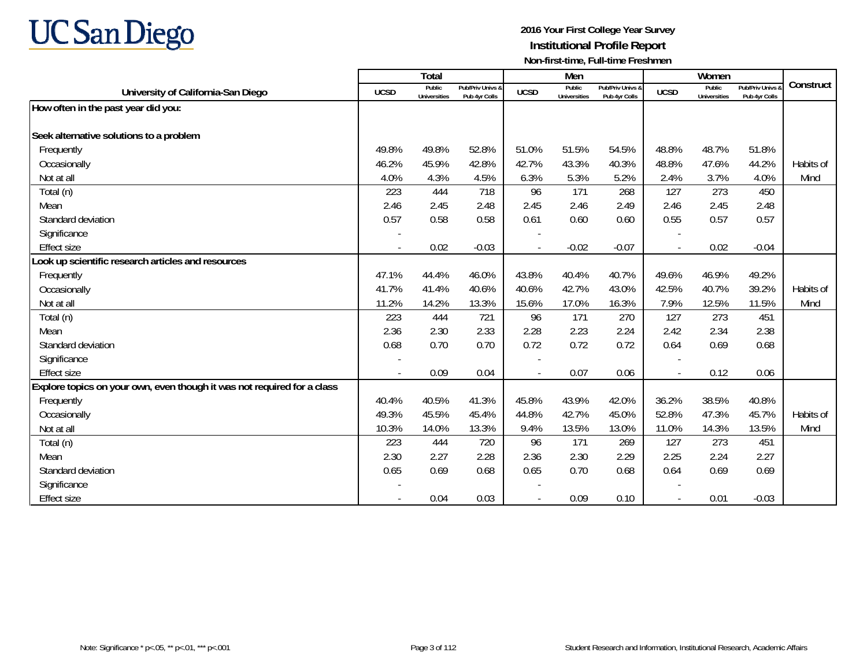

|                                                                         |                          | Total                         |                                   |                | Men                           |                                   |             | Women                         |                                 |           |
|-------------------------------------------------------------------------|--------------------------|-------------------------------|-----------------------------------|----------------|-------------------------------|-----------------------------------|-------------|-------------------------------|---------------------------------|-----------|
| University of California-San Diego                                      | <b>UCSD</b>              | Public<br><b>Universities</b> | Pub/Priv Univs &<br>Pub 4yr Colls | <b>UCSD</b>    | Public<br><b>Universities</b> | Pub/Priv Univs &<br>Pub 4yr Colls | <b>UCSD</b> | Public<br><b>Universities</b> | Pub/Priv Univs<br>Pub 4yr Colls | Construct |
| How often in the past year did you:                                     |                          |                               |                                   |                |                               |                                   |             |                               |                                 |           |
|                                                                         |                          |                               |                                   |                |                               |                                   |             |                               |                                 |           |
| Seek alternative solutions to a problem                                 |                          |                               |                                   |                |                               |                                   |             |                               |                                 |           |
| Frequently                                                              | 49.8%                    | 49.8%                         | 52.8%                             | 51.0%          | 51.5%                         | 54.5%                             | 48.8%       | 48.7%                         | 51.8%                           |           |
| Occasionally                                                            | 46.2%                    | 45.9%                         | 42.8%                             | 42.7%          | 43.3%                         | 40.3%                             | 48.8%       | 47.6%                         | 44.2%                           | Habits of |
| Not at all                                                              | 4.0%                     | 4.3%                          | 4.5%                              | 6.3%           | 5.3%                          | 5.2%                              | 2.4%        | 3.7%                          | 4.0%                            | Mind      |
| Total (n)                                                               | 223                      | 444                           | 718                               | 96             | 171                           | 268                               | 127         | 273                           | 450                             |           |
| Mean                                                                    | 2.46                     | 2.45                          | 2.48                              | 2.45           | 2.46                          | 2.49                              | 2.46        | 2.45                          | 2.48                            |           |
| Standard deviation                                                      | 0.57                     | 0.58                          | 0.58                              | 0.61           | 0.60                          | 0.60                              | 0.55        | 0.57                          | 0.57                            |           |
| Significance                                                            |                          |                               |                                   |                |                               |                                   |             |                               |                                 |           |
| <b>Effect size</b>                                                      | $\overline{\phantom{a}}$ | 0.02                          | $-0.03$                           | $\blacksquare$ | $-0.02$                       | $-0.07$                           | $\sim$      | 0.02                          | $-0.04$                         |           |
| Look up scientific research articles and resources                      |                          |                               |                                   |                |                               |                                   |             |                               |                                 |           |
| Frequently                                                              | 47.1%                    | 44.4%                         | 46.0%                             | 43.8%          | 40.4%                         | 40.7%                             | 49.6%       | 46.9%                         | 49.2%                           |           |
| Occasionally                                                            | 41.7%                    | 41.4%                         | 40.6%                             | 40.6%          | 42.7%                         | 43.0%                             | 42.5%       | 40.7%                         | 39.2%                           | Habits of |
| Not at all                                                              | 11.2%                    | 14.2%                         | 13.3%                             | 15.6%          | 17.0%                         | 16.3%                             | 7.9%        | 12.5%                         | 11.5%                           | Mind      |
| Total (n)                                                               | 223                      | 444                           | 721                               | 96             | 171                           | 270                               | 127         | 273                           | 451                             |           |
| Mean                                                                    | 2.36                     | 2.30                          | 2.33                              | 2.28           | 2.23                          | 2.24                              | 2.42        | 2.34                          | 2.38                            |           |
| Standard deviation                                                      | 0.68                     | 0.70                          | 0.70                              | 0.72           | 0.72                          | 0.72                              | 0.64        | 0.69                          | 0.68                            |           |
| Significance                                                            |                          |                               |                                   |                |                               |                                   |             |                               |                                 |           |
| <b>Effect size</b>                                                      |                          | 0.09                          | 0.04                              |                | 0.07                          | 0.06                              |             | 0.12                          | 0.06                            |           |
| Explore topics on your own, even though it was not required for a class |                          |                               |                                   |                |                               |                                   |             |                               |                                 |           |
| Frequently                                                              | 40.4%                    | 40.5%                         | 41.3%                             | 45.8%          | 43.9%                         | 42.0%                             | 36.2%       | 38.5%                         | 40.8%                           |           |
| Occasionally                                                            | 49.3%                    | 45.5%                         | 45.4%                             | 44.8%          | 42.7%                         | 45.0%                             | 52.8%       | 47.3%                         | 45.7%                           | Habits of |
| Not at all                                                              | 10.3%                    | 14.0%                         | 13.3%                             | 9.4%           | 13.5%                         | 13.0%                             | 11.0%       | 14.3%                         | 13.5%                           | Mind      |
| Total (n)                                                               | 223                      | 444                           | 720                               | 96             | 171                           | 269                               | 127         | 273                           | 451                             |           |
| Mean                                                                    | 2.30                     | 2.27                          | 2.28                              | 2.36           | 2.30                          | 2.29                              | 2.25        | 2.24                          | 2.27                            |           |
| Standard deviation                                                      | 0.65                     | 0.69                          | 0.68                              | 0.65           | 0.70                          | 0.68                              | 0.64        | 0.69                          | 0.69                            |           |
| Significance                                                            |                          |                               |                                   |                |                               |                                   |             |                               |                                 |           |
| <b>Effect size</b>                                                      |                          | 0.04                          | 0.03                              |                | 0.09                          | 0.10                              |             | 0.01                          | $-0.03$                         |           |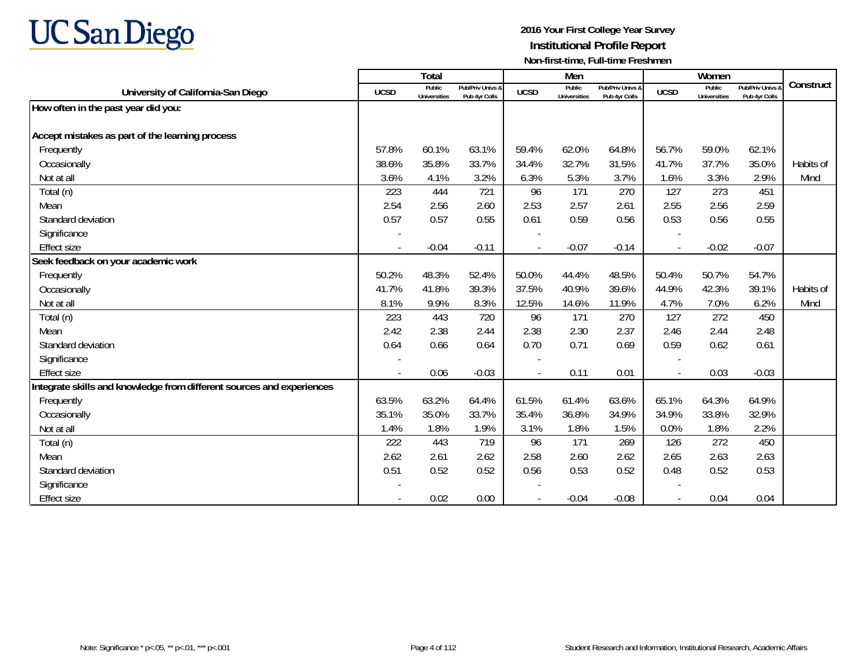# **UC San Diego**

|                                                                       |                          | Total                         |                                   |             | Men                           |                                   |                | Women                         |                                 |           |
|-----------------------------------------------------------------------|--------------------------|-------------------------------|-----------------------------------|-------------|-------------------------------|-----------------------------------|----------------|-------------------------------|---------------------------------|-----------|
| University of California-San Diego                                    | <b>UCSD</b>              | Public<br><b>Universities</b> | Pub/Priv Univs 8<br>Pub 4yr Colls | <b>UCSD</b> | Public<br><b>Universities</b> | Pub/Priv Univs &<br>Pub 4yr Colls | <b>UCSD</b>    | Public<br><b>Universities</b> | Pub/Priv Univs<br>Pub 4yr Colls | Construct |
| How often in the past year did you:                                   |                          |                               |                                   |             |                               |                                   |                |                               |                                 |           |
|                                                                       |                          |                               |                                   |             |                               |                                   |                |                               |                                 |           |
| Accept mistakes as part of the learning process                       |                          |                               |                                   |             |                               |                                   |                |                               |                                 |           |
| Frequently                                                            | 57.8%                    | 60.1%                         | 63.1%                             | 59.4%       | 62.0%                         | 64.8%                             | 56.7%          | 59.0%                         | 62.1%                           |           |
| Occasionally                                                          | 38.6%                    | 35.8%                         | 33.7%                             | 34.4%       | 32.7%                         | 31.5%                             | 41.7%          | 37.7%                         | 35.0%                           | Habits of |
| Not at all                                                            | 3.6%                     | 4.1%                          | 3.2%                              | 6.3%        | 5.3%                          | 3.7%                              | 1.6%           | 3.3%                          | 2.9%                            | Mind      |
| Total (n)                                                             | 223                      | 444                           | 721                               | 96          | 171                           | 270                               | 127            | 273                           | 451                             |           |
| Mean                                                                  | 2.54                     | 2.56                          | 2.60                              | 2.53        | 2.57                          | 2.61                              | 2.55           | 2.56                          | 2.59                            |           |
| Standard deviation                                                    | 0.57                     | 0.57                          | 0.55                              | 0.61        | 0.59                          | 0.56                              | 0.53           | 0.56                          | 0.55                            |           |
| Significance                                                          |                          |                               |                                   |             |                               |                                   |                |                               |                                 |           |
| <b>Effect size</b>                                                    | $\overline{\phantom{a}}$ | $-0.04$                       | $-0.11$                           | $\sim$      | $-0.07$                       | $-0.14$                           | $\sim$         | $-0.02$                       | $-0.07$                         |           |
| Seek feedback on your academic work                                   |                          |                               |                                   |             |                               |                                   |                |                               |                                 |           |
| Frequently                                                            | 50.2%                    | 48.3%                         | 52.4%                             | 50.0%       | 44.4%                         | 48.5%                             | 50.4%          | 50.7%                         | 54.7%                           |           |
| Occasionally                                                          | 41.7%                    | 41.8%                         | 39.3%                             | 37.5%       | 40.9%                         | 39.6%                             | 44.9%          | 42.3%                         | 39.1%                           | Habits of |
| Not at all                                                            | 8.1%                     | 9.9%                          | 8.3%                              | 12.5%       | 14.6%                         | 11.9%                             | 4.7%           | 7.0%                          | 6.2%                            | Mind      |
| Total (n)                                                             | 223                      | 443                           | 720                               | 96          | 171                           | 270                               | 127            | 272                           | 450                             |           |
| Mean                                                                  | 2.42                     | 2.38                          | 2.44                              | 2.38        | 2.30                          | 2.37                              | 2.46           | 2.44                          | 2.48                            |           |
| Standard deviation                                                    | 0.64                     | 0.66                          | 0.64                              | 0.70        | 0.71                          | 0.69                              | 0.59           | 0.62                          | 0.61                            |           |
| Significance                                                          |                          |                               |                                   |             |                               |                                   |                |                               |                                 |           |
| <b>Effect size</b>                                                    | $\blacksquare$           | 0.06                          | $-0.03$                           |             | 0.11                          | 0.01                              | $\blacksquare$ | 0.03                          | $-0.03$                         |           |
| Integrate skills and knowledge from different sources and experiences |                          |                               |                                   |             |                               |                                   |                |                               |                                 |           |
| Frequently                                                            | 63.5%                    | 63.2%                         | 64.4%                             | 61.5%       | 61.4%                         | 63.6%                             | 65.1%          | 64.3%                         | 64.9%                           |           |
| Occasionally                                                          | 35.1%                    | 35.0%                         | 33.7%                             | 35.4%       | 36.8%                         | 34.9%                             | 34.9%          | 33.8%                         | 32.9%                           |           |
| Not at all                                                            | 1.4%                     | 1.8%                          | 1.9%                              | 3.1%        | 1.8%                          | 1.5%                              | 0.0%           | 1.8%                          | 2.2%                            |           |
| Total (n)                                                             | 222                      | 443                           | 719                               | 96          | 171                           | 269                               | 126            | 272                           | 450                             |           |
| Mean                                                                  | 2.62                     | 2.61                          | 2.62                              | 2.58        | 2.60                          | 2.62                              | 2.65           | 2.63                          | 2.63                            |           |
| Standard deviation                                                    | 0.51                     | 0.52                          | 0.52                              | 0.56        | 0.53                          | 0.52                              | 0.48           | 0.52                          | 0.53                            |           |
| Significance                                                          |                          |                               |                                   |             |                               |                                   |                |                               |                                 |           |
| <b>Effect size</b>                                                    |                          | 0.02                          | 0.00                              |             | $-0.04$                       | $-0.08$                           |                | 0.04                          | 0.04                            |           |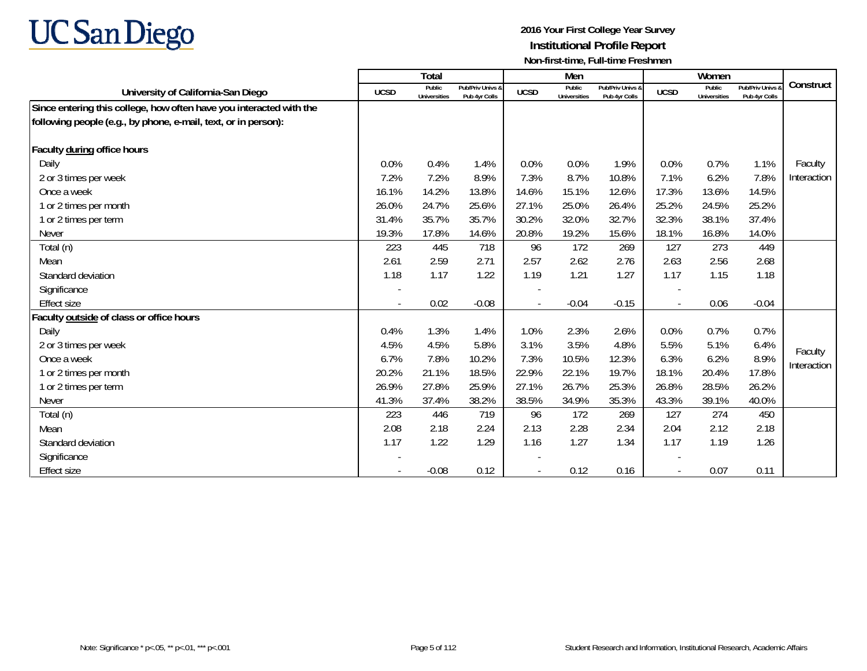

|                                                                     |                | <b>Total</b>           |                                   |             | Men                           |                                   |                | Women                         |                                   |             |
|---------------------------------------------------------------------|----------------|------------------------|-----------------------------------|-------------|-------------------------------|-----------------------------------|----------------|-------------------------------|-----------------------------------|-------------|
| University of California-San Diego                                  | <b>UCSD</b>    | Public<br>Universities | Pub/Priv Univs &<br>Pub 4yr Colls | <b>UCSD</b> | Public<br><b>Universities</b> | Pub/Priv Univs &<br>Pub 4yr Colls | <b>UCSD</b>    | Public<br><b>Universities</b> | Pub/Priv Univs &<br>Pub 4yr Colls | Construct   |
| Since entering this college, how often have you interacted with the |                |                        |                                   |             |                               |                                   |                |                               |                                   |             |
| following people (e.g., by phone, e-mail, text, or in person):      |                |                        |                                   |             |                               |                                   |                |                               |                                   |             |
| Faculty during office hours                                         |                |                        |                                   |             |                               |                                   |                |                               |                                   |             |
| Daily                                                               | 0.0%           | 0.4%                   | 1.4%                              | 0.0%        | 0.0%                          | 1.9%                              | 0.0%           | 0.7%                          | 1.1%                              | Faculty     |
| 2 or 3 times per week                                               | 7.2%           | 7.2%                   | 8.9%                              | 7.3%        | 8.7%                          | 10.8%                             | 7.1%           | 6.2%                          | 7.8%                              | Interaction |
| Once a week                                                         | 16.1%          | 14.2%                  | 13.8%                             | 14.6%       | 15.1%                         | 12.6%                             | 17.3%          | 13.6%                         | 14.5%                             |             |
| 1 or 2 times per month                                              | 26.0%          | 24.7%                  | 25.6%                             | 27.1%       | 25.0%                         | 26.4%                             | 25.2%          | 24.5%                         | 25.2%                             |             |
| 1 or 2 times per term                                               | 31.4%          | 35.7%                  | 35.7%                             | 30.2%       | 32.0%                         | 32.7%                             | 32.3%          | 38.1%                         | 37.4%                             |             |
| <b>Never</b>                                                        | 19.3%          | 17.8%                  | 14.6%                             | 20.8%       | 19.2%                         | 15.6%                             | 18.1%          | 16.8%                         | 14.0%                             |             |
| Total (n)                                                           | 223            | 445                    | 718                               | 96          | 172                           | 269                               | 127            | 273                           | 449                               |             |
| Mean                                                                | 2.61           | 2.59                   | 2.71                              | 2.57        | 2.62                          | 2.76                              | 2.63           | 2.56                          | 2.68                              |             |
| Standard deviation                                                  | 1.18           | 1.17                   | 1.22                              | 1.19        | 1.21                          | 1.27                              | 1.17           | 1.15                          | 1.18                              |             |
| Significance                                                        |                |                        |                                   |             |                               |                                   |                |                               |                                   |             |
| <b>Effect size</b>                                                  | $\blacksquare$ | 0.02                   | $-0.08$                           |             | $-0.04$                       | $-0.15$                           | $\blacksquare$ | 0.06                          | $-0.04$                           |             |
| Faculty outside of class or office hours                            |                |                        |                                   |             |                               |                                   |                |                               |                                   |             |
| Daily                                                               | 0.4%           | 1.3%                   | 1.4%                              | 1.0%        | 2.3%                          | 2.6%                              | 0.0%           | 0.7%                          | 0.7%                              |             |
| 2 or 3 times per week                                               | 4.5%           | 4.5%                   | 5.8%                              | 3.1%        | 3.5%                          | 4.8%                              | 5.5%           | 5.1%                          | 6.4%                              | Faculty     |
| Once a week                                                         | 6.7%           | 7.8%                   | 10.2%                             | 7.3%        | 10.5%                         | 12.3%                             | 6.3%           | 6.2%                          | 8.9%                              | Interaction |
| 1 or 2 times per month                                              | 20.2%          | 21.1%                  | 18.5%                             | 22.9%       | 22.1%                         | 19.7%                             | 18.1%          | 20.4%                         | 17.8%                             |             |
| 1 or 2 times per term                                               | 26.9%          | 27.8%                  | 25.9%                             | 27.1%       | 26.7%                         | 25.3%                             | 26.8%          | 28.5%                         | 26.2%                             |             |
| <b>Never</b>                                                        | 41.3%          | 37.4%                  | 38.2%                             | 38.5%       | 34.9%                         | 35.3%                             | 43.3%          | 39.1%                         | 40.0%                             |             |
| Total (n)                                                           | 223            | 446                    | 719                               | 96          | 172                           | 269                               | 127            | 274                           | 450                               |             |
| Mean                                                                | 2.08           | 2.18                   | 2.24                              | 2.13        | 2.28                          | 2.34                              | 2.04           | 2.12                          | 2.18                              |             |
| Standard deviation                                                  | 1.17           | 1.22                   | 1.29                              | 1.16        | 1.27                          | 1.34                              | 1.17           | 1.19                          | 1.26                              |             |
| Significance                                                        |                |                        |                                   |             |                               |                                   |                |                               |                                   |             |
| <b>Effect size</b>                                                  |                | $-0.08$                | 0.12                              |             | 0.12                          | 0.16                              |                | 0.07                          | 0.11                              |             |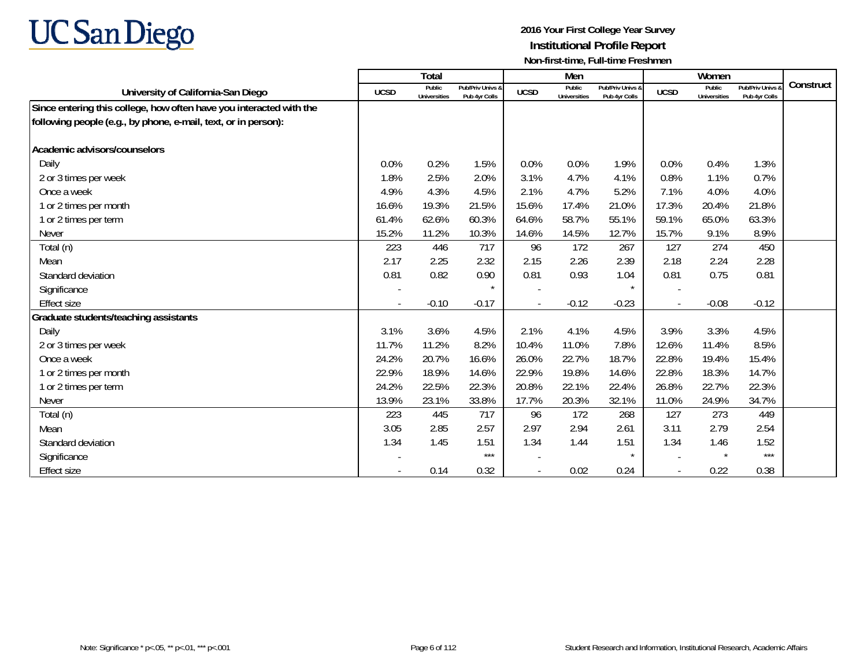

|                                                                     |             | <b>Total</b>                  |                                   |             | Men                           |                                   |                          | Women                         |                                 |           |
|---------------------------------------------------------------------|-------------|-------------------------------|-----------------------------------|-------------|-------------------------------|-----------------------------------|--------------------------|-------------------------------|---------------------------------|-----------|
| University of California-San Diego                                  | <b>UCSD</b> | Public<br><b>Universities</b> | Pub/Priv Univs &<br>Pub 4yr Colls | <b>UCSD</b> | Public<br><b>Universities</b> | Pub/Priv Univs &<br>Pub 4yr Colls | <b>UCSD</b>              | Public<br><b>Universities</b> | Pub/Priv Univs<br>Pub 4yr Colls | Construct |
| Since entering this college, how often have you interacted with the |             |                               |                                   |             |                               |                                   |                          |                               |                                 |           |
| following people (e.g., by phone, e-mail, text, or in person):      |             |                               |                                   |             |                               |                                   |                          |                               |                                 |           |
| Academic advisors/counselors                                        |             |                               |                                   |             |                               |                                   |                          |                               |                                 |           |
| Daily                                                               | 0.0%        | 0.2%                          | 1.5%                              | 0.0%        | 0.0%                          | 1.9%                              | 0.0%                     | 0.4%                          | 1.3%                            |           |
| 2 or 3 times per week                                               | 1.8%        | 2.5%                          | 2.0%                              | 3.1%        | 4.7%                          | 4.1%                              | 0.8%                     | 1.1%                          | 0.7%                            |           |
| Once a week                                                         | 4.9%        | 4.3%                          | 4.5%                              | 2.1%        | 4.7%                          | 5.2%                              | 7.1%                     | 4.0%                          | 4.0%                            |           |
| 1 or 2 times per month                                              | 16.6%       | 19.3%                         | 21.5%                             | 15.6%       | 17.4%                         | 21.0%                             | 17.3%                    | 20.4%                         | 21.8%                           |           |
| 1 or 2 times per term                                               | 61.4%       | 62.6%                         | 60.3%                             | 64.6%       | 58.7%                         | 55.1%                             | 59.1%                    | 65.0%                         | 63.3%                           |           |
| <b>Never</b>                                                        | 15.2%       | 11.2%                         | 10.3%                             | 14.6%       | 14.5%                         | 12.7%                             | 15.7%                    | 9.1%                          | 8.9%                            |           |
| Total (n)                                                           | 223         | 446                           | 717                               | 96          | 172                           | 267                               | 127                      | 274                           | 450                             |           |
| Mean                                                                | 2.17        | 2.25                          | 2.32                              | 2.15        | 2.26                          | 2.39                              | 2.18                     | 2.24                          | 2.28                            |           |
| Standard deviation                                                  | 0.81        | 0.82                          | 0.90                              | 0.81        | 0.93                          | 1.04                              | 0.81                     | 0.75                          | 0.81                            |           |
| Significance                                                        |             |                               | $\star$                           |             |                               |                                   | $\overline{\phantom{a}}$ |                               |                                 |           |
| <b>Effect size</b>                                                  |             | $-0.10$                       | $-0.17$                           |             | $-0.12$                       | $-0.23$                           | $\blacksquare$           | $-0.08$                       | $-0.12$                         |           |
| Graduate students/teaching assistants                               |             |                               |                                   |             |                               |                                   |                          |                               |                                 |           |
| Daily                                                               | 3.1%        | 3.6%                          | 4.5%                              | 2.1%        | 4.1%                          | 4.5%                              | 3.9%                     | 3.3%                          | 4.5%                            |           |
| 2 or 3 times per week                                               | 11.7%       | 11.2%                         | 8.2%                              | 10.4%       | 11.0%                         | 7.8%                              | 12.6%                    | 11.4%                         | 8.5%                            |           |
| Once a week                                                         | 24.2%       | 20.7%                         | 16.6%                             | 26.0%       | 22.7%                         | 18.7%                             | 22.8%                    | 19.4%                         | 15.4%                           |           |
| 1 or 2 times per month                                              | 22.9%       | 18.9%                         | 14.6%                             | 22.9%       | 19.8%                         | 14.6%                             | 22.8%                    | 18.3%                         | 14.7%                           |           |
| 1 or 2 times per term                                               | 24.2%       | 22.5%                         | 22.3%                             | 20.8%       | 22.1%                         | 22.4%                             | 26.8%                    | 22.7%                         | 22.3%                           |           |
| <b>Never</b>                                                        | 13.9%       | 23.1%                         | 33.8%                             | 17.7%       | 20.3%                         | 32.1%                             | 11.0%                    | 24.9%                         | 34.7%                           |           |
| Total (n)                                                           | 223         | 445                           | 717                               | 96          | 172                           | 268                               | 127                      | 273                           | 449                             |           |
| Mean                                                                | 3.05        | 2.85                          | 2.57                              | 2.97        | 2.94                          | 2.61                              | 3.11                     | 2.79                          | 2.54                            |           |
| Standard deviation                                                  | 1.34        | 1.45                          | 1.51                              | 1.34        | 1.44                          | 1.51                              | 1.34                     | 1.46                          | 1.52                            |           |
| Significance                                                        |             |                               | $***$                             |             |                               |                                   |                          | $\star$                       | $***$                           |           |
| <b>Effect size</b>                                                  |             | 0.14                          | 0.32                              |             | 0.02                          | 0.24                              |                          | 0.22                          | 0.38                            |           |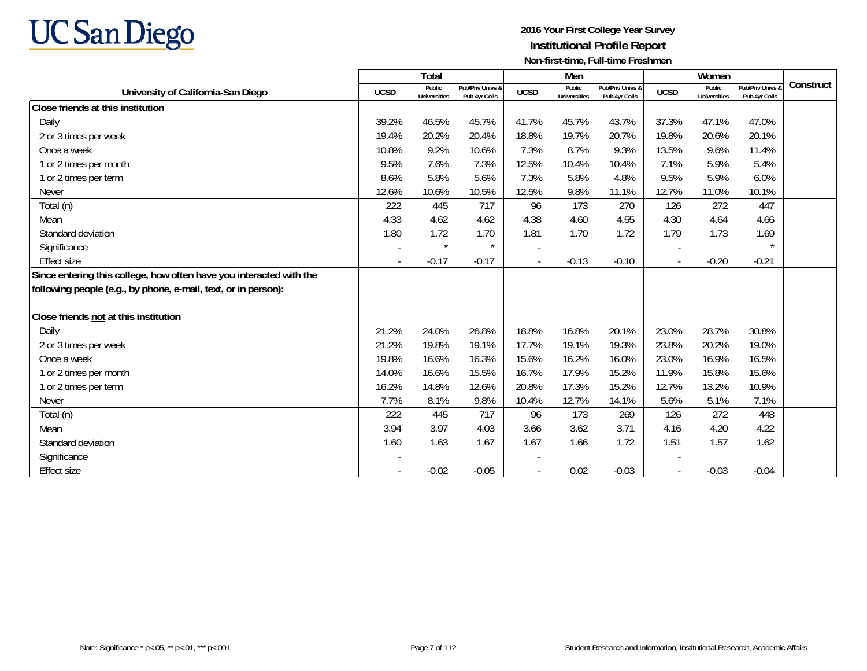

|                                                                     |             | Total                         |                                   |             | Men                           |                                   |             | Women                         |                                 |           |
|---------------------------------------------------------------------|-------------|-------------------------------|-----------------------------------|-------------|-------------------------------|-----------------------------------|-------------|-------------------------------|---------------------------------|-----------|
| University of California-San Diego                                  | <b>UCSD</b> | Public<br><b>Universities</b> | Pub/Priv Univs &<br>Pub 4yr Colls | <b>UCSD</b> | Public<br><b>Universities</b> | Pub/Priv Univs &<br>Pub 4yr Colls | <b>UCSD</b> | Public<br><b>Universities</b> | Pub/Priv Univs<br>Pub 4yr Colls | Construct |
| Close friends at this institution                                   |             |                               |                                   |             |                               |                                   |             |                               |                                 |           |
| Daily                                                               | 39.2%       | 46.5%                         | 45.7%                             | 41.7%       | 45.7%                         | 43.7%                             | 37.3%       | 47.1%                         | 47.0%                           |           |
| 2 or 3 times per week                                               | 19.4%       | 20.2%                         | 20.4%                             | 18.8%       | 19.7%                         | 20.7%                             | 19.8%       | 20.6%                         | 20.1%                           |           |
| Once a week                                                         | 10.8%       | 9.2%                          | 10.6%                             | 7.3%        | 8.7%                          | 9.3%                              | 13.5%       | 9.6%                          | 11.4%                           |           |
| 1 or 2 times per month                                              | 9.5%        | 7.6%                          | 7.3%                              | 12.5%       | 10.4%                         | 10.4%                             | 7.1%        | 5.9%                          | 5.4%                            |           |
| 1 or 2 times per term                                               | 8.6%        | 5.8%                          | 5.6%                              | 7.3%        | 5.8%                          | 4.8%                              | 9.5%        | 5.9%                          | 6.0%                            |           |
| <b>Never</b>                                                        | 12.6%       | 10.6%                         | 10.5%                             | 12.5%       | 9.8%                          | 11.1%                             | 12.7%       | 11.0%                         | 10.1%                           |           |
| Total (n)                                                           | 222         | 445                           | 717                               | 96          | 173                           | 270                               | 126         | 272                           | 447                             |           |
| Mean                                                                | 4.33        | 4.62                          | 4.62                              | 4.38        | 4.60                          | 4.55                              | 4.30        | 4.64                          | 4.66                            |           |
| Standard deviation                                                  | 1.80        | 1.72                          | 1.70                              | 1.81        | 1.70                          | 1.72                              | 1.79        | 1.73                          | 1.69                            |           |
| Significance                                                        |             | $\star$                       | $\star$                           |             |                               |                                   |             |                               |                                 |           |
| <b>Effect size</b>                                                  |             | $-0.17$                       | $-0.17$                           |             | $-0.13$                       | $-0.10$                           |             | $-0.20$                       | $-0.21$                         |           |
| Since entering this college, how often have you interacted with the |             |                               |                                   |             |                               |                                   |             |                               |                                 |           |
| following people (e.g., by phone, e-mail, text, or in person):      |             |                               |                                   |             |                               |                                   |             |                               |                                 |           |
|                                                                     |             |                               |                                   |             |                               |                                   |             |                               |                                 |           |
| Close friends not at this institution                               |             |                               |                                   |             |                               |                                   |             |                               |                                 |           |
| Daily                                                               | 21.2%       | 24.0%                         | 26.8%                             | 18.8%       | 16.8%                         | 20.1%                             | 23.0%       | 28.7%                         | 30.8%                           |           |
| 2 or 3 times per week                                               | 21.2%       | 19.8%                         | 19.1%                             | 17.7%       | 19.1%                         | 19.3%                             | 23.8%       | 20.2%                         | 19.0%                           |           |
| Once a week                                                         | 19.8%       | 16.6%                         | 16.3%                             | 15.6%       | 16.2%                         | 16.0%                             | 23.0%       | 16.9%                         | 16.5%                           |           |
| 1 or 2 times per month                                              | 14.0%       | 16.6%                         | 15.5%                             | 16.7%       | 17.9%                         | 15.2%                             | 11.9%       | 15.8%                         | 15.6%                           |           |
| 1 or 2 times per term                                               | 16.2%       | 14.8%                         | 12.6%                             | 20.8%       | 17.3%                         | 15.2%                             | 12.7%       | 13.2%                         | 10.9%                           |           |
| <b>Never</b>                                                        | 7.7%        | 8.1%                          | 9.8%                              | 10.4%       | 12.7%                         | 14.1%                             | 5.6%        | 5.1%                          | 7.1%                            |           |
| Total (n)                                                           | 222         | 445                           | 717                               | 96          | 173                           | 269                               | 126         | 272                           | 448                             |           |
| Mean                                                                | 3.94        | 3.97                          | 4.03                              | 3.66        | 3.62                          | 3.71                              | 4.16        | 4.20                          | 4.22                            |           |
| Standard deviation                                                  | 1.60        | 1.63                          | 1.67                              | 1.67        | 1.66                          | 1.72                              | 1.51        | 1.57                          | 1.62                            |           |
| Significance                                                        |             |                               |                                   |             |                               |                                   |             |                               |                                 |           |
| <b>Effect size</b>                                                  |             | $-0.02$                       | $-0.05$                           |             | 0.02                          | $-0.03$                           |             | $-0.03$                       | $-0.04$                         |           |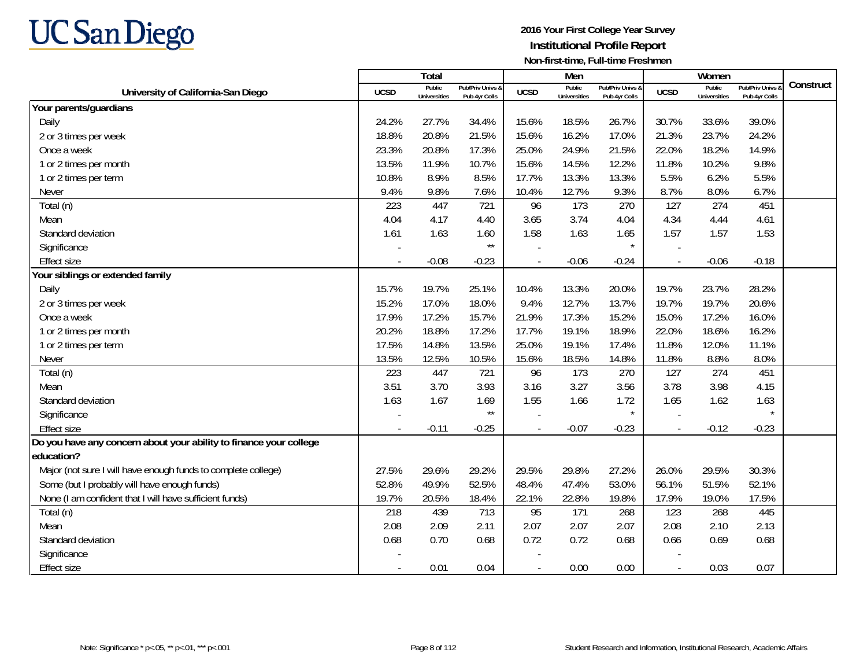

|                                                                    |                          | <b>Total</b>                  |                                   |                | Men                           |                                   |                          | Women                         |                                        | Construct |
|--------------------------------------------------------------------|--------------------------|-------------------------------|-----------------------------------|----------------|-------------------------------|-----------------------------------|--------------------------|-------------------------------|----------------------------------------|-----------|
| University of California-San Diego                                 | <b>UCSD</b>              | Public<br><b>Universities</b> | Pub/Priv Univs &<br>Pub 4yr Colls | <b>UCSD</b>    | Public<br><b>Universities</b> | Pub/Priv Univs &<br>Pub 4yr Colls | <b>UCSD</b>              | Public<br><b>Universities</b> | <b>Pub/Priv Univs</b><br>Pub 4yr Colls |           |
| Your parents/guardians                                             |                          |                               |                                   |                |                               |                                   |                          |                               |                                        |           |
| Daily                                                              | 24.2%                    | 27.7%                         | 34.4%                             | 15.6%          | 18.5%                         | 26.7%                             | 30.7%                    | 33.6%                         | 39.0%                                  |           |
| 2 or 3 times per week                                              | 18.8%                    | 20.8%                         | 21.5%                             | 15.6%          | 16.2%                         | 17.0%                             | 21.3%                    | 23.7%                         | 24.2%                                  |           |
| Once a week                                                        | 23.3%                    | 20.8%                         | 17.3%                             | 25.0%          | 24.9%                         | 21.5%                             | 22.0%                    | 18.2%                         | 14.9%                                  |           |
| 1 or 2 times per month                                             | 13.5%                    | 11.9%                         | 10.7%                             | 15.6%          | 14.5%                         | 12.2%                             | 11.8%                    | 10.2%                         | 9.8%                                   |           |
| 1 or 2 times per term                                              | 10.8%                    | 8.9%                          | 8.5%                              | 17.7%          | 13.3%                         | 13.3%                             | 5.5%                     | 6.2%                          | 5.5%                                   |           |
| Never                                                              | 9.4%                     | 9.8%                          | 7.6%                              | 10.4%          | 12.7%                         | 9.3%                              | 8.7%                     | 8.0%                          | 6.7%                                   |           |
| Total (n)                                                          | 223                      | 447                           | 721                               | 96             | 173                           | 270                               | 127                      | 274                           | 451                                    |           |
| Mean                                                               | 4.04                     | 4.17                          | 4.40                              | 3.65           | 3.74                          | 4.04                              | 4.34                     | 4.44                          | 4.61                                   |           |
| Standard deviation                                                 | 1.61                     | 1.63                          | 1.60                              | 1.58           | 1.63                          | 1.65                              | 1.57                     | 1.57                          | 1.53                                   |           |
| Significance                                                       |                          |                               | $^{\star\star}$                   |                |                               |                                   |                          |                               |                                        |           |
| <b>Effect size</b>                                                 |                          | $-0.08$                       | $-0.23$                           |                | $-0.06$                       | $-0.24$                           | $\overline{\phantom{a}}$ | $-0.06$                       | $-0.18$                                |           |
| Your siblings or extended family                                   |                          |                               |                                   |                |                               |                                   |                          |                               |                                        |           |
| Daily                                                              | 15.7%                    | 19.7%                         | 25.1%                             | 10.4%          | 13.3%                         | 20.0%                             | 19.7%                    | 23.7%                         | 28.2%                                  |           |
| 2 or 3 times per week                                              | 15.2%                    | 17.0%                         | 18.0%                             | 9.4%           | 12.7%                         | 13.7%                             | 19.7%                    | 19.7%                         | 20.6%                                  |           |
| Once a week                                                        | 17.9%                    | 17.2%                         | 15.7%                             | 21.9%          | 17.3%                         | 15.2%                             | 15.0%                    | 17.2%                         | 16.0%                                  |           |
| 1 or 2 times per month                                             | 20.2%                    | 18.8%                         | 17.2%                             | 17.7%          | 19.1%                         | 18.9%                             | 22.0%                    | 18.6%                         | 16.2%                                  |           |
| 1 or 2 times per term                                              | 17.5%                    | 14.8%                         | 13.5%                             | 25.0%          | 19.1%                         | 17.4%                             | 11.8%                    | 12.0%                         | 11.1%                                  |           |
| Never                                                              | 13.5%                    | 12.5%                         | 10.5%                             | 15.6%          | 18.5%                         | 14.8%                             | 11.8%                    | 8.8%                          | 8.0%                                   |           |
| Total (n)                                                          | 223                      | 447                           | 721                               | 96             | 173                           | 270                               | 127                      | 274                           | 451                                    |           |
| Mean                                                               | 3.51                     | 3.70                          | 3.93                              | 3.16           | 3.27                          | 3.56                              | 3.78                     | 3.98                          | 4.15                                   |           |
| Standard deviation                                                 | 1.63                     | 1.67                          | 1.69                              | 1.55           | 1.66                          | 1.72                              | 1.65                     | 1.62                          | 1.63                                   |           |
| Significance                                                       |                          |                               | $\star\star$                      |                |                               | $\star$                           |                          |                               |                                        |           |
| <b>Effect size</b>                                                 |                          | $-0.11$                       | $-0.25$                           |                | $-0.07$                       | $-0.23$                           |                          | $-0.12$                       | $-0.23$                                |           |
| Do you have any concern about your ability to finance your college |                          |                               |                                   |                |                               |                                   |                          |                               |                                        |           |
| education?                                                         |                          |                               |                                   |                |                               |                                   |                          |                               |                                        |           |
| Major (not sure I will have enough funds to complete college)      | 27.5%                    | 29.6%                         | 29.2%                             | 29.5%          | 29.8%                         | 27.2%                             | 26.0%                    | 29.5%                         | 30.3%                                  |           |
| Some (but I probably will have enough funds)                       | 52.8%                    | 49.9%                         | 52.5%                             | 48.4%          | 47.4%                         | 53.0%                             | 56.1%                    | 51.5%                         | 52.1%                                  |           |
| None (I am confident that I will have sufficient funds)            | 19.7%                    | 20.5%                         | 18.4%                             | 22.1%          | 22.8%                         | 19.8%                             | 17.9%                    | 19.0%                         | 17.5%                                  |           |
| Total (n)                                                          | 218                      | 439                           | 713                               | 95             | 171                           | 268                               | 123                      | 268                           | 445                                    |           |
| Mean                                                               | 2.08                     | 2.09                          | 2.11                              | 2.07           | 2.07                          | 2.07                              | 2.08                     | 2.10                          | 2.13                                   |           |
| Standard deviation                                                 | 0.68                     | 0.70                          | 0.68                              | 0.72           | 0.72                          | 0.68                              | 0.66                     | 0.69                          | 0.68                                   |           |
| Significance                                                       |                          |                               |                                   |                |                               |                                   |                          |                               |                                        |           |
| <b>Effect size</b>                                                 | $\overline{\phantom{a}}$ | 0.01                          | 0.04                              | $\blacksquare$ | 0.00                          | 0.00                              | $\overline{\phantom{a}}$ | 0.03                          | 0.07                                   |           |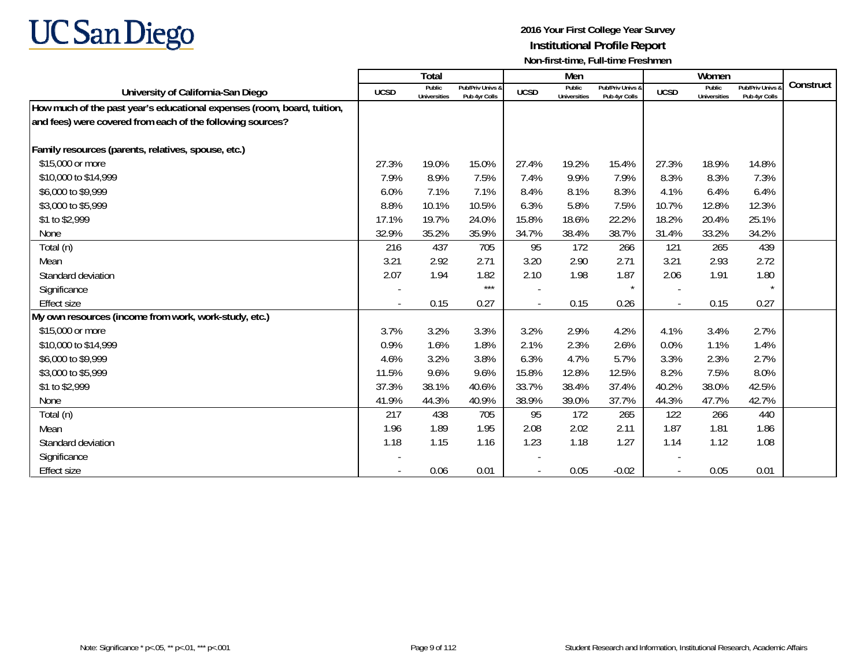

|                                                                         |             | <b>Total</b>           |                                   |                | Men                           |                                   |                          | Women                         |                                   |           |
|-------------------------------------------------------------------------|-------------|------------------------|-----------------------------------|----------------|-------------------------------|-----------------------------------|--------------------------|-------------------------------|-----------------------------------|-----------|
| University of California-San Diego                                      | <b>UCSD</b> | Public<br>Universities | Pub/Priv Univs &<br>Pub 4yr Colls | <b>UCSD</b>    | Public<br><b>Universities</b> | Pub/Priv Univs &<br>Pub 4yr Colls | <b>UCSD</b>              | Public<br><b>Universities</b> | Pub/Priv Univs &<br>Pub 4yr Colls | Construct |
| How much of the past year's educational expenses (room, board, tuition, |             |                        |                                   |                |                               |                                   |                          |                               |                                   |           |
| and fees) were covered from each of the following sources?              |             |                        |                                   |                |                               |                                   |                          |                               |                                   |           |
|                                                                         |             |                        |                                   |                |                               |                                   |                          |                               |                                   |           |
| Family resources (parents, relatives, spouse, etc.)                     |             |                        |                                   |                |                               |                                   |                          |                               |                                   |           |
| \$15,000 or more                                                        | 27.3%       | 19.0%                  | 15.0%                             | 27.4%          | 19.2%                         | 15.4%                             | 27.3%                    | 18.9%                         | 14.8%                             |           |
| \$10,000 to \$14,999                                                    | 7.9%        | 8.9%                   | 7.5%                              | 7.4%           | 9.9%                          | 7.9%                              | 8.3%                     | 8.3%                          | 7.3%                              |           |
| \$6,000 to \$9,999                                                      | 6.0%        | 7.1%                   | 7.1%                              | 8.4%           | 8.1%                          | 8.3%                              | 4.1%                     | 6.4%                          | 6.4%                              |           |
| \$3,000 to \$5,999                                                      | 8.8%        | 10.1%                  | 10.5%                             | 6.3%           | 5.8%                          | 7.5%                              | 10.7%                    | 12.8%                         | 12.3%                             |           |
| \$1 to \$2,999                                                          | 17.1%       | 19.7%                  | 24.0%                             | 15.8%          | 18.6%                         | 22.2%                             | 18.2%                    | 20.4%                         | 25.1%                             |           |
| None                                                                    | 32.9%       | 35.2%                  | 35.9%                             | 34.7%          | 38.4%                         | 38.7%                             | 31.4%                    | 33.2%                         | 34.2%                             |           |
| Total (n)                                                               | 216         | 437                    | 705                               | 95             | 172                           | 266                               | 121                      | 265                           | 439                               |           |
| Mean                                                                    | 3.21        | 2.92                   | 2.71                              | 3.20           | 2.90                          | 2.71                              | 3.21                     | 2.93                          | 2.72                              |           |
| Standard deviation                                                      | 2.07        | 1.94                   | 1.82                              | 2.10           | 1.98                          | 1.87                              | 2.06                     | 1.91                          | 1.80                              |           |
| Significance                                                            |             |                        | $***$                             |                |                               | $\star$                           | $\overline{\phantom{a}}$ |                               | $\star$                           |           |
| <b>Effect size</b>                                                      |             | 0.15                   | 0.27                              | $\blacksquare$ | 0.15                          | 0.26                              | $\overline{\phantom{a}}$ | 0.15                          | 0.27                              |           |
| My own resources (income from work, work-study, etc.)                   |             |                        |                                   |                |                               |                                   |                          |                               |                                   |           |
| \$15,000 or more                                                        | 3.7%        | 3.2%                   | 3.3%                              | 3.2%           | 2.9%                          | 4.2%                              | 4.1%                     | 3.4%                          | 2.7%                              |           |
| \$10,000 to \$14,999                                                    | 0.9%        | 1.6%                   | 1.8%                              | 2.1%           | 2.3%                          | 2.6%                              | 0.0%                     | 1.1%                          | 1.4%                              |           |
| \$6,000 to \$9,999                                                      | 4.6%        | 3.2%                   | 3.8%                              | 6.3%           | 4.7%                          | 5.7%                              | 3.3%                     | 2.3%                          | 2.7%                              |           |
| \$3,000 to \$5,999                                                      | 11.5%       | 9.6%                   | 9.6%                              | 15.8%          | 12.8%                         | 12.5%                             | 8.2%                     | 7.5%                          | 8.0%                              |           |
| \$1 to \$2,999                                                          | 37.3%       | 38.1%                  | 40.6%                             | 33.7%          | 38.4%                         | 37.4%                             | 40.2%                    | 38.0%                         | 42.5%                             |           |
| None                                                                    | 41.9%       | 44.3%                  | 40.9%                             | 38.9%          | 39.0%                         | 37.7%                             | 44.3%                    | 47.7%                         | 42.7%                             |           |
| Total (n)                                                               | 217         | 438                    | 705                               | 95             | 172                           | 265                               | 122                      | 266                           | 440                               |           |
| Mean                                                                    | 1.96        | 1.89                   | 1.95                              | 2.08           | 2.02                          | 2.11                              | 1.87                     | 1.81                          | 1.86                              |           |
| Standard deviation                                                      | 1.18        | 1.15                   | 1.16                              | 1.23           | 1.18                          | 1.27                              | 1.14                     | 1.12                          | 1.08                              |           |
| Significance                                                            |             |                        |                                   |                |                               |                                   |                          |                               |                                   |           |
| <b>Effect size</b>                                                      |             | 0.06                   | 0.01                              | $\blacksquare$ | 0.05                          | $-0.02$                           | $\overline{\phantom{a}}$ | 0.05                          | 0.01                              |           |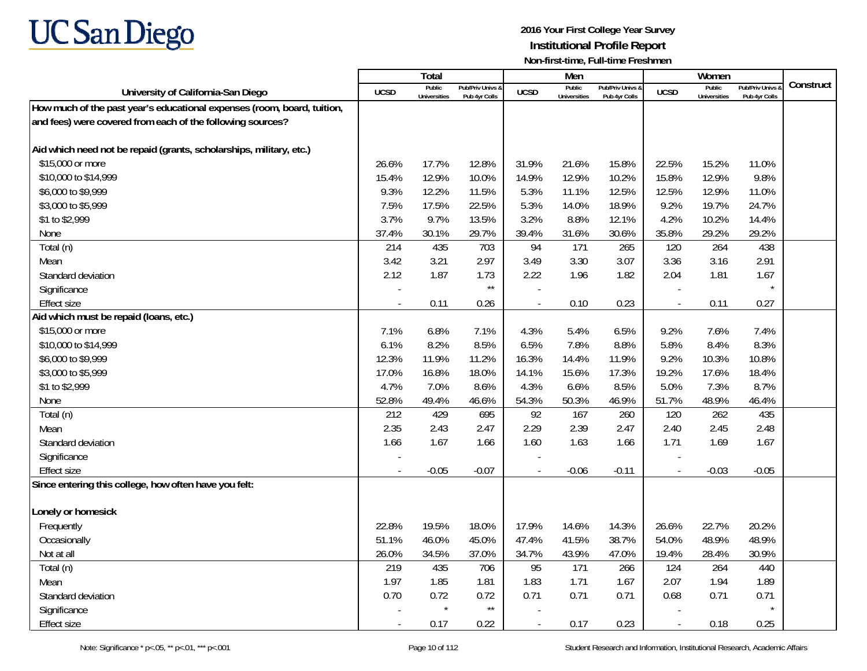

|                                                                         |             | Total                  |                                   |             | Men                           |                                   |                          | Women                         |                                        |           |
|-------------------------------------------------------------------------|-------------|------------------------|-----------------------------------|-------------|-------------------------------|-----------------------------------|--------------------------|-------------------------------|----------------------------------------|-----------|
| University of California-San Diego                                      | <b>UCSD</b> | Public<br>Universities | Pub/Priv Univs 8<br>Pub 4yr Colls | <b>UCSD</b> | Public<br><b>Universities</b> | Pub/Priv Univs &<br>Pub 4yr Colls | <b>UCSD</b>              | Public<br><b>Universities</b> | <b>Pub/Priv Univs</b><br>Pub 4yr Colls | Construct |
| How much of the past year's educational expenses (room, board, tuition, |             |                        |                                   |             |                               |                                   |                          |                               |                                        |           |
| and fees) were covered from each of the following sources?              |             |                        |                                   |             |                               |                                   |                          |                               |                                        |           |
|                                                                         |             |                        |                                   |             |                               |                                   |                          |                               |                                        |           |
| Aid which need not be repaid (grants, scholarships, military, etc.)     |             |                        |                                   |             |                               |                                   |                          |                               |                                        |           |
| \$15,000 or more                                                        | 26.6%       | 17.7%                  | 12.8%                             | 31.9%       | 21.6%                         | 15.8%                             | 22.5%                    | 15.2%                         | 11.0%                                  |           |
| \$10,000 to \$14,999                                                    | 15.4%       | 12.9%                  | 10.0%                             | 14.9%       | 12.9%                         | 10.2%                             | 15.8%                    | 12.9%                         | 9.8%                                   |           |
| \$6,000 to \$9,999                                                      | 9.3%        | 12.2%                  | 11.5%                             | 5.3%        | 11.1%                         | 12.5%                             | 12.5%                    | 12.9%                         | 11.0%                                  |           |
| \$3,000 to \$5,999                                                      | 7.5%        | 17.5%                  | 22.5%                             | 5.3%        | 14.0%                         | 18.9%                             | 9.2%                     | 19.7%                         | 24.7%                                  |           |
| \$1 to \$2,999                                                          | 3.7%        | 9.7%                   | 13.5%                             | 3.2%        | 8.8%                          | 12.1%                             | 4.2%                     | 10.2%                         | 14.4%                                  |           |
| None                                                                    | 37.4%       | 30.1%                  | 29.7%                             | 39.4%       | 31.6%                         | 30.6%                             | 35.8%                    | 29.2%                         | 29.2%                                  |           |
| Total (n)                                                               | 214         | 435                    | 703                               | 94          | 171                           | 265                               | 120                      | 264                           | 438                                    |           |
| Mean                                                                    | 3.42        | 3.21                   | 2.97                              | 3.49        | 3.30                          | 3.07                              | 3.36                     | 3.16                          | 2.91                                   |           |
| Standard deviation                                                      | 2.12        | 1.87                   | 1.73                              | 2.22        | 1.96                          | 1.82                              | 2.04                     | 1.81                          | 1.67                                   |           |
| Significance                                                            |             |                        | $\star\star$                      |             |                               |                                   |                          |                               |                                        |           |
| <b>Effect size</b>                                                      |             | 0.11                   | 0.26                              |             | 0.10                          | 0.23                              | $\blacksquare$           | 0.11                          | 0.27                                   |           |
| Aid which must be repaid (loans, etc.)                                  |             |                        |                                   |             |                               |                                   |                          |                               |                                        |           |
| \$15,000 or more                                                        | 7.1%        | 6.8%                   | 7.1%                              | 4.3%        | 5.4%                          | 6.5%                              | 9.2%                     | 7.6%                          | 7.4%                                   |           |
| \$10,000 to \$14,999                                                    | 6.1%        | 8.2%                   | 8.5%                              | 6.5%        | 7.8%                          | 8.8%                              | 5.8%                     | 8.4%                          | 8.3%                                   |           |
| \$6,000 to \$9,999                                                      | 12.3%       | 11.9%                  | 11.2%                             | 16.3%       | 14.4%                         | 11.9%                             | 9.2%                     | 10.3%                         | 10.8%                                  |           |
| \$3,000 to \$5,999                                                      | 17.0%       | 16.8%                  | 18.0%                             | 14.1%       | 15.6%                         | 17.3%                             | 19.2%                    | 17.6%                         | 18.4%                                  |           |
| \$1 to \$2,999                                                          | 4.7%        | 7.0%                   | 8.6%                              | 4.3%        | 6.6%                          | 8.5%                              | 5.0%                     | 7.3%                          | 8.7%                                   |           |
| None                                                                    | 52.8%       | 49.4%                  | 46.6%                             | 54.3%       | 50.3%                         | 46.9%                             | 51.7%                    | 48.9%                         | 46.4%                                  |           |
| Total (n)                                                               | 212         | 429                    | 695                               | 92          | 167                           | 260                               | 120                      | 262                           | 435                                    |           |
| Mean                                                                    | 2.35        | 2.43                   | 2.47                              | 2.29        | 2.39                          | 2.47                              | 2.40                     | 2.45                          | 2.48                                   |           |
| Standard deviation                                                      | 1.66        | 1.67                   | 1.66                              | 1.60        | 1.63                          | 1.66                              | 1.71                     | 1.69                          | 1.67                                   |           |
| Significance                                                            |             |                        |                                   |             |                               |                                   |                          |                               |                                        |           |
| <b>Effect size</b>                                                      |             | $-0.05$                | $-0.07$                           |             | $-0.06$                       | $-0.11$                           |                          | $-0.03$                       | $-0.05$                                |           |
| Since entering this college, how often have you felt:                   |             |                        |                                   |             |                               |                                   |                          |                               |                                        |           |
|                                                                         |             |                        |                                   |             |                               |                                   |                          |                               |                                        |           |
| Lonely or homesick                                                      |             |                        |                                   |             |                               |                                   |                          |                               |                                        |           |
| Frequently                                                              | 22.8%       | 19.5%                  | 18.0%                             | 17.9%       | 14.6%                         | 14.3%                             | 26.6%                    | 22.7%                         | 20.2%                                  |           |
| Occasionally                                                            | 51.1%       | 46.0%                  | 45.0%                             | 47.4%       | 41.5%                         | 38.7%                             | 54.0%                    | 48.9%                         | 48.9%                                  |           |
| Not at all                                                              | 26.0%       | 34.5%                  | 37.0%                             | 34.7%       | 43.9%                         | 47.0%                             | 19.4%                    | 28.4%                         | 30.9%                                  |           |
| Total (n)                                                               | 219         | 435                    | 706                               | 95          | 171                           | 266                               | 124                      | 264                           | 440                                    |           |
| Mean                                                                    | 1.97        | 1.85                   | 1.81                              | 1.83        | 1.71                          | 1.67                              | 2.07                     | 1.94                          | 1.89                                   |           |
| Standard deviation                                                      | 0.70        | 0.72<br>$\star$        | 0.72                              | 0.71        | 0.71                          | 0.71                              | 0.68                     | 0.71                          | 0.71<br>$\star$                        |           |
| Significance                                                            |             |                        | $\star\star$                      |             |                               |                                   |                          |                               |                                        |           |
| <b>Effect size</b>                                                      | $\sim$      | 0.17                   | 0.22                              | $\sim$      | 0.17                          | 0.23                              | $\overline{\phantom{a}}$ | 0.18                          | 0.25                                   |           |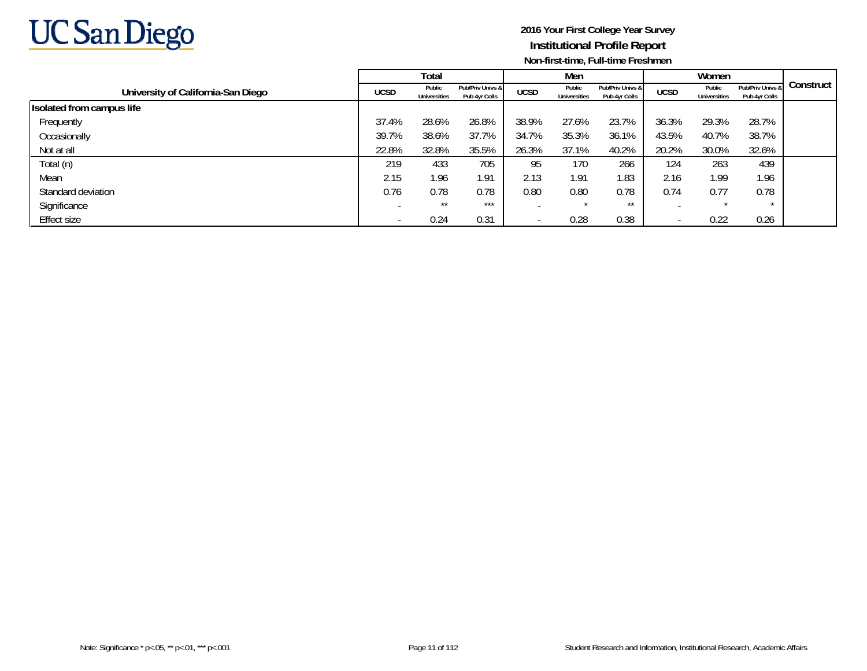

|                                    |                          | Total                  |                                   |             | Men                           |                                   |             | Women                         |                                   |           |
|------------------------------------|--------------------------|------------------------|-----------------------------------|-------------|-------------------------------|-----------------------------------|-------------|-------------------------------|-----------------------------------|-----------|
| University of California-San Diego | <b>UCSD</b>              | Public<br>Universities | Pub/Priv Univs &<br>Pub 4yr Colls | <b>UCSD</b> | Public<br><b>Universities</b> | Pub/Priv Univs &<br>Pub 4yr Colls | <b>UCSD</b> | Public<br><b>Universities</b> | Pub/Priv Univs &<br>Pub 4yr Colls | Construct |
| Isolated from campus life          |                          |                        |                                   |             |                               |                                   |             |                               |                                   |           |
| Frequently                         | 37.4%                    | 28.6%                  | 26.8%                             | 38.9%       | 27.6%                         | 23.7%                             | 36.3%       | 29.3%                         | 28.7%                             |           |
| Occasionally                       | 39.7%                    | 38.6%                  | 37.7%                             | 34.7%       | 35.3%                         | 36.1%                             | 43.5%       | 40.7%                         | 38.7%                             |           |
| Not at all                         | 22.8%                    | 32.8%                  | 35.5%                             | 26.3%       | 37.1%                         | 40.2%                             | 20.2%       | 30.0%                         | 32.6%                             |           |
| Total (n)                          | 219                      | 433                    | 705                               | 95          | 170                           | 266                               | 124         | 263                           | 439                               |           |
| Mean                               | 2.15                     | 1.96                   | 1.91                              | 2.13        | 1.91                          | .83                               | 2.16        | 1.99                          | 1.96                              |           |
| Standard deviation                 | 0.76                     | 0.78                   | 0.78                              | 0.80        | 0.80                          | 0.78                              | 0.74        | 0.77                          | 0.78                              |           |
| Significance                       | $\overline{\phantom{0}}$ | $***$                  | $***$                             |             |                               | $***$                             |             |                               | $\star$                           |           |
| Effect size                        |                          | 0.24                   | 0.31                              |             | 0.28                          | 0.38                              |             | 0.22                          | 0.26                              |           |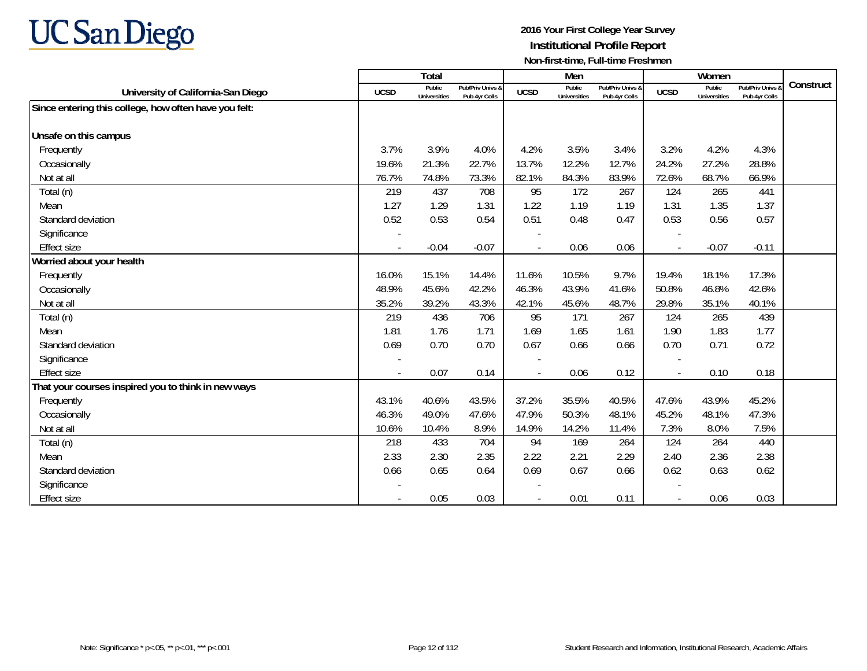

|                                                       |                          | Total                         |                                   |                | Men                           |                                   |                          | Women                         |                                 |           |
|-------------------------------------------------------|--------------------------|-------------------------------|-----------------------------------|----------------|-------------------------------|-----------------------------------|--------------------------|-------------------------------|---------------------------------|-----------|
| University of California-San Diego                    | <b>UCSD</b>              | Public<br><b>Universities</b> | Pub/Priv Univs &<br>Pub 4vr Colls | <b>UCSD</b>    | Public<br><b>Universities</b> | Pub/Priv Univs &<br>Pub 4vr Colls | <b>UCSD</b>              | Public<br><b>Universities</b> | Pub/Priv Univs<br>Pub 4yr Colls | Construct |
| Since entering this college, how often have you felt: |                          |                               |                                   |                |                               |                                   |                          |                               |                                 |           |
|                                                       |                          |                               |                                   |                |                               |                                   |                          |                               |                                 |           |
| Unsafe on this campus                                 |                          |                               |                                   |                |                               |                                   |                          |                               |                                 |           |
| Frequently                                            | 3.7%                     | 3.9%                          | 4.0%                              | 4.2%           | 3.5%                          | 3.4%                              | 3.2%                     | 4.2%                          | 4.3%                            |           |
| Occasionally                                          | 19.6%                    | 21.3%                         | 22.7%                             | 13.7%          | 12.2%                         | 12.7%                             | 24.2%                    | 27.2%                         | 28.8%                           |           |
| Not at all                                            | 76.7%                    | 74.8%                         | 73.3%                             | 82.1%          | 84.3%                         | 83.9%                             | 72.6%                    | 68.7%                         | 66.9%                           |           |
| Total (n)                                             | 219                      | 437                           | 708                               | 95             | 172                           | 267                               | 124                      | 265                           | 441                             |           |
| Mean                                                  | 1.27                     | 1.29                          | 1.31                              | 1.22           | 1.19                          | 1.19                              | 1.31                     | 1.35                          | 1.37                            |           |
| Standard deviation                                    | 0.52                     | 0.53                          | 0.54                              | 0.51           | 0.48                          | 0.47                              | 0.53                     | 0.56                          | 0.57                            |           |
| Significance                                          |                          |                               |                                   |                |                               |                                   |                          |                               |                                 |           |
| <b>Effect size</b>                                    | $\overline{\phantom{a}}$ | $-0.04$                       | $-0.07$                           | $\overline{a}$ | 0.06                          | 0.06                              | $\blacksquare$           | $-0.07$                       | $-0.11$                         |           |
| Worried about your health                             |                          |                               |                                   |                |                               |                                   |                          |                               |                                 |           |
| Frequently                                            | 16.0%                    | 15.1%                         | 14.4%                             | 11.6%          | 10.5%                         | 9.7%                              | 19.4%                    | 18.1%                         | 17.3%                           |           |
| Occasionally                                          | 48.9%                    | 45.6%                         | 42.2%                             | 46.3%          | 43.9%                         | 41.6%                             | 50.8%                    | 46.8%                         | 42.6%                           |           |
| Not at all                                            | 35.2%                    | 39.2%                         | 43.3%                             | 42.1%          | 45.6%                         | 48.7%                             | 29.8%                    | 35.1%                         | 40.1%                           |           |
| Total (n)                                             | 219                      | 436                           | 706                               | 95             | 171                           | 267                               | 124                      | 265                           | 439                             |           |
| Mean                                                  | 1.81                     | 1.76                          | 1.71                              | 1.69           | 1.65                          | 1.61                              | 1.90                     | 1.83                          | 1.77                            |           |
| Standard deviation                                    | 0.69                     | 0.70                          | 0.70                              | 0.67           | 0.66                          | 0.66                              | 0.70                     | 0.71                          | 0.72                            |           |
| Significance                                          |                          |                               |                                   |                |                               |                                   |                          |                               |                                 |           |
| <b>Effect size</b>                                    |                          | 0.07                          | 0.14                              |                | 0.06                          | 0.12                              | $\overline{\phantom{a}}$ | 0.10                          | 0.18                            |           |
| That your courses inspired you to think in new ways   |                          |                               |                                   |                |                               |                                   |                          |                               |                                 |           |
| Frequently                                            | 43.1%                    | 40.6%                         | 43.5%                             | 37.2%          | 35.5%                         | 40.5%                             | 47.6%                    | 43.9%                         | 45.2%                           |           |
| Occasionally                                          | 46.3%                    | 49.0%                         | 47.6%                             | 47.9%          | 50.3%                         | 48.1%                             | 45.2%                    | 48.1%                         | 47.3%                           |           |
| Not at all                                            | 10.6%                    | 10.4%                         | 8.9%                              | 14.9%          | 14.2%                         | 11.4%                             | 7.3%                     | 8.0%                          | 7.5%                            |           |
| Total (n)                                             | 218                      | 433                           | 704                               | 94             | 169                           | 264                               | 124                      | 264                           | 440                             |           |
| Mean                                                  | 2.33                     | 2.30                          | 2.35                              | 2.22           | 2.21                          | 2.29                              | 2.40                     | 2.36                          | 2.38                            |           |
| Standard deviation                                    | 0.66                     | 0.65                          | 0.64                              | 0.69           | 0.67                          | 0.66                              | 0.62                     | 0.63                          | 0.62                            |           |
| Significance                                          |                          |                               |                                   |                |                               |                                   |                          |                               |                                 |           |
| <b>Effect size</b>                                    |                          | 0.05                          | 0.03                              |                | 0.01                          | 0.11                              |                          | 0.06                          | 0.03                            |           |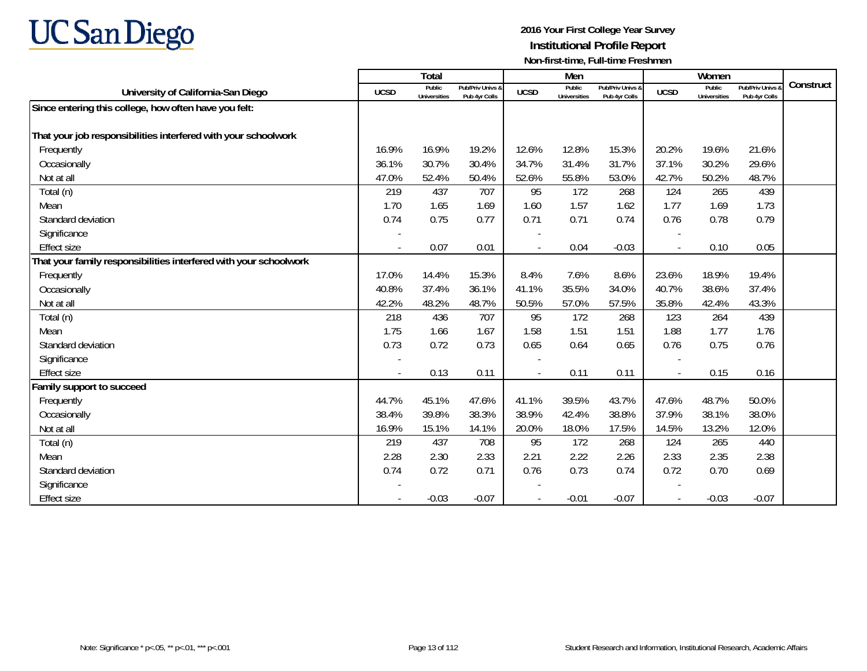

|                                                                   |                          | <b>Total</b>                  |                                   |             | Men                           |                                   |                          | Women                         |                                 |           |
|-------------------------------------------------------------------|--------------------------|-------------------------------|-----------------------------------|-------------|-------------------------------|-----------------------------------|--------------------------|-------------------------------|---------------------------------|-----------|
| University of California-San Diego                                | <b>UCSD</b>              | Public<br><b>Universities</b> | Pub/Priv Univs &<br>Pub 4yr Colls | <b>UCSD</b> | Public<br><b>Universities</b> | Pub/Priv Univs &<br>Pub 4yr Colls | <b>UCSD</b>              | Public<br><b>Universities</b> | Pub/Priv Univs<br>Pub 4yr Colls | Construct |
| Since entering this college, how often have you felt:             |                          |                               |                                   |             |                               |                                   |                          |                               |                                 |           |
|                                                                   |                          |                               |                                   |             |                               |                                   |                          |                               |                                 |           |
| That your job responsibilities interfered with your schoolwork    |                          |                               |                                   |             |                               |                                   |                          |                               |                                 |           |
| Frequently                                                        | 16.9%                    | 16.9%                         | 19.2%                             | 12.6%       | 12.8%                         | 15.3%                             | 20.2%                    | 19.6%                         | 21.6%                           |           |
| Occasionally                                                      | 36.1%                    | 30.7%                         | 30.4%                             | 34.7%       | 31.4%                         | 31.7%                             | 37.1%                    | 30.2%                         | 29.6%                           |           |
| Not at all                                                        | 47.0%                    | 52.4%                         | 50.4%                             | 52.6%       | 55.8%                         | 53.0%                             | 42.7%                    | 50.2%                         | 48.7%                           |           |
| Total (n)                                                         | 219                      | 437                           | 707                               | 95          | 172                           | 268                               | 124                      | 265                           | 439                             |           |
| Mean                                                              | 1.70                     | 1.65                          | 1.69                              | 1.60        | 1.57                          | 1.62                              | 1.77                     | 1.69                          | 1.73                            |           |
| Standard deviation                                                | 0.74                     | 0.75                          | 0.77                              | 0.71        | 0.71                          | 0.74                              | 0.76                     | 0.78                          | 0.79                            |           |
| Significance                                                      |                          |                               |                                   |             |                               |                                   |                          |                               |                                 |           |
| <b>Effect size</b>                                                |                          | 0.07                          | 0.01                              |             | 0.04                          | $-0.03$                           |                          | 0.10                          | 0.05                            |           |
| That your family responsibilities interfered with your schoolwork |                          |                               |                                   |             |                               |                                   |                          |                               |                                 |           |
| Frequently                                                        | 17.0%                    | 14.4%                         | 15.3%                             | 8.4%        | 7.6%                          | 8.6%                              | 23.6%                    | 18.9%                         | 19.4%                           |           |
| Occasionally                                                      | 40.8%                    | 37.4%                         | 36.1%                             | 41.1%       | 35.5%                         | 34.0%                             | 40.7%                    | 38.6%                         | 37.4%                           |           |
| Not at all                                                        | 42.2%                    | 48.2%                         | 48.7%                             | 50.5%       | 57.0%                         | 57.5%                             | 35.8%                    | 42.4%                         | 43.3%                           |           |
| Total (n)                                                         | 218                      | 436                           | 707                               | 95          | 172                           | 268                               | 123                      | 264                           | 439                             |           |
| Mean                                                              | 1.75                     | 1.66                          | 1.67                              | 1.58        | 1.51                          | 1.51                              | 1.88                     | 1.77                          | 1.76                            |           |
| Standard deviation                                                | 0.73                     | 0.72                          | 0.73                              | 0.65        | 0.64                          | 0.65                              | 0.76                     | 0.75                          | 0.76                            |           |
| Significance                                                      |                          |                               |                                   |             |                               |                                   |                          |                               |                                 |           |
| <b>Effect size</b>                                                | $\overline{\phantom{a}}$ | 0.13                          | 0.11                              | $\sim$      | 0.11                          | 0.11                              | $\overline{\phantom{a}}$ | 0.15                          | 0.16                            |           |
| Family support to succeed                                         |                          |                               |                                   |             |                               |                                   |                          |                               |                                 |           |
| Frequently                                                        | 44.7%                    | 45.1%                         | 47.6%                             | 41.1%       | 39.5%                         | 43.7%                             | 47.6%                    | 48.7%                         | 50.0%                           |           |
| Occasionally                                                      | 38.4%                    | 39.8%                         | 38.3%                             | 38.9%       | 42.4%                         | 38.8%                             | 37.9%                    | 38.1%                         | 38.0%                           |           |
| Not at all                                                        | 16.9%                    | 15.1%                         | 14.1%                             | 20.0%       | 18.0%                         | 17.5%                             | 14.5%                    | 13.2%                         | 12.0%                           |           |
| Total (n)                                                         | 219                      | 437                           | 708                               | 95          | 172                           | 268                               | 124                      | 265                           | 440                             |           |
| Mean                                                              | 2.28                     | 2.30                          | 2.33                              | 2.21        | 2.22                          | 2.26                              | 2.33                     | 2.35                          | 2.38                            |           |
| Standard deviation                                                | 0.74                     | 0.72                          | 0.71                              | 0.76        | 0.73                          | 0.74                              | 0.72                     | 0.70                          | 0.69                            |           |
| Significance                                                      |                          |                               |                                   |             |                               |                                   |                          |                               |                                 |           |
| <b>Effect size</b>                                                |                          | $-0.03$                       | $-0.07$                           |             | $-0.01$                       | $-0.07$                           |                          | $-0.03$                       | $-0.07$                         |           |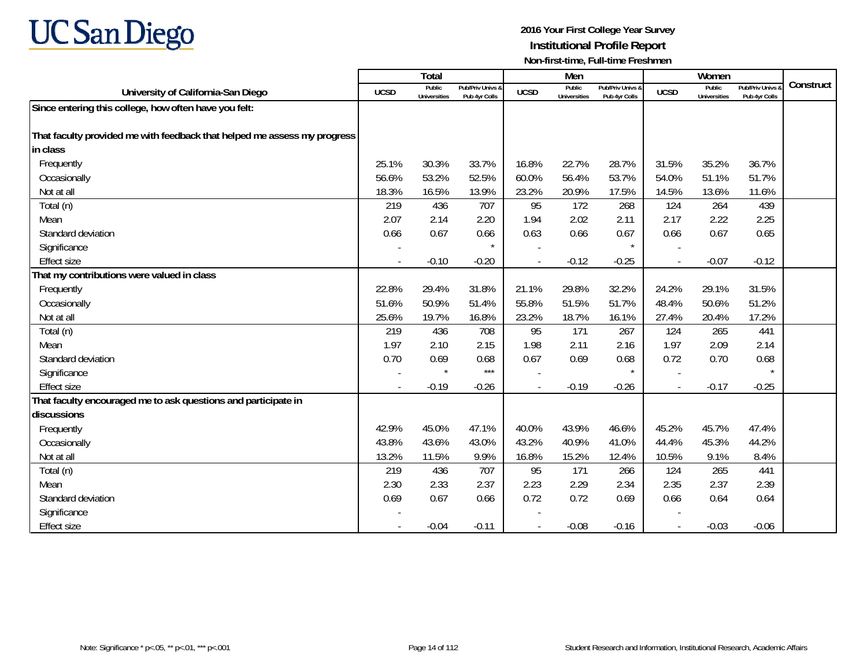# **UC San Diego**

|                                                                          |                          | Total                         |                                   |                          | Men                           |                                   |             | Women                         |                                        |           |
|--------------------------------------------------------------------------|--------------------------|-------------------------------|-----------------------------------|--------------------------|-------------------------------|-----------------------------------|-------------|-------------------------------|----------------------------------------|-----------|
| University of California-San Diego                                       | <b>UCSD</b>              | Public<br><b>Universities</b> | Pub/Priv Univs &<br>Pub 4yr Colls | <b>UCSD</b>              | Public<br><b>Universities</b> | Pub/Priv Univs &<br>Pub 4vr Colls | <b>UCSD</b> | Public<br><b>Universities</b> | <b>Pub/Priv Univs</b><br>Pub 4yr Colls | Construct |
| Since entering this college, how often have you felt:                    |                          |                               |                                   |                          |                               |                                   |             |                               |                                        |           |
|                                                                          |                          |                               |                                   |                          |                               |                                   |             |                               |                                        |           |
| That faculty provided me with feedback that helped me assess my progress |                          |                               |                                   |                          |                               |                                   |             |                               |                                        |           |
| in class                                                                 |                          |                               |                                   |                          |                               |                                   |             |                               |                                        |           |
| Frequently                                                               | 25.1%                    | 30.3%                         | 33.7%                             | 16.8%                    | 22.7%                         | 28.7%                             | 31.5%       | 35.2%                         | 36.7%                                  |           |
| Occasionally                                                             | 56.6%                    | 53.2%                         | 52.5%                             | 60.0%                    | 56.4%                         | 53.7%                             | 54.0%       | 51.1%                         | 51.7%                                  |           |
| Not at all                                                               | 18.3%                    | 16.5%                         | 13.9%                             | 23.2%                    | 20.9%                         | 17.5%                             | 14.5%       | 13.6%                         | 11.6%                                  |           |
| Total (n)                                                                | 219                      | 436                           | 707                               | 95                       | 172                           | 268                               | 124         | 264                           | 439                                    |           |
| Mean                                                                     | 2.07                     | 2.14                          | 2.20                              | 1.94                     | 2.02                          | 2.11                              | 2.17        | 2.22                          | 2.25                                   |           |
| Standard deviation                                                       | 0.66                     | 0.67                          | 0.66                              | 0.63                     | 0.66                          | 0.67                              | 0.66        | 0.67                          | 0.65                                   |           |
| Significance                                                             |                          |                               |                                   |                          |                               | $\star$                           |             |                               |                                        |           |
| <b>Effect size</b>                                                       |                          | $-0.10$                       | $-0.20$                           |                          | $-0.12$                       | $-0.25$                           |             | $-0.07$                       | $-0.12$                                |           |
| That my contributions were valued in class                               |                          |                               |                                   |                          |                               |                                   |             |                               |                                        |           |
| Frequently                                                               | 22.8%                    | 29.4%                         | 31.8%                             | 21.1%                    | 29.8%                         | 32.2%                             | 24.2%       | 29.1%                         | 31.5%                                  |           |
| Occasionally                                                             | 51.6%                    | 50.9%                         | 51.4%                             | 55.8%                    | 51.5%                         | 51.7%                             | 48.4%       | 50.6%                         | 51.2%                                  |           |
| Not at all                                                               | 25.6%                    | 19.7%                         | 16.8%                             | 23.2%                    | 18.7%                         | 16.1%                             | 27.4%       | 20.4%                         | 17.2%                                  |           |
| Total (n)                                                                | 219                      | 436                           | 708                               | 95                       | 171                           | 267                               | 124         | 265                           | 441                                    |           |
| Mean                                                                     | 1.97                     | 2.10                          | 2.15                              | 1.98                     | 2.11                          | 2.16                              | 1.97        | 2.09                          | 2.14                                   |           |
| Standard deviation                                                       | 0.70                     | 0.69                          | 0.68                              | 0.67                     | 0.69                          | 0.68                              | 0.72        | 0.70                          | 0.68                                   |           |
| Significance                                                             |                          | $\star$                       | $***$                             |                          |                               | $\star$                           |             |                               |                                        |           |
| <b>Effect size</b>                                                       |                          | $-0.19$                       | $-0.26$                           |                          | $-0.19$                       | $-0.26$                           |             | $-0.17$                       | $-0.25$                                |           |
| That faculty encouraged me to ask questions and participate in           |                          |                               |                                   |                          |                               |                                   |             |                               |                                        |           |
| discussions                                                              |                          |                               |                                   |                          |                               |                                   |             |                               |                                        |           |
| Frequently                                                               | 42.9%                    | 45.0%                         | 47.1%                             | 40.0%                    | 43.9%                         | 46.6%                             | 45.2%       | 45.7%                         | 47.4%                                  |           |
| Occasionally                                                             | 43.8%                    | 43.6%                         | 43.0%                             | 43.2%                    | 40.9%                         | 41.0%                             | 44.4%       | 45.3%                         | 44.2%                                  |           |
| Not at all                                                               | 13.2%                    | 11.5%                         | 9.9%                              | 16.8%                    | 15.2%                         | 12.4%                             | 10.5%       | 9.1%                          | 8.4%                                   |           |
| Total (n)                                                                | 219                      | 436                           | 707                               | 95                       | 171                           | 266                               | 124         | 265                           | 441                                    |           |
| Mean                                                                     | 2.30                     | 2.33                          | 2.37                              | 2.23                     | 2.29                          | 2.34                              | 2.35        | 2.37                          | 2.39                                   |           |
| Standard deviation                                                       | 0.69                     | 0.67                          | 0.66                              | 0.72                     | 0.72                          | 0.69                              | 0.66        | 0.64                          | 0.64                                   |           |
| Significance                                                             |                          |                               |                                   |                          |                               |                                   |             |                               |                                        |           |
| <b>Effect size</b>                                                       | $\overline{\phantom{a}}$ | $-0.04$                       | $-0.11$                           | $\overline{\phantom{a}}$ | $-0.08$                       | $-0.16$                           |             | $-0.03$                       | $-0.06$                                |           |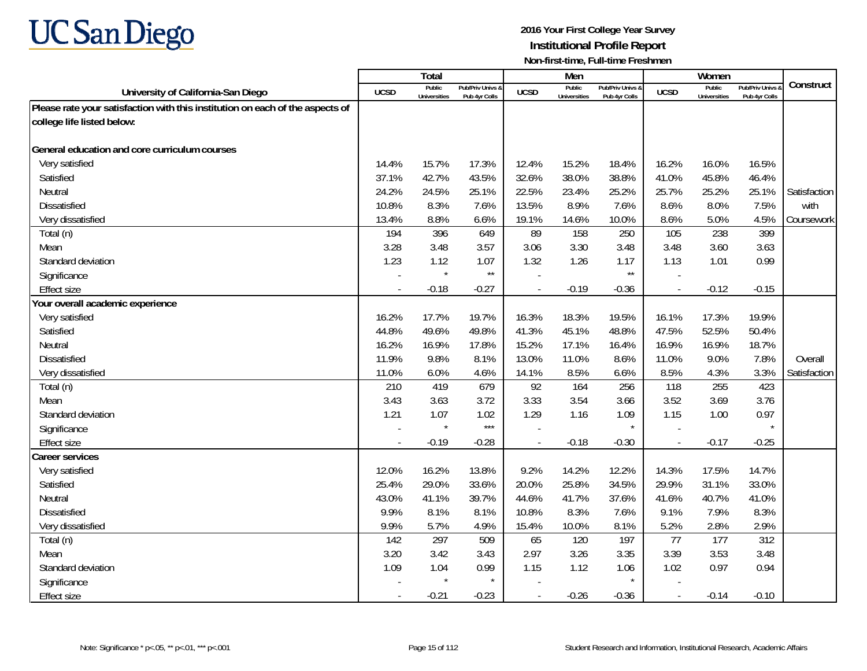

|                                                                               |                | <b>Total</b>                  |                                   |                | Men                           |                                   |                          | Women                         |                                        |              |
|-------------------------------------------------------------------------------|----------------|-------------------------------|-----------------------------------|----------------|-------------------------------|-----------------------------------|--------------------------|-------------------------------|----------------------------------------|--------------|
| University of California-San Diego                                            | UCSD           | Public<br><b>Universities</b> | Pub/Priv Univs &<br>Pub 4yr Colls | <b>UCSD</b>    | Public<br><b>Universities</b> | Pub/Priv Univs &<br>Pub 4vr Colls | <b>UCSD</b>              | Public<br><b>Universities</b> | <b>Pub/Priv Univs</b><br>Pub 4yr Colls | Construct    |
| Please rate your satisfaction with this institution on each of the aspects of |                |                               |                                   |                |                               |                                   |                          |                               |                                        |              |
| college life listed below:                                                    |                |                               |                                   |                |                               |                                   |                          |                               |                                        |              |
|                                                                               |                |                               |                                   |                |                               |                                   |                          |                               |                                        |              |
| General education and core curriculum courses                                 |                |                               |                                   |                |                               |                                   |                          |                               |                                        |              |
| Very satisfied                                                                | 14.4%          | 15.7%                         | 17.3%                             | 12.4%          | 15.2%                         | 18.4%                             | 16.2%                    | 16.0%                         | 16.5%                                  |              |
| Satisfied                                                                     | 37.1%          | 42.7%                         | 43.5%                             | 32.6%          | 38.0%                         | 38.8%                             | 41.0%                    | 45.8%                         | 46.4%                                  |              |
| Neutral                                                                       | 24.2%          | 24.5%                         | 25.1%                             | 22.5%          | 23.4%                         | 25.2%                             | 25.7%                    | 25.2%                         | 25.1%                                  | Satisfaction |
| <b>Dissatisfied</b>                                                           | 10.8%          | 8.3%                          | 7.6%                              | 13.5%          | 8.9%                          | 7.6%                              | 8.6%                     | 8.0%                          | 7.5%                                   | with         |
| Very dissatisfied                                                             | 13.4%          | 8.8%                          | 6.6%                              | 19.1%          | 14.6%                         | 10.0%                             | 8.6%                     | 5.0%                          | 4.5%                                   | Coursework   |
| Total (n)                                                                     | 194            | 396                           | 649                               | 89             | 158                           | 250                               | 105                      | 238                           | 399                                    |              |
| Mean                                                                          | 3.28           | 3.48                          | 3.57                              | 3.06           | 3.30                          | 3.48                              | 3.48                     | 3.60                          | 3.63                                   |              |
| Standard deviation                                                            | 1.23           | 1.12                          | 1.07                              | 1.32           | 1.26                          | 1.17                              | 1.13                     | 1.01                          | 0.99                                   |              |
| Significance                                                                  |                | $\star$                       | $\star\star$                      |                |                               | $^{\star\star}$                   |                          |                               |                                        |              |
| <b>Effect size</b>                                                            |                | $-0.18$                       | $-0.27$                           | $\overline{a}$ | $-0.19$                       | $-0.36$                           | $\overline{\phantom{a}}$ | $-0.12$                       | $-0.15$                                |              |
| Your overall academic experience                                              |                |                               |                                   |                |                               |                                   |                          |                               |                                        |              |
| Very satisfied                                                                | 16.2%          | 17.7%                         | 19.7%                             | 16.3%          | 18.3%                         | 19.5%                             | 16.1%                    | 17.3%                         | 19.9%                                  |              |
| Satisfied                                                                     | 44.8%          | 49.6%                         | 49.8%                             | 41.3%          | 45.1%                         | 48.8%                             | 47.5%                    | 52.5%                         | 50.4%                                  |              |
| Neutral                                                                       | 16.2%          | 16.9%                         | 17.8%                             | 15.2%          | 17.1%                         | 16.4%                             | 16.9%                    | 16.9%                         | 18.7%                                  |              |
| <b>Dissatisfied</b>                                                           | 11.9%          | 9.8%                          | 8.1%                              | 13.0%          | 11.0%                         | 8.6%                              | 11.0%                    | 9.0%                          | 7.8%                                   | Overall      |
| Very dissatisfied                                                             | 11.0%          | 6.0%                          | 4.6%                              | 14.1%          | 8.5%                          | 6.6%                              | 8.5%                     | 4.3%                          | 3.3%                                   | Satisfaction |
| Total (n)                                                                     | 210            | 419                           | 679                               | 92             | 164                           | 256                               | 118                      | 255                           | 423                                    |              |
| Mean                                                                          | 3.43           | 3.63                          | 3.72                              | 3.33           | 3.54                          | 3.66                              | 3.52                     | 3.69                          | 3.76                                   |              |
| Standard deviation                                                            | 1.21           | 1.07                          | 1.02                              | 1.29           | 1.16                          | 1.09                              | 1.15                     | 1.00                          | 0.97                                   |              |
| Significance                                                                  |                | $\star$                       | $***$                             |                |                               |                                   |                          |                               |                                        |              |
| <b>Effect size</b>                                                            | $\overline{a}$ | $-0.19$                       | $-0.28$                           | $\overline{a}$ | $-0.18$                       | $-0.30$                           | $\overline{\phantom{a}}$ | $-0.17$                       | $-0.25$                                |              |
| <b>Career services</b>                                                        |                |                               |                                   |                |                               |                                   |                          |                               |                                        |              |
| Very satisfied                                                                | 12.0%          | 16.2%                         | 13.8%                             | 9.2%           | 14.2%                         | 12.2%                             | 14.3%                    | 17.5%                         | 14.7%                                  |              |
| Satisfied                                                                     | 25.4%          | 29.0%                         | 33.6%                             | 20.0%          | 25.8%                         | 34.5%                             | 29.9%                    | 31.1%                         | 33.0%                                  |              |
| Neutral                                                                       | 43.0%          | 41.1%                         | 39.7%                             | 44.6%          | 41.7%                         | 37.6%                             | 41.6%                    | 40.7%                         | 41.0%                                  |              |
| <b>Dissatisfied</b>                                                           | 9.9%           | 8.1%                          | 8.1%                              | 10.8%          | 8.3%                          | 7.6%                              | 9.1%                     | 7.9%                          | 8.3%                                   |              |
| Very dissatisfied                                                             | 9.9%           | 5.7%                          | 4.9%                              | 15.4%          | 10.0%                         | 8.1%                              | 5.2%                     | 2.8%                          | 2.9%                                   |              |
| Total (n)                                                                     | 142            | 297                           | 509                               | 65             | 120                           | 197                               | 77                       | 177                           | 312                                    |              |
| Mean                                                                          | 3.20           | 3.42                          | 3.43                              | 2.97           | 3.26                          | 3.35                              | 3.39                     | 3.53                          | 3.48                                   |              |
| Standard deviation                                                            | 1.09           | 1.04                          | 0.99                              | 1.15           | 1.12                          | 1.06                              | 1.02                     | 0.97                          | 0.94                                   |              |
| Significance                                                                  |                | $\star$                       | $\star$                           |                |                               |                                   |                          |                               |                                        |              |
| <b>Effect size</b>                                                            |                | $-0.21$                       | $-0.23$                           | $\blacksquare$ | $-0.26$                       | $-0.36$                           | $\overline{\phantom{a}}$ | $-0.14$                       | $-0.10$                                |              |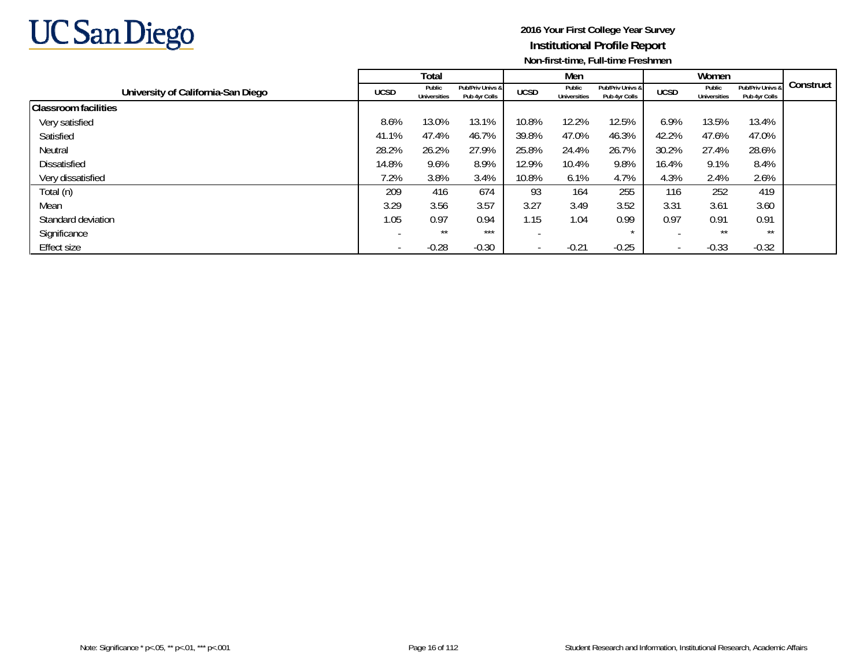

|                                    |             | <b>Total</b>                  |                                   |                          | Men                           |                                   |             | Women                         |                                   |           |
|------------------------------------|-------------|-------------------------------|-----------------------------------|--------------------------|-------------------------------|-----------------------------------|-------------|-------------------------------|-----------------------------------|-----------|
| University of California-San Diego | <b>UCSD</b> | Public<br><b>Universities</b> | Pub/Priv Univs &<br>Pub 4yr Colls | <b>UCSD</b>              | Public<br><b>Universities</b> | Pub/Priv Univs &<br>Pub 4yr Colls | <b>UCSD</b> | Public<br><b>Universities</b> | Pub/Priv Univs &<br>Pub 4yr Colls | Construct |
| <b>Classroom facilities</b>        |             |                               |                                   |                          |                               |                                   |             |                               |                                   |           |
| Very satisfied                     | 8.6%        | 13.0%                         | 13.1%                             | 10.8%                    | 12.2%                         | 12.5%                             | 6.9%        | 13.5%                         | 13.4%                             |           |
| Satisfied                          | 41.1%       | 47.4%                         | 46.7%                             | 39.8%                    | 47.0%                         | 46.3%                             | 42.2%       | 47.6%                         | 47.0%                             |           |
| Neutral                            | 28.2%       | 26.2%                         | 27.9%                             | 25.8%                    | 24.4%                         | 26.7%                             | 30.2%       | 27.4%                         | 28.6%                             |           |
| Dissatisfied                       | 14.8%       | 9.6%                          | 8.9%                              | 12.9%                    | 10.4%                         | 9.8%                              | 16.4%       | 9.1%                          | 8.4%                              |           |
| Very dissatisfied                  | 7.2%        | 3.8%                          | 3.4%                              | 10.8%                    | 6.1%                          | 4.7%                              | 4.3%        | 2.4%                          | 2.6%                              |           |
| Total (n)                          | 209         | 416                           | 674                               | 93                       | 164                           | 255                               | 116         | 252                           | 419                               |           |
| Mean                               | 3.29        | 3.56                          | 3.57                              | 3.27                     | 3.49                          | 3.52                              | 3.31        | 3.61                          | 3.60                              |           |
| Standard deviation                 | 1.05        | 0.97                          | 0.94                              | 1.15                     | 1.04                          | 0.99                              | 0.97        | 0.91                          | 0.91                              |           |
| Significance                       |             | $***$                         | ***                               |                          |                               | $\star$                           |             | **                            | $***$                             |           |
| Effect size                        |             | $-0.28$                       | $-0.30$                           | $\overline{\phantom{a}}$ | $-0.21$                       | $-0.25$                           |             | $-0.33$                       | $-0.32$                           |           |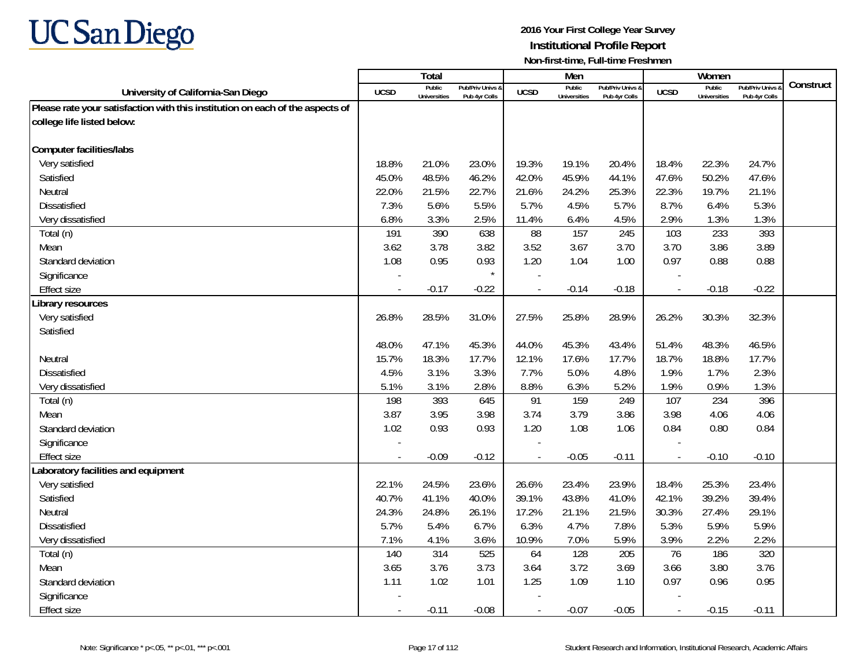

|                                                                               |             | <b>Total</b>                  |                                   |                | Men                           |                                   |                          | Women                         |                                        |           |
|-------------------------------------------------------------------------------|-------------|-------------------------------|-----------------------------------|----------------|-------------------------------|-----------------------------------|--------------------------|-------------------------------|----------------------------------------|-----------|
| University of California-San Diego                                            | <b>UCSD</b> | Public<br><b>Universities</b> | Pub/Priv Univs &<br>Pub 4yr Colls | <b>UCSD</b>    | Public<br><b>Universities</b> | Pub/Priv Univs 8<br>Pub 4yr Colls | <b>UCSD</b>              | Public<br><b>Universities</b> | <b>Pub/Priv Univs</b><br>Pub 4yr Colls | Construct |
| Please rate your satisfaction with this institution on each of the aspects of |             |                               |                                   |                |                               |                                   |                          |                               |                                        |           |
| college life listed below:                                                    |             |                               |                                   |                |                               |                                   |                          |                               |                                        |           |
|                                                                               |             |                               |                                   |                |                               |                                   |                          |                               |                                        |           |
| <b>Computer facilities/labs</b>                                               |             |                               |                                   |                |                               |                                   |                          |                               |                                        |           |
| Very satisfied                                                                | 18.8%       | 21.0%                         | 23.0%                             | 19.3%          | 19.1%                         | 20.4%                             | 18.4%                    | 22.3%                         | 24.7%                                  |           |
| Satisfied                                                                     | 45.0%       | 48.5%                         | 46.2%                             | 42.0%          | 45.9%                         | 44.1%                             | 47.6%                    | 50.2%                         | 47.6%                                  |           |
| Neutral                                                                       | 22.0%       | 21.5%                         | 22.7%                             | 21.6%          | 24.2%                         | 25.3%                             | 22.3%                    | 19.7%                         | 21.1%                                  |           |
| <b>Dissatisfied</b>                                                           | 7.3%        | 5.6%                          | 5.5%                              | 5.7%           | 4.5%                          | 5.7%                              | 8.7%                     | 6.4%                          | 5.3%                                   |           |
| Very dissatisfied                                                             | 6.8%        | 3.3%                          | 2.5%                              | 11.4%          | 6.4%                          | 4.5%                              | 2.9%                     | 1.3%                          | 1.3%                                   |           |
| Total (n)                                                                     | 191         | 390                           | 638                               | 88             | 157                           | 245                               | 103                      | 233                           | 393                                    |           |
| Mean                                                                          | 3.62        | 3.78                          | 3.82                              | 3.52           | 3.67                          | 3.70                              | 3.70                     | 3.86                          | 3.89                                   |           |
| Standard deviation                                                            | 1.08        | 0.95                          | 0.93                              | 1.20           | 1.04                          | 1.00                              | 0.97                     | 0.88                          | 0.88                                   |           |
| Significance                                                                  |             |                               | $\star$                           |                |                               |                                   |                          |                               |                                        |           |
| <b>Effect size</b>                                                            |             | $-0.17$                       | $-0.22$                           |                | $-0.14$                       | $-0.18$                           | $\overline{\phantom{a}}$ | $-0.18$                       | $-0.22$                                |           |
| Library resources                                                             |             |                               |                                   |                |                               |                                   |                          |                               |                                        |           |
| Very satisfied                                                                | 26.8%       | 28.5%                         | 31.0%                             | 27.5%          | 25.8%                         | 28.9%                             | 26.2%                    | 30.3%                         | 32.3%                                  |           |
| Satisfied                                                                     |             |                               |                                   |                |                               |                                   |                          |                               |                                        |           |
|                                                                               | 48.0%       | 47.1%                         | 45.3%                             | 44.0%          | 45.3%                         | 43.4%                             | 51.4%                    | 48.3%                         | 46.5%                                  |           |
| Neutral                                                                       | 15.7%       | 18.3%                         | 17.7%                             | 12.1%          | 17.6%                         | 17.7%                             | 18.7%                    | 18.8%                         | 17.7%                                  |           |
| Dissatisfied                                                                  | 4.5%        | 3.1%                          | 3.3%                              | 7.7%           | 5.0%                          | 4.8%                              | 1.9%                     | 1.7%                          | 2.3%                                   |           |
| Very dissatisfied                                                             | 5.1%        | 3.1%                          | 2.8%                              | 8.8%           | 6.3%                          | 5.2%                              | 1.9%                     | 0.9%                          | 1.3%                                   |           |
| Total (n)                                                                     | 198         | 393                           | 645                               | 91             | 159                           | 249                               | 107                      | 234                           | 396                                    |           |
| Mean                                                                          | 3.87        | 3.95                          | 3.98                              | 3.74           | 3.79                          | 3.86                              | 3.98                     | 4.06                          | 4.06                                   |           |
| Standard deviation                                                            | 1.02        | 0.93                          | 0.93                              | 1.20           | 1.08                          | 1.06                              | 0.84                     | 0.80                          | 0.84                                   |           |
| Significance                                                                  |             |                               |                                   |                |                               |                                   |                          |                               |                                        |           |
| <b>Effect size</b>                                                            |             | $-0.09$                       | $-0.12$                           | $\overline{a}$ | $-0.05$                       | $-0.11$                           | $\overline{\phantom{a}}$ | $-0.10$                       | $-0.10$                                |           |
| Laboratory facilities and equipment                                           |             |                               |                                   |                |                               |                                   |                          |                               |                                        |           |
| Very satisfied                                                                | 22.1%       | 24.5%                         | 23.6%                             | 26.6%          | 23.4%                         | 23.9%                             | 18.4%                    | 25.3%                         | 23.4%                                  |           |
| Satisfied                                                                     | 40.7%       | 41.1%                         | 40.0%                             | 39.1%          | 43.8%                         | 41.0%                             | 42.1%                    | 39.2%                         | 39.4%                                  |           |
| Neutral                                                                       | 24.3%       | 24.8%                         | 26.1%                             | 17.2%          | 21.1%                         | 21.5%                             | 30.3%                    | 27.4%                         | 29.1%                                  |           |
| Dissatisfied                                                                  | 5.7%        | 5.4%                          | 6.7%                              | 6.3%           | 4.7%                          | 7.8%                              | 5.3%                     | 5.9%                          | 5.9%                                   |           |
| Very dissatisfied                                                             | 7.1%        | 4.1%                          | 3.6%                              | 10.9%          | 7.0%                          | 5.9%                              | 3.9%                     | 2.2%                          | 2.2%                                   |           |
| Total (n)                                                                     | 140         | 314                           | 525                               | 64             | 128                           | 205                               | 76                       | 186                           | 320                                    |           |
| Mean                                                                          | 3.65        | 3.76                          | 3.73                              | 3.64           | 3.72                          | 3.69                              | 3.66                     | 3.80                          | 3.76                                   |           |
| Standard deviation                                                            | 1.11        | 1.02                          | 1.01                              | 1.25           | 1.09                          | 1.10                              | 0.97                     | 0.96                          | 0.95                                   |           |
| Significance                                                                  |             |                               |                                   |                |                               |                                   |                          |                               |                                        |           |
| <b>Effect size</b>                                                            | $\sim$      | $-0.11$                       | $-0.08$                           | $\overline{a}$ | $-0.07$                       | $-0.05$                           | $\overline{\phantom{a}}$ | $-0.15$                       | $-0.11$                                |           |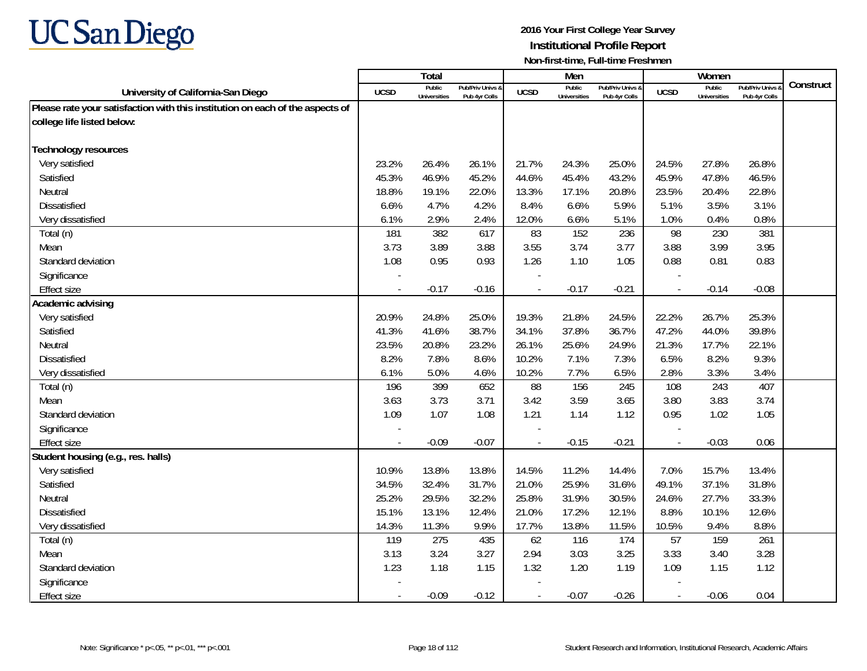

|                                                                               |             | Total                         |                                   |                | Men                           |                                   |                          | Women                         |                                        |           |
|-------------------------------------------------------------------------------|-------------|-------------------------------|-----------------------------------|----------------|-------------------------------|-----------------------------------|--------------------------|-------------------------------|----------------------------------------|-----------|
| University of California-San Diego                                            | <b>UCSD</b> | Public<br><b>Universities</b> | Pub/Priv Univs &<br>Pub 4yr Colls | <b>UCSD</b>    | Public<br><b>Universities</b> | Pub/Priv Univs &<br>Pub 4yr Colls | <b>UCSD</b>              | Public<br><b>Universities</b> | <b>Pub/Priv Univs</b><br>Pub 4yr Colls | Construct |
| Please rate your satisfaction with this institution on each of the aspects of |             |                               |                                   |                |                               |                                   |                          |                               |                                        |           |
| college life listed below:                                                    |             |                               |                                   |                |                               |                                   |                          |                               |                                        |           |
|                                                                               |             |                               |                                   |                |                               |                                   |                          |                               |                                        |           |
| <b>Technology resources</b>                                                   |             |                               |                                   |                |                               |                                   |                          |                               |                                        |           |
| Very satisfied                                                                | 23.2%       | 26.4%                         | 26.1%                             | 21.7%          | 24.3%                         | 25.0%                             | 24.5%                    | 27.8%                         | 26.8%                                  |           |
| Satisfied                                                                     | 45.3%       | 46.9%                         | 45.2%                             | 44.6%          | 45.4%                         | 43.2%                             | 45.9%                    | 47.8%                         | 46.5%                                  |           |
| Neutral                                                                       | 18.8%       | 19.1%                         | 22.0%                             | 13.3%          | 17.1%                         | 20.8%                             | 23.5%                    | 20.4%                         | 22.8%                                  |           |
| Dissatisfied                                                                  | 6.6%        | 4.7%                          | 4.2%                              | 8.4%           | 6.6%                          | 5.9%                              | 5.1%                     | 3.5%                          | 3.1%                                   |           |
| Very dissatisfied                                                             | 6.1%        | 2.9%                          | 2.4%                              | 12.0%          | 6.6%                          | 5.1%                              | 1.0%                     | 0.4%                          | 0.8%                                   |           |
| Total (n)                                                                     | 181         | 382                           | 617                               | 83             | 152                           | 236                               | 98                       | 230                           | 381                                    |           |
| Mean                                                                          | 3.73        | 3.89                          | 3.88                              | 3.55           | 3.74                          | 3.77                              | 3.88                     | 3.99                          | 3.95                                   |           |
| Standard deviation                                                            | 1.08        | 0.95                          | 0.93                              | 1.26           | 1.10                          | 1.05                              | 0.88                     | 0.81                          | 0.83                                   |           |
| Significance                                                                  |             |                               |                                   |                |                               |                                   |                          |                               |                                        |           |
| <b>Effect size</b>                                                            |             | $-0.17$                       | $-0.16$                           | $\sim$         | $-0.17$                       | $-0.21$                           | $\overline{\phantom{a}}$ | $-0.14$                       | $-0.08$                                |           |
| Academic advising                                                             |             |                               |                                   |                |                               |                                   |                          |                               |                                        |           |
| Very satisfied                                                                | 20.9%       | 24.8%                         | 25.0%                             | 19.3%          | 21.8%                         | 24.5%                             | 22.2%                    | 26.7%                         | 25.3%                                  |           |
| Satisfied                                                                     | 41.3%       | 41.6%                         | 38.7%                             | 34.1%          | 37.8%                         | 36.7%                             | 47.2%                    | 44.0%                         | 39.8%                                  |           |
| Neutral                                                                       | 23.5%       | 20.8%                         | 23.2%                             | 26.1%          | 25.6%                         | 24.9%                             | 21.3%                    | 17.7%                         | 22.1%                                  |           |
| <b>Dissatisfied</b>                                                           | 8.2%        | 7.8%                          | 8.6%                              | 10.2%          | 7.1%                          | 7.3%                              | 6.5%                     | 8.2%                          | 9.3%                                   |           |
| Very dissatisfied                                                             | 6.1%        | 5.0%                          | 4.6%                              | 10.2%          | 7.7%                          | 6.5%                              | 2.8%                     | 3.3%                          | 3.4%                                   |           |
| Total (n)                                                                     | 196         | 399                           | 652                               | 88             | 156                           | 245                               | 108                      | 243                           | 407                                    |           |
| Mean                                                                          | 3.63        | 3.73                          | 3.71                              | 3.42           | 3.59                          | 3.65                              | 3.80                     | 3.83                          | 3.74                                   |           |
| Standard deviation                                                            | 1.09        | 1.07                          | 1.08                              | 1.21           | 1.14                          | 1.12                              | 0.95                     | 1.02                          | 1.05                                   |           |
| Significance                                                                  |             |                               |                                   |                |                               |                                   |                          |                               |                                        |           |
| <b>Effect size</b>                                                            |             | $-0.09$                       | $-0.07$                           | $\overline{a}$ | $-0.15$                       | $-0.21$                           | $\mathbb{Z}$             | $-0.03$                       | 0.06                                   |           |
| Student housing (e.g., res. halls)                                            |             |                               |                                   |                |                               |                                   |                          |                               |                                        |           |
| Very satisfied                                                                | 10.9%       | 13.8%                         | 13.8%                             | 14.5%          | 11.2%                         | 14.4%                             | 7.0%                     | 15.7%                         | 13.4%                                  |           |
| Satisfied                                                                     | 34.5%       | 32.4%                         | 31.7%                             | 21.0%          | 25.9%                         | 31.6%                             | 49.1%                    | 37.1%                         | 31.8%                                  |           |
| Neutral                                                                       | 25.2%       | 29.5%                         | 32.2%                             | 25.8%          | 31.9%                         | 30.5%                             | 24.6%                    | 27.7%                         | 33.3%                                  |           |
| <b>Dissatisfied</b>                                                           | 15.1%       | 13.1%                         | 12.4%                             | 21.0%          | 17.2%                         | 12.1%                             | 8.8%                     | 10.1%                         | 12.6%                                  |           |
| Very dissatisfied                                                             | 14.3%       | 11.3%                         | 9.9%                              | 17.7%          | 13.8%                         | 11.5%                             | 10.5%                    | 9.4%                          | 8.8%                                   |           |
| Total (n)                                                                     | 119         | 275                           | 435                               | 62             | 116                           | 174                               | 57                       | 159                           | 261                                    |           |
| Mean                                                                          | 3.13        | 3.24                          | 3.27                              | 2.94           | 3.03                          | 3.25                              | 3.33                     | 3.40                          | 3.28                                   |           |
| Standard deviation                                                            | 1.23        | 1.18                          | 1.15                              | 1.32           | 1.20                          | 1.19                              | 1.09                     | 1.15                          | 1.12                                   |           |
| Significance                                                                  |             |                               |                                   |                |                               |                                   |                          |                               |                                        |           |
| <b>Effect size</b>                                                            |             | $-0.09$                       | $-0.12$                           | $\blacksquare$ | $-0.07$                       | $-0.26$                           | $\overline{\phantom{a}}$ | $-0.06$                       | 0.04                                   |           |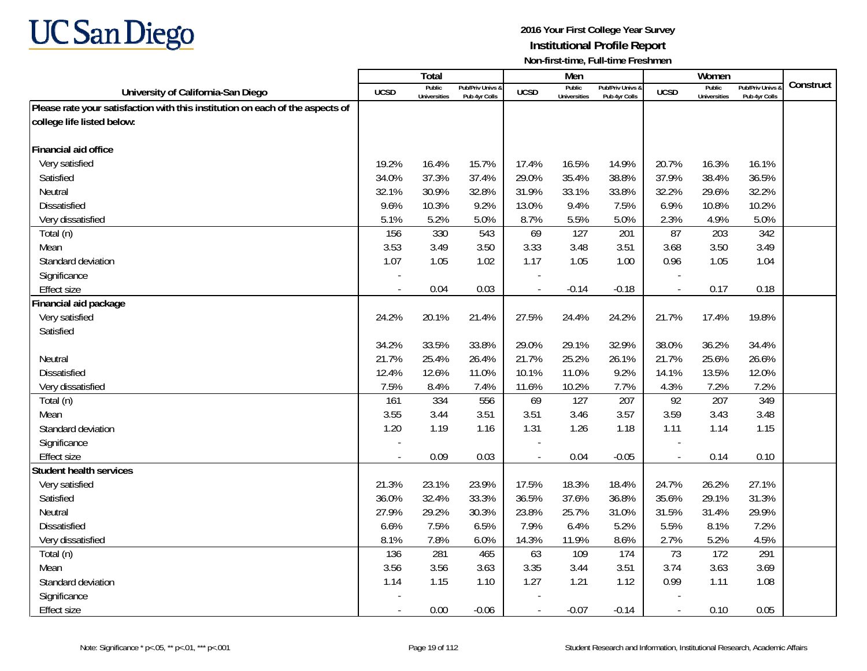

|                                                                               |             | Total                         |                                   |                          | Men                           |                                   |                          | Women                         |                                        |           |
|-------------------------------------------------------------------------------|-------------|-------------------------------|-----------------------------------|--------------------------|-------------------------------|-----------------------------------|--------------------------|-------------------------------|----------------------------------------|-----------|
| University of California-San Diego                                            | <b>UCSD</b> | Public<br><b>Universities</b> | Pub/Priv Univs &<br>Pub 4yr Colls | <b>UCSD</b>              | Public<br><b>Universities</b> | Pub/Priv Univs &<br>Pub 4yr Colls | <b>UCSD</b>              | Public<br><b>Universities</b> | <b>Pub/Priv Univs</b><br>Pub 4yr Colls | Construct |
| Please rate your satisfaction with this institution on each of the aspects of |             |                               |                                   |                          |                               |                                   |                          |                               |                                        |           |
| college life listed below:                                                    |             |                               |                                   |                          |                               |                                   |                          |                               |                                        |           |
|                                                                               |             |                               |                                   |                          |                               |                                   |                          |                               |                                        |           |
| Financial aid office                                                          |             |                               |                                   |                          |                               |                                   |                          |                               |                                        |           |
| Very satisfied                                                                | 19.2%       | 16.4%                         | 15.7%                             | 17.4%                    | 16.5%                         | 14.9%                             | 20.7%                    | 16.3%                         | 16.1%                                  |           |
| Satisfied                                                                     | 34.0%       | 37.3%                         | 37.4%                             | 29.0%                    | 35.4%                         | 38.8%                             | 37.9%                    | 38.4%                         | 36.5%                                  |           |
| Neutral                                                                       | 32.1%       | 30.9%                         | 32.8%                             | 31.9%                    | 33.1%                         | 33.8%                             | 32.2%                    | 29.6%                         | 32.2%                                  |           |
| <b>Dissatisfied</b>                                                           | 9.6%        | 10.3%                         | 9.2%                              | 13.0%                    | 9.4%                          | 7.5%                              | 6.9%                     | 10.8%                         | 10.2%                                  |           |
| Very dissatisfied                                                             | 5.1%        | 5.2%                          | 5.0%                              | 8.7%                     | 5.5%                          | 5.0%                              | 2.3%                     | 4.9%                          | 5.0%                                   |           |
| Total (n)                                                                     | 156         | 330                           | 543                               | 69                       | 127                           | 201                               | 87                       | 203                           | 342                                    |           |
| Mean                                                                          | 3.53        | 3.49                          | 3.50                              | 3.33                     | 3.48                          | 3.51                              | 3.68                     | 3.50                          | 3.49                                   |           |
| Standard deviation                                                            | 1.07        | 1.05                          | 1.02                              | 1.17                     | 1.05                          | 1.00                              | 0.96                     | 1.05                          | 1.04                                   |           |
| Significance                                                                  |             |                               |                                   |                          |                               |                                   |                          |                               |                                        |           |
| Effect size                                                                   |             | 0.04                          | 0.03                              |                          | $-0.14$                       | $-0.18$                           | $\overline{a}$           | 0.17                          | 0.18                                   |           |
| Financial aid package                                                         |             |                               |                                   |                          |                               |                                   |                          |                               |                                        |           |
| Very satisfied                                                                | 24.2%       | 20.1%                         | 21.4%                             | 27.5%                    | 24.4%                         | 24.2%                             | 21.7%                    | 17.4%                         | 19.8%                                  |           |
| Satisfied                                                                     |             |                               |                                   |                          |                               |                                   |                          |                               |                                        |           |
|                                                                               | 34.2%       | 33.5%                         | 33.8%                             | 29.0%                    | 29.1%                         | 32.9%                             | 38.0%                    | 36.2%                         | 34.4%                                  |           |
| Neutral                                                                       | 21.7%       | 25.4%                         | 26.4%                             | 21.7%                    | 25.2%                         | 26.1%                             | 21.7%                    | 25.6%                         | 26.6%                                  |           |
| Dissatisfied                                                                  | 12.4%       | 12.6%                         | 11.0%                             | 10.1%                    | 11.0%                         | 9.2%                              | 14.1%                    | 13.5%                         | 12.0%                                  |           |
| Very dissatisfied                                                             | 7.5%        | 8.4%                          | 7.4%                              | 11.6%                    | 10.2%                         | 7.7%                              | 4.3%                     | 7.2%                          | 7.2%                                   |           |
| Total (n)                                                                     | 161         | 334                           | 556                               | 69                       | 127                           | 207                               | 92                       | 207                           | 349                                    |           |
| Mean                                                                          | 3.55        | 3.44                          | 3.51                              | 3.51                     | 3.46                          | 3.57                              | 3.59                     | 3.43                          | 3.48                                   |           |
| Standard deviation                                                            | 1.20        | 1.19                          | 1.16                              | 1.31                     | 1.26                          | 1.18                              | 1.11                     | 1.14                          | 1.15                                   |           |
| Significance                                                                  |             |                               |                                   |                          |                               |                                   | $\overline{a}$           |                               |                                        |           |
| <b>Effect size</b>                                                            | $\sim$      | 0.09                          | 0.03                              |                          | 0.04                          | $-0.05$                           | $\overline{\phantom{a}}$ | 0.14                          | 0.10                                   |           |
| <b>Student health services</b>                                                |             |                               |                                   |                          |                               |                                   |                          |                               |                                        |           |
| Very satisfied                                                                | 21.3%       | 23.1%                         | 23.9%                             | 17.5%                    | 18.3%                         | 18.4%                             | 24.7%                    | 26.2%                         | 27.1%                                  |           |
| Satisfied                                                                     | 36.0%       | 32.4%                         | 33.3%                             | 36.5%                    | 37.6%                         | 36.8%                             | 35.6%                    | 29.1%                         | 31.3%                                  |           |
| Neutral                                                                       | 27.9%       | 29.2%                         | 30.3%                             | 23.8%                    | 25.7%                         | 31.0%                             | 31.5%                    | 31.4%                         | 29.9%                                  |           |
| Dissatisfied                                                                  | 6.6%        | 7.5%                          | 6.5%                              | 7.9%                     | 6.4%                          | 5.2%                              | 5.5%                     | 8.1%                          | 7.2%                                   |           |
| Very dissatisfied                                                             | 8.1%        | 7.8%                          | 6.0%                              | 14.3%                    | 11.9%                         | 8.6%                              | 2.7%                     | 5.2%                          | 4.5%                                   |           |
| Total (n)                                                                     | 136         | 281                           | 465                               | 63                       | 109                           | 174                               | 73                       | 172                           | 291                                    |           |
| Mean                                                                          | 3.56        | 3.56                          | 3.63                              | 3.35                     | 3.44                          | 3.51                              | 3.74                     | 3.63                          | 3.69                                   |           |
| Standard deviation                                                            | 1.14        | 1.15                          | 1.10                              | 1.27                     | 1.21                          | 1.12                              | 0.99                     | 1.11                          | 1.08                                   |           |
| Significance                                                                  |             |                               |                                   |                          |                               |                                   |                          |                               |                                        |           |
| Effect size                                                                   | $\sim$      | 0.00                          | $-0.06$                           | $\overline{\phantom{a}}$ | $-0.07$                       | $-0.14$                           | $\overline{\phantom{a}}$ | 0.10                          | 0.05                                   |           |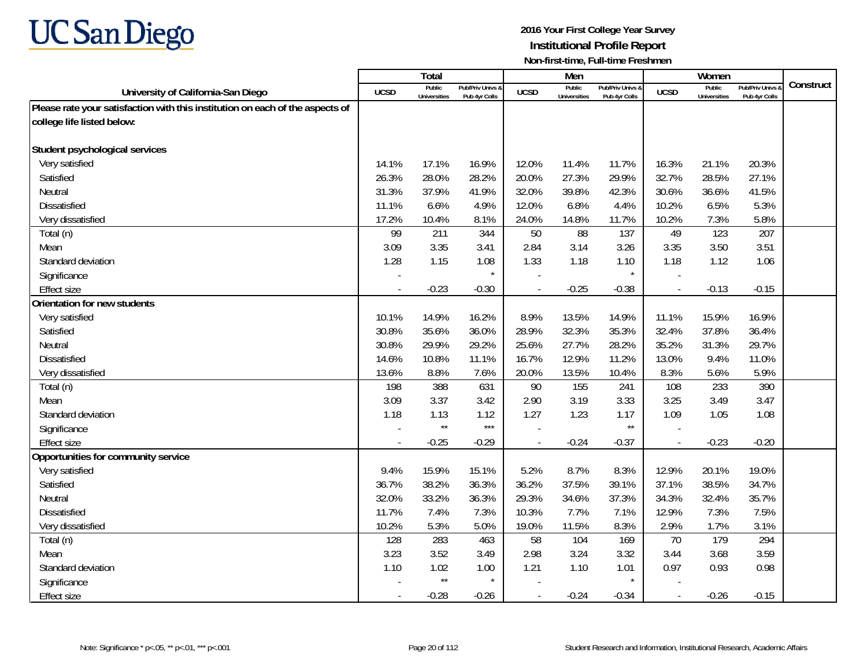

|                                                                               |                          | <b>Total</b>                  |                                   |             | Men                           |                                   |                          | Women                         |                                        |           |
|-------------------------------------------------------------------------------|--------------------------|-------------------------------|-----------------------------------|-------------|-------------------------------|-----------------------------------|--------------------------|-------------------------------|----------------------------------------|-----------|
| University of California-San Diego                                            | <b>UCSD</b>              | Public<br><b>Universities</b> | Pub/Priv Univs &<br>Pub 4yr Colls | <b>UCSD</b> | Public<br><b>Universities</b> | Pub/Priv Univs &<br>Pub 4yr Colls | <b>UCSD</b>              | Public<br><b>Universities</b> | <b>Pub/Priv Univs</b><br>Pub 4yr Colls | Construct |
| Please rate your satisfaction with this institution on each of the aspects of |                          |                               |                                   |             |                               |                                   |                          |                               |                                        |           |
| college life listed below:                                                    |                          |                               |                                   |             |                               |                                   |                          |                               |                                        |           |
|                                                                               |                          |                               |                                   |             |                               |                                   |                          |                               |                                        |           |
| Student psychological services                                                |                          |                               |                                   |             |                               |                                   |                          |                               |                                        |           |
| Very satisfied                                                                | 14.1%                    | 17.1%                         | 16.9%                             | 12.0%       | 11.4%                         | 11.7%                             | 16.3%                    | 21.1%                         | 20.3%                                  |           |
| Satisfied                                                                     | 26.3%                    | 28.0%                         | 28.2%                             | 20.0%       | 27.3%                         | 29.9%                             | 32.7%                    | 28.5%                         | 27.1%                                  |           |
| Neutral                                                                       | 31.3%                    | 37.9%                         | 41.9%                             | 32.0%       | 39.8%                         | 42.3%                             | 30.6%                    | 36.6%                         | 41.5%                                  |           |
| Dissatisfied                                                                  | 11.1%                    | 6.6%                          | 4.9%                              | 12.0%       | 6.8%                          | 4.4%                              | 10.2%                    | 6.5%                          | 5.3%                                   |           |
| Very dissatisfied                                                             | 17.2%                    | 10.4%                         | 8.1%                              | 24.0%       | 14.8%                         | 11.7%                             | 10.2%                    | 7.3%                          | 5.8%                                   |           |
| Total (n)                                                                     | 99                       | 211                           | 344                               | 50          | 88                            | 137                               | 49                       | 123                           | 207                                    |           |
| Mean                                                                          | 3.09                     | 3.35                          | 3.41                              | 2.84        | 3.14                          | 3.26                              | 3.35                     | 3.50                          | 3.51                                   |           |
| Standard deviation                                                            | 1.28                     | 1.15                          | 1.08                              | 1.33        | 1.18                          | 1.10                              | 1.18                     | 1.12                          | 1.06                                   |           |
| Significance                                                                  |                          |                               |                                   |             |                               |                                   |                          |                               |                                        |           |
| <b>Effect size</b>                                                            | $\sim$                   | $-0.23$                       | $-0.30$                           |             | $-0.25$                       | $-0.38$                           | $\overline{\phantom{a}}$ | $-0.13$                       | $-0.15$                                |           |
| Orientation for new students                                                  |                          |                               |                                   |             |                               |                                   |                          |                               |                                        |           |
| Very satisfied                                                                | 10.1%                    | 14.9%                         | 16.2%                             | 8.9%        | 13.5%                         | 14.9%                             | 11.1%                    | 15.9%                         | 16.9%                                  |           |
| Satisfied                                                                     | 30.8%                    | 35.6%                         | 36.0%                             | 28.9%       | 32.3%                         | 35.3%                             | 32.4%                    | 37.8%                         | 36.4%                                  |           |
| Neutral                                                                       | 30.8%                    | 29.9%                         | 29.2%                             | 25.6%       | 27.7%                         | 28.2%                             | 35.2%                    | 31.3%                         | 29.7%                                  |           |
| <b>Dissatisfied</b>                                                           | 14.6%                    | 10.8%                         | 11.1%                             | 16.7%       | 12.9%                         | 11.2%                             | 13.0%                    | 9.4%                          | 11.0%                                  |           |
| Very dissatisfied                                                             | 13.6%                    | 8.8%                          | 7.6%                              | 20.0%       | 13.5%                         | 10.4%                             | 8.3%                     | 5.6%                          | 5.9%                                   |           |
| Total (n)                                                                     | 198                      | 388                           | 631                               | 90          | 155                           | 241                               | 108                      | 233                           | 390                                    |           |
| Mean                                                                          | 3.09                     | 3.37                          | 3.42                              | 2.90        | 3.19                          | 3.33                              | 3.25                     | 3.49                          | 3.47                                   |           |
| Standard deviation                                                            | 1.18                     | 1.13                          | 1.12                              | 1.27        | 1.23                          | 1.17                              | 1.09                     | 1.05                          | 1.08                                   |           |
| Significance                                                                  |                          | $\star\star$                  | $***$                             |             |                               | $\star\star$                      |                          |                               |                                        |           |
| <b>Effect size</b>                                                            | $\overline{\phantom{a}}$ | $-0.25$                       | $-0.29$                           | $\sim$      | $-0.24$                       | $-0.37$                           | $\overline{\phantom{a}}$ | $-0.23$                       | $-0.20$                                |           |
| Opportunities for community service                                           |                          |                               |                                   |             |                               |                                   |                          |                               |                                        |           |
| Very satisfied                                                                | 9.4%                     | 15.9%                         | 15.1%                             | 5.2%        | 8.7%                          | 8.3%                              | 12.9%                    | 20.1%                         | 19.0%                                  |           |
| Satisfied                                                                     | 36.7%                    | 38.2%                         | 36.3%                             | 36.2%       | 37.5%                         | 39.1%                             | 37.1%                    | 38.5%                         | 34.7%                                  |           |
| Neutral                                                                       | 32.0%                    | 33.2%                         | 36.3%                             | 29.3%       | 34.6%                         | 37.3%                             | 34.3%                    | 32.4%                         | 35.7%                                  |           |
| <b>Dissatisfied</b>                                                           | 11.7%                    | 7.4%                          | 7.3%                              | 10.3%       | 7.7%                          | 7.1%                              | 12.9%                    | 7.3%                          | 7.5%                                   |           |
| Very dissatisfied                                                             | 10.2%                    | 5.3%                          | 5.0%                              | 19.0%       | 11.5%                         | 8.3%                              | 2.9%                     | 1.7%                          | 3.1%                                   |           |
| Total (n)                                                                     | 128                      | 283                           | 463                               | 58          | 104                           | 169                               | 70                       | 179                           | 294                                    |           |
| Mean                                                                          | 3.23                     | 3.52                          | 3.49                              | 2.98        | 3.24                          | 3.32                              | 3.44                     | 3.68                          | 3.59                                   |           |
| Standard deviation                                                            | 1.10                     | 1.02                          | 1.00                              | 1.21        | 1.10                          | 1.01                              | 0.97                     | 0.93                          | 0.98                                   |           |
| Significance                                                                  |                          | $\star\star$                  |                                   |             |                               | $\star$                           |                          |                               |                                        |           |
| Effect size                                                                   | $\sim$                   | $-0.28$                       | $-0.26$                           |             | $-0.24$                       | $-0.34$                           | $\blacksquare$           | $-0.26$                       | $-0.15$                                |           |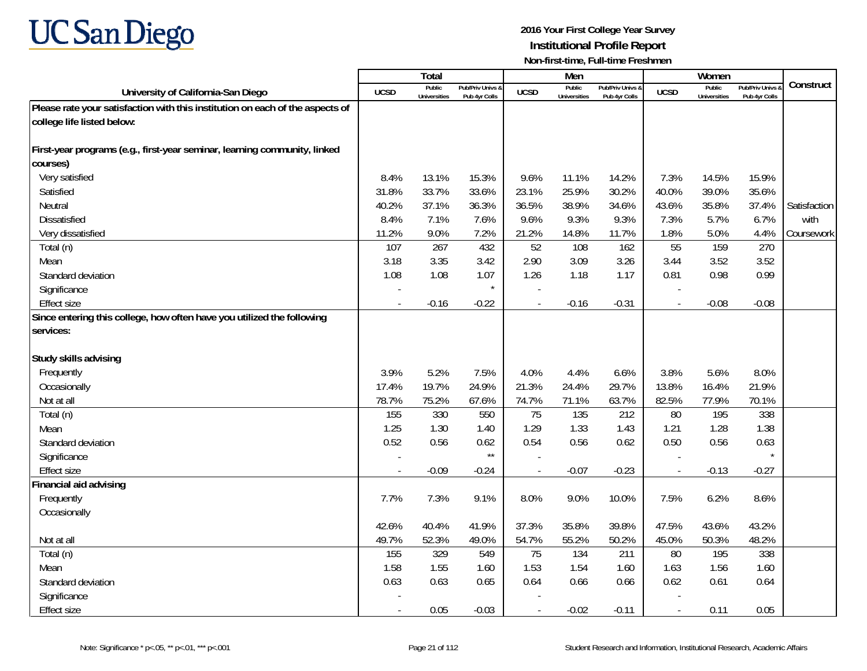

|                                                                               |                | Total                         |                                   |                | Men                           |                                 |                          | Women                         |                                        |              |
|-------------------------------------------------------------------------------|----------------|-------------------------------|-----------------------------------|----------------|-------------------------------|---------------------------------|--------------------------|-------------------------------|----------------------------------------|--------------|
| University of California-San Diego                                            | <b>UCSD</b>    | Public<br><b>Universities</b> | Pub/Priv Univs &<br>Pub 4yr Colls | <b>UCSD</b>    | Public<br><b>Universities</b> | Pub/Priv Univs<br>Pub 4yr Colls | <b>UCSD</b>              | Public<br><b>Universities</b> | <b>Pub/Priv Univs</b><br>Pub 4yr Colls | Construct    |
| Please rate your satisfaction with this institution on each of the aspects of |                |                               |                                   |                |                               |                                 |                          |                               |                                        |              |
| college life listed below:                                                    |                |                               |                                   |                |                               |                                 |                          |                               |                                        |              |
|                                                                               |                |                               |                                   |                |                               |                                 |                          |                               |                                        |              |
| First-year programs (e.g., first-year seminar, learning community, linked     |                |                               |                                   |                |                               |                                 |                          |                               |                                        |              |
| courses)                                                                      |                |                               |                                   |                |                               |                                 |                          |                               |                                        |              |
| Very satisfied                                                                | 8.4%           | 13.1%                         | 15.3%                             | 9.6%           | 11.1%                         | 14.2%                           | 7.3%                     | 14.5%                         | 15.9%                                  |              |
| Satisfied                                                                     | 31.8%          | 33.7%                         | 33.6%                             | 23.1%          | 25.9%                         | 30.2%                           | 40.0%                    | 39.0%                         | 35.6%                                  |              |
| Neutral                                                                       | 40.2%          | 37.1%                         | 36.3%                             | 36.5%          | 38.9%                         | 34.6%                           | 43.6%                    | 35.8%                         | 37.4%                                  | Satisfaction |
| <b>Dissatisfied</b>                                                           | 8.4%           | 7.1%                          | 7.6%                              | 9.6%           | 9.3%                          | 9.3%                            | 7.3%                     | 5.7%                          | 6.7%                                   | with         |
| Very dissatisfied                                                             | 11.2%          | 9.0%                          | 7.2%                              | 21.2%          | 14.8%                         | 11.7%                           | 1.8%                     | 5.0%                          | 4.4%                                   | Coursework   |
| Total (n)                                                                     | 107            | 267                           | 432                               | 52             | 108                           | 162                             | 55                       | 159                           | 270                                    |              |
| Mean                                                                          | 3.18           | 3.35                          | 3.42                              | 2.90           | 3.09                          | 3.26                            | 3.44                     | 3.52                          | 3.52                                   |              |
| Standard deviation                                                            | 1.08           | 1.08                          | 1.07                              | 1.26           | 1.18                          | 1.17                            | 0.81                     | 0.98                          | 0.99                                   |              |
| Significance                                                                  |                |                               | $\star$                           |                |                               |                                 |                          |                               |                                        |              |
| <b>Effect size</b>                                                            | $\overline{a}$ | $-0.16$                       | $-0.22$                           | $\overline{a}$ | $-0.16$                       | $-0.31$                         | $\overline{\phantom{a}}$ | $-0.08$                       | $-0.08$                                |              |
| Since entering this college, how often have you utilized the following        |                |                               |                                   |                |                               |                                 |                          |                               |                                        |              |
| services:                                                                     |                |                               |                                   |                |                               |                                 |                          |                               |                                        |              |
|                                                                               |                |                               |                                   |                |                               |                                 |                          |                               |                                        |              |
| Study skills advising                                                         |                |                               |                                   |                |                               |                                 |                          |                               |                                        |              |
| Frequently                                                                    | 3.9%           | 5.2%                          | 7.5%                              | 4.0%           | 4.4%                          | 6.6%                            | 3.8%                     | 5.6%                          | 8.0%                                   |              |
| Occasionally                                                                  | 17.4%          | 19.7%                         | 24.9%                             | 21.3%          | 24.4%                         | 29.7%                           | 13.8%                    | 16.4%                         | 21.9%                                  |              |
| Not at all                                                                    | 78.7%          | 75.2%                         | 67.6%                             | 74.7%          | 71.1%                         | 63.7%                           | 82.5%                    | 77.9%                         | 70.1%                                  |              |
| Total (n)                                                                     | 155            | 330                           | 550                               | 75             | 135                           | 212                             | 80                       | 195                           | 338                                    |              |
| Mean                                                                          | 1.25           | 1.30                          | 1.40                              | 1.29           | 1.33                          | 1.43                            | 1.21                     | 1.28                          | 1.38                                   |              |
| Standard deviation                                                            | 0.52           | 0.56                          | 0.62                              | 0.54           | 0.56                          | 0.62                            | 0.50                     | 0.56                          | 0.63                                   |              |
| Significance                                                                  |                |                               | $\star\star$                      |                |                               |                                 |                          |                               |                                        |              |
| <b>Effect size</b>                                                            |                | $-0.09$                       | $-0.24$                           |                | $-0.07$                       | $-0.23$                         | $\sim$                   | $-0.13$                       | $-0.27$                                |              |
| Financial aid advising                                                        |                |                               |                                   |                |                               |                                 |                          |                               |                                        |              |
| Frequently                                                                    | 7.7%           | 7.3%                          | 9.1%                              | 8.0%           | 9.0%                          | 10.0%                           | 7.5%                     | 6.2%                          | 8.6%                                   |              |
| Occasionally                                                                  |                |                               |                                   |                |                               |                                 |                          |                               |                                        |              |
|                                                                               | 42.6%          | 40.4%                         | 41.9%                             | 37.3%          | 35.8%                         | 39.8%                           | 47.5%                    | 43.6%                         | 43.2%                                  |              |
| Not at all                                                                    | 49.7%          | 52.3%                         | 49.0%                             | 54.7%          | 55.2%                         | 50.2%                           | 45.0%                    | 50.3%                         | 48.2%                                  |              |
| Total (n)                                                                     | 155            | 329                           | 549                               | 75             | 134                           | 211                             | 80                       | 195                           | 338                                    |              |
| Mean                                                                          | 1.58           | 1.55                          | 1.60                              | 1.53           | 1.54                          | 1.60                            | 1.63                     | 1.56                          | 1.60                                   |              |
| Standard deviation                                                            | 0.63           | 0.63                          | 0.65                              | 0.64           | 0.66                          | 0.66                            | 0.62                     | 0.61                          | 0.64                                   |              |
| Significance                                                                  |                |                               |                                   |                |                               |                                 |                          |                               |                                        |              |
| Effect size                                                                   |                | 0.05                          | $-0.03$                           |                | $-0.02$                       | $-0.11$                         | $\overline{\phantom{a}}$ | 0.11                          | 0.05                                   |              |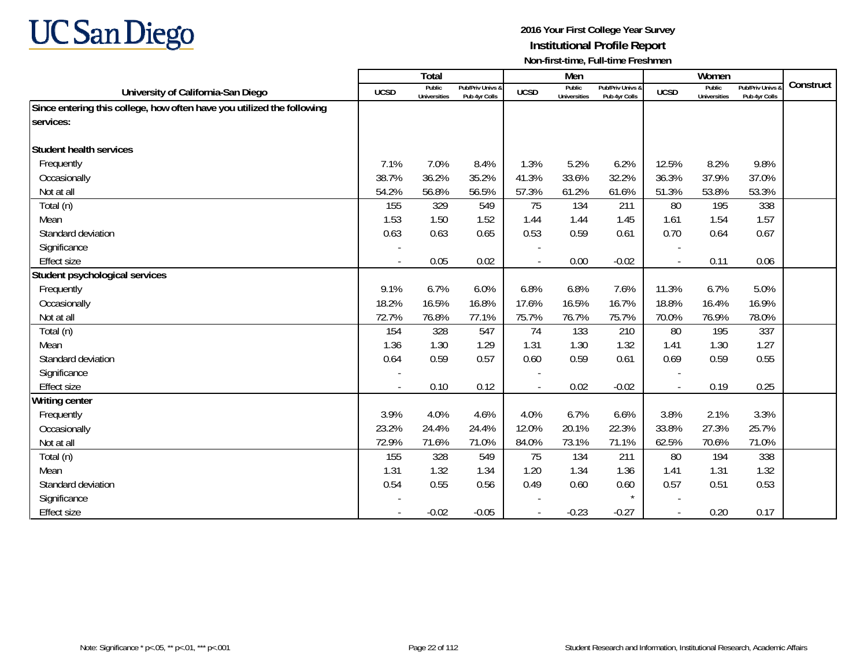

|                                                                        |             | Total                         |                                   |                          | Men                           |                                   |                          | Women                         |                                        |           |
|------------------------------------------------------------------------|-------------|-------------------------------|-----------------------------------|--------------------------|-------------------------------|-----------------------------------|--------------------------|-------------------------------|----------------------------------------|-----------|
| University of California-San Diego                                     | <b>UCSD</b> | Public<br><b>Universities</b> | Pub/Priv Univs &<br>Pub 4yr Colls | <b>UCSD</b>              | Public<br><b>Universities</b> | Pub/Priv Univs &<br>Pub 4yr Colls | <b>UCSD</b>              | Public<br><b>Universities</b> | <b>Pub/Priv Univs</b><br>Pub 4yr Colls | Construct |
| Since entering this college, how often have you utilized the following |             |                               |                                   |                          |                               |                                   |                          |                               |                                        |           |
| services:                                                              |             |                               |                                   |                          |                               |                                   |                          |                               |                                        |           |
|                                                                        |             |                               |                                   |                          |                               |                                   |                          |                               |                                        |           |
| Student health services                                                |             |                               |                                   |                          |                               |                                   |                          |                               |                                        |           |
| Frequently                                                             | 7.1%        | 7.0%                          | 8.4%                              | 1.3%                     | 5.2%                          | 6.2%                              | 12.5%                    | 8.2%                          | 9.8%                                   |           |
| Occasionally                                                           | 38.7%       | 36.2%                         | 35.2%                             | 41.3%                    | 33.6%                         | 32.2%                             | 36.3%                    | 37.9%                         | 37.0%                                  |           |
| Not at all                                                             | 54.2%       | 56.8%                         | 56.5%                             | 57.3%                    | 61.2%                         | 61.6%                             | 51.3%                    | 53.8%                         | 53.3%                                  |           |
| Total (n)                                                              | 155         | 329                           | 549                               | 75                       | 134                           | 211                               | 80                       | 195                           | 338                                    |           |
| Mean                                                                   | 1.53        | 1.50                          | 1.52                              | 1.44                     | 1.44                          | 1.45                              | 1.61                     | 1.54                          | 1.57                                   |           |
| Standard deviation                                                     | 0.63        | 0.63                          | 0.65                              | 0.53                     | 0.59                          | 0.61                              | 0.70                     | 0.64                          | 0.67                                   |           |
| Significance                                                           |             |                               |                                   |                          |                               |                                   |                          |                               |                                        |           |
| <b>Effect size</b>                                                     | $\sim$      | 0.05                          | 0.02                              | $\overline{a}$           | 0.00                          | $-0.02$                           | $\overline{\phantom{a}}$ | 0.11                          | 0.06                                   |           |
| Student psychological services                                         |             |                               |                                   |                          |                               |                                   |                          |                               |                                        |           |
| Frequently                                                             | 9.1%        | 6.7%                          | 6.0%                              | 6.8%                     | 6.8%                          | 7.6%                              | 11.3%                    | 6.7%                          | 5.0%                                   |           |
| Occasionally                                                           | 18.2%       | 16.5%                         | 16.8%                             | 17.6%                    | 16.5%                         | 16.7%                             | 18.8%                    | 16.4%                         | 16.9%                                  |           |
| Not at all                                                             | 72.7%       | 76.8%                         | 77.1%                             | 75.7%                    | 76.7%                         | 75.7%                             | 70.0%                    | 76.9%                         | 78.0%                                  |           |
| Total (n)                                                              | 154         | 328                           | 547                               | 74                       | 133                           | 210                               | 80                       | 195                           | 337                                    |           |
| Mean                                                                   | 1.36        | 1.30                          | 1.29                              | 1.31                     | 1.30                          | 1.32                              | 1.41                     | 1.30                          | 1.27                                   |           |
| Standard deviation                                                     | 0.64        | 0.59                          | 0.57                              | 0.60                     | 0.59                          | 0.61                              | 0.69                     | 0.59                          | 0.55                                   |           |
| Significance                                                           |             |                               |                                   | $\overline{\phantom{a}}$ |                               |                                   | $\overline{\phantom{a}}$ |                               |                                        |           |
| <b>Effect size</b>                                                     |             | 0.10                          | 0.12                              |                          | 0.02                          | $-0.02$                           |                          | 0.19                          | 0.25                                   |           |
| <b>Writing center</b>                                                  |             |                               |                                   |                          |                               |                                   |                          |                               |                                        |           |
| Frequently                                                             | 3.9%        | 4.0%                          | 4.6%                              | 4.0%                     | 6.7%                          | 6.6%                              | 3.8%                     | 2.1%                          | 3.3%                                   |           |
| Occasionally                                                           | 23.2%       | 24.4%                         | 24.4%                             | 12.0%                    | 20.1%                         | 22.3%                             | 33.8%                    | 27.3%                         | 25.7%                                  |           |
| Not at all                                                             | 72.9%       | 71.6%                         | 71.0%                             | 84.0%                    | 73.1%                         | 71.1%                             | 62.5%                    | 70.6%                         | 71.0%                                  |           |
| Total (n)                                                              | 155         | 328                           | 549                               | 75                       | 134                           | 211                               | 80                       | 194                           | 338                                    |           |
| Mean                                                                   | 1.31        | 1.32                          | 1.34                              | 1.20                     | 1.34                          | 1.36                              | 1.41                     | 1.31                          | 1.32                                   |           |
| Standard deviation                                                     | 0.54        | 0.55                          | 0.56                              | 0.49                     | 0.60                          | 0.60                              | 0.57                     | 0.51                          | 0.53                                   |           |
| Significance                                                           |             |                               |                                   |                          |                               |                                   |                          |                               |                                        |           |
| <b>Effect size</b>                                                     | $\sim$      | $-0.02$                       | $-0.05$                           |                          | $-0.23$                       | $-0.27$                           | $\blacksquare$           | 0.20                          | 0.17                                   |           |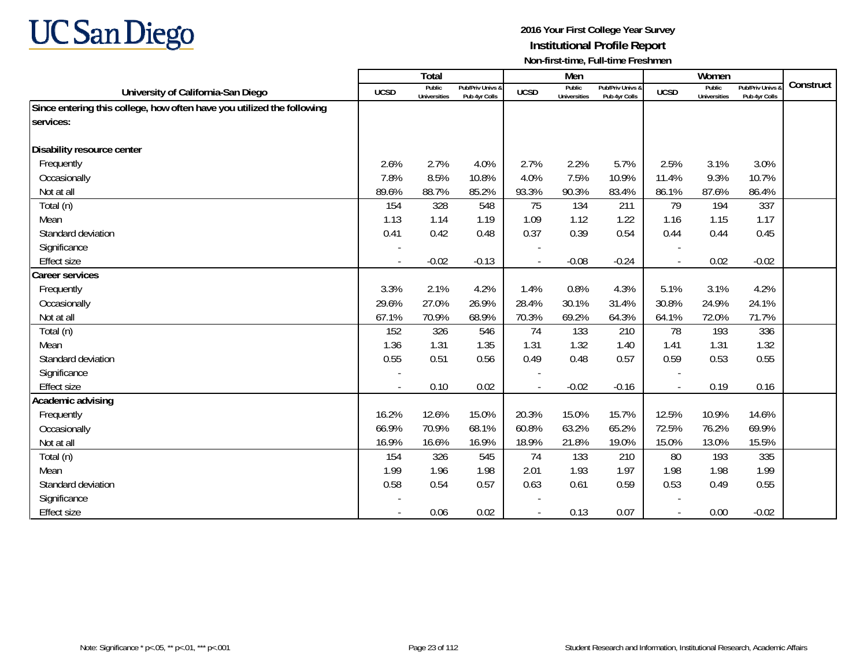

|                                                                        |                          | Total                         |                                   |                | Men                           |                                   |                          | Women                         |                                 |           |
|------------------------------------------------------------------------|--------------------------|-------------------------------|-----------------------------------|----------------|-------------------------------|-----------------------------------|--------------------------|-------------------------------|---------------------------------|-----------|
| University of California-San Diego                                     | <b>UCSD</b>              | Public<br><b>Universities</b> | Pub/Priv Univs &<br>Pub 4yr Colls | <b>UCSD</b>    | Public<br><b>Universities</b> | Pub/Priv Univs &<br>Pub 4yr Colls | <b>UCSD</b>              | Public<br><b>Universities</b> | Pub/Priv Univs<br>Pub 4yr Colls | Construct |
| Since entering this college, how often have you utilized the following |                          |                               |                                   |                |                               |                                   |                          |                               |                                 |           |
| services:                                                              |                          |                               |                                   |                |                               |                                   |                          |                               |                                 |           |
|                                                                        |                          |                               |                                   |                |                               |                                   |                          |                               |                                 |           |
| Disability resource center                                             |                          |                               |                                   |                |                               |                                   |                          |                               |                                 |           |
| Frequently                                                             | 2.6%                     | 2.7%                          | 4.0%                              | 2.7%           | 2.2%                          | 5.7%                              | 2.5%                     | 3.1%                          | 3.0%                            |           |
| Occasionally                                                           | 7.8%                     | 8.5%                          | 10.8%                             | 4.0%           | 7.5%                          | 10.9%                             | 11.4%                    | 9.3%                          | 10.7%                           |           |
| Not at all                                                             | 89.6%                    | 88.7%                         | 85.2%                             | 93.3%          | 90.3%                         | 83.4%                             | 86.1%                    | 87.6%                         | 86.4%                           |           |
| Total (n)                                                              | 154                      | 328                           | 548                               | 75             | 134                           | 211                               | 79                       | 194                           | 337                             |           |
| Mean                                                                   | 1.13                     | 1.14                          | 1.19                              | 1.09           | 1.12                          | 1.22                              | 1.16                     | 1.15                          | 1.17                            |           |
| Standard deviation                                                     | 0.41                     | 0.42                          | 0.48                              | 0.37           | 0.39                          | 0.54                              | 0.44                     | 0.44                          | 0.45                            |           |
| Significance                                                           |                          |                               |                                   |                |                               |                                   |                          |                               |                                 |           |
| <b>Effect size</b>                                                     | $\sim$                   | $-0.02$                       | $-0.13$                           | $\blacksquare$ | $-0.08$                       | $-0.24$                           | $\overline{\phantom{a}}$ | 0.02                          | $-0.02$                         |           |
| <b>Career services</b>                                                 |                          |                               |                                   |                |                               |                                   |                          |                               |                                 |           |
| Frequently                                                             | 3.3%                     | 2.1%                          | 4.2%                              | 1.4%           | 0.8%                          | 4.3%                              | 5.1%                     | 3.1%                          | 4.2%                            |           |
| Occasionally                                                           | 29.6%                    | 27.0%                         | 26.9%                             | 28.4%          | 30.1%                         | 31.4%                             | 30.8%                    | 24.9%                         | 24.1%                           |           |
| Not at all                                                             | 67.1%                    | 70.9%                         | 68.9%                             | 70.3%          | 69.2%                         | 64.3%                             | 64.1%                    | 72.0%                         | 71.7%                           |           |
| Total (n)                                                              | 152                      | 326                           | 546                               | 74             | 133                           | 210                               | 78                       | 193                           | 336                             |           |
| Mean                                                                   | 1.36                     | 1.31                          | 1.35                              | 1.31           | 1.32                          | 1.40                              | 1.41                     | 1.31                          | 1.32                            |           |
| Standard deviation                                                     | 0.55                     | 0.51                          | 0.56                              | 0.49           | 0.48                          | 0.57                              | 0.59                     | 0.53                          | 0.55                            |           |
| Significance                                                           |                          |                               |                                   |                |                               |                                   |                          |                               |                                 |           |
| <b>Effect size</b>                                                     |                          | 0.10                          | 0.02                              |                | $-0.02$                       | $-0.16$                           | $\overline{\phantom{a}}$ | 0.19                          | 0.16                            |           |
| Academic advising                                                      |                          |                               |                                   |                |                               |                                   |                          |                               |                                 |           |
| Frequently                                                             | 16.2%                    | 12.6%                         | 15.0%                             | 20.3%          | 15.0%                         | 15.7%                             | 12.5%                    | 10.9%                         | 14.6%                           |           |
| Occasionally                                                           | 66.9%                    | 70.9%                         | 68.1%                             | 60.8%          | 63.2%                         | 65.2%                             | 72.5%                    | 76.2%                         | 69.9%                           |           |
| Not at all                                                             | 16.9%                    | 16.6%                         | 16.9%                             | 18.9%          | 21.8%                         | 19.0%                             | 15.0%                    | 13.0%                         | 15.5%                           |           |
| Total (n)                                                              | 154                      | 326                           | 545                               | 74             | 133                           | 210                               | 80                       | 193                           | 335                             |           |
| Mean                                                                   | 1.99                     | 1.96                          | 1.98                              | 2.01           | 1.93                          | 1.97                              | 1.98                     | 1.98                          | 1.99                            |           |
| Standard deviation                                                     | 0.58                     | 0.54                          | 0.57                              | 0.63           | 0.61                          | 0.59                              | 0.53                     | 0.49                          | 0.55                            |           |
| Significance                                                           |                          |                               |                                   |                |                               |                                   |                          |                               |                                 |           |
| <b>Effect size</b>                                                     | $\overline{\phantom{a}}$ | 0.06                          | 0.02                              |                | 0.13                          | 0.07                              | $\blacksquare$           | 0.00                          | $-0.02$                         |           |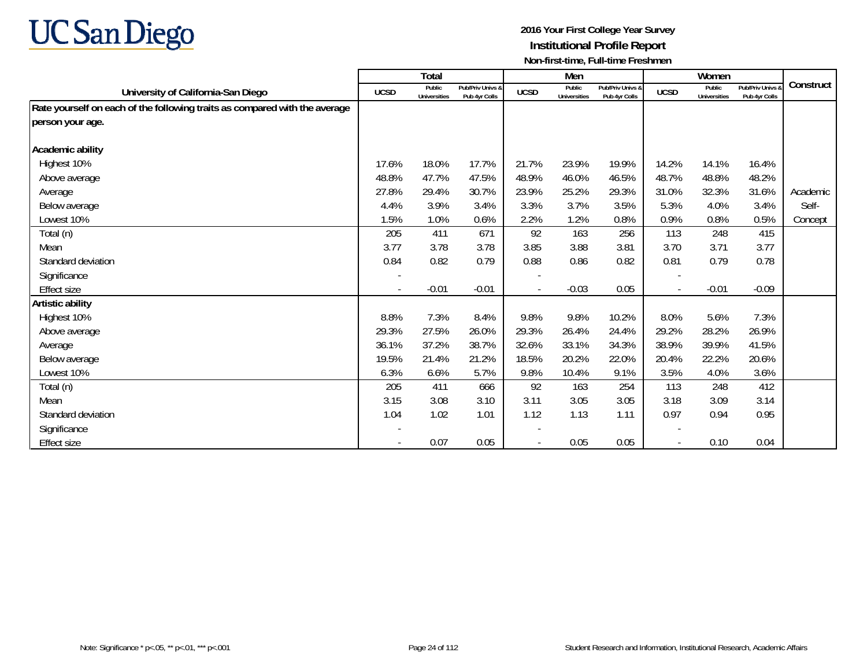

|                                                                            |             | Total                  |                                   |             | Men                           |                                   |             | Women                         |                                 |           |
|----------------------------------------------------------------------------|-------------|------------------------|-----------------------------------|-------------|-------------------------------|-----------------------------------|-------------|-------------------------------|---------------------------------|-----------|
| University of California-San Diego                                         | <b>UCSD</b> | Public<br>Universities | Pub/Priv Univs &<br>Pub 4yr Colls | <b>UCSD</b> | Public<br><b>Universities</b> | Pub/Priv Univs &<br>Pub 4yr Colls | <b>UCSD</b> | Public<br><b>Universities</b> | Pub/Priv Univs<br>Pub 4yr Colls | Construct |
| Rate yourself on each of the following traits as compared with the average |             |                        |                                   |             |                               |                                   |             |                               |                                 |           |
| person your age.                                                           |             |                        |                                   |             |                               |                                   |             |                               |                                 |           |
|                                                                            |             |                        |                                   |             |                               |                                   |             |                               |                                 |           |
| Academic ability                                                           |             |                        |                                   |             |                               |                                   |             |                               |                                 |           |
| Highest 10%                                                                | 17.6%       | 18.0%                  | 17.7%                             | 21.7%       | 23.9%                         | 19.9%                             | 14.2%       | 14.1%                         | 16.4%                           |           |
| Above average                                                              | 48.8%       | 47.7%                  | 47.5%                             | 48.9%       | 46.0%                         | 46.5%                             | 48.7%       | 48.8%                         | 48.2%                           |           |
| Average                                                                    | 27.8%       | 29.4%                  | 30.7%                             | 23.9%       | 25.2%                         | 29.3%                             | 31.0%       | 32.3%                         | 31.6%                           | Academic  |
| Below average                                                              | 4.4%        | 3.9%                   | 3.4%                              | 3.3%        | 3.7%                          | 3.5%                              | 5.3%        | 4.0%                          | 3.4%                            | Self-     |
| Lowest 10%                                                                 | 1.5%        | 1.0%                   | 0.6%                              | 2.2%        | 1.2%                          | 0.8%                              | 0.9%        | 0.8%                          | 0.5%                            | Concept   |
| Total (n)                                                                  | 205         | 411                    | 671                               | 92          | 163                           | 256                               | 113         | 248                           | 415                             |           |
| Mean                                                                       | 3.77        | 3.78                   | 3.78                              | 3.85        | 3.88                          | 3.81                              | 3.70        | 3.71                          | 3.77                            |           |
| Standard deviation                                                         | 0.84        | 0.82                   | 0.79                              | 0.88        | 0.86                          | 0.82                              | 0.81        | 0.79                          | 0.78                            |           |
| Significance                                                               |             |                        |                                   |             |                               |                                   |             |                               |                                 |           |
| Effect size                                                                |             | $-0.01$                | $-0.01$                           |             | $-0.03$                       | 0.05                              |             | $-0.01$                       | $-0.09$                         |           |
| Artistic ability                                                           |             |                        |                                   |             |                               |                                   |             |                               |                                 |           |
| Highest 10%                                                                | 8.8%        | 7.3%                   | 8.4%                              | 9.8%        | 9.8%                          | 10.2%                             | 8.0%        | 5.6%                          | 7.3%                            |           |
| Above average                                                              | 29.3%       | 27.5%                  | 26.0%                             | 29.3%       | 26.4%                         | 24.4%                             | 29.2%       | 28.2%                         | 26.9%                           |           |
| Average                                                                    | 36.1%       | 37.2%                  | 38.7%                             | 32.6%       | 33.1%                         | 34.3%                             | 38.9%       | 39.9%                         | 41.5%                           |           |
| Below average                                                              | 19.5%       | 21.4%                  | 21.2%                             | 18.5%       | 20.2%                         | 22.0%                             | 20.4%       | 22.2%                         | 20.6%                           |           |
| Lowest 10%                                                                 | 6.3%        | 6.6%                   | 5.7%                              | 9.8%        | 10.4%                         | 9.1%                              | 3.5%        | 4.0%                          | 3.6%                            |           |
| Total (n)                                                                  | 205         | 411                    | 666                               | 92          | 163                           | 254                               | 113         | 248                           | 412                             |           |
| Mean                                                                       | 3.15        | 3.08                   | 3.10                              | 3.11        | 3.05                          | 3.05                              | 3.18        | 3.09                          | 3.14                            |           |
| Standard deviation                                                         | 1.04        | 1.02                   | 1.01                              | 1.12        | 1.13                          | 1.11                              | 0.97        | 0.94                          | 0.95                            |           |
| Significance                                                               |             |                        |                                   |             |                               |                                   |             |                               |                                 |           |
| Effect size                                                                |             | 0.07                   | 0.05                              |             | 0.05                          | 0.05                              |             | 0.10                          | 0.04                            |           |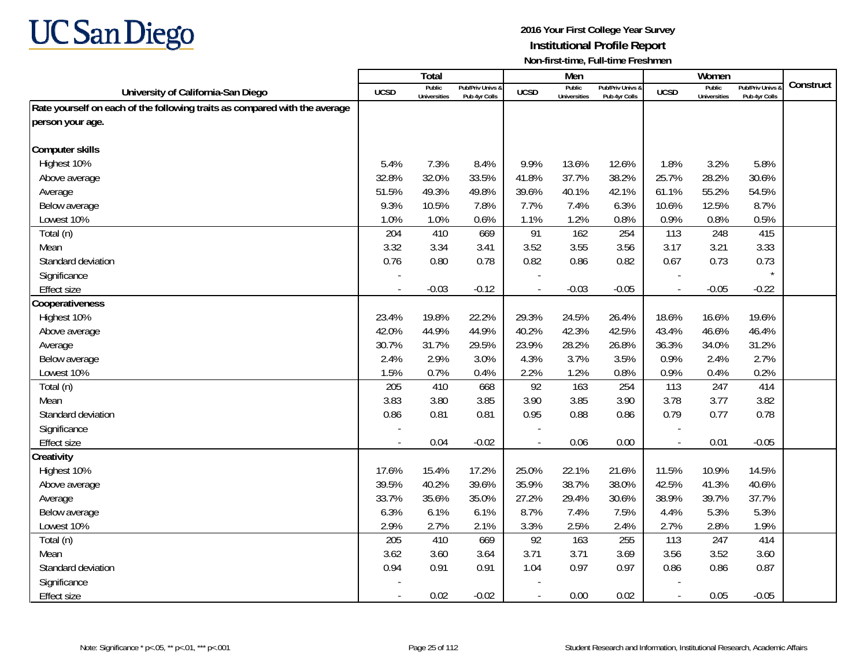

|                                                                            |             | <b>Total</b>                  |                                   |                | Men                           |                                   |                          | Women                         |                                        |           |
|----------------------------------------------------------------------------|-------------|-------------------------------|-----------------------------------|----------------|-------------------------------|-----------------------------------|--------------------------|-------------------------------|----------------------------------------|-----------|
| University of California-San Diego                                         | <b>UCSD</b> | Public<br><b>Universities</b> | Pub/Priv Univs &<br>Pub 4yr Colls | <b>UCSD</b>    | Public<br><b>Universities</b> | Pub/Priv Univs &<br>Pub 4yr Colls | <b>UCSD</b>              | Public<br><b>Universities</b> | <b>Pub/Priv Univs</b><br>Pub 4yr Colls | Construct |
| Rate yourself on each of the following traits as compared with the average |             |                               |                                   |                |                               |                                   |                          |                               |                                        |           |
| person your age.                                                           |             |                               |                                   |                |                               |                                   |                          |                               |                                        |           |
|                                                                            |             |                               |                                   |                |                               |                                   |                          |                               |                                        |           |
| <b>Computer skills</b>                                                     |             |                               |                                   |                |                               |                                   |                          |                               |                                        |           |
| Highest 10%                                                                | 5.4%        | 7.3%                          | 8.4%                              | 9.9%           | 13.6%                         | 12.6%                             | 1.8%                     | 3.2%                          | 5.8%                                   |           |
| Above average                                                              | 32.8%       | 32.0%                         | 33.5%                             | 41.8%          | 37.7%                         | 38.2%                             | 25.7%                    | 28.2%                         | 30.6%                                  |           |
| Average                                                                    | 51.5%       | 49.3%                         | 49.8%                             | 39.6%          | 40.1%                         | 42.1%                             | 61.1%                    | 55.2%                         | 54.5%                                  |           |
| Below average                                                              | 9.3%        | 10.5%                         | 7.8%                              | 7.7%           | 7.4%                          | 6.3%                              | 10.6%                    | 12.5%                         | 8.7%                                   |           |
| Lowest 10%                                                                 | 1.0%        | 1.0%                          | 0.6%                              | 1.1%           | 1.2%                          | 0.8%                              | 0.9%                     | 0.8%                          | 0.5%                                   |           |
| Total (n)                                                                  | 204         | 410                           | 669                               | 91             | 162                           | 254                               | 113                      | 248                           | 415                                    |           |
| Mean                                                                       | 3.32        | 3.34                          | 3.41                              | 3.52           | 3.55                          | 3.56                              | 3.17                     | 3.21                          | 3.33                                   |           |
| Standard deviation                                                         | 0.76        | 0.80                          | 0.78                              | 0.82           | 0.86                          | 0.82                              | 0.67                     | 0.73                          | 0.73                                   |           |
| Significance                                                               |             |                               |                                   |                |                               |                                   | $\overline{\phantom{a}}$ |                               |                                        |           |
| <b>Effect size</b>                                                         |             | $-0.03$                       | $-0.12$                           | $\blacksquare$ | $-0.03$                       | $-0.05$                           | $\overline{\phantom{a}}$ | $-0.05$                       | $-0.22$                                |           |
| Cooperativeness                                                            |             |                               |                                   |                |                               |                                   |                          |                               |                                        |           |
| Highest 10%                                                                | 23.4%       | 19.8%                         | 22.2%                             | 29.3%          | 24.5%                         | 26.4%                             | 18.6%                    | 16.6%                         | 19.6%                                  |           |
| Above average                                                              | 42.0%       | 44.9%                         | 44.9%                             | 40.2%          | 42.3%                         | 42.5%                             | 43.4%                    | 46.6%                         | 46.4%                                  |           |
| Average                                                                    | 30.7%       | 31.7%                         | 29.5%                             | 23.9%          | 28.2%                         | 26.8%                             | 36.3%                    | 34.0%                         | 31.2%                                  |           |
| Below average                                                              | 2.4%        | 2.9%                          | 3.0%                              | 4.3%           | 3.7%                          | 3.5%                              | 0.9%                     | 2.4%                          | 2.7%                                   |           |
| Lowest 10%                                                                 | 1.5%        | 0.7%                          | 0.4%                              | 2.2%           | 1.2%                          | 0.8%                              | 0.9%                     | 0.4%                          | 0.2%                                   |           |
| Total (n)                                                                  | 205         | 410                           | 668                               | 92             | 163                           | 254                               | 113                      | 247                           | 414                                    |           |
| Mean                                                                       | 3.83        | 3.80                          | 3.85                              | 3.90           | 3.85                          | 3.90                              | 3.78                     | 3.77                          | 3.82                                   |           |
| Standard deviation                                                         | 0.86        | 0.81                          | 0.81                              | 0.95           | 0.88                          | 0.86                              | 0.79                     | 0.77                          | 0.78                                   |           |
| Significance                                                               |             |                               |                                   |                |                               |                                   |                          |                               |                                        |           |
| <b>Effect size</b>                                                         | $\sim$      | 0.04                          | $-0.02$                           | $\blacksquare$ | 0.06                          | 0.00                              | $\overline{\phantom{a}}$ | 0.01                          | $-0.05$                                |           |
| Creativity                                                                 |             |                               |                                   |                |                               |                                   |                          |                               |                                        |           |
| Highest 10%                                                                | 17.6%       | 15.4%                         | 17.2%                             | 25.0%          | 22.1%                         | 21.6%                             | 11.5%                    | 10.9%                         | 14.5%                                  |           |
| Above average                                                              | 39.5%       | 40.2%                         | 39.6%                             | 35.9%          | 38.7%                         | 38.0%                             | 42.5%                    | 41.3%                         | 40.6%                                  |           |
| Average                                                                    | 33.7%       | 35.6%                         | 35.0%                             | 27.2%          | 29.4%                         | 30.6%                             | 38.9%                    | 39.7%                         | 37.7%                                  |           |
| Below average                                                              | 6.3%        | 6.1%                          | 6.1%                              | 8.7%           | 7.4%                          | 7.5%                              | 4.4%                     | 5.3%                          | 5.3%                                   |           |
| Lowest 10%                                                                 | 2.9%        | 2.7%                          | 2.1%                              | 3.3%           | 2.5%                          | 2.4%                              | 2.7%                     | 2.8%                          | 1.9%                                   |           |
| Total (n)                                                                  | 205         | 410                           | 669                               | 92             | 163                           | 255                               | 113                      | 247                           | 414                                    |           |
| Mean                                                                       | 3.62        | 3.60                          | 3.64                              | 3.71           | 3.71                          | 3.69                              | 3.56                     | 3.52                          | 3.60                                   |           |
| Standard deviation                                                         | 0.94        | 0.91                          | 0.91                              | 1.04           | 0.97                          | 0.97                              | 0.86                     | 0.86                          | 0.87                                   |           |
| Significance                                                               |             |                               |                                   |                |                               |                                   |                          |                               |                                        |           |
| <b>Effect size</b>                                                         | $\sim$      | 0.02                          | $-0.02$                           | $\overline{a}$ | 0.00                          | 0.02                              | $\overline{\phantom{a}}$ | 0.05                          | $-0.05$                                |           |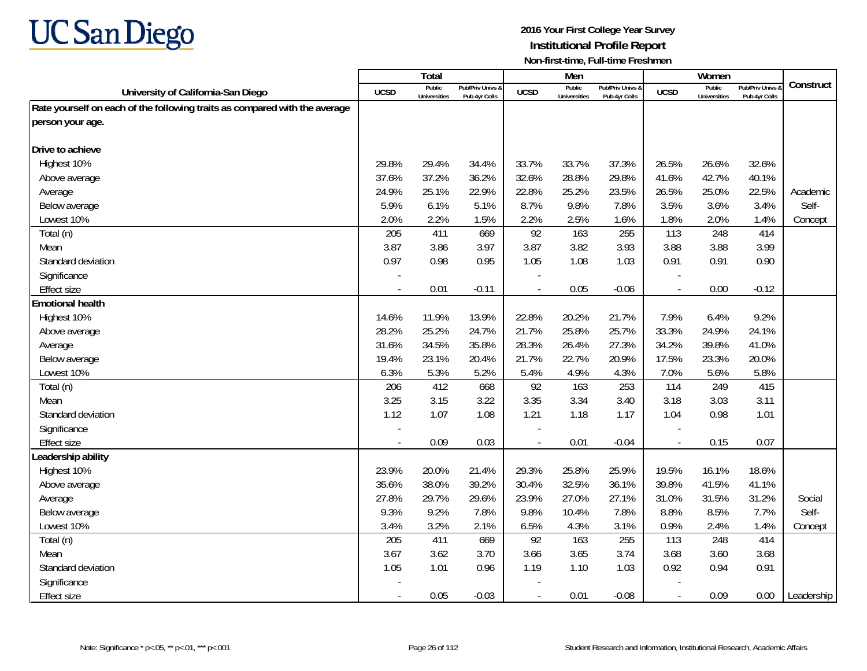

|                                                                            |                          | <b>Total</b>                  |                                   |                | Men                           |                                   |                          | Women                         |                                        |            |
|----------------------------------------------------------------------------|--------------------------|-------------------------------|-----------------------------------|----------------|-------------------------------|-----------------------------------|--------------------------|-------------------------------|----------------------------------------|------------|
| University of California-San Diego                                         | <b>UCSD</b>              | Public<br><b>Universities</b> | Pub/Priv Univs &<br>Pub 4yr Colls | <b>UCSD</b>    | Public<br><b>Universities</b> | Pub/Priv Univs &<br>Pub 4yr Colls | <b>UCSD</b>              | Public<br><b>Universities</b> | <b>Pub/Priv Univs</b><br>Pub 4yr Colls | Construct  |
| Rate yourself on each of the following traits as compared with the average |                          |                               |                                   |                |                               |                                   |                          |                               |                                        |            |
| person your age.                                                           |                          |                               |                                   |                |                               |                                   |                          |                               |                                        |            |
|                                                                            |                          |                               |                                   |                |                               |                                   |                          |                               |                                        |            |
| Drive to achieve                                                           |                          |                               |                                   |                |                               |                                   |                          |                               |                                        |            |
| Highest 10%                                                                | 29.8%                    | 29.4%                         | 34.4%                             | 33.7%          | 33.7%                         | 37.3%                             | 26.5%                    | 26.6%                         | 32.6%                                  |            |
| Above average                                                              | 37.6%                    | 37.2%                         | 36.2%                             | 32.6%          | 28.8%                         | 29.8%                             | 41.6%                    | 42.7%                         | 40.1%                                  |            |
| Average                                                                    | 24.9%                    | 25.1%                         | 22.9%                             | 22.8%          | 25.2%                         | 23.5%                             | 26.5%                    | 25.0%                         | 22.5%                                  | Academic   |
| Below average                                                              | 5.9%                     | 6.1%                          | 5.1%                              | 8.7%           | 9.8%                          | 7.8%                              | 3.5%                     | 3.6%                          | 3.4%                                   | Self-      |
| Lowest 10%                                                                 | 2.0%                     | 2.2%                          | 1.5%                              | 2.2%           | 2.5%                          | 1.6%                              | 1.8%                     | 2.0%                          | 1.4%                                   | Concept    |
| Total (n)                                                                  | 205                      | 411                           | 669                               | 92             | 163                           | 255                               | 113                      | 248                           | 414                                    |            |
| Mean                                                                       | 3.87                     | 3.86                          | 3.97                              | 3.87           | 3.82                          | 3.93                              | 3.88                     | 3.88                          | 3.99                                   |            |
| Standard deviation                                                         | 0.97                     | 0.98                          | 0.95                              | 1.05           | 1.08                          | 1.03                              | 0.91                     | 0.91                          | 0.90                                   |            |
| Significance                                                               |                          |                               |                                   |                |                               |                                   |                          |                               |                                        |            |
| <b>Effect size</b>                                                         | $\overline{\phantom{a}}$ | 0.01                          | $-0.11$                           | $\overline{a}$ | 0.05                          | $-0.06$                           | $\overline{\phantom{a}}$ | 0.00                          | $-0.12$                                |            |
| <b>Emotional health</b>                                                    |                          |                               |                                   |                |                               |                                   |                          |                               |                                        |            |
| Highest 10%                                                                | 14.6%                    | 11.9%                         | 13.9%                             | 22.8%          | 20.2%                         | 21.7%                             | 7.9%                     | 6.4%                          | 9.2%                                   |            |
| Above average                                                              | 28.2%                    | 25.2%                         | 24.7%                             | 21.7%          | 25.8%                         | 25.7%                             | 33.3%                    | 24.9%                         | 24.1%                                  |            |
| Average                                                                    | 31.6%                    | 34.5%                         | 35.8%                             | 28.3%          | 26.4%                         | 27.3%                             | 34.2%                    | 39.8%                         | 41.0%                                  |            |
| Below average                                                              | 19.4%                    | 23.1%                         | 20.4%                             | 21.7%          | 22.7%                         | 20.9%                             | 17.5%                    | 23.3%                         | 20.0%                                  |            |
| Lowest 10%                                                                 | 6.3%                     | 5.3%                          | 5.2%                              | 5.4%           | 4.9%                          | 4.3%                              | 7.0%                     | 5.6%                          | 5.8%                                   |            |
| Total (n)                                                                  | 206                      | 412                           | 668                               | 92             | 163                           | 253                               | 114                      | 249                           | 415                                    |            |
| Mean                                                                       | 3.25                     | 3.15                          | 3.22                              | 3.35           | 3.34                          | 3.40                              | 3.18                     | 3.03                          | 3.11                                   |            |
| Standard deviation                                                         | 1.12                     | 1.07                          | 1.08                              | 1.21           | 1.18                          | 1.17                              | 1.04                     | 0.98                          | 1.01                                   |            |
| Significance                                                               |                          |                               |                                   |                |                               |                                   |                          |                               |                                        |            |
| <b>Effect size</b>                                                         | $\sim$                   | 0.09                          | 0.03                              | $\bar{a}$      | 0.01                          | $-0.04$                           | $\overline{\phantom{a}}$ | 0.15                          | 0.07                                   |            |
| Leadership ability                                                         |                          |                               |                                   |                |                               |                                   |                          |                               |                                        |            |
| Highest 10%                                                                | 23.9%                    | 20.0%                         | 21.4%                             | 29.3%          | 25.8%                         | 25.9%                             | 19.5%                    | 16.1%                         | 18.6%                                  |            |
| Above average                                                              | 35.6%                    | 38.0%                         | 39.2%                             | 30.4%          | 32.5%                         | 36.1%                             | 39.8%                    | 41.5%                         | 41.1%                                  |            |
| Average                                                                    | 27.8%                    | 29.7%                         | 29.6%                             | 23.9%          | 27.0%                         | 27.1%                             | 31.0%                    | 31.5%                         | 31.2%                                  | Social     |
| Below average                                                              | 9.3%                     | 9.2%                          | 7.8%                              | 9.8%           | 10.4%                         | 7.8%                              | 8.8%                     | 8.5%                          | 7.7%                                   | Self-      |
| Lowest 10%                                                                 | 3.4%                     | 3.2%                          | 2.1%                              | 6.5%           | 4.3%                          | 3.1%                              | 0.9%                     | 2.4%                          | 1.4%                                   | Concept    |
| Total (n)                                                                  | 205                      | 411                           | 669                               | 92             | 163                           | 255                               | 113                      | 248                           | 414                                    |            |
| Mean                                                                       | 3.67                     | 3.62                          | 3.70                              | 3.66           | 3.65                          | 3.74                              | 3.68                     | 3.60                          | 3.68                                   |            |
| Standard deviation                                                         | 1.05                     | 1.01                          | 0.96                              | 1.19           | 1.10                          | 1.03                              | 0.92                     | 0.94                          | 0.91                                   |            |
| Significance                                                               |                          |                               |                                   |                |                               |                                   |                          |                               |                                        |            |
| <b>Effect size</b>                                                         | $\sim$                   | 0.05                          | $-0.03$                           | $\blacksquare$ | 0.01                          | $-0.08$                           | $\overline{\phantom{a}}$ | 0.09                          | 0.00                                   | Leadership |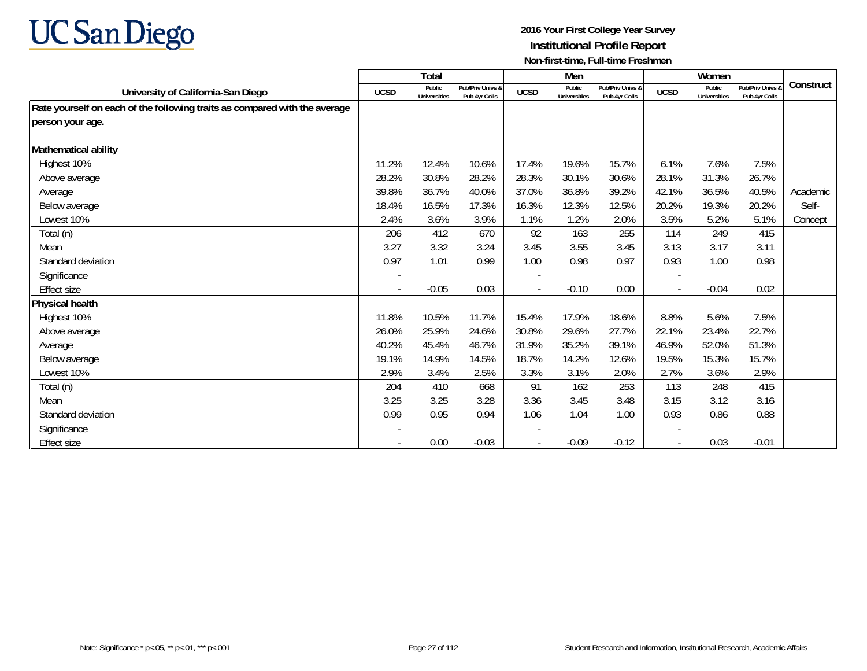

|                                                                            |             | <b>Total</b>                  |                                   |             | Men                           |                                   |             | Women                  |                                   |           |
|----------------------------------------------------------------------------|-------------|-------------------------------|-----------------------------------|-------------|-------------------------------|-----------------------------------|-------------|------------------------|-----------------------------------|-----------|
| University of California-San Diego                                         | <b>UCSD</b> | Public<br><b>Universities</b> | Pub/Priv Univs &<br>Pub 4yr Colls | <b>UCSD</b> | Public<br><b>Universities</b> | Pub/Priv Univs &<br>Pub 4yr Colls | <b>UCSD</b> | Public<br>Universities | Pub/Priv Univs &<br>Pub 4yr Colls | Construct |
| Rate yourself on each of the following traits as compared with the average |             |                               |                                   |             |                               |                                   |             |                        |                                   |           |
| person your age.                                                           |             |                               |                                   |             |                               |                                   |             |                        |                                   |           |
|                                                                            |             |                               |                                   |             |                               |                                   |             |                        |                                   |           |
| Mathematical ability                                                       |             |                               |                                   |             |                               |                                   |             |                        |                                   |           |
| Highest 10%                                                                | 11.2%       | 12.4%                         | 10.6%                             | 17.4%       | 19.6%                         | 15.7%                             | 6.1%        | 7.6%                   | 7.5%                              |           |
| Above average                                                              | 28.2%       | 30.8%                         | 28.2%                             | 28.3%       | 30.1%                         | 30.6%                             | 28.1%       | 31.3%                  | 26.7%                             |           |
| Average                                                                    | 39.8%       | 36.7%                         | 40.0%                             | 37.0%       | 36.8%                         | 39.2%                             | 42.1%       | 36.5%                  | 40.5%                             | Academic  |
| Below average                                                              | 18.4%       | 16.5%                         | 17.3%                             | 16.3%       | 12.3%                         | 12.5%                             | 20.2%       | 19.3%                  | 20.2%                             | Self-     |
| Lowest 10%                                                                 | 2.4%        | 3.6%                          | 3.9%                              | 1.1%        | 1.2%                          | 2.0%                              | 3.5%        | 5.2%                   | 5.1%                              | Concept   |
| Total (n)                                                                  | 206         | 412                           | 670                               | 92          | 163                           | 255                               | 114         | 249                    | 415                               |           |
| Mean                                                                       | 3.27        | 3.32                          | 3.24                              | 3.45        | 3.55                          | 3.45                              | 3.13        | 3.17                   | 3.11                              |           |
| Standard deviation                                                         | 0.97        | 1.01                          | 0.99                              | 1.00        | 0.98                          | 0.97                              | 0.93        | 1.00                   | 0.98                              |           |
| Significance                                                               |             |                               |                                   |             |                               |                                   |             |                        |                                   |           |
| Effect size                                                                |             | $-0.05$                       | 0.03                              |             | $-0.10$                       | 0.00                              |             | $-0.04$                | 0.02                              |           |
| Physical health                                                            |             |                               |                                   |             |                               |                                   |             |                        |                                   |           |
| Highest 10%                                                                | 11.8%       | 10.5%                         | 11.7%                             | 15.4%       | 17.9%                         | 18.6%                             | 8.8%        | 5.6%                   | 7.5%                              |           |
| Above average                                                              | 26.0%       | 25.9%                         | 24.6%                             | 30.8%       | 29.6%                         | 27.7%                             | 22.1%       | 23.4%                  | 22.7%                             |           |
| Average                                                                    | 40.2%       | 45.4%                         | 46.7%                             | 31.9%       | 35.2%                         | 39.1%                             | 46.9%       | 52.0%                  | 51.3%                             |           |
| Below average                                                              | 19.1%       | 14.9%                         | 14.5%                             | 18.7%       | 14.2%                         | 12.6%                             | 19.5%       | 15.3%                  | 15.7%                             |           |
| Lowest 10%                                                                 | 2.9%        | 3.4%                          | 2.5%                              | 3.3%        | 3.1%                          | 2.0%                              | 2.7%        | 3.6%                   | 2.9%                              |           |
| Total (n)                                                                  | 204         | 410                           | 668                               | 91          | 162                           | 253                               | 113         | 248                    | 415                               |           |
| Mean                                                                       | 3.25        | 3.25                          | 3.28                              | 3.36        | 3.45                          | 3.48                              | 3.15        | 3.12                   | 3.16                              |           |
| Standard deviation                                                         | 0.99        | 0.95                          | 0.94                              | 1.06        | 1.04                          | 1.00                              | 0.93        | 0.86                   | 0.88                              |           |
| Significance                                                               |             |                               |                                   |             |                               |                                   |             |                        |                                   |           |
| Effect size                                                                |             | 0.00                          | $-0.03$                           |             | $-0.09$                       | $-0.12$                           |             | 0.03                   | $-0.01$                           |           |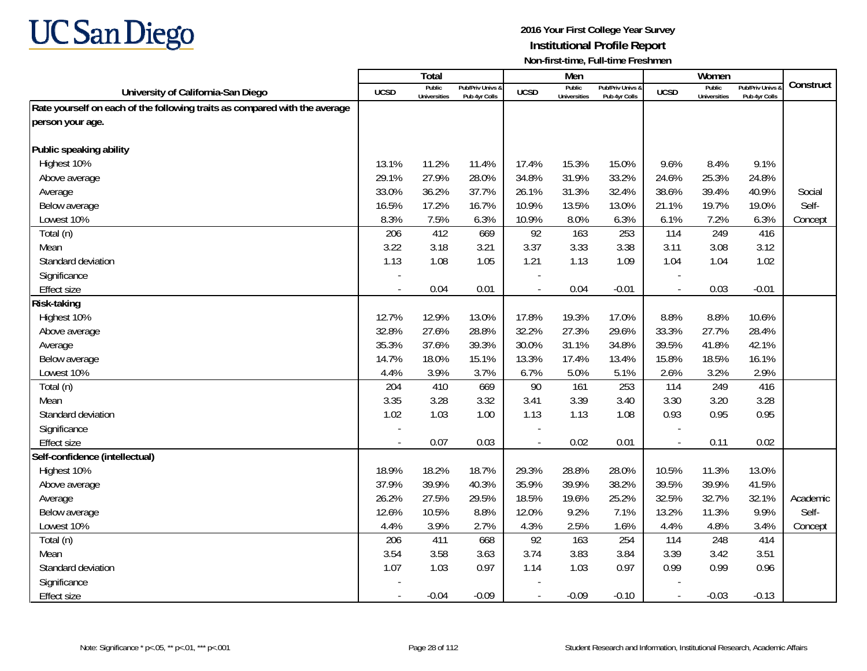

|                                                                            |             | <b>Total</b>                  |                                   |                | Men                           |                                   |                          | Women                         |                                        |           |
|----------------------------------------------------------------------------|-------------|-------------------------------|-----------------------------------|----------------|-------------------------------|-----------------------------------|--------------------------|-------------------------------|----------------------------------------|-----------|
| University of California-San Diego                                         | <b>UCSD</b> | Public<br><b>Universities</b> | Pub/Priv Univs &<br>Pub 4yr Colls | <b>UCSD</b>    | Public<br><b>Universities</b> | Pub/Priv Univs &<br>Pub 4yr Colls | <b>UCSD</b>              | Public<br><b>Universities</b> | <b>Pub/Priv Univs</b><br>Pub 4yr Colls | Construct |
| Rate yourself on each of the following traits as compared with the average |             |                               |                                   |                |                               |                                   |                          |                               |                                        |           |
| person your age.                                                           |             |                               |                                   |                |                               |                                   |                          |                               |                                        |           |
|                                                                            |             |                               |                                   |                |                               |                                   |                          |                               |                                        |           |
| Public speaking ability                                                    |             |                               |                                   |                |                               |                                   |                          |                               |                                        |           |
| Highest 10%                                                                | 13.1%       | 11.2%                         | 11.4%                             | 17.4%          | 15.3%                         | 15.0%                             | 9.6%                     | 8.4%                          | 9.1%                                   |           |
| Above average                                                              | 29.1%       | 27.9%                         | 28.0%                             | 34.8%          | 31.9%                         | 33.2%                             | 24.6%                    | 25.3%                         | 24.8%                                  |           |
| Average                                                                    | 33.0%       | 36.2%                         | 37.7%                             | 26.1%          | 31.3%                         | 32.4%                             | 38.6%                    | 39.4%                         | 40.9%                                  | Social    |
| Below average                                                              | 16.5%       | 17.2%                         | 16.7%                             | 10.9%          | 13.5%                         | 13.0%                             | 21.1%                    | 19.7%                         | 19.0%                                  | Self-     |
| Lowest 10%                                                                 | 8.3%        | 7.5%                          | 6.3%                              | 10.9%          | 8.0%                          | 6.3%                              | 6.1%                     | 7.2%                          | 6.3%                                   | Concept   |
| Total (n)                                                                  | 206         | 412                           | 669                               | 92             | 163                           | 253                               | 114                      | 249                           | 416                                    |           |
| Mean                                                                       | 3.22        | 3.18                          | 3.21                              | 3.37           | 3.33                          | 3.38                              | 3.11                     | 3.08                          | 3.12                                   |           |
| Standard deviation                                                         | 1.13        | 1.08                          | 1.05                              | 1.21           | 1.13                          | 1.09                              | 1.04                     | 1.04                          | 1.02                                   |           |
| Significance                                                               |             |                               |                                   |                |                               |                                   | $\overline{\phantom{a}}$ |                               |                                        |           |
| <b>Effect size</b>                                                         | $\sim$      | 0.04                          | 0.01                              | $\blacksquare$ | 0.04                          | $-0.01$                           | $\overline{\phantom{a}}$ | 0.03                          | $-0.01$                                |           |
| Risk-taking                                                                |             |                               |                                   |                |                               |                                   |                          |                               |                                        |           |
| Highest 10%                                                                | 12.7%       | 12.9%                         | 13.0%                             | 17.8%          | 19.3%                         | 17.0%                             | 8.8%                     | 8.8%                          | 10.6%                                  |           |
| Above average                                                              | 32.8%       | 27.6%                         | 28.8%                             | 32.2%          | 27.3%                         | 29.6%                             | 33.3%                    | 27.7%                         | 28.4%                                  |           |
| Average                                                                    | 35.3%       | 37.6%                         | 39.3%                             | 30.0%          | 31.1%                         | 34.8%                             | 39.5%                    | 41.8%                         | 42.1%                                  |           |
| Below average                                                              | 14.7%       | 18.0%                         | 15.1%                             | 13.3%          | 17.4%                         | 13.4%                             | 15.8%                    | 18.5%                         | 16.1%                                  |           |
| Lowest 10%                                                                 | 4.4%        | 3.9%                          | 3.7%                              | 6.7%           | 5.0%                          | 5.1%                              | 2.6%                     | 3.2%                          | 2.9%                                   |           |
| Total (n)                                                                  | 204         | 410                           | 669                               | 90             | 161                           | 253                               | 114                      | 249                           | 416                                    |           |
| Mean                                                                       | 3.35        | 3.28                          | 3.32                              | 3.41           | 3.39                          | 3.40                              | 3.30                     | 3.20                          | 3.28                                   |           |
| Standard deviation                                                         | 1.02        | 1.03                          | 1.00                              | 1.13           | 1.13                          | 1.08                              | 0.93                     | 0.95                          | 0.95                                   |           |
| Significance                                                               |             |                               |                                   |                |                               |                                   |                          |                               |                                        |           |
| <b>Effect size</b>                                                         | $\sim$      | 0.07                          | 0.03                              | $\sim$         | 0.02                          | 0.01                              | $\overline{\phantom{a}}$ | 0.11                          | 0.02                                   |           |
| Self-confidence (intellectual)                                             |             |                               |                                   |                |                               |                                   |                          |                               |                                        |           |
| Highest 10%                                                                | 18.9%       | 18.2%                         | 18.7%                             | 29.3%          | 28.8%                         | 28.0%                             | 10.5%                    | 11.3%                         | 13.0%                                  |           |
| Above average                                                              | 37.9%       | 39.9%                         | 40.3%                             | 35.9%          | 39.9%                         | 38.2%                             | 39.5%                    | 39.9%                         | 41.5%                                  |           |
| Average                                                                    | 26.2%       | 27.5%                         | 29.5%                             | 18.5%          | 19.6%                         | 25.2%                             | 32.5%                    | 32.7%                         | 32.1%                                  | Academic  |
| Below average                                                              | 12.6%       | 10.5%                         | 8.8%                              | 12.0%          | 9.2%                          | 7.1%                              | 13.2%                    | 11.3%                         | 9.9%                                   | Self-     |
| Lowest 10%                                                                 | 4.4%        | 3.9%                          | 2.7%                              | 4.3%           | 2.5%                          | 1.6%                              | 4.4%                     | 4.8%                          | 3.4%                                   | Concept   |
| Total (n)                                                                  | 206         | 411                           | 668                               | 92             | 163                           | 254                               | 114                      | 248                           | 414                                    |           |
| Mean                                                                       | 3.54        | 3.58                          | 3.63                              | 3.74           | 3.83                          | 3.84                              | 3.39                     | 3.42                          | 3.51                                   |           |
| Standard deviation                                                         | 1.07        | 1.03                          | 0.97                              | 1.14           | 1.03                          | 0.97                              | 0.99                     | 0.99                          | 0.96                                   |           |
| Significance                                                               |             |                               |                                   |                |                               |                                   |                          |                               |                                        |           |
| <b>Effect size</b>                                                         | $\sim$      | $-0.04$                       | $-0.09$                           | $\blacksquare$ | $-0.09$                       | $-0.10$                           | $\overline{\phantom{a}}$ | $-0.03$                       | $-0.13$                                |           |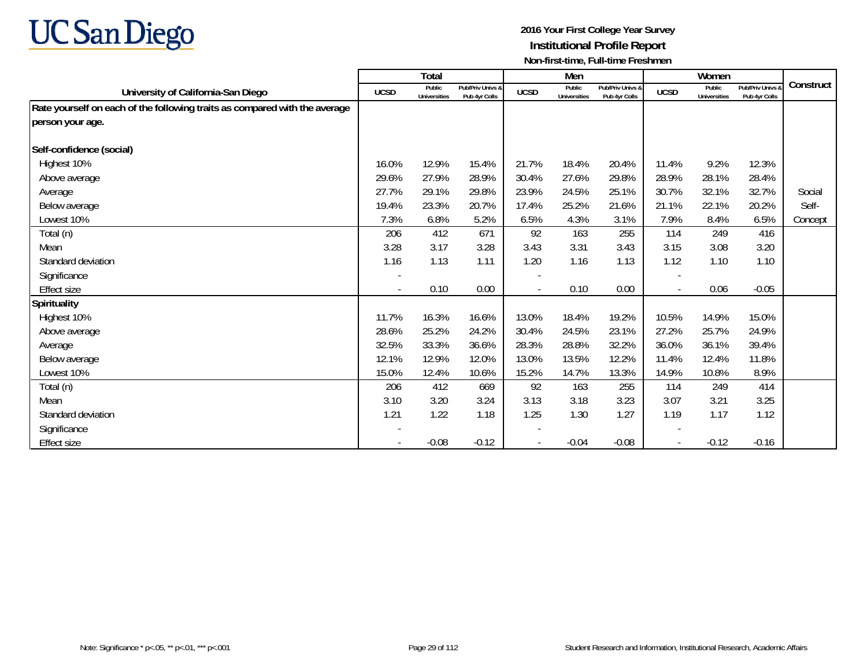

|                                                                            |             | <b>Total</b>                  |                                   |             | Men                           |                                   |                          | Women                  |                                   |           |
|----------------------------------------------------------------------------|-------------|-------------------------------|-----------------------------------|-------------|-------------------------------|-----------------------------------|--------------------------|------------------------|-----------------------------------|-----------|
| University of California-San Diego                                         | <b>UCSD</b> | Public<br><b>Universities</b> | Pub/Priv Univs &<br>Pub 4yr Colls | <b>UCSD</b> | Public<br><b>Universities</b> | Pub/Priv Univs &<br>Pub 4yr Colls | <b>UCSD</b>              | Public<br>Universities | Pub/Priv Univs &<br>Pub 4yr Colls | Construct |
| Rate yourself on each of the following traits as compared with the average |             |                               |                                   |             |                               |                                   |                          |                        |                                   |           |
| person your age.                                                           |             |                               |                                   |             |                               |                                   |                          |                        |                                   |           |
| Self-confidence (social)                                                   |             |                               |                                   |             |                               |                                   |                          |                        |                                   |           |
| Highest 10%                                                                | 16.0%       | 12.9%                         | 15.4%                             | 21.7%       | 18.4%                         | 20.4%                             | 11.4%                    | 9.2%                   | 12.3%                             |           |
| Above average                                                              | 29.6%       | 27.9%                         | 28.9%                             | 30.4%       | 27.6%                         | 29.8%                             | 28.9%                    | 28.1%                  | 28.4%                             |           |
| Average                                                                    | 27.7%       | 29.1%                         | 29.8%                             | 23.9%       | 24.5%                         | 25.1%                             | 30.7%                    | 32.1%                  | 32.7%                             | Social    |
| Below average                                                              | 19.4%       | 23.3%                         | 20.7%                             | 17.4%       | 25.2%                         | 21.6%                             | 21.1%                    | 22.1%                  | 20.2%                             | Self-     |
| Lowest 10%                                                                 | 7.3%        | 6.8%                          | 5.2%                              | 6.5%        | 4.3%                          | 3.1%                              | 7.9%                     | 8.4%                   | 6.5%                              | Concept   |
| Total (n)                                                                  | 206         | 412                           | 671                               | 92          | 163                           | 255                               | 114                      | 249                    | 416                               |           |
| Mean                                                                       | 3.28        | 3.17                          | 3.28                              | 3.43        | 3.31                          | 3.43                              | 3.15                     | 3.08                   | 3.20                              |           |
| Standard deviation                                                         | 1.16        | 1.13                          | 1.11                              | 1.20        | 1.16                          | 1.13                              | 1.12                     | 1.10                   | 1.10                              |           |
| Significance                                                               |             |                               |                                   |             |                               |                                   |                          |                        |                                   |           |
| Effect size                                                                |             | 0.10                          | 0.00                              |             | 0.10                          | 0.00                              | $\overline{\phantom{a}}$ | 0.06                   | $-0.05$                           |           |
| <b>Spirituality</b>                                                        |             |                               |                                   |             |                               |                                   |                          |                        |                                   |           |
| Highest 10%                                                                | 11.7%       | 16.3%                         | 16.6%                             | 13.0%       | 18.4%                         | 19.2%                             | 10.5%                    | 14.9%                  | 15.0%                             |           |
| Above average                                                              | 28.6%       | 25.2%                         | 24.2%                             | 30.4%       | 24.5%                         | 23.1%                             | 27.2%                    | 25.7%                  | 24.9%                             |           |
| Average                                                                    | 32.5%       | 33.3%                         | 36.6%                             | 28.3%       | 28.8%                         | 32.2%                             | 36.0%                    | 36.1%                  | 39.4%                             |           |
| Below average                                                              | 12.1%       | 12.9%                         | 12.0%                             | 13.0%       | 13.5%                         | 12.2%                             | 11.4%                    | 12.4%                  | 11.8%                             |           |
| Lowest 10%                                                                 | 15.0%       | 12.4%                         | 10.6%                             | 15.2%       | 14.7%                         | 13.3%                             | 14.9%                    | 10.8%                  | 8.9%                              |           |
| Total (n)                                                                  | 206         | 412                           | 669                               | 92          | 163                           | 255                               | 114                      | 249                    | 414                               |           |
| Mean                                                                       | 3.10        | 3.20                          | 3.24                              | 3.13        | 3.18                          | 3.23                              | 3.07                     | 3.21                   | 3.25                              |           |
| Standard deviation                                                         | 1.21        | 1.22                          | 1.18                              | 1.25        | 1.30                          | 1.27                              | 1.19                     | 1.17                   | 1.12                              |           |
| Significance                                                               |             |                               |                                   |             |                               |                                   |                          |                        |                                   |           |
| <b>Effect size</b>                                                         |             | $-0.08$                       | $-0.12$                           |             | $-0.04$                       | $-0.08$                           | $\overline{\phantom{a}}$ | $-0.12$                | $-0.16$                           |           |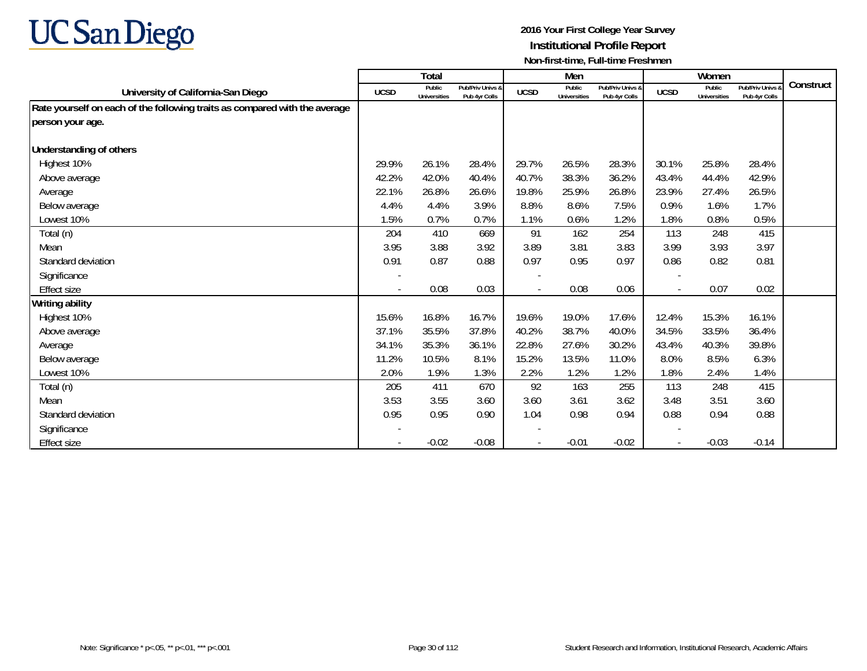

|                                                                            |             | Total                         |                                   |             | Men                           |                                   |                          | Women                         |                                        |           |
|----------------------------------------------------------------------------|-------------|-------------------------------|-----------------------------------|-------------|-------------------------------|-----------------------------------|--------------------------|-------------------------------|----------------------------------------|-----------|
| University of California-San Diego                                         | <b>UCSD</b> | Public<br><b>Universities</b> | Pub/Priv Univs &<br>Pub 4yr Colls | <b>UCSD</b> | Public<br><b>Universities</b> | Pub/Priv Univs &<br>Pub 4yr Colls | <b>UCSD</b>              | Public<br><b>Universities</b> | <b>Pub/Priv Univs</b><br>Pub 4yr Colls | Construct |
| Rate yourself on each of the following traits as compared with the average |             |                               |                                   |             |                               |                                   |                          |                               |                                        |           |
| person your age.                                                           |             |                               |                                   |             |                               |                                   |                          |                               |                                        |           |
| <b>Understanding of others</b>                                             |             |                               |                                   |             |                               |                                   |                          |                               |                                        |           |
| Highest 10%                                                                | 29.9%       | 26.1%                         | 28.4%                             | 29.7%       | 26.5%                         | 28.3%                             | 30.1%                    | 25.8%                         | 28.4%                                  |           |
| Above average                                                              | 42.2%       | 42.0%                         | 40.4%                             | 40.7%       | 38.3%                         | 36.2%                             | 43.4%                    | 44.4%                         | 42.9%                                  |           |
|                                                                            | 22.1%       | 26.8%                         | 26.6%                             | 19.8%       | 25.9%                         | 26.8%                             | 23.9%                    | 27.4%                         | 26.5%                                  |           |
| Average                                                                    | 4.4%        | 4.4%                          | 3.9%                              | 8.8%        | 8.6%                          | 7.5%                              | 0.9%                     | 1.6%                          | 1.7%                                   |           |
| Below average<br>Lowest 10%                                                | 1.5%        | 0.7%                          | 0.7%                              | 1.1%        | 0.6%                          | 1.2%                              | 1.8%                     | 0.8%                          |                                        |           |
|                                                                            |             |                               |                                   |             |                               |                                   |                          |                               | 0.5%                                   |           |
| Total (n)                                                                  | 204         | 410                           | 669                               | 91          | 162                           | 254                               | 113                      | 248                           | 415                                    |           |
| Mean                                                                       | 3.95        | 3.88                          | 3.92                              | 3.89        | 3.81                          | 3.83                              | 3.99                     | 3.93                          | 3.97                                   |           |
| Standard deviation                                                         | 0.91        | 0.87                          | 0.88                              | 0.97        | 0.95                          | 0.97                              | 0.86                     | 0.82                          | 0.81                                   |           |
| Significance                                                               |             |                               |                                   |             |                               |                                   | $\overline{\phantom{a}}$ |                               |                                        |           |
| <b>Effect size</b>                                                         |             | 0.08                          | 0.03                              |             | 0.08                          | 0.06                              | $\overline{\phantom{a}}$ | 0.07                          | 0.02                                   |           |
| Writing ability                                                            |             |                               |                                   |             |                               |                                   |                          |                               |                                        |           |
| Highest 10%                                                                | 15.6%       | 16.8%                         | 16.7%                             | 19.6%       | 19.0%                         | 17.6%                             | 12.4%                    | 15.3%                         | 16.1%                                  |           |
| Above average                                                              | 37.1%       | 35.5%                         | 37.8%                             | 40.2%       | 38.7%                         | 40.0%                             | 34.5%                    | 33.5%                         | 36.4%                                  |           |
| Average                                                                    | 34.1%       | 35.3%                         | 36.1%                             | 22.8%       | 27.6%                         | 30.2%                             | 43.4%                    | 40.3%                         | 39.8%                                  |           |
| Below average                                                              | 11.2%       | 10.5%                         | 8.1%                              | 15.2%       | 13.5%                         | 11.0%                             | 8.0%                     | 8.5%                          | 6.3%                                   |           |
| Lowest 10%                                                                 | 2.0%        | 1.9%                          | 1.3%                              | 2.2%        | 1.2%                          | 1.2%                              | 1.8%                     | 2.4%                          | 1.4%                                   |           |
| Total (n)                                                                  | 205         | 411                           | 670                               | 92          | 163                           | 255                               | 113                      | 248                           | 415                                    |           |
| Mean                                                                       | 3.53        | 3.55                          | 3.60                              | 3.60        | 3.61                          | 3.62                              | 3.48                     | 3.51                          | 3.60                                   |           |
| Standard deviation                                                         | 0.95        | 0.95                          | 0.90                              | 1.04        | 0.98                          | 0.94                              | 0.88                     | 0.94                          | 0.88                                   |           |
| Significance                                                               |             |                               |                                   |             |                               |                                   |                          |                               |                                        |           |
| Effect size                                                                |             | $-0.02$                       | $-0.08$                           |             | $-0.01$                       | $-0.02$                           |                          | $-0.03$                       | $-0.14$                                |           |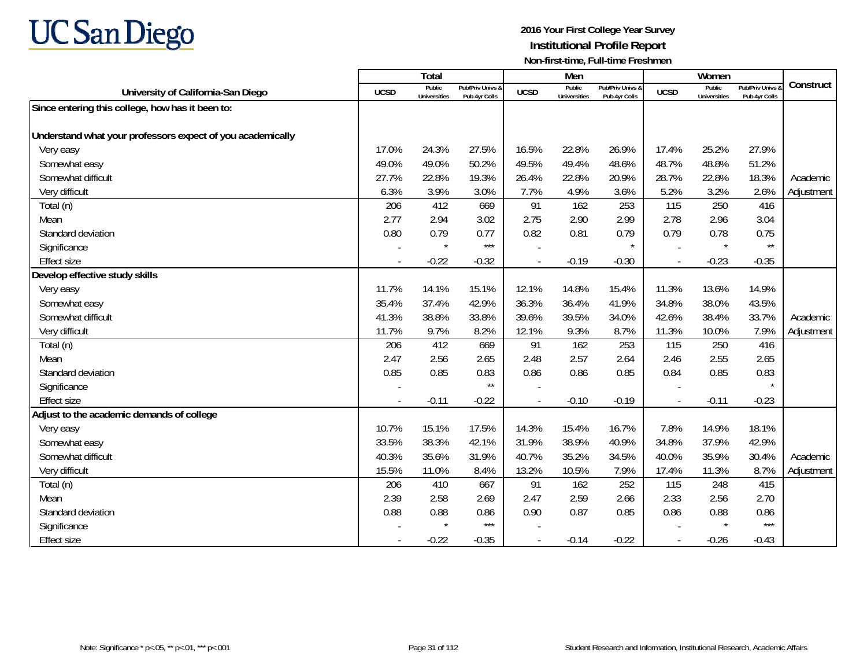

|                                                            |                | Total                         |                                   |                          | Men                           |                                   |             | Women                         |                                        |            |
|------------------------------------------------------------|----------------|-------------------------------|-----------------------------------|--------------------------|-------------------------------|-----------------------------------|-------------|-------------------------------|----------------------------------------|------------|
| University of California-San Diego                         | <b>UCSD</b>    | Public<br><b>Universities</b> | Pub/Priv Univs &<br>Pub 4yr Colls | <b>UCSD</b>              | Public<br><b>Universities</b> | Pub/Priv Univs &<br>Pub 4yr Colls | <b>UCSD</b> | Public<br><b>Universities</b> | <b>Pub/Priv Univs</b><br>Pub 4yr Colls | Construct  |
| Since entering this college, how has it been to:           |                |                               |                                   |                          |                               |                                   |             |                               |                                        |            |
|                                                            |                |                               |                                   |                          |                               |                                   |             |                               |                                        |            |
| Understand what your professors expect of you academically |                |                               |                                   |                          |                               |                                   |             |                               |                                        |            |
| Very easy                                                  | 17.0%          | 24.3%                         | 27.5%                             | 16.5%                    | 22.8%                         | 26.9%                             | 17.4%       | 25.2%                         | 27.9%                                  |            |
| Somewhat easy                                              | 49.0%          | 49.0%                         | 50.2%                             | 49.5%                    | 49.4%                         | 48.6%                             | 48.7%       | 48.8%                         | 51.2%                                  |            |
| Somewhat difficult                                         | 27.7%          | 22.8%                         | 19.3%                             | 26.4%                    | 22.8%                         | 20.9%                             | 28.7%       | 22.8%                         | 18.3%                                  | Academic   |
| Very difficult                                             | 6.3%           | 3.9%                          | 3.0%                              | 7.7%                     | 4.9%                          | 3.6%                              | 5.2%        | 3.2%                          | 2.6%                                   | Adjustment |
| Total (n)                                                  | 206            | 412                           | 669                               | 91                       | 162                           | 253                               | 115         | 250                           | 416                                    |            |
| Mean                                                       | 2.77           | 2.94                          | 3.02                              | 2.75                     | 2.90                          | 2.99                              | 2.78        | 2.96                          | 3.04                                   |            |
| Standard deviation                                         | 0.80           | 0.79                          | 0.77                              | 0.82                     | 0.81                          | 0.79                              | 0.79        | 0.78                          | 0.75                                   |            |
| Significance                                               |                | $\star$                       | $***$                             |                          |                               |                                   |             |                               | $^{\star\star}$                        |            |
| <b>Effect size</b>                                         | $\blacksquare$ | $-0.22$                       | $-0.32$                           | $\overline{\phantom{a}}$ | $-0.19$                       | $-0.30$                           | $\sim$      | $-0.23$                       | $-0.35$                                |            |
| Develop effective study skills                             |                |                               |                                   |                          |                               |                                   |             |                               |                                        |            |
| Very easy                                                  | 11.7%          | 14.1%                         | 15.1%                             | 12.1%                    | 14.8%                         | 15.4%                             | 11.3%       | 13.6%                         | 14.9%                                  |            |
| Somewhat easy                                              | 35.4%          | 37.4%                         | 42.9%                             | 36.3%                    | 36.4%                         | 41.9%                             | 34.8%       | 38.0%                         | 43.5%                                  |            |
| Somewhat difficult                                         | 41.3%          | 38.8%                         | 33.8%                             | 39.6%                    | 39.5%                         | 34.0%                             | 42.6%       | 38.4%                         | 33.7%                                  | Academic   |
| Very difficult                                             | 11.7%          | 9.7%                          | 8.2%                              | 12.1%                    | 9.3%                          | 8.7%                              | 11.3%       | 10.0%                         | 7.9%                                   | Adjustment |
| Total (n)                                                  | 206            | 412                           | 669                               | 91                       | 162                           | 253                               | 115         | 250                           | 416                                    |            |
| Mean                                                       | 2.47           | 2.56                          | 2.65                              | 2.48                     | 2.57                          | 2.64                              | 2.46        | 2.55                          | 2.65                                   |            |
| Standard deviation                                         | 0.85           | 0.85                          | 0.83                              | 0.86                     | 0.86                          | 0.85                              | 0.84        | 0.85                          | 0.83                                   |            |
| Significance                                               |                |                               | $\star\star$                      |                          |                               |                                   |             |                               |                                        |            |
| <b>Effect size</b>                                         |                | $-0.11$                       | $-0.22$                           |                          | $-0.10$                       | $-0.19$                           |             | $-0.11$                       | $-0.23$                                |            |
| Adjust to the academic demands of college                  |                |                               |                                   |                          |                               |                                   |             |                               |                                        |            |
| Very easy                                                  | 10.7%          | 15.1%                         | 17.5%                             | 14.3%                    | 15.4%                         | 16.7%                             | 7.8%        | 14.9%                         | 18.1%                                  |            |
| Somewhat easy                                              | 33.5%          | 38.3%                         | 42.1%                             | 31.9%                    | 38.9%                         | 40.9%                             | 34.8%       | 37.9%                         | 42.9%                                  |            |
| Somewhat difficult                                         | 40.3%          | 35.6%                         | 31.9%                             | 40.7%                    | 35.2%                         | 34.5%                             | 40.0%       | 35.9%                         | 30.4%                                  | Academic   |
| Very difficult                                             | 15.5%          | 11.0%                         | 8.4%                              | 13.2%                    | 10.5%                         | 7.9%                              | 17.4%       | 11.3%                         | 8.7%                                   | Adjustment |
| Total (n)                                                  | 206            | 410                           | 667                               | 91                       | 162                           | 252                               | 115         | 248                           | 415                                    |            |
| Mean                                                       | 2.39           | 2.58                          | 2.69                              | 2.47                     | 2.59                          | 2.66                              | 2.33        | 2.56                          | 2.70                                   |            |
| Standard deviation                                         | 0.88           | 0.88                          | 0.86                              | 0.90                     | 0.87                          | 0.85                              | 0.86        | 0.88                          | 0.86                                   |            |
| Significance                                               |                | $\star$                       | $***$                             |                          |                               |                                   |             |                               | $***$                                  |            |
| <b>Effect size</b>                                         |                | $-0.22$                       | $-0.35$                           | $\blacksquare$           | $-0.14$                       | $-0.22$                           |             | $-0.26$                       | $-0.43$                                |            |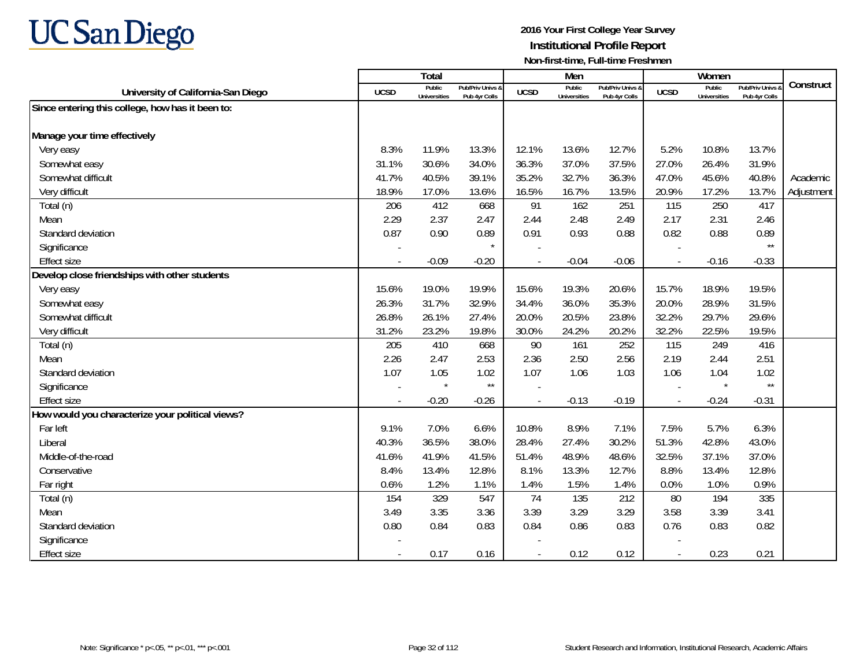

|                                                  |             | Total                         |                                   |                | Men                           |                                   |                          | Women                         |                                        |            |
|--------------------------------------------------|-------------|-------------------------------|-----------------------------------|----------------|-------------------------------|-----------------------------------|--------------------------|-------------------------------|----------------------------------------|------------|
| University of California-San Diego               | <b>UCSD</b> | Public<br><b>Universities</b> | Pub/Priv Univs &<br>Pub 4yr Colls | <b>UCSD</b>    | Public<br><b>Universities</b> | Pub/Priv Univs 8<br>Pub 4yr Colls | <b>UCSD</b>              | Public<br><b>Universities</b> | <b>Pub/Priv Univs</b><br>Pub 4yr Colls | Construct  |
| Since entering this college, how has it been to: |             |                               |                                   |                |                               |                                   |                          |                               |                                        |            |
|                                                  |             |                               |                                   |                |                               |                                   |                          |                               |                                        |            |
| Manage your time effectively                     |             |                               |                                   |                |                               |                                   |                          |                               |                                        |            |
| Very easy                                        | 8.3%        | 11.9%                         | 13.3%                             | 12.1%          | 13.6%                         | 12.7%                             | 5.2%                     | 10.8%                         | 13.7%                                  |            |
| Somewhat easy                                    | 31.1%       | 30.6%                         | 34.0%                             | 36.3%          | 37.0%                         | 37.5%                             | 27.0%                    | 26.4%                         | 31.9%                                  |            |
| Somewhat difficult                               | 41.7%       | 40.5%                         | 39.1%                             | 35.2%          | 32.7%                         | 36.3%                             | 47.0%                    | 45.6%                         | 40.8%                                  | Academic   |
| Very difficult                                   | 18.9%       | 17.0%                         | 13.6%                             | 16.5%          | 16.7%                         | 13.5%                             | 20.9%                    | 17.2%                         | 13.7%                                  | Adjustment |
| Total (n)                                        | 206         | 412                           | 668                               | 91             | 162                           | 251                               | 115                      | 250                           | 417                                    |            |
| Mean                                             | 2.29        | 2.37                          | 2.47                              | 2.44           | 2.48                          | 2.49                              | 2.17                     | 2.31                          | 2.46                                   |            |
| Standard deviation                               | 0.87        | 0.90                          | 0.89                              | 0.91           | 0.93                          | 0.88                              | 0.82                     | 0.88                          | 0.89                                   |            |
| Significance                                     |             |                               | $\star$                           |                |                               |                                   |                          |                               | $\star\star$                           |            |
| <b>Effect size</b>                               |             | $-0.09$                       | $-0.20$                           | $\overline{a}$ | $-0.04$                       | $-0.06$                           |                          | $-0.16$                       | $-0.33$                                |            |
| Develop close friendships with other students    |             |                               |                                   |                |                               |                                   |                          |                               |                                        |            |
| Very easy                                        | 15.6%       | 19.0%                         | 19.9%                             | 15.6%          | 19.3%                         | 20.6%                             | 15.7%                    | 18.9%                         | 19.5%                                  |            |
| Somewhat easy                                    | 26.3%       | 31.7%                         | 32.9%                             | 34.4%          | 36.0%                         | 35.3%                             | 20.0%                    | 28.9%                         | 31.5%                                  |            |
| Somewhat difficult                               | 26.8%       | 26.1%                         | 27.4%                             | 20.0%          | 20.5%                         | 23.8%                             | 32.2%                    | 29.7%                         | 29.6%                                  |            |
| Very difficult                                   | 31.2%       | 23.2%                         | 19.8%                             | 30.0%          | 24.2%                         | 20.2%                             | 32.2%                    | 22.5%                         | 19.5%                                  |            |
| Total (n)                                        | 205         | 410                           | 668                               | 90             | 161                           | 252                               | 115                      | 249                           | 416                                    |            |
| Mean                                             | 2.26        | 2.47                          | 2.53                              | 2.36           | 2.50                          | 2.56                              | 2.19                     | 2.44                          | 2.51                                   |            |
| Standard deviation                               | 1.07        | 1.05                          | 1.02                              | 1.07           | 1.06                          | 1.03                              | 1.06                     | 1.04                          | 1.02                                   |            |
| Significance                                     |             | $\star$                       | $\star\star$                      |                |                               |                                   |                          | $\star$                       | $\star\star$                           |            |
| <b>Effect size</b>                               |             | $-0.20$                       | $-0.26$                           |                | $-0.13$                       | $-0.19$                           | $\overline{\phantom{a}}$ | $-0.24$                       | $-0.31$                                |            |
| How would you characterize your political views? |             |                               |                                   |                |                               |                                   |                          |                               |                                        |            |
| Far left                                         | 9.1%        | 7.0%                          | 6.6%                              | 10.8%          | 8.9%                          | 7.1%                              | 7.5%                     | 5.7%                          | 6.3%                                   |            |
| Liberal                                          | 40.3%       | 36.5%                         | 38.0%                             | 28.4%          | 27.4%                         | 30.2%                             | 51.3%                    | 42.8%                         | 43.0%                                  |            |
| Middle-of-the-road                               | 41.6%       | 41.9%                         | 41.5%                             | 51.4%          | 48.9%                         | 48.6%                             | 32.5%                    | 37.1%                         | 37.0%                                  |            |
| Conservative                                     | 8.4%        | 13.4%                         | 12.8%                             | 8.1%           | 13.3%                         | 12.7%                             | 8.8%                     | 13.4%                         | 12.8%                                  |            |
| Far right                                        | 0.6%        | 1.2%                          | 1.1%                              | 1.4%           | 1.5%                          | 1.4%                              | 0.0%                     | 1.0%                          | 0.9%                                   |            |
| Total (n)                                        | 154         | 329                           | 547                               | 74             | 135                           | 212                               | 80                       | 194                           | 335                                    |            |
| Mean                                             | 3.49        | 3.35                          | 3.36                              | 3.39           | 3.29                          | 3.29                              | 3.58                     | 3.39                          | 3.41                                   |            |
| Standard deviation                               | 0.80        | 0.84                          | 0.83                              | 0.84           | 0.86                          | 0.83                              | 0.76                     | 0.83                          | 0.82                                   |            |
| Significance                                     |             |                               |                                   |                |                               |                                   |                          |                               |                                        |            |
| <b>Effect size</b>                               |             | 0.17                          | 0.16                              |                | 0.12                          | 0.12                              |                          | 0.23                          | 0.21                                   |            |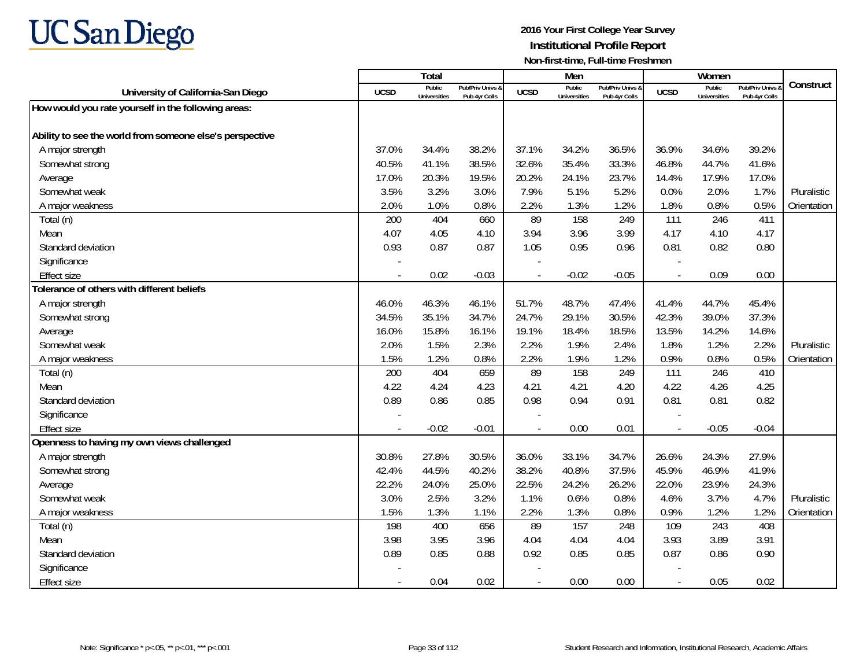

|                                                          |                          | <b>Total</b>                  |                                   |                          | Men                           |                                   |                          | Women                                |                                        |             |
|----------------------------------------------------------|--------------------------|-------------------------------|-----------------------------------|--------------------------|-------------------------------|-----------------------------------|--------------------------|--------------------------------------|----------------------------------------|-------------|
| University of California-San Diego                       | <b>UCSD</b>              | Public<br><b>Universities</b> | Pub/Priv Univs 8<br>Pub 4yr Colls | <b>UCSD</b>              | Public<br><b>Universities</b> | Pub/Priv Univs &<br>Pub 4yr Colls | <b>UCSD</b>              | <b>Public</b><br><b>Universities</b> | <b>Pub/Priv Univs</b><br>Pub 4yr Colls | Construct   |
| How would you rate yourself in the following areas:      |                          |                               |                                   |                          |                               |                                   |                          |                                      |                                        |             |
|                                                          |                          |                               |                                   |                          |                               |                                   |                          |                                      |                                        |             |
| Ability to see the world from someone else's perspective |                          |                               |                                   |                          |                               |                                   |                          |                                      |                                        |             |
| A major strength                                         | 37.0%                    | 34.4%                         | 38.2%                             | 37.1%                    | 34.2%                         | 36.5%                             | 36.9%                    | 34.6%                                | 39.2%                                  |             |
| Somewhat strong                                          | 40.5%                    | 41.1%                         | 38.5%                             | 32.6%                    | 35.4%                         | 33.3%                             | 46.8%                    | 44.7%                                | 41.6%                                  |             |
| Average                                                  | 17.0%                    | 20.3%                         | 19.5%                             | 20.2%                    | 24.1%                         | 23.7%                             | 14.4%                    | 17.9%                                | 17.0%                                  |             |
| Somewhat weak                                            | 3.5%                     | 3.2%                          | 3.0%                              | 7.9%                     | 5.1%                          | 5.2%                              | 0.0%                     | 2.0%                                 | 1.7%                                   | Pluralistic |
| A major weakness                                         | 2.0%                     | 1.0%                          | 0.8%                              | 2.2%                     | 1.3%                          | 1.2%                              | 1.8%                     | 0.8%                                 | 0.5%                                   | Orientation |
| Total (n)                                                | 200                      | 404                           | 660                               | 89                       | 158                           | 249                               | 111                      | 246                                  | 411                                    |             |
| Mean                                                     | 4.07                     | 4.05                          | 4.10                              | 3.94                     | 3.96                          | 3.99                              | 4.17                     | 4.10                                 | 4.17                                   |             |
| Standard deviation                                       | 0.93                     | 0.87                          | 0.87                              | 1.05                     | 0.95                          | 0.96                              | 0.81                     | 0.82                                 | 0.80                                   |             |
| Significance                                             |                          |                               |                                   | $\overline{\phantom{a}}$ |                               |                                   |                          |                                      |                                        |             |
| <b>Effect size</b>                                       | $\overline{\phantom{a}}$ | 0.02                          | $-0.03$                           | $\overline{\phantom{a}}$ | $-0.02$                       | $-0.05$                           | $\sim$                   | 0.09                                 | 0.00                                   |             |
| Tolerance of others with different beliefs               |                          |                               |                                   |                          |                               |                                   |                          |                                      |                                        |             |
| A major strength                                         | 46.0%                    | 46.3%                         | 46.1%                             | 51.7%                    | 48.7%                         | 47.4%                             | 41.4%                    | 44.7%                                | 45.4%                                  |             |
| Somewhat strong                                          | 34.5%                    | 35.1%                         | 34.7%                             | 24.7%                    | 29.1%                         | 30.5%                             | 42.3%                    | 39.0%                                | 37.3%                                  |             |
| Average                                                  | 16.0%                    | 15.8%                         | 16.1%                             | 19.1%                    | 18.4%                         | 18.5%                             | 13.5%                    | 14.2%                                | 14.6%                                  |             |
| Somewhat weak                                            | 2.0%                     | 1.5%                          | 2.3%                              | 2.2%                     | 1.9%                          | 2.4%                              | 1.8%                     | 1.2%                                 | 2.2%                                   | Pluralistic |
| A major weakness                                         | 1.5%                     | 1.2%                          | 0.8%                              | 2.2%                     | 1.9%                          | 1.2%                              | 0.9%                     | 0.8%                                 | 0.5%                                   | Orientation |
| Total (n)                                                | 200                      | 404                           | 659                               | 89                       | 158                           | 249                               | 111                      | 246                                  | 410                                    |             |
| Mean                                                     | 4.22                     | 4.24                          | 4.23                              | 4.21                     | 4.21                          | 4.20                              | 4.22                     | 4.26                                 | 4.25                                   |             |
| Standard deviation                                       | 0.89                     | 0.86                          | 0.85                              | 0.98                     | 0.94                          | 0.91                              | 0.81                     | 0.81                                 | 0.82                                   |             |
| Significance                                             |                          |                               |                                   |                          |                               |                                   |                          |                                      |                                        |             |
| <b>Effect size</b>                                       | $\blacksquare$           | $-0.02$                       | $-0.01$                           | $\blacksquare$           | 0.00                          | 0.01                              | $\overline{\phantom{a}}$ | $-0.05$                              | $-0.04$                                |             |
| Openness to having my own views challenged               |                          |                               |                                   |                          |                               |                                   |                          |                                      |                                        |             |
| A major strength                                         | 30.8%                    | 27.8%                         | 30.5%                             | 36.0%                    | 33.1%                         | 34.7%                             | 26.6%                    | 24.3%                                | 27.9%                                  |             |
| Somewhat strong                                          | 42.4%                    | 44.5%                         | 40.2%                             | 38.2%                    | 40.8%                         | 37.5%                             | 45.9%                    | 46.9%                                | 41.9%                                  |             |
| Average                                                  | 22.2%                    | 24.0%                         | 25.0%                             | 22.5%                    | 24.2%                         | 26.2%                             | 22.0%                    | 23.9%                                | 24.3%                                  |             |
| Somewhat weak                                            | 3.0%                     | 2.5%                          | 3.2%                              | 1.1%                     | 0.6%                          | 0.8%                              | 4.6%                     | 3.7%                                 | 4.7%                                   | Pluralistic |
| A major weakness                                         | 1.5%                     | 1.3%                          | 1.1%                              | 2.2%                     | 1.3%                          | 0.8%                              | 0.9%                     | 1.2%                                 | 1.2%                                   | Orientation |
| Total (n)                                                | 198                      | 400                           | 656                               | 89                       | 157                           | 248                               | 109                      | 243                                  | 408                                    |             |
| Mean                                                     | 3.98                     | 3.95                          | 3.96                              | 4.04                     | 4.04                          | 4.04                              | 3.93                     | 3.89                                 | 3.91                                   |             |
| Standard deviation                                       | 0.89                     | 0.85                          | 0.88                              | 0.92                     | 0.85                          | 0.85                              | 0.87                     | 0.86                                 | 0.90                                   |             |
| Significance                                             |                          |                               |                                   |                          |                               |                                   |                          |                                      |                                        |             |
| <b>Effect size</b>                                       | $\overline{\phantom{a}}$ | 0.04                          | 0.02                              | $\sim$                   | 0.00                          | 0.00                              | $\sim$                   | 0.05                                 | 0.02                                   |             |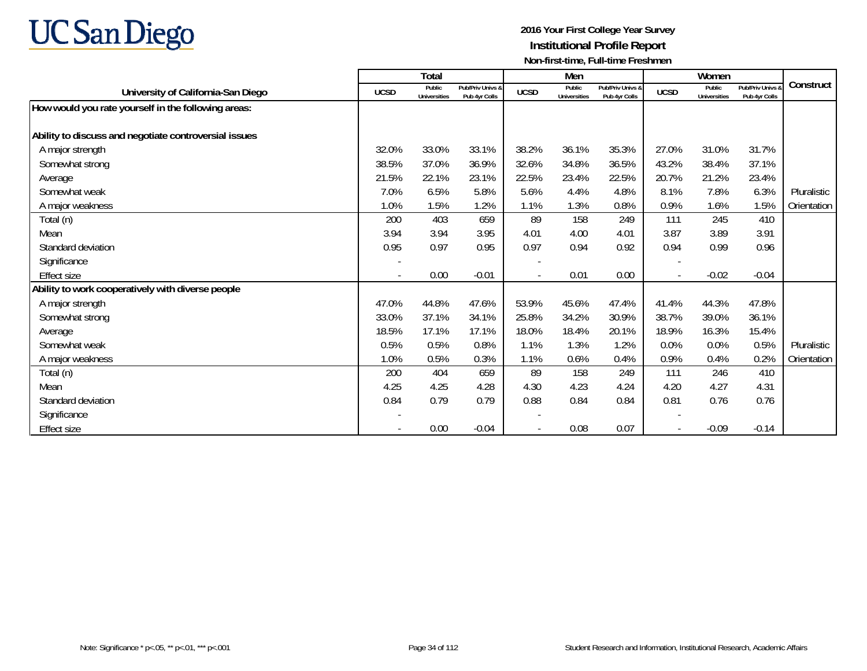

|                                                       |             | <b>Total</b>                  |                                   |             | Men                           |                                   |             | Women                         |                                   |             |
|-------------------------------------------------------|-------------|-------------------------------|-----------------------------------|-------------|-------------------------------|-----------------------------------|-------------|-------------------------------|-----------------------------------|-------------|
| University of California-San Diego                    | <b>UCSD</b> | Public<br><b>Universities</b> | Pub/Priv Univs &<br>Pub 4yr Colls | <b>UCSD</b> | Public<br><b>Universities</b> | Pub/Priv Univs &<br>Pub 4yr Colls | <b>UCSD</b> | Public<br><b>Universities</b> | Pub/Priv Univs 8<br>Pub 4yr Colls | Construct   |
| How would you rate yourself in the following areas:   |             |                               |                                   |             |                               |                                   |             |                               |                                   |             |
| Ability to discuss and negotiate controversial issues |             |                               |                                   |             |                               |                                   |             |                               |                                   |             |
| A major strength                                      | 32.0%       | 33.0%                         | 33.1%                             | 38.2%       | 36.1%                         | 35.3%                             | 27.0%       | 31.0%                         | 31.7%                             |             |
| Somewhat strong                                       | 38.5%       | 37.0%                         | 36.9%                             | 32.6%       | 34.8%                         | 36.5%                             | 43.2%       | 38.4%                         | 37.1%                             |             |
| Average                                               | 21.5%       | 22.1%                         | 23.1%                             | 22.5%       | 23.4%                         | 22.5%                             | 20.7%       | 21.2%                         | 23.4%                             |             |
| Somewhat weak                                         | 7.0%        | 6.5%                          | 5.8%                              | 5.6%        | 4.4%                          | 4.8%                              | 8.1%        | 7.8%                          | 6.3%                              | Pluralistic |
| A major weakness                                      | 1.0%        | 1.5%                          | 1.2%                              | 1.1%        | 1.3%                          | 0.8%                              | 0.9%        | 1.6%                          | 1.5%                              | Orientation |
| Total (n)                                             | 200         | 403                           | 659                               | 89          | 158                           | 249                               | 111         | 245                           | 410                               |             |
| Mean                                                  | 3.94        | 3.94                          | 3.95                              | 4.01        | 4.00                          | 4.01                              | 3.87        | 3.89                          | 3.91                              |             |
| Standard deviation                                    | 0.95        | 0.97                          | 0.95                              | 0.97        | 0.94                          | 0.92                              | 0.94        | 0.99                          | 0.96                              |             |
| Significance                                          |             |                               |                                   |             |                               |                                   |             |                               |                                   |             |
| <b>Effect size</b>                                    |             | 0.00                          | $-0.01$                           |             | 0.01                          | 0.00                              |             | $-0.02$                       | $-0.04$                           |             |
| Ability to work cooperatively with diverse people     |             |                               |                                   |             |                               |                                   |             |                               |                                   |             |
| A major strength                                      | 47.0%       | 44.8%                         | 47.6%                             | 53.9%       | 45.6%                         | 47.4%                             | 41.4%       | 44.3%                         | 47.8%                             |             |
| Somewhat strong                                       | 33.0%       | 37.1%                         | 34.1%                             | 25.8%       | 34.2%                         | 30.9%                             | 38.7%       | 39.0%                         | 36.1%                             |             |
| Average                                               | 18.5%       | 17.1%                         | 17.1%                             | 18.0%       | 18.4%                         | 20.1%                             | 18.9%       | 16.3%                         | 15.4%                             |             |
| Somewhat weak                                         | 0.5%        | 0.5%                          | 0.8%                              | 1.1%        | 1.3%                          | 1.2%                              | 0.0%        | 0.0%                          | 0.5%                              | Pluralistic |
| A major weakness                                      | 1.0%        | 0.5%                          | 0.3%                              | 1.1%        | 0.6%                          | 0.4%                              | 0.9%        | 0.4%                          | 0.2%                              | Orientation |
| Total (n)                                             | 200         | 404                           | 659                               | 89          | 158                           | 249                               | 111         | 246                           | 410                               |             |
| Mean                                                  | 4.25        | 4.25                          | 4.28                              | 4.30        | 4.23                          | 4.24                              | 4.20        | 4.27                          | 4.31                              |             |
| Standard deviation                                    | 0.84        | 0.79                          | 0.79                              | 0.88        | 0.84                          | 0.84                              | 0.81        | 0.76                          | 0.76                              |             |
| Significance                                          |             |                               |                                   |             |                               |                                   |             |                               |                                   |             |
| Effect size                                           |             | 0.00                          | $-0.04$                           |             | 0.08                          | 0.07                              |             | $-0.09$                       | $-0.14$                           |             |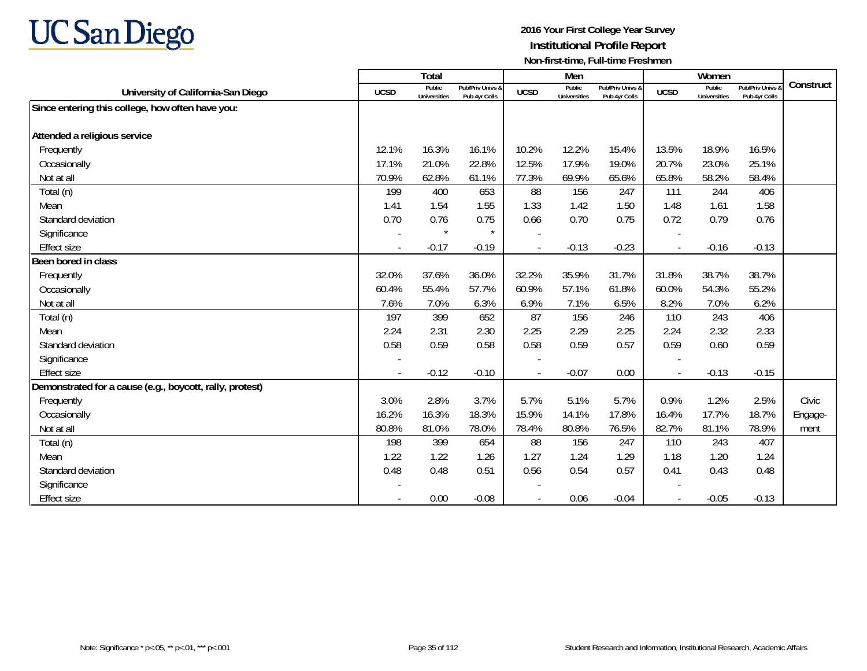

|                                                          |                          | Total                         |                                   |                | Men                           |                                   |                | Women                         |                                 |           |
|----------------------------------------------------------|--------------------------|-------------------------------|-----------------------------------|----------------|-------------------------------|-----------------------------------|----------------|-------------------------------|---------------------------------|-----------|
| University of California-San Diego                       | <b>UCSD</b>              | Public<br><b>Universities</b> | Pub/Priv Univs &<br>Pub 4yr Colls | <b>UCSD</b>    | Public<br><b>Universities</b> | Pub/Priv Univs &<br>Pub 4yr Colls | <b>UCSD</b>    | Public<br><b>Universities</b> | Pub/Priv Univs<br>Pub 4yr Colls | Construct |
| Since entering this college, how often have you:         |                          |                               |                                   |                |                               |                                   |                |                               |                                 |           |
|                                                          |                          |                               |                                   |                |                               |                                   |                |                               |                                 |           |
| Attended a religious service                             |                          |                               |                                   |                |                               |                                   |                |                               |                                 |           |
| Frequently                                               | 12.1%                    | 16.3%                         | 16.1%                             | 10.2%          | 12.2%                         | 15.4%                             | 13.5%          | 18.9%                         | 16.5%                           |           |
| Occasionally                                             | 17.1%                    | 21.0%                         | 22.8%                             | 12.5%          | 17.9%                         | 19.0%                             | 20.7%          | 23.0%                         | 25.1%                           |           |
| Not at all                                               | 70.9%                    | 62.8%                         | 61.1%                             | 77.3%          | 69.9%                         | 65.6%                             | 65.8%          | 58.2%                         | 58.4%                           |           |
| Total (n)                                                | 199                      | 400                           | 653                               | 88             | 156                           | 247                               | 111            | 244                           | 406                             |           |
| Mean                                                     | 1.41                     | 1.54                          | 1.55                              | 1.33           | 1.42                          | 1.50                              | 1.48           | 1.61                          | 1.58                            |           |
| Standard deviation                                       | 0.70                     | 0.76                          | 0.75                              | 0.66           | 0.70                          | 0.75                              | 0.72           | 0.79                          | 0.76                            |           |
| Significance                                             |                          | $\star$                       | $\star$                           |                |                               |                                   |                |                               |                                 |           |
| <b>Effect size</b>                                       | $\overline{\phantom{a}}$ | $-0.17$                       | $-0.19$                           | $\overline{a}$ | $-0.13$                       | $-0.23$                           | $\blacksquare$ | $-0.16$                       | $-0.13$                         |           |
| Been bored in class                                      |                          |                               |                                   |                |                               |                                   |                |                               |                                 |           |
| Frequently                                               | 32.0%                    | 37.6%                         | 36.0%                             | 32.2%          | 35.9%                         | 31.7%                             | 31.8%          | 38.7%                         | 38.7%                           |           |
| Occasionally                                             | 60.4%                    | 55.4%                         | 57.7%                             | 60.9%          | 57.1%                         | 61.8%                             | 60.0%          | 54.3%                         | 55.2%                           |           |
| Not at all                                               | 7.6%                     | 7.0%                          | 6.3%                              | 6.9%           | 7.1%                          | 6.5%                              | 8.2%           | 7.0%                          | 6.2%                            |           |
| Total (n)                                                | 197                      | 399                           | 652                               | 87             | 156                           | 246                               | 110            | 243                           | 406                             |           |
| Mean                                                     | 2.24                     | 2.31                          | 2.30                              | 2.25           | 2.29                          | 2.25                              | 2.24           | 2.32                          | 2.33                            |           |
| Standard deviation                                       | 0.58                     | 0.59                          | 0.58                              | 0.58           | 0.59                          | 0.57                              | 0.59           | 0.60                          | 0.59                            |           |
| Significance                                             |                          |                               |                                   |                |                               |                                   |                |                               |                                 |           |
| <b>Effect size</b>                                       |                          | $-0.12$                       | $-0.10$                           |                | $-0.07$                       | 0.00                              | $\blacksquare$ | $-0.13$                       | $-0.15$                         |           |
| Demonstrated for a cause (e.g., boycott, rally, protest) |                          |                               |                                   |                |                               |                                   |                |                               |                                 |           |
| Frequently                                               | 3.0%                     | 2.8%                          | 3.7%                              | 5.7%           | 5.1%                          | 5.7%                              | 0.9%           | 1.2%                          | 2.5%                            | Civic     |
| Occasionally                                             | 16.2%                    | 16.3%                         | 18.3%                             | 15.9%          | 14.1%                         | 17.8%                             | 16.4%          | 17.7%                         | 18.7%                           | Engage-   |
| Not at all                                               | 80.8%                    | 81.0%                         | 78.0%                             | 78.4%          | 80.8%                         | 76.5%                             | 82.7%          | 81.1%                         | 78.9%                           | ment      |
| Total (n)                                                | 198                      | 399                           | 654                               | 88             | 156                           | 247                               | 110            | 243                           | 407                             |           |
| Mean                                                     | 1.22                     | 1.22                          | 1.26                              | 1.27           | 1.24                          | 1.29                              | 1.18           | 1.20                          | 1.24                            |           |
| Standard deviation                                       | 0.48                     | 0.48                          | 0.51                              | 0.56           | 0.54                          | 0.57                              | 0.41           | 0.43                          | 0.48                            |           |
| Significance                                             |                          |                               |                                   |                |                               |                                   |                |                               |                                 |           |
| <b>Effect size</b>                                       |                          | 0.00                          | $-0.08$                           |                | 0.06                          | $-0.04$                           |                | $-0.05$                       | $-0.13$                         |           |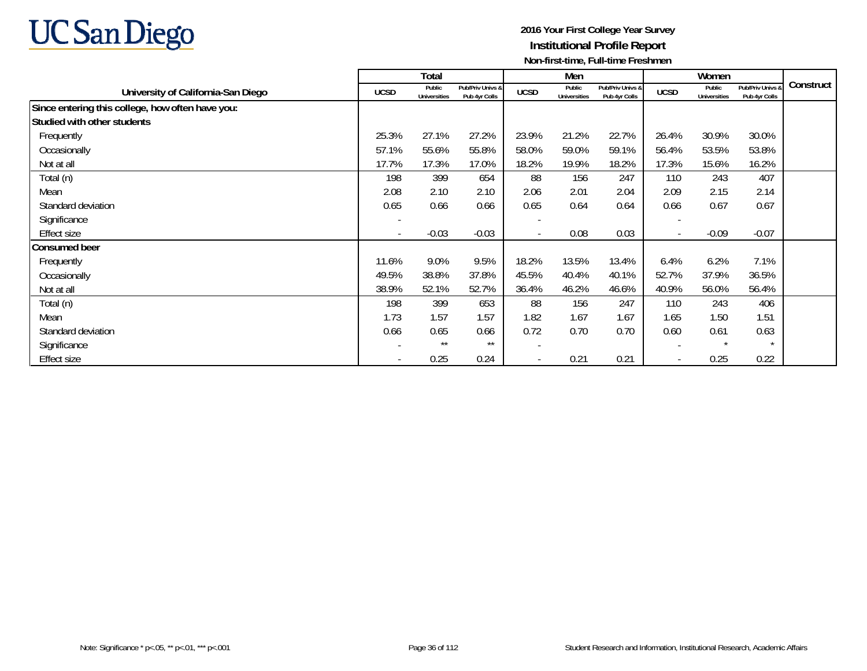

|                                                  |                          | Total                         |                                   |             | Men                           |                                   |                          | Women                         |                                   |           |
|--------------------------------------------------|--------------------------|-------------------------------|-----------------------------------|-------------|-------------------------------|-----------------------------------|--------------------------|-------------------------------|-----------------------------------|-----------|
| University of California-San Diego               | <b>UCSD</b>              | Public<br><b>Universities</b> | Pub/Priv Univs &<br>Pub 4yr Colls | <b>UCSD</b> | Public<br><b>Universities</b> | Pub/Priv Univs &<br>Pub 4yr Colls | <b>UCSD</b>              | Public<br><b>Universities</b> | Pub/Priv Univs &<br>Pub 4yr Colls | Construct |
| Since entering this college, how often have you: |                          |                               |                                   |             |                               |                                   |                          |                               |                                   |           |
| Studied with other students                      |                          |                               |                                   |             |                               |                                   |                          |                               |                                   |           |
| Frequently                                       | 25.3%                    | 27.1%                         | 27.2%                             | 23.9%       | 21.2%                         | 22.7%                             | 26.4%                    | 30.9%                         | 30.0%                             |           |
| Occasionally                                     | 57.1%                    | 55.6%                         | 55.8%                             | 58.0%       | 59.0%                         | 59.1%                             | 56.4%                    | 53.5%                         | 53.8%                             |           |
| Not at all                                       | 17.7%                    | 17.3%                         | 17.0%                             | 18.2%       | 19.9%                         | 18.2%                             | 17.3%                    | 15.6%                         | 16.2%                             |           |
| Total (n)                                        | 198                      | 399                           | 654                               | 88          | 156                           | 247                               | 110                      | 243                           | 407                               |           |
| Mean                                             | 2.08                     | 2.10                          | 2.10                              | 2.06        | 2.01                          | 2.04                              | 2.09                     | 2.15                          | 2.14                              |           |
| Standard deviation                               | 0.65                     | 0.66                          | 0.66                              | 0.65        | 0.64                          | 0.64                              | 0.66                     | 0.67                          | 0.67                              |           |
| Significance                                     |                          |                               |                                   |             |                               |                                   | $\overline{a}$           |                               |                                   |           |
| <b>Effect size</b>                               | $\overline{\phantom{a}}$ | $-0.03$                       | $-0.03$                           |             | 0.08                          | 0.03                              | $\overline{\phantom{a}}$ | $-0.09$                       | $-0.07$                           |           |
| <b>Consumed beer</b>                             |                          |                               |                                   |             |                               |                                   |                          |                               |                                   |           |
| Frequently                                       | 11.6%                    | 9.0%                          | 9.5%                              | 18.2%       | 13.5%                         | 13.4%                             | 6.4%                     | 6.2%                          | 7.1%                              |           |
| Occasionally                                     | 49.5%                    | 38.8%                         | 37.8%                             | 45.5%       | 40.4%                         | 40.1%                             | 52.7%                    | 37.9%                         | 36.5%                             |           |
| Not at all                                       | 38.9%                    | 52.1%                         | 52.7%                             | 36.4%       | 46.2%                         | 46.6%                             | 40.9%                    | 56.0%                         | 56.4%                             |           |
| Total (n)                                        | 198                      | 399                           | 653                               | 88          | 156                           | 247                               | 110                      | 243                           | 406                               |           |
| Mean                                             | 1.73                     | 1.57                          | 1.57                              | 1.82        | 1.67                          | 1.67                              | 1.65                     | 1.50                          | 1.51                              |           |
| Standard deviation                               | 0.66                     | 0.65                          | 0.66                              | 0.72        | 0.70                          | 0.70                              | 0.60                     | 0.61                          | 0.63                              |           |
| Significance                                     | $\overline{\phantom{a}}$ | $***$                         | $***$                             |             |                               |                                   | $\overline{\phantom{a}}$ | $\star$                       | $\star$                           |           |
| <b>Effect size</b>                               | $\overline{\phantom{a}}$ | 0.25                          | 0.24                              |             | 0.21                          | 0.21                              | $\overline{\phantom{a}}$ | 0.25                          | 0.22                              |           |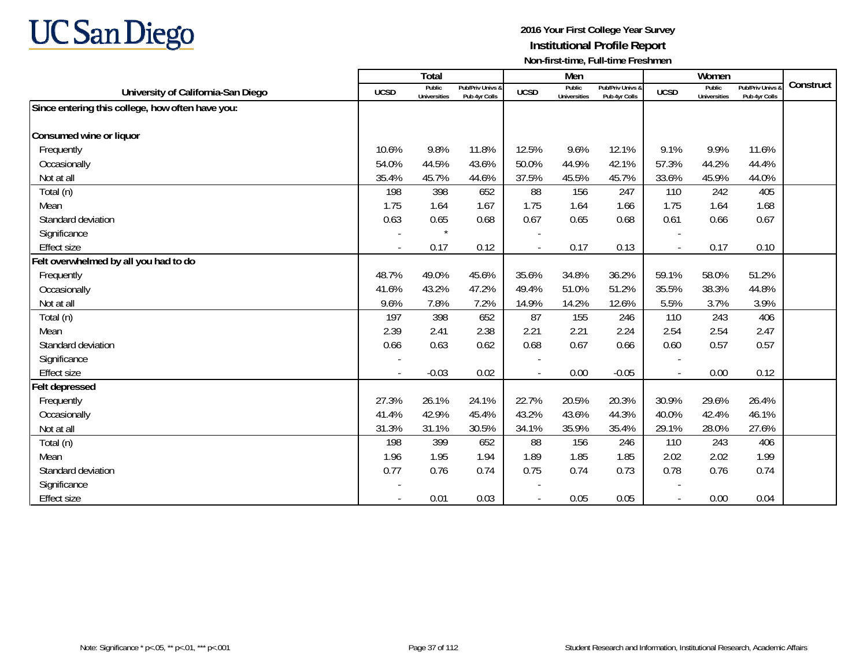

|                                                  |             | <b>Total</b>                  |                                   |                | Men                           |                                   |                          | Women                         |                                        |           |
|--------------------------------------------------|-------------|-------------------------------|-----------------------------------|----------------|-------------------------------|-----------------------------------|--------------------------|-------------------------------|----------------------------------------|-----------|
| University of California-San Diego               | <b>UCSD</b> | Public<br><b>Universities</b> | Pub/Priv Univs &<br>Pub 4yr Colls | <b>UCSD</b>    | Public<br><b>Universities</b> | Pub/Priv Univs &<br>Pub 4yr Colls | <b>UCSD</b>              | Public<br><b>Universities</b> | <b>Pub/Priv Univs</b><br>Pub 4yr Colls | Construct |
| Since entering this college, how often have you: |             |                               |                                   |                |                               |                                   |                          |                               |                                        |           |
|                                                  |             |                               |                                   |                |                               |                                   |                          |                               |                                        |           |
| Consumed wine or liquor                          |             |                               |                                   |                |                               |                                   |                          |                               |                                        |           |
| Frequently                                       | 10.6%       | 9.8%                          | 11.8%                             | 12.5%          | 9.6%                          | 12.1%                             | 9.1%                     | 9.9%                          | 11.6%                                  |           |
| Occasionally                                     | 54.0%       | 44.5%                         | 43.6%                             | 50.0%          | 44.9%                         | 42.1%                             | 57.3%                    | 44.2%                         | 44.4%                                  |           |
| Not at all                                       | 35.4%       | 45.7%                         | 44.6%                             | 37.5%          | 45.5%                         | 45.7%                             | 33.6%                    | 45.9%                         | 44.0%                                  |           |
| Total (n)                                        | 198         | 398                           | 652                               | 88             | 156                           | 247                               | 110                      | 242                           | 405                                    |           |
| Mean                                             | 1.75        | 1.64                          | 1.67                              | 1.75           | 1.64                          | 1.66                              | 1.75                     | 1.64                          | 1.68                                   |           |
| Standard deviation                               | 0.63        | 0.65                          | 0.68                              | 0.67           | 0.65                          | 0.68                              | 0.61                     | 0.66                          | 0.67                                   |           |
| Significance                                     |             |                               |                                   |                |                               |                                   |                          |                               |                                        |           |
| <b>Effect size</b>                               | $\sim$      | 0.17                          | 0.12                              |                | 0.17                          | 0.13                              | $\blacksquare$           | 0.17                          | 0.10                                   |           |
| Felt overwhelmed by all you had to do            |             |                               |                                   |                |                               |                                   |                          |                               |                                        |           |
| Frequently                                       | 48.7%       | 49.0%                         | 45.6%                             | 35.6%          | 34.8%                         | 36.2%                             | 59.1%                    | 58.0%                         | 51.2%                                  |           |
| Occasionally                                     | 41.6%       | 43.2%                         | 47.2%                             | 49.4%          | 51.0%                         | 51.2%                             | 35.5%                    | 38.3%                         | 44.8%                                  |           |
| Not at all                                       | 9.6%        | 7.8%                          | 7.2%                              | 14.9%          | 14.2%                         | 12.6%                             | 5.5%                     | 3.7%                          | 3.9%                                   |           |
| Total (n)                                        | 197         | 398                           | 652                               | 87             | 155                           | 246                               | 110                      | 243                           | 406                                    |           |
| Mean                                             | 2.39        | 2.41                          | 2.38                              | 2.21           | 2.21                          | 2.24                              | 2.54                     | 2.54                          | 2.47                                   |           |
| Standard deviation                               | 0.66        | 0.63                          | 0.62                              | 0.68           | 0.67                          | 0.66                              | 0.60                     | 0.57                          | 0.57                                   |           |
| Significance                                     |             |                               |                                   |                |                               |                                   | $\overline{\phantom{a}}$ |                               |                                        |           |
| <b>Effect size</b>                               | $\sim$      | $-0.03$                       | 0.02                              | $\blacksquare$ | 0.00                          | $-0.05$                           | $\overline{\phantom{a}}$ | 0.00                          | 0.12                                   |           |
| Felt depressed                                   |             |                               |                                   |                |                               |                                   |                          |                               |                                        |           |
| Frequently                                       | 27.3%       | 26.1%                         | 24.1%                             | 22.7%          | 20.5%                         | 20.3%                             | 30.9%                    | 29.6%                         | 26.4%                                  |           |
| Occasionally                                     | 41.4%       | 42.9%                         | 45.4%                             | 43.2%          | 43.6%                         | 44.3%                             | 40.0%                    | 42.4%                         | 46.1%                                  |           |
| Not at all                                       | 31.3%       | 31.1%                         | 30.5%                             | 34.1%          | 35.9%                         | 35.4%                             | 29.1%                    | 28.0%                         | 27.6%                                  |           |
| Total (n)                                        | 198         | 399                           | 652                               | 88             | 156                           | 246                               | 110                      | 243                           | 406                                    |           |
| Mean                                             | 1.96        | 1.95                          | 1.94                              | 1.89           | 1.85                          | 1.85                              | 2.02                     | 2.02                          | 1.99                                   |           |
| Standard deviation                               | 0.77        | 0.76                          | 0.74                              | 0.75           | 0.74                          | 0.73                              | 0.78                     | 0.76                          | 0.74                                   |           |
| Significance                                     |             |                               |                                   |                |                               |                                   |                          |                               |                                        |           |
| <b>Effect size</b>                               |             | 0.01                          | 0.03                              |                | 0.05                          | 0.05                              |                          | 0.00                          | 0.04                                   |           |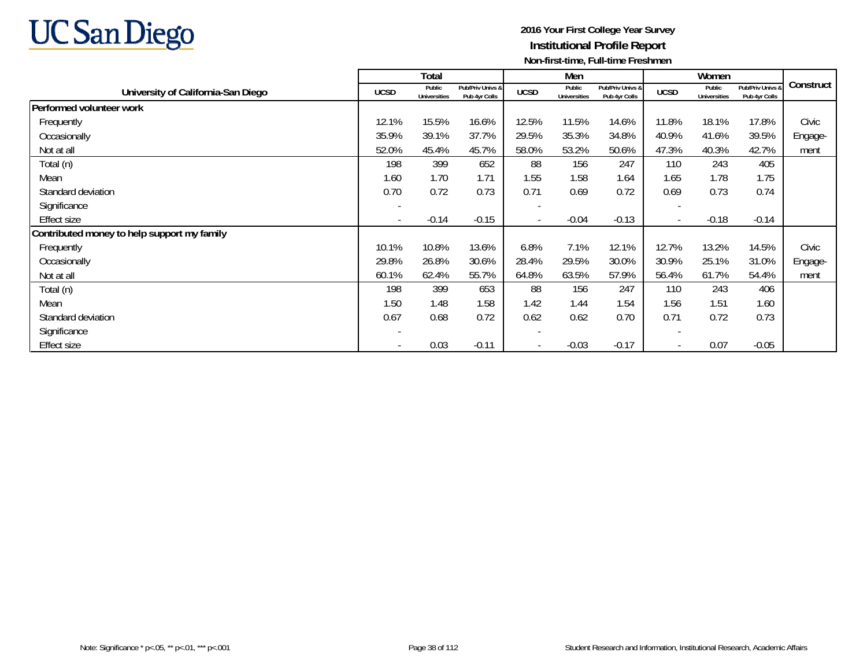

|                                             |                          | Total                         |                                   |             | Men                           |                                   |                          | Women                  |                                   |           |
|---------------------------------------------|--------------------------|-------------------------------|-----------------------------------|-------------|-------------------------------|-----------------------------------|--------------------------|------------------------|-----------------------------------|-----------|
| University of California-San Diego          | <b>UCSD</b>              | Public<br><b>Universities</b> | Pub/Priv Univs &<br>Pub 4yr Colls | <b>UCSD</b> | Public<br><b>Universities</b> | Pub/Priv Univs &<br>Pub 4yr Colls | <b>UCSD</b>              | Public<br>Universities | Pub/Priv Univs &<br>Pub 4yr Colls | Construct |
| Performed volunteer work                    |                          |                               |                                   |             |                               |                                   |                          |                        |                                   |           |
| Frequently                                  | 12.1%                    | 15.5%                         | 16.6%                             | 12.5%       | 11.5%                         | 14.6%                             | 11.8%                    | 18.1%                  | 17.8%                             | Civic     |
| Occasionally                                | 35.9%                    | 39.1%                         | 37.7%                             | 29.5%       | 35.3%                         | 34.8%                             | 40.9%                    | 41.6%                  | 39.5%                             | Engage-   |
| Not at all                                  | 52.0%                    | 45.4%                         | 45.7%                             | 58.0%       | 53.2%                         | 50.6%                             | 47.3%                    | 40.3%                  | 42.7%                             | ment      |
| Total (n)                                   | 198                      | 399                           | 652                               | 88          | 156                           | 247                               | 110                      | 243                    | 405                               |           |
| Mean                                        | 1.60                     | 1.70                          | 1.71                              | 1.55        | 1.58                          | 1.64                              | 1.65                     | 1.78                   | 1.75                              |           |
| Standard deviation                          | 0.70                     | 0.72                          | 0.73                              | 0.71        | 0.69                          | 0.72                              | 0.69                     | 0.73                   | 0.74                              |           |
| Significance                                |                          |                               |                                   |             |                               |                                   |                          |                        |                                   |           |
| <b>Effect size</b>                          | $\overline{\phantom{a}}$ | $-0.14$                       | $-0.15$                           |             | $-0.04$                       | $-0.13$                           | $\overline{\phantom{a}}$ | $-0.18$                | $-0.14$                           |           |
| Contributed money to help support my family |                          |                               |                                   |             |                               |                                   |                          |                        |                                   |           |
| Frequently                                  | 10.1%                    | 10.8%                         | 13.6%                             | 6.8%        | 7.1%                          | 12.1%                             | 12.7%                    | 13.2%                  | 14.5%                             | Civic     |
| Occasionally                                | 29.8%                    | 26.8%                         | 30.6%                             | 28.4%       | 29.5%                         | 30.0%                             | 30.9%                    | 25.1%                  | 31.0%                             | Engage-   |
| Not at all                                  | 60.1%                    | 62.4%                         | 55.7%                             | 64.8%       | 63.5%                         | 57.9%                             | 56.4%                    | 61.7%                  | 54.4%                             | ment      |
| Total (n)                                   | 198                      | 399                           | 653                               | 88          | 156                           | 247                               | 110                      | 243                    | 406                               |           |
| Mean                                        | 1.50                     | 1.48                          | 1.58                              | 1.42        | 1.44                          | 1.54                              | 1.56                     | 1.51                   | 1.60                              |           |
| Standard deviation                          | 0.67                     | 0.68                          | 0.72                              | 0.62        | 0.62                          | 0.70                              | 0.71                     | 0.72                   | 0.73                              |           |
| Significance                                | $\overline{\phantom{a}}$ |                               |                                   |             |                               |                                   | -                        |                        |                                   |           |
| <b>Effect size</b>                          |                          | 0.03                          | $-0.11$                           |             | $-0.03$                       | $-0.17$                           | $\overline{\phantom{a}}$ | 0.07                   | $-0.05$                           |           |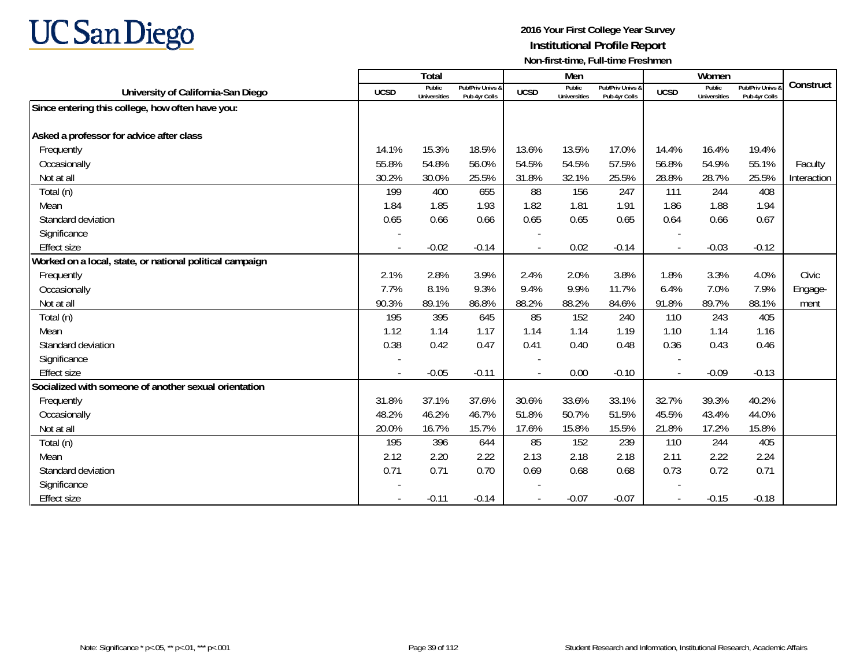

|                                                          |                          | Total                         |                                   |             | Men                           |                                   |                | Women                         |                                        |             |
|----------------------------------------------------------|--------------------------|-------------------------------|-----------------------------------|-------------|-------------------------------|-----------------------------------|----------------|-------------------------------|----------------------------------------|-------------|
| University of California-San Diego                       | <b>UCSD</b>              | Public<br><b>Universities</b> | Pub/Priv Univs &<br>Pub 4yr Colls | <b>UCSD</b> | Public<br><b>Universities</b> | Pub/Priv Univs &<br>Pub 4yr Colls | <b>UCSD</b>    | Public<br><b>Universities</b> | <b>Pub/Priv Univs</b><br>Pub 4yr Colls | Construct   |
| Since entering this college, how often have you:         |                          |                               |                                   |             |                               |                                   |                |                               |                                        |             |
|                                                          |                          |                               |                                   |             |                               |                                   |                |                               |                                        |             |
| Asked a professor for advice after class                 |                          |                               |                                   |             |                               |                                   |                |                               |                                        |             |
| Frequently                                               | 14.1%                    | 15.3%                         | 18.5%                             | 13.6%       | 13.5%                         | 17.0%                             | 14.4%          | 16.4%                         | 19.4%                                  |             |
| Occasionally                                             | 55.8%                    | 54.8%                         | 56.0%                             | 54.5%       | 54.5%                         | 57.5%                             | 56.8%          | 54.9%                         | 55.1%                                  | Faculty     |
| Not at all                                               | 30.2%                    | 30.0%                         | 25.5%                             | 31.8%       | 32.1%                         | 25.5%                             | 28.8%          | 28.7%                         | 25.5%                                  | Interaction |
| Total (n)                                                | 199                      | 400                           | 655                               | 88          | 156                           | 247                               | 111            | 244                           | 408                                    |             |
| Mean                                                     | 1.84                     | 1.85                          | 1.93                              | 1.82        | 1.81                          | 1.91                              | 1.86           | 1.88                          | 1.94                                   |             |
| Standard deviation                                       | 0.65                     | 0.66                          | 0.66                              | 0.65        | 0.65                          | 0.65                              | 0.64           | 0.66                          | 0.67                                   |             |
| Significance                                             |                          |                               |                                   |             |                               |                                   |                |                               |                                        |             |
| <b>Effect size</b>                                       | $\overline{\phantom{a}}$ | $-0.02$                       | $-0.14$                           |             | 0.02                          | $-0.14$                           | $\overline{a}$ | $-0.03$                       | $-0.12$                                |             |
| Worked on a local, state, or national political campaign |                          |                               |                                   |             |                               |                                   |                |                               |                                        |             |
| Frequently                                               | 2.1%                     | 2.8%                          | 3.9%                              | 2.4%        | 2.0%                          | 3.8%                              | 1.8%           | 3.3%                          | 4.0%                                   | Civic       |
| Occasionally                                             | 7.7%                     | 8.1%                          | 9.3%                              | 9.4%        | 9.9%                          | 11.7%                             | 6.4%           | 7.0%                          | 7.9%                                   | Engage-     |
| Not at all                                               | 90.3%                    | 89.1%                         | 86.8%                             | 88.2%       | 88.2%                         | 84.6%                             | 91.8%          | 89.7%                         | 88.1%                                  | ment        |
| Total (n)                                                | 195                      | 395                           | 645                               | 85          | 152                           | 240                               | 110            | 243                           | 405                                    |             |
| Mean                                                     | 1.12                     | 1.14                          | 1.17                              | 1.14        | 1.14                          | 1.19                              | 1.10           | 1.14                          | 1.16                                   |             |
| Standard deviation                                       | 0.38                     | 0.42                          | 0.47                              | 0.41        | 0.40                          | 0.48                              | 0.36           | 0.43                          | 0.46                                   |             |
| Significance                                             |                          |                               |                                   |             |                               |                                   |                |                               |                                        |             |
| <b>Effect size</b>                                       |                          | $-0.05$                       | $-0.11$                           |             | 0.00                          | $-0.10$                           | $\blacksquare$ | $-0.09$                       | $-0.13$                                |             |
| Socialized with someone of another sexual orientation    |                          |                               |                                   |             |                               |                                   |                |                               |                                        |             |
| Frequently                                               | 31.8%                    | 37.1%                         | 37.6%                             | 30.6%       | 33.6%                         | 33.1%                             | 32.7%          | 39.3%                         | 40.2%                                  |             |
| Occasionally                                             | 48.2%                    | 46.2%                         | 46.7%                             | 51.8%       | 50.7%                         | 51.5%                             | 45.5%          | 43.4%                         | 44.0%                                  |             |
| Not at all                                               | 20.0%                    | 16.7%                         | 15.7%                             | 17.6%       | 15.8%                         | 15.5%                             | 21.8%          | 17.2%                         | 15.8%                                  |             |
| Total (n)                                                | 195                      | 396                           | 644                               | 85          | 152                           | 239                               | 110            | 244                           | 405                                    |             |
| Mean                                                     | 2.12                     | 2.20                          | 2.22                              | 2.13        | 2.18                          | 2.18                              | 2.11           | 2.22                          | 2.24                                   |             |
| Standard deviation                                       | 0.71                     | 0.71                          | 0.70                              | 0.69        | 0.68                          | 0.68                              | 0.73           | 0.72                          | 0.71                                   |             |
| Significance                                             |                          |                               |                                   |             |                               |                                   |                |                               |                                        |             |
| <b>Effect size</b>                                       |                          | $-0.11$                       | $-0.14$                           |             | $-0.07$                       | $-0.07$                           |                | $-0.15$                       | $-0.18$                                |             |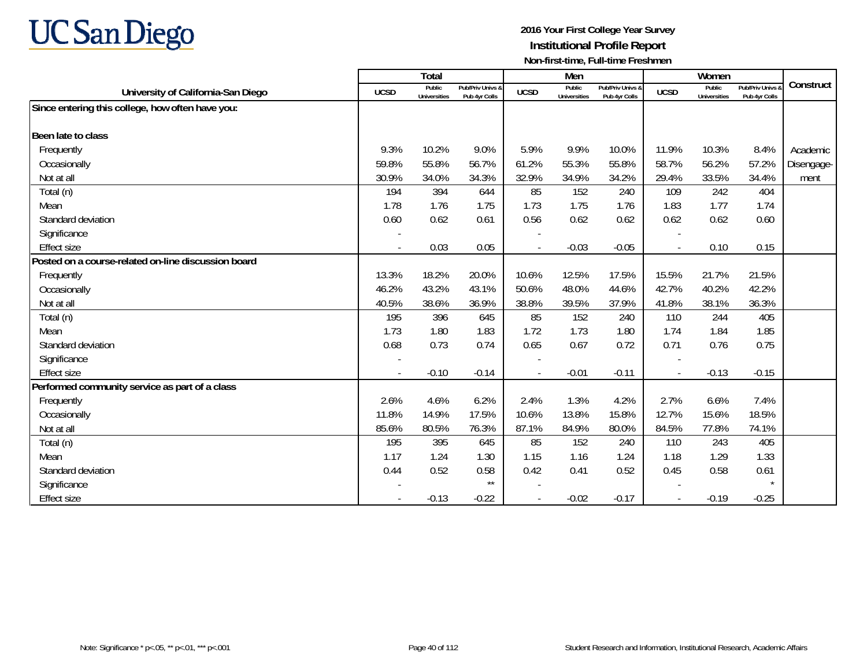

|                                                     |                          | Total                         |                                   |                | Men                           |                                   |                          | Women                         |                                        |            |
|-----------------------------------------------------|--------------------------|-------------------------------|-----------------------------------|----------------|-------------------------------|-----------------------------------|--------------------------|-------------------------------|----------------------------------------|------------|
| University of California-San Diego                  | <b>UCSD</b>              | Public<br><b>Universities</b> | Pub/Priv Univs &<br>Pub 4yr Colls | <b>UCSD</b>    | Public<br><b>Universities</b> | Pub/Priv Univs &<br>Pub 4yr Colls | <b>UCSD</b>              | Public<br><b>Universities</b> | <b>Pub/Priv Univs</b><br>Pub 4yr Colls | Construct  |
| Since entering this college, how often have you:    |                          |                               |                                   |                |                               |                                   |                          |                               |                                        |            |
|                                                     |                          |                               |                                   |                |                               |                                   |                          |                               |                                        |            |
| Been late to class                                  |                          |                               |                                   |                |                               |                                   |                          |                               |                                        |            |
| Frequently                                          | 9.3%                     | 10.2%                         | 9.0%                              | 5.9%           | 9.9%                          | 10.0%                             | 11.9%                    | 10.3%                         | 8.4%                                   | Academic   |
| Occasionally                                        | 59.8%                    | 55.8%                         | 56.7%                             | 61.2%          | 55.3%                         | 55.8%                             | 58.7%                    | 56.2%                         | 57.2%                                  | Disengage- |
| Not at all                                          | 30.9%                    | 34.0%                         | 34.3%                             | 32.9%          | 34.9%                         | 34.2%                             | 29.4%                    | 33.5%                         | 34.4%                                  | ment       |
| Total (n)                                           | 194                      | 394                           | 644                               | 85             | 152                           | 240                               | 109                      | 242                           | 404                                    |            |
| Mean                                                | 1.78                     | 1.76                          | 1.75                              | 1.73           | 1.75                          | 1.76                              | 1.83                     | 1.77                          | 1.74                                   |            |
| Standard deviation                                  | 0.60                     | 0.62                          | 0.61                              | 0.56           | 0.62                          | 0.62                              | 0.62                     | 0.62                          | 0.60                                   |            |
| Significance                                        |                          |                               |                                   |                |                               |                                   |                          |                               |                                        |            |
| <b>Effect size</b>                                  | $\overline{\phantom{a}}$ | 0.03                          | 0.05                              | $\blacksquare$ | $-0.03$                       | $-0.05$                           | $\overline{\phantom{a}}$ | 0.10                          | 0.15                                   |            |
| Posted on a course-related on-line discussion board |                          |                               |                                   |                |                               |                                   |                          |                               |                                        |            |
| Frequently                                          | 13.3%                    | 18.2%                         | 20.0%                             | 10.6%          | 12.5%                         | 17.5%                             | 15.5%                    | 21.7%                         | 21.5%                                  |            |
| Occasionally                                        | 46.2%                    | 43.2%                         | 43.1%                             | 50.6%          | 48.0%                         | 44.6%                             | 42.7%                    | 40.2%                         | 42.2%                                  |            |
| Not at all                                          | 40.5%                    | 38.6%                         | 36.9%                             | 38.8%          | 39.5%                         | 37.9%                             | 41.8%                    | 38.1%                         | 36.3%                                  |            |
| Total (n)                                           | 195                      | 396                           | 645                               | 85             | 152                           | 240                               | 110                      | 244                           | 405                                    |            |
| Mean                                                | 1.73                     | 1.80                          | 1.83                              | 1.72           | 1.73                          | 1.80                              | 1.74                     | 1.84                          | 1.85                                   |            |
| Standard deviation                                  | 0.68                     | 0.73                          | 0.74                              | 0.65           | 0.67                          | 0.72                              | 0.71                     | 0.76                          | 0.75                                   |            |
| Significance                                        |                          |                               |                                   |                |                               |                                   |                          |                               |                                        |            |
| <b>Effect size</b>                                  |                          | $-0.10$                       | $-0.14$                           |                | $-0.01$                       | $-0.11$                           |                          | $-0.13$                       | $-0.15$                                |            |
| Performed community service as part of a class      |                          |                               |                                   |                |                               |                                   |                          |                               |                                        |            |
| Frequently                                          | 2.6%                     | 4.6%                          | 6.2%                              | 2.4%           | 1.3%                          | 4.2%                              | 2.7%                     | 6.6%                          | 7.4%                                   |            |
| Occasionally                                        | 11.8%                    | 14.9%                         | 17.5%                             | 10.6%          | 13.8%                         | 15.8%                             | 12.7%                    | 15.6%                         | 18.5%                                  |            |
| Not at all                                          | 85.6%                    | 80.5%                         | 76.3%                             | 87.1%          | 84.9%                         | 80.0%                             | 84.5%                    | 77.8%                         | 74.1%                                  |            |
| Total (n)                                           | 195                      | 395                           | 645                               | 85             | 152                           | 240                               | 110                      | 243                           | 405                                    |            |
| Mean                                                | 1.17                     | 1.24                          | 1.30                              | 1.15           | 1.16                          | 1.24                              | 1.18                     | 1.29                          | 1.33                                   |            |
| Standard deviation                                  | 0.44                     | 0.52                          | 0.58                              | 0.42           | 0.41                          | 0.52                              | 0.45                     | 0.58                          | 0.61                                   |            |
| Significance                                        |                          |                               | $\star\star$                      |                |                               |                                   |                          |                               |                                        |            |
| <b>Effect size</b>                                  |                          | $-0.13$                       | $-0.22$                           |                | $-0.02$                       | $-0.17$                           |                          | $-0.19$                       | $-0.25$                                |            |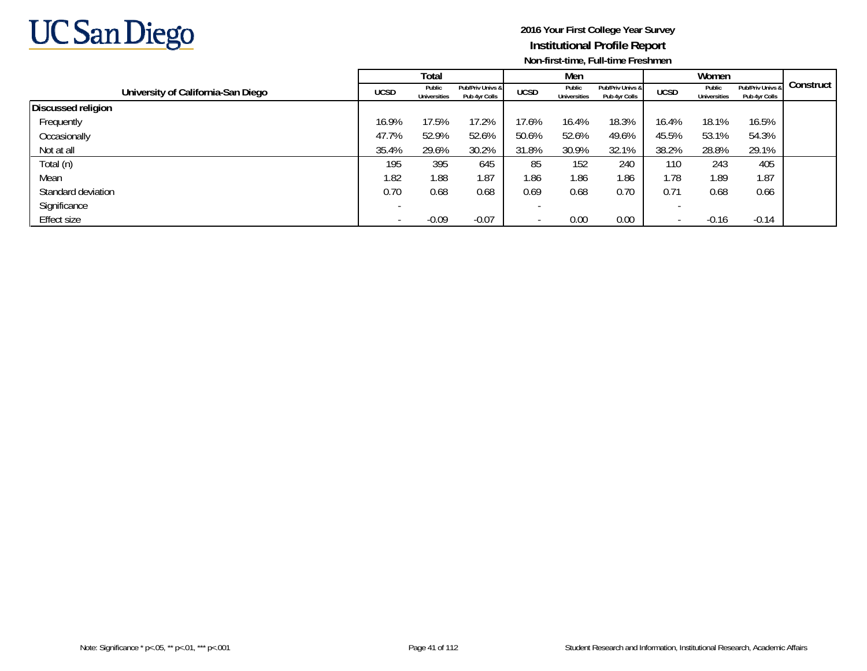

|                                    |             | Total                         |                                   |             | Men                           |                                   |             | Women                  |                                   |           |
|------------------------------------|-------------|-------------------------------|-----------------------------------|-------------|-------------------------------|-----------------------------------|-------------|------------------------|-----------------------------------|-----------|
| University of California-San Diego | <b>UCSD</b> | Public<br><b>Universities</b> | Pub/Priv Univs &<br>Pub 4yr Colls | <b>UCSD</b> | Public<br><b>Universities</b> | Pub/Priv Univs &<br>Pub 4yr Colls | <b>UCSD</b> | Public<br>Universities | Pub/Priv Univs &<br>Pub 4yr Colls | Construct |
| <b>Discussed religion</b>          |             |                               |                                   |             |                               |                                   |             |                        |                                   |           |
| Frequently                         | 16.9%       | 17.5%                         | 17.2%                             | 17.6%       | 16.4%                         | 18.3%                             | 16.4%       | 18.1%                  | 16.5%                             |           |
| Occasionally                       | 47.7%       | 52.9%                         | 52.6%                             | 50.6%       | 52.6%                         | 49.6%                             | 45.5%       | 53.1%                  | 54.3%                             |           |
| Not at all                         | 35.4%       | 29.6%                         | 30.2%                             | 31.8%       | 30.9%                         | 32.1%                             | 38.2%       | 28.8%                  | 29.1%                             |           |
| Total (n)                          | 195         | 395                           | 645                               | 85          | 152                           | 240                               | 110         | 243                    | 405                               |           |
| Mean                               | 1.82        | 1.88                          | 1.87                              | 1.86        | 1.86                          | 1.86                              | 1.78        | 1.89                   | 1.87                              |           |
| Standard deviation                 | 0.70        | 0.68                          | 0.68                              | 0.69        | 0.68                          | 0.70                              | 0.71        | 0.68                   | 0.66                              |           |
| Significance                       |             |                               |                                   |             |                               |                                   |             |                        |                                   |           |
| Effect size                        |             | $-0.09$                       | $-0.07$                           |             | 0.00                          | 0.00                              |             | $-0.16$                | $-0.14$                           |           |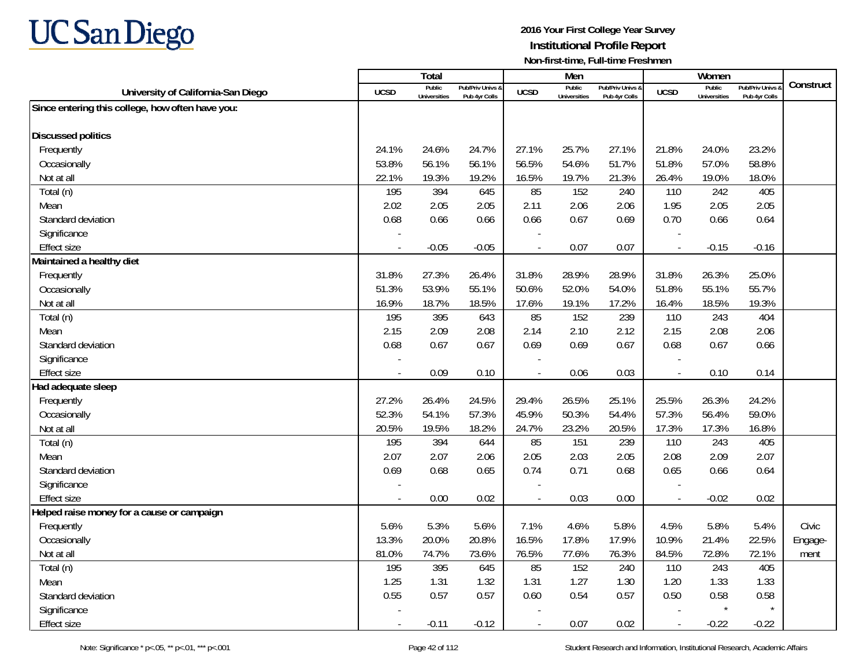

|                                                  |             | <b>Total</b>                  |                                   |                | Men                    |                                   |                          | Women                         |                                 |           |
|--------------------------------------------------|-------------|-------------------------------|-----------------------------------|----------------|------------------------|-----------------------------------|--------------------------|-------------------------------|---------------------------------|-----------|
| University of California-San Diego               | <b>UCSD</b> | Public<br><b>Universities</b> | Pub/Priv Univs 8<br>Pub 4yr Colls | <b>UCSD</b>    | Public<br>Universities | Pub/Priv Univs &<br>Pub 4yr Colls | <b>UCSD</b>              | Public<br><b>Universities</b> | Pub/Priv Univs<br>Pub 4yr Colls | Construct |
| Since entering this college, how often have you: |             |                               |                                   |                |                        |                                   |                          |                               |                                 |           |
| <b>Discussed politics</b>                        |             |                               |                                   |                |                        |                                   |                          |                               |                                 |           |
| Frequently                                       | 24.1%       | 24.6%                         | 24.7%                             | 27.1%          | 25.7%                  | 27.1%                             | 21.8%                    | 24.0%                         | 23.2%                           |           |
| Occasionally                                     | 53.8%       | 56.1%                         | 56.1%                             | 56.5%          | 54.6%                  | 51.7%                             | 51.8%                    | 57.0%                         | 58.8%                           |           |
| Not at all                                       | 22.1%       | 19.3%                         | 19.2%                             | 16.5%          | 19.7%                  | 21.3%                             | 26.4%                    | 19.0%                         | 18.0%                           |           |
| Total (n)                                        | 195         | 394                           | 645                               | 85             | 152                    | 240                               | 110                      | 242                           | 405                             |           |
| Mean                                             | 2.02        | 2.05                          | 2.05                              | 2.11           | 2.06                   | 2.06                              | 1.95                     | 2.05                          | 2.05                            |           |
| Standard deviation                               | 0.68        | 0.66                          | 0.66                              | 0.66           | 0.67                   | 0.69                              | 0.70                     | 0.66                          | 0.64                            |           |
| Significance                                     |             |                               |                                   |                |                        |                                   |                          |                               |                                 |           |
| <b>Effect size</b>                               | $\sim$      | $-0.05$                       | $-0.05$                           | $\blacksquare$ | 0.07                   | 0.07                              | $\overline{\phantom{a}}$ | $-0.15$                       | $-0.16$                         |           |
| Maintained a healthy diet                        |             |                               |                                   |                |                        |                                   |                          |                               |                                 |           |
| Frequently                                       | 31.8%       | 27.3%                         | 26.4%                             | 31.8%          | 28.9%                  | 28.9%                             | 31.8%                    | 26.3%                         | 25.0%                           |           |
| Occasionally                                     | 51.3%       | 53.9%                         | 55.1%                             | 50.6%          | 52.0%                  | 54.0%                             | 51.8%                    | 55.1%                         | 55.7%                           |           |
| Not at all                                       | 16.9%       | 18.7%                         | 18.5%                             | 17.6%          | 19.1%                  | 17.2%                             | 16.4%                    | 18.5%                         | 19.3%                           |           |
| Total (n)                                        | 195         | 395                           | 643                               | 85             | 152                    | 239                               | 110                      | 243                           | 404                             |           |
| Mean                                             | 2.15        | 2.09                          | 2.08                              | 2.14           | 2.10                   | 2.12                              | 2.15                     | 2.08                          | 2.06                            |           |
| Standard deviation                               | 0.68        | 0.67                          | 0.67                              | 0.69           | 0.69                   | 0.67                              | 0.68                     | 0.67                          | 0.66                            |           |
| Significance                                     |             |                               |                                   |                |                        |                                   |                          |                               |                                 |           |
| <b>Effect size</b>                               |             | 0.09                          | 0.10                              |                | 0.06                   | 0.03                              | $\overline{a}$           | 0.10                          | 0.14                            |           |
| Had adequate sleep                               |             |                               |                                   |                |                        |                                   |                          |                               |                                 |           |
| Frequently                                       | 27.2%       | 26.4%                         | 24.5%                             | 29.4%          | 26.5%                  | 25.1%                             | 25.5%                    | 26.3%                         | 24.2%                           |           |
| Occasionally                                     | 52.3%       | 54.1%                         | 57.3%                             | 45.9%          | 50.3%                  | 54.4%                             | 57.3%                    | 56.4%                         | 59.0%                           |           |
| Not at all                                       | 20.5%       | 19.5%                         | 18.2%                             | 24.7%          | 23.2%                  | 20.5%                             | 17.3%                    | 17.3%                         | 16.8%                           |           |
| Total (n)                                        | 195         | 394                           | 644                               | 85             | 151                    | 239                               | 110                      | 243                           | 405                             |           |
| Mean                                             | 2.07        | 2.07                          | 2.06                              | 2.05           | 2.03                   | 2.05                              | 2.08                     | 2.09                          | 2.07                            |           |
| Standard deviation                               | 0.69        | 0.68                          | 0.65                              | 0.74           | 0.71                   | 0.68                              | 0.65                     | 0.66                          | 0.64                            |           |
| Significance                                     |             |                               |                                   |                |                        |                                   |                          |                               |                                 |           |
| <b>Effect size</b>                               |             | 0.00                          | 0.02                              | $\overline{a}$ | 0.03                   | 0.00                              | $\overline{\phantom{a}}$ | $-0.02$                       | 0.02                            |           |
| Helped raise money for a cause or campaign       |             |                               |                                   |                |                        |                                   |                          |                               |                                 |           |
| Frequently                                       | 5.6%        | 5.3%                          | 5.6%                              | 7.1%           | 4.6%                   | 5.8%                              | 4.5%                     | 5.8%                          | 5.4%                            | Civic     |
| Occasionally                                     | 13.3%       | 20.0%                         | 20.8%                             | 16.5%          | 17.8%                  | 17.9%                             | 10.9%                    | 21.4%                         | 22.5%                           | Engage-   |
| Not at all                                       | 81.0%       | 74.7%                         | 73.6%                             | 76.5%          | 77.6%                  | 76.3%                             | 84.5%                    | 72.8%                         | 72.1%                           | ment      |
| Total (n)                                        | 195         | 395                           | 645                               | 85             | 152                    | 240                               | 110                      | 243                           | 405                             |           |
| Mean                                             | 1.25        | 1.31                          | 1.32                              | 1.31           | 1.27                   | 1.30                              | 1.20                     | 1.33                          | 1.33                            |           |
| Standard deviation                               | 0.55        | 0.57                          | 0.57                              | 0.60           | 0.54                   | 0.57                              | 0.50                     | 0.58                          | 0.58                            |           |
| Significance                                     |             |                               |                                   |                |                        |                                   |                          | $\star$                       |                                 |           |
| <b>Effect size</b>                               |             | $-0.11$                       | $-0.12$                           |                | 0.07                   | 0.02                              | $\overline{\phantom{a}}$ | $-0.22$                       | $-0.22$                         |           |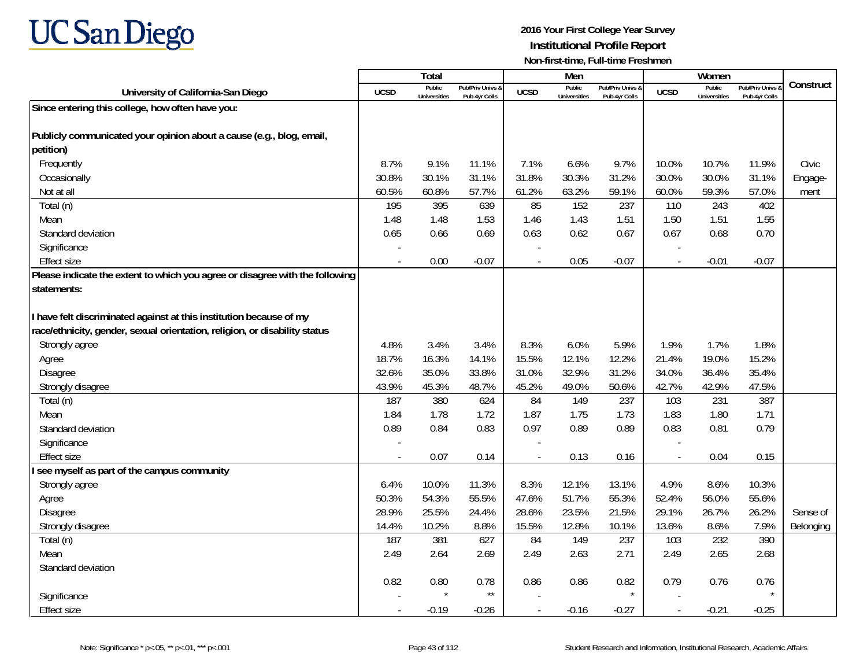

|                                                                              |             | Total                         |                                   |                          | Men                           |                                   |                          | Women                         |                                        |           |
|------------------------------------------------------------------------------|-------------|-------------------------------|-----------------------------------|--------------------------|-------------------------------|-----------------------------------|--------------------------|-------------------------------|----------------------------------------|-----------|
| University of California-San Diego                                           | <b>UCSD</b> | Public<br><b>Universities</b> | Pub/Priv Univs &<br>Pub 4yr Colls | <b>UCSD</b>              | Public<br><b>Universities</b> | Pub/Priv Univs &<br>Pub 4yr Colls | <b>UCSD</b>              | Public<br><b>Universities</b> | <b>Pub/Priv Univs</b><br>Pub 4yr Colls | Construct |
| Since entering this college, how often have you:                             |             |                               |                                   |                          |                               |                                   |                          |                               |                                        |           |
|                                                                              |             |                               |                                   |                          |                               |                                   |                          |                               |                                        |           |
| Publicly communicated your opinion about a cause (e.g., blog, email,         |             |                               |                                   |                          |                               |                                   |                          |                               |                                        |           |
| petition)                                                                    |             |                               |                                   |                          |                               |                                   |                          |                               |                                        |           |
| Frequently                                                                   | 8.7%        | 9.1%                          | 11.1%                             | 7.1%                     | 6.6%                          | 9.7%                              | 10.0%                    | 10.7%                         | 11.9%                                  | Civic     |
| Occasionally                                                                 | 30.8%       | 30.1%                         | 31.1%                             | 31.8%                    | 30.3%                         | 31.2%                             | 30.0%                    | 30.0%                         | 31.1%                                  | Engage-   |
| Not at all                                                                   | 60.5%       | 60.8%                         | 57.7%                             | 61.2%                    | 63.2%                         | 59.1%                             | 60.0%                    | 59.3%                         | 57.0%                                  | ment      |
| Total (n)                                                                    | 195         | 395                           | 639                               | 85                       | 152                           | 237                               | 110                      | 243                           | 402                                    |           |
| Mean                                                                         | 1.48        | 1.48                          | 1.53                              | 1.46                     | 1.43                          | 1.51                              | 1.50                     | 1.51                          | 1.55                                   |           |
| Standard deviation                                                           | 0.65        | 0.66                          | 0.69                              | 0.63                     | 0.62                          | 0.67                              | 0.67                     | 0.68                          | 0.70                                   |           |
| Significance                                                                 |             |                               |                                   |                          |                               |                                   |                          |                               |                                        |           |
| <b>Effect size</b>                                                           | $\sim$      | 0.00                          | $-0.07$                           | $\overline{a}$           | 0.05                          | $-0.07$                           | $\overline{\phantom{a}}$ | $-0.01$                       | $-0.07$                                |           |
| Please indicate the extent to which you agree or disagree with the following |             |                               |                                   |                          |                               |                                   |                          |                               |                                        |           |
| statements:                                                                  |             |                               |                                   |                          |                               |                                   |                          |                               |                                        |           |
|                                                                              |             |                               |                                   |                          |                               |                                   |                          |                               |                                        |           |
| I have felt discriminated against at this institution because of my          |             |                               |                                   |                          |                               |                                   |                          |                               |                                        |           |
| race/ethnicity, gender, sexual orientation, religion, or disability status   |             |                               |                                   |                          |                               |                                   |                          |                               |                                        |           |
| Strongly agree                                                               | 4.8%        | 3.4%                          | 3.4%                              | 8.3%                     | 6.0%                          | 5.9%                              | 1.9%                     | 1.7%                          | 1.8%                                   |           |
| Agree                                                                        | 18.7%       | 16.3%                         | 14.1%                             | 15.5%                    | 12.1%                         | 12.2%                             | 21.4%                    | 19.0%                         | 15.2%                                  |           |
| Disagree                                                                     | 32.6%       | 35.0%                         | 33.8%                             | 31.0%                    | 32.9%                         | 31.2%                             | 34.0%                    | 36.4%                         | 35.4%                                  |           |
| Strongly disagree                                                            | 43.9%       | 45.3%                         | 48.7%                             | 45.2%                    | 49.0%                         | 50.6%                             | 42.7%                    | 42.9%                         | 47.5%                                  |           |
| Total (n)                                                                    | 187         | 380                           | 624                               | 84                       | 149                           | 237                               | 103                      | 231                           | 387                                    |           |
| Mean                                                                         | 1.84        | 1.78                          | 1.72                              | 1.87                     | 1.75                          | 1.73                              | 1.83                     | 1.80                          | 1.71                                   |           |
| Standard deviation                                                           | 0.89        | 0.84                          | 0.83                              | 0.97                     | 0.89                          | 0.89                              | 0.83                     | 0.81                          | 0.79                                   |           |
| Significance                                                                 |             |                               |                                   |                          |                               |                                   |                          |                               |                                        |           |
| <b>Effect size</b>                                                           |             | 0.07                          | 0.14                              |                          | 0.13                          | 0.16                              | $\overline{a}$           | 0.04                          | 0.15                                   |           |
| I see myself as part of the campus community                                 |             |                               |                                   |                          |                               |                                   |                          |                               |                                        |           |
| Strongly agree                                                               | 6.4%        | 10.0%                         | 11.3%                             | 8.3%                     | 12.1%                         | 13.1%                             | 4.9%                     | 8.6%                          | 10.3%                                  |           |
| Agree                                                                        | 50.3%       | 54.3%                         | 55.5%                             | 47.6%                    | 51.7%                         | 55.3%                             | 52.4%                    | 56.0%                         | 55.6%                                  |           |
| Disagree                                                                     | 28.9%       | 25.5%                         | 24.4%                             | 28.6%                    | 23.5%                         | 21.5%                             | 29.1%                    | 26.7%                         | 26.2%                                  | Sense of  |
| Strongly disagree                                                            | 14.4%       | 10.2%                         | 8.8%                              | 15.5%                    | 12.8%                         | 10.1%                             | 13.6%                    | 8.6%                          | 7.9%                                   | Belonging |
| Total (n)                                                                    | 187         | 381                           | 627                               | 84                       | 149                           | 237                               | 103                      | 232                           | 390                                    |           |
| Mean                                                                         | 2.49        | 2.64                          | 2.69                              | 2.49                     | 2.63                          | 2.71                              | 2.49                     | 2.65                          | 2.68                                   |           |
| Standard deviation                                                           |             |                               |                                   |                          |                               |                                   |                          |                               |                                        |           |
|                                                                              | 0.82        | 0.80                          | 0.78                              | 0.86                     | 0.86                          | 0.82                              | 0.79                     | 0.76                          | 0.76                                   |           |
| Significance                                                                 |             |                               | $\star\star$                      |                          |                               |                                   |                          |                               |                                        |           |
| <b>Effect size</b>                                                           |             | $-0.19$                       | $-0.26$                           | $\overline{\phantom{a}}$ | $-0.16$                       | $-0.27$                           | $\overline{\phantom{a}}$ | $-0.21$                       | $-0.25$                                |           |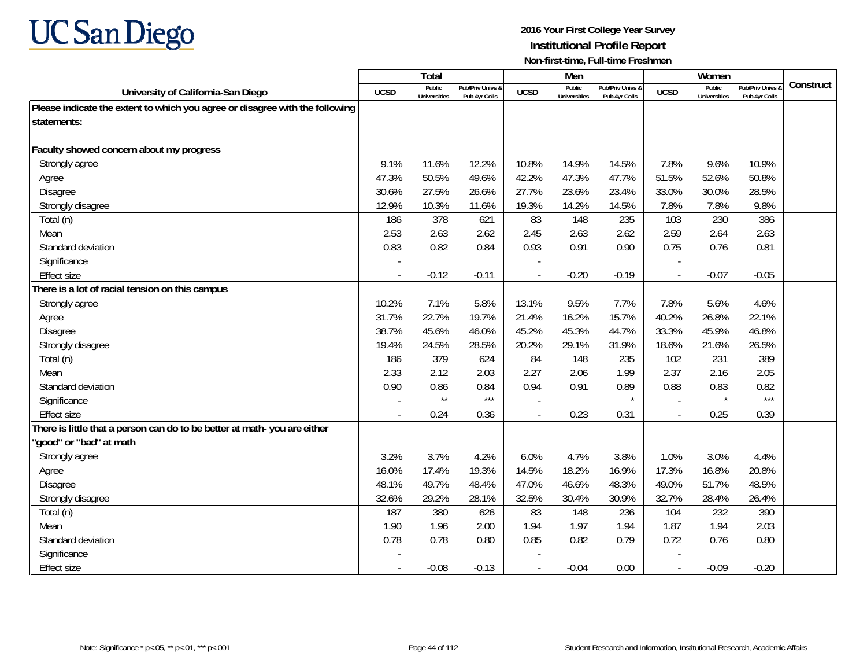

|                                                                              |             | <b>Total</b>                  |                                   |                | Men                           |                                   |                          | Women                         |                                        |           |
|------------------------------------------------------------------------------|-------------|-------------------------------|-----------------------------------|----------------|-------------------------------|-----------------------------------|--------------------------|-------------------------------|----------------------------------------|-----------|
| University of California-San Diego                                           | <b>UCSD</b> | Public<br><b>Universities</b> | Pub/Priv Univs &<br>Pub 4yr Colls | <b>UCSD</b>    | Public<br><b>Universities</b> | Pub/Priv Univs &<br>Pub 4yr Colls | <b>UCSD</b>              | Public<br><b>Universities</b> | <b>Pub/Priv Univs</b><br>Pub 4yr Colls | Construct |
| Please indicate the extent to which you agree or disagree with the following |             |                               |                                   |                |                               |                                   |                          |                               |                                        |           |
| statements:                                                                  |             |                               |                                   |                |                               |                                   |                          |                               |                                        |           |
|                                                                              |             |                               |                                   |                |                               |                                   |                          |                               |                                        |           |
| Faculty showed concern about my progress                                     |             |                               |                                   |                |                               |                                   |                          |                               |                                        |           |
| Strongly agree                                                               | 9.1%        | 11.6%                         | 12.2%                             | 10.8%          | 14.9%                         | 14.5%                             | 7.8%                     | 9.6%                          | 10.9%                                  |           |
| Agree                                                                        | 47.3%       | 50.5%                         | 49.6%                             | 42.2%          | 47.3%                         | 47.7%                             | 51.5%                    | 52.6%                         | 50.8%                                  |           |
| <b>Disagree</b>                                                              | 30.6%       | 27.5%                         | 26.6%                             | 27.7%          | 23.6%                         | 23.4%                             | 33.0%                    | 30.0%                         | 28.5%                                  |           |
| Strongly disagree                                                            | 12.9%       | 10.3%                         | 11.6%                             | 19.3%          | 14.2%                         | 14.5%                             | 7.8%                     | 7.8%                          | 9.8%                                   |           |
| Total (n)                                                                    | 186         | 378                           | 621                               | 83             | 148                           | 235                               | 103                      | 230                           | 386                                    |           |
| Mean                                                                         | 2.53        | 2.63                          | 2.62                              | 2.45           | 2.63                          | 2.62                              | 2.59                     | 2.64                          | 2.63                                   |           |
| Standard deviation                                                           | 0.83        | 0.82                          | 0.84                              | 0.93           | 0.91                          | 0.90                              | 0.75                     | 0.76                          | 0.81                                   |           |
| Significance                                                                 |             |                               |                                   |                |                               |                                   |                          |                               |                                        |           |
| <b>Effect size</b>                                                           |             | $-0.12$                       | $-0.11$                           |                | $-0.20$                       | $-0.19$                           |                          | $-0.07$                       | $-0.05$                                |           |
| There is a lot of racial tension on this campus                              |             |                               |                                   |                |                               |                                   |                          |                               |                                        |           |
| Strongly agree                                                               | 10.2%       | 7.1%                          | 5.8%                              | 13.1%          | 9.5%                          | 7.7%                              | 7.8%                     | 5.6%                          | 4.6%                                   |           |
| Agree                                                                        | 31.7%       | 22.7%                         | 19.7%                             | 21.4%          | 16.2%                         | 15.7%                             | 40.2%                    | 26.8%                         | 22.1%                                  |           |
| <b>Disagree</b>                                                              | 38.7%       | 45.6%                         | 46.0%                             | 45.2%          | 45.3%                         | 44.7%                             | 33.3%                    | 45.9%                         | 46.8%                                  |           |
| Strongly disagree                                                            | 19.4%       | 24.5%                         | 28.5%                             | 20.2%          | 29.1%                         | 31.9%                             | 18.6%                    | 21.6%                         | 26.5%                                  |           |
| Total (n)                                                                    | 186         | 379                           | 624                               | 84             | 148                           | 235                               | 102                      | 231                           | 389                                    |           |
| Mean                                                                         | 2.33        | 2.12                          | 2.03                              | 2.27           | 2.06                          | 1.99                              | 2.37                     | 2.16                          | 2.05                                   |           |
| Standard deviation                                                           | 0.90        | 0.86                          | 0.84                              | 0.94           | 0.91                          | 0.89                              | 0.88                     | 0.83                          | 0.82                                   |           |
| Significance                                                                 |             | $\star\star$                  | $***$                             |                |                               |                                   |                          | $\star$                       | $***$                                  |           |
| <b>Effect size</b>                                                           |             | 0.24                          | 0.36                              |                | 0.23                          | 0.31                              |                          | 0.25                          | 0.39                                   |           |
| There is little that a person can do to be better at math-you are either     |             |                               |                                   |                |                               |                                   |                          |                               |                                        |           |
| 'good" or "bad" at math                                                      |             |                               |                                   |                |                               |                                   |                          |                               |                                        |           |
| Strongly agree                                                               | 3.2%        | 3.7%                          | 4.2%                              | 6.0%           | 4.7%                          | 3.8%                              | 1.0%                     | 3.0%                          | 4.4%                                   |           |
| Agree                                                                        | 16.0%       | 17.4%                         | 19.3%                             | 14.5%          | 18.2%                         | 16.9%                             | 17.3%                    | 16.8%                         | 20.8%                                  |           |
| <b>Disagree</b>                                                              | 48.1%       | 49.7%                         | 48.4%                             | 47.0%          | 46.6%                         | 48.3%                             | 49.0%                    | 51.7%                         | 48.5%                                  |           |
| Strongly disagree                                                            | 32.6%       | 29.2%                         | 28.1%                             | 32.5%          | 30.4%                         | 30.9%                             | 32.7%                    | 28.4%                         | 26.4%                                  |           |
| Total (n)                                                                    | 187         | 380                           | 626                               | 83             | 148                           | 236                               | 104                      | 232                           | 390                                    |           |
| Mean                                                                         | 1.90        | 1.96                          | 2.00                              | 1.94           | 1.97                          | 1.94                              | 1.87                     | 1.94                          | 2.03                                   |           |
| Standard deviation                                                           | 0.78        | 0.78                          | 0.80                              | 0.85           | 0.82                          | 0.79                              | 0.72                     | 0.76                          | 0.80                                   |           |
| Significance                                                                 |             |                               |                                   |                |                               |                                   |                          |                               |                                        |           |
| <b>Effect size</b>                                                           |             | $-0.08$                       | $-0.13$                           | $\overline{a}$ | $-0.04$                       | 0.00                              | $\overline{\phantom{a}}$ | $-0.09$                       | $-0.20$                                |           |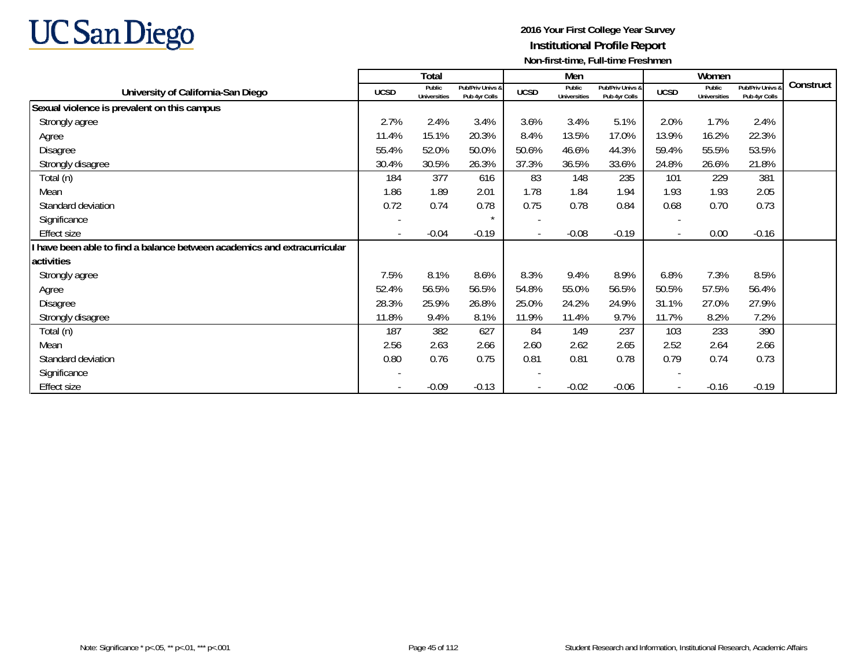

|                                                                        |                          | Total                         |                                   |                          | Men                           |                                   |                          | Women                         |                                   |           |
|------------------------------------------------------------------------|--------------------------|-------------------------------|-----------------------------------|--------------------------|-------------------------------|-----------------------------------|--------------------------|-------------------------------|-----------------------------------|-----------|
| University of California-San Diego                                     | <b>UCSD</b>              | Public<br><b>Universities</b> | Pub/Priv Univs &<br>Pub 4yr Colls | <b>UCSD</b>              | Public<br><b>Universities</b> | Pub/Priv Univs &<br>Pub 4yr Colls | <b>UCSD</b>              | Public<br><b>Universities</b> | Pub/Priv Univs &<br>Pub 4yr Colls | Construct |
| Sexual violence is prevalent on this campus                            |                          |                               |                                   |                          |                               |                                   |                          |                               |                                   |           |
| Strongly agree                                                         | 2.7%                     | 2.4%                          | 3.4%                              | 3.6%                     | 3.4%                          | 5.1%                              | 2.0%                     | 1.7%                          | 2.4%                              |           |
| Agree                                                                  | 11.4%                    | 15.1%                         | 20.3%                             | 8.4%                     | 13.5%                         | 17.0%                             | 13.9%                    | 16.2%                         | 22.3%                             |           |
| Disagree                                                               | 55.4%                    | 52.0%                         | 50.0%                             | 50.6%                    | 46.6%                         | 44.3%                             | 59.4%                    | 55.5%                         | 53.5%                             |           |
| Strongly disagree                                                      | 30.4%                    | 30.5%                         | 26.3%                             | 37.3%                    | 36.5%                         | 33.6%                             | 24.8%                    | 26.6%                         | 21.8%                             |           |
| Total (n)                                                              | 184                      | 377                           | 616                               | 83                       | 148                           | 235                               | 101                      | 229                           | 381                               |           |
| Mean                                                                   | 1.86                     | 1.89                          | 2.01                              | 1.78                     | 1.84                          | 1.94                              | 1.93                     | 1.93                          | 2.05                              |           |
| Standard deviation                                                     | 0.72                     | 0.74                          | 0.78                              | 0.75                     | 0.78                          | 0.84                              | 0.68                     | 0.70                          | 0.73                              |           |
| Significance                                                           | $\overline{\phantom{a}}$ |                               |                                   | $\overline{\phantom{a}}$ |                               |                                   |                          |                               |                                   |           |
| Effect size                                                            | $\overline{\phantom{a}}$ | $-0.04$                       | $-0.19$                           | $\overline{\phantom{a}}$ | $-0.08$                       | $-0.19$                           | $\overline{\phantom{a}}$ | 0.00                          | $-0.16$                           |           |
| have been able to find a balance between academics and extracurricular |                          |                               |                                   |                          |                               |                                   |                          |                               |                                   |           |
| activities                                                             |                          |                               |                                   |                          |                               |                                   |                          |                               |                                   |           |
| Strongly agree                                                         | 7.5%                     | 8.1%                          | 8.6%                              | 8.3%                     | 9.4%                          | 8.9%                              | 6.8%                     | 7.3%                          | 8.5%                              |           |
| Agree                                                                  | 52.4%                    | 56.5%                         | 56.5%                             | 54.8%                    | 55.0%                         | 56.5%                             | 50.5%                    | 57.5%                         | 56.4%                             |           |
| Disagree                                                               | 28.3%                    | 25.9%                         | 26.8%                             | 25.0%                    | 24.2%                         | 24.9%                             | 31.1%                    | 27.0%                         | 27.9%                             |           |
| Strongly disagree                                                      | 11.8%                    | 9.4%                          | 8.1%                              | 11.9%                    | 11.4%                         | 9.7%                              | 11.7%                    | 8.2%                          | 7.2%                              |           |
| Total (n)                                                              | 187                      | 382                           | 627                               | 84                       | 149                           | 237                               | 103                      | 233                           | 390                               |           |
| Mean                                                                   | 2.56                     | 2.63                          | 2.66                              | 2.60                     | 2.62                          | 2.65                              | 2.52                     | 2.64                          | 2.66                              |           |
| Standard deviation                                                     | 0.80                     | 0.76                          | 0.75                              | 0.81                     | 0.81                          | 0.78                              | 0.79                     | 0.74                          | 0.73                              |           |
| Significance                                                           |                          |                               |                                   |                          |                               |                                   |                          |                               |                                   |           |
| <b>Effect size</b>                                                     |                          | $-0.09$                       | $-0.13$                           | $\overline{\phantom{a}}$ | $-0.02$                       | $-0.06$                           |                          | $-0.16$                       | $-0.19$                           |           |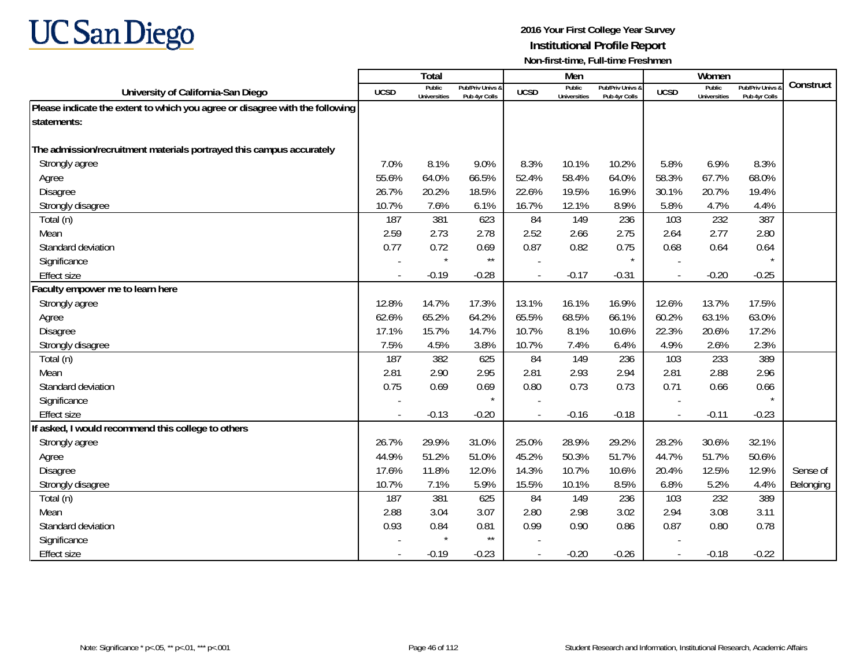

|                                                                              |                | <b>Total</b>                  |                                   |                | Men                           |                                   |             | Women                         |                                        |           |
|------------------------------------------------------------------------------|----------------|-------------------------------|-----------------------------------|----------------|-------------------------------|-----------------------------------|-------------|-------------------------------|----------------------------------------|-----------|
| University of California-San Diego                                           | <b>UCSD</b>    | Public<br><b>Universities</b> | Pub/Priv Univs 8<br>Pub 4yr Colls | <b>UCSD</b>    | Public<br><b>Universities</b> | Pub/Priv Univs &<br>Pub 4yr Colls | <b>UCSD</b> | Public<br><b>Universities</b> | <b>Pub/Priv Univs</b><br>Pub 4yr Colls | Construct |
| Please indicate the extent to which you agree or disagree with the following |                |                               |                                   |                |                               |                                   |             |                               |                                        |           |
| statements:                                                                  |                |                               |                                   |                |                               |                                   |             |                               |                                        |           |
|                                                                              |                |                               |                                   |                |                               |                                   |             |                               |                                        |           |
| The admission/recruitment materials portrayed this campus accurately         |                |                               |                                   |                |                               |                                   |             |                               |                                        |           |
| Strongly agree                                                               | 7.0%           | 8.1%                          | 9.0%                              | 8.3%           | 10.1%                         | 10.2%                             | 5.8%        | 6.9%                          | 8.3%                                   |           |
| Agree                                                                        | 55.6%          | 64.0%                         | 66.5%                             | 52.4%          | 58.4%                         | 64.0%                             | 58.3%       | 67.7%                         | 68.0%                                  |           |
| Disagree                                                                     | 26.7%          | 20.2%                         | 18.5%                             | 22.6%          | 19.5%                         | 16.9%                             | 30.1%       | 20.7%                         | 19.4%                                  |           |
| Strongly disagree                                                            | 10.7%          | 7.6%                          | 6.1%                              | 16.7%          | 12.1%                         | 8.9%                              | 5.8%        | 4.7%                          | 4.4%                                   |           |
| Total (n)                                                                    | 187            | 381                           | 623                               | 84             | 149                           | 236                               | 103         | 232                           | 387                                    |           |
| Mean                                                                         | 2.59           | 2.73                          | 2.78                              | 2.52           | 2.66                          | 2.75                              | 2.64        | 2.77                          | 2.80                                   |           |
| Standard deviation                                                           | 0.77           | 0.72                          | 0.69                              | 0.87           | 0.82                          | 0.75                              | 0.68        | 0.64                          | 0.64                                   |           |
| Significance                                                                 |                | $\star$                       | $\star\star$                      |                |                               | $\star$                           |             |                               | $\star$                                |           |
| <b>Effect size</b>                                                           |                | $-0.19$                       | $-0.28$                           |                | $-0.17$                       | $-0.31$                           |             | $-0.20$                       | $-0.25$                                |           |
| Faculty empower me to learn here                                             |                |                               |                                   |                |                               |                                   |             |                               |                                        |           |
| Strongly agree                                                               | 12.8%          | 14.7%                         | 17.3%                             | 13.1%          | 16.1%                         | 16.9%                             | 12.6%       | 13.7%                         | 17.5%                                  |           |
| Agree                                                                        | 62.6%          | 65.2%                         | 64.2%                             | 65.5%          | 68.5%                         | 66.1%                             | 60.2%       | 63.1%                         | 63.0%                                  |           |
| Disagree                                                                     | 17.1%          | 15.7%                         | 14.7%                             | 10.7%          | 8.1%                          | 10.6%                             | 22.3%       | 20.6%                         | 17.2%                                  |           |
| Strongly disagree                                                            | 7.5%           | 4.5%                          | 3.8%                              | 10.7%          | 7.4%                          | 6.4%                              | 4.9%        | 2.6%                          | 2.3%                                   |           |
| Total (n)                                                                    | 187            | 382                           | 625                               | 84             | 149                           | 236                               | 103         | 233                           | 389                                    |           |
| Mean                                                                         | 2.81           | 2.90                          | 2.95                              | 2.81           | 2.93                          | 2.94                              | 2.81        | 2.88                          | 2.96                                   |           |
| Standard deviation                                                           | 0.75           | 0.69                          | 0.69                              | 0.80           | 0.73                          | 0.73                              | 0.71        | 0.66                          | 0.66                                   |           |
| Significance                                                                 |                |                               | $\star$                           |                |                               |                                   |             |                               |                                        |           |
| <b>Effect size</b>                                                           | $\blacksquare$ | $-0.13$                       | $-0.20$                           |                | $-0.16$                       | $-0.18$                           |             | $-0.11$                       | $-0.23$                                |           |
| If asked, I would recommend this college to others                           |                |                               |                                   |                |                               |                                   |             |                               |                                        |           |
| Strongly agree                                                               | 26.7%          | 29.9%                         | 31.0%                             | 25.0%          | 28.9%                         | 29.2%                             | 28.2%       | 30.6%                         | 32.1%                                  |           |
| Agree                                                                        | 44.9%          | 51.2%                         | 51.0%                             | 45.2%          | 50.3%                         | 51.7%                             | 44.7%       | 51.7%                         | 50.6%                                  |           |
| Disagree                                                                     | 17.6%          | 11.8%                         | 12.0%                             | 14.3%          | 10.7%                         | 10.6%                             | 20.4%       | 12.5%                         | 12.9%                                  | Sense of  |
| Strongly disagree                                                            | 10.7%          | 7.1%                          | 5.9%                              | 15.5%          | 10.1%                         | 8.5%                              | 6.8%        | 5.2%                          | 4.4%                                   | Belonging |
| Total (n)                                                                    | 187            | 381                           | 625                               | 84             | 149                           | 236                               | 103         | 232                           | 389                                    |           |
| Mean                                                                         | 2.88           | 3.04                          | 3.07                              | 2.80           | 2.98                          | 3.02                              | 2.94        | 3.08                          | 3.11                                   |           |
| Standard deviation                                                           | 0.93           | 0.84                          | 0.81                              | 0.99           | 0.90                          | 0.86                              | 0.87        | 0.80                          | 0.78                                   |           |
| Significance                                                                 |                |                               | $\star\star$                      |                |                               |                                   |             |                               |                                        |           |
| <b>Effect size</b>                                                           |                | $-0.19$                       | $-0.23$                           | $\overline{a}$ | $-0.20$                       | $-0.26$                           |             | $-0.18$                       | $-0.22$                                |           |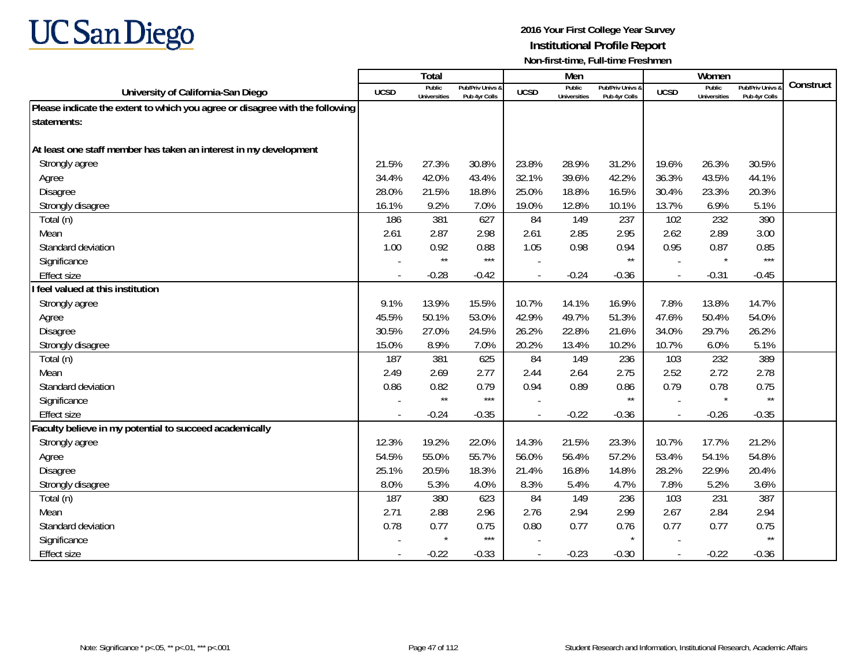

|                                                                              |             | <b>Total</b>                  |                                   |                | Men                           |                                   |                | Women                         |                                        |           |
|------------------------------------------------------------------------------|-------------|-------------------------------|-----------------------------------|----------------|-------------------------------|-----------------------------------|----------------|-------------------------------|----------------------------------------|-----------|
| University of California-San Diego                                           | <b>UCSD</b> | Public<br><b>Universities</b> | Pub/Priv Univs &<br>Pub 4yr Colls | <b>UCSD</b>    | Public<br><b>Universities</b> | Pub/Priv Univs &<br>Pub 4yr Colls | <b>UCSD</b>    | Public<br><b>Universities</b> | <b>Pub/Priv Univs</b><br>Pub 4yr Colls | Construct |
| Please indicate the extent to which you agree or disagree with the following |             |                               |                                   |                |                               |                                   |                |                               |                                        |           |
| statements:                                                                  |             |                               |                                   |                |                               |                                   |                |                               |                                        |           |
|                                                                              |             |                               |                                   |                |                               |                                   |                |                               |                                        |           |
| At least one staff member has taken an interest in my development            |             |                               |                                   |                |                               |                                   |                |                               |                                        |           |
| Strongly agree                                                               | 21.5%       | 27.3%                         | 30.8%                             | 23.8%          | 28.9%                         | 31.2%                             | 19.6%          | 26.3%                         | 30.5%                                  |           |
| Agree                                                                        | 34.4%       | 42.0%                         | 43.4%                             | 32.1%          | 39.6%                         | 42.2%                             | 36.3%          | 43.5%                         | 44.1%                                  |           |
| <b>Disagree</b>                                                              | 28.0%       | 21.5%                         | 18.8%                             | 25.0%          | 18.8%                         | 16.5%                             | 30.4%          | 23.3%                         | 20.3%                                  |           |
| Strongly disagree                                                            | 16.1%       | 9.2%                          | 7.0%                              | 19.0%          | 12.8%                         | 10.1%                             | 13.7%          | 6.9%                          | 5.1%                                   |           |
| Total (n)                                                                    | 186         | 381                           | 627                               | 84             | 149                           | 237                               | 102            | 232                           | 390                                    |           |
| Mean                                                                         | 2.61        | 2.87                          | 2.98                              | 2.61           | 2.85                          | 2.95                              | 2.62           | 2.89                          | 3.00                                   |           |
| Standard deviation                                                           | 1.00        | 0.92                          | 0.88                              | 1.05           | 0.98                          | 0.94                              | 0.95           | 0.87                          | 0.85                                   |           |
| Significance                                                                 |             | $\star\star$                  | $***$                             |                |                               | $^{\star\star}$                   |                | $\star$                       | $***$                                  |           |
| <b>Effect size</b>                                                           |             | $-0.28$                       | $-0.42$                           |                | $-0.24$                       | $-0.36$                           |                | $-0.31$                       | $-0.45$                                |           |
| I feel valued at this institution                                            |             |                               |                                   |                |                               |                                   |                |                               |                                        |           |
| Strongly agree                                                               | 9.1%        | 13.9%                         | 15.5%                             | 10.7%          | 14.1%                         | 16.9%                             | 7.8%           | 13.8%                         | 14.7%                                  |           |
| Agree                                                                        | 45.5%       | 50.1%                         | 53.0%                             | 42.9%          | 49.7%                         | 51.3%                             | 47.6%          | 50.4%                         | 54.0%                                  |           |
| Disagree                                                                     | 30.5%       | 27.0%                         | 24.5%                             | 26.2%          | 22.8%                         | 21.6%                             | 34.0%          | 29.7%                         | 26.2%                                  |           |
| Strongly disagree                                                            | 15.0%       | 8.9%                          | 7.0%                              | 20.2%          | 13.4%                         | 10.2%                             | 10.7%          | 6.0%                          | 5.1%                                   |           |
| Total (n)                                                                    | 187         | 381                           | 625                               | 84             | 149                           | 236                               | 103            | 232                           | 389                                    |           |
| Mean                                                                         | 2.49        | 2.69                          | 2.77                              | 2.44           | 2.64                          | 2.75                              | 2.52           | 2.72                          | 2.78                                   |           |
| Standard deviation                                                           | 0.86        | 0.82                          | 0.79                              | 0.94           | 0.89                          | 0.86                              | 0.79           | 0.78                          | 0.75                                   |           |
| Significance                                                                 |             | $\star\star$                  | $***$                             |                |                               | $\star\star$                      |                | $\star$                       | $\star\star$                           |           |
| <b>Effect size</b>                                                           | $\sim$      | $-0.24$                       | $-0.35$                           |                | $-0.22$                       | $-0.36$                           | $\blacksquare$ | $-0.26$                       | $-0.35$                                |           |
| Faculty believe in my potential to succeed academically                      |             |                               |                                   |                |                               |                                   |                |                               |                                        |           |
| Strongly agree                                                               | 12.3%       | 19.2%                         | 22.0%                             | 14.3%          | 21.5%                         | 23.3%                             | 10.7%          | 17.7%                         | 21.2%                                  |           |
| Agree                                                                        | 54.5%       | 55.0%                         | 55.7%                             | 56.0%          | 56.4%                         | 57.2%                             | 53.4%          | 54.1%                         | 54.8%                                  |           |
| <b>Disagree</b>                                                              | 25.1%       | 20.5%                         | 18.3%                             | 21.4%          | 16.8%                         | 14.8%                             | 28.2%          | 22.9%                         | 20.4%                                  |           |
| Strongly disagree                                                            | 8.0%        | 5.3%                          | 4.0%                              | 8.3%           | 5.4%                          | 4.7%                              | 7.8%           | 5.2%                          | 3.6%                                   |           |
| Total (n)                                                                    | 187         | 380                           | 623                               | 84             | 149                           | 236                               | 103            | 231                           | 387                                    |           |
| Mean                                                                         | 2.71        | 2.88                          | 2.96                              | 2.76           | 2.94                          | 2.99                              | 2.67           | 2.84                          | 2.94                                   |           |
| Standard deviation                                                           | 0.78        | 0.77                          | 0.75                              | 0.80           | 0.77                          | 0.76                              | 0.77           | 0.77                          | 0.75                                   |           |
| Significance                                                                 |             | $\star$                       | $***$                             |                |                               |                                   |                |                               | $\star\star$                           |           |
| <b>Effect size</b>                                                           |             | $-0.22$                       | $-0.33$                           | $\overline{a}$ | $-0.23$                       | $-0.30$                           | $\overline{a}$ | $-0.22$                       | $-0.36$                                |           |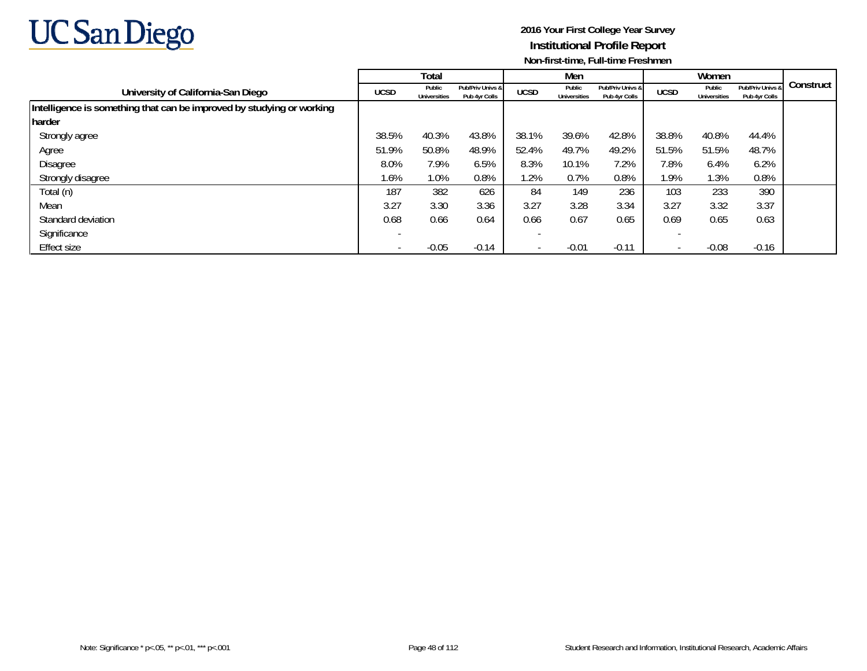

|                                                                       |                          | Total                         |                                   |                          | Men                           |                                   |             | Women                         |                                   |             |
|-----------------------------------------------------------------------|--------------------------|-------------------------------|-----------------------------------|--------------------------|-------------------------------|-----------------------------------|-------------|-------------------------------|-----------------------------------|-------------|
| University of California-San Diego                                    | <b>UCSD</b>              | Public<br><b>Universities</b> | Pub/Priv Univs &<br>Pub 4yr Colls | <b>UCSD</b>              | Public<br><b>Universities</b> | Pub/Priv Univs &<br>Pub 4yr Colls | <b>UCSD</b> | Public<br><b>Universities</b> | Pub/Priv Univs &<br>Pub 4yr Colls | Construct I |
| Intelligence is something that can be improved by studying or working |                          |                               |                                   |                          |                               |                                   |             |                               |                                   |             |
| harder                                                                |                          |                               |                                   |                          |                               |                                   |             |                               |                                   |             |
| Strongly agree                                                        | 38.5%                    | 40.3%                         | 43.8%                             | 38.1%                    | 39.6%                         | 42.8%                             | 38.8%       | 40.8%                         | 44.4%                             |             |
| Agree                                                                 | 51.9%                    | 50.8%                         | 48.9%                             | 52.4%                    | 49.7%                         | 49.2%                             | 51.5%       | 51.5%                         | 48.7%                             |             |
| Disagree                                                              | 8.0%                     | 7.9%                          | 6.5%                              | 8.3%                     | 10.1%                         | 7.2%                              | 7.8%        | 6.4%                          | 6.2%                              |             |
| Strongly disagree                                                     | 1.6%                     | 1.0%                          | 0.8%                              | 1.2%                     | 0.7%                          | 0.8%                              | 1.9%        | 1.3%                          | 0.8%                              |             |
| Total (n)                                                             | 187                      | 382                           | 626                               | 84                       | 149                           | 236                               | 103         | 233                           | 390                               |             |
| Mean                                                                  | 3.27                     | 3.30                          | 3.36                              | 3.27                     | 3.28                          | 3.34                              | 3.27        | 3.32                          | 3.37                              |             |
| Standard deviation                                                    | 0.68                     | 0.66                          | 0.64                              | 0.66                     | 0.67                          | 0.65                              | 0.69        | 0.65                          | 0.63                              |             |
| Significance                                                          | $\overline{\phantom{a}}$ |                               |                                   |                          |                               |                                   |             |                               |                                   |             |
| Effect size                                                           | $\overline{\phantom{0}}$ | $-0.05$                       | $-0.14$                           | $\overline{\phantom{a}}$ | $-0.01$                       | $-0.11$                           |             | $-0.08$                       | $-0.16$                           |             |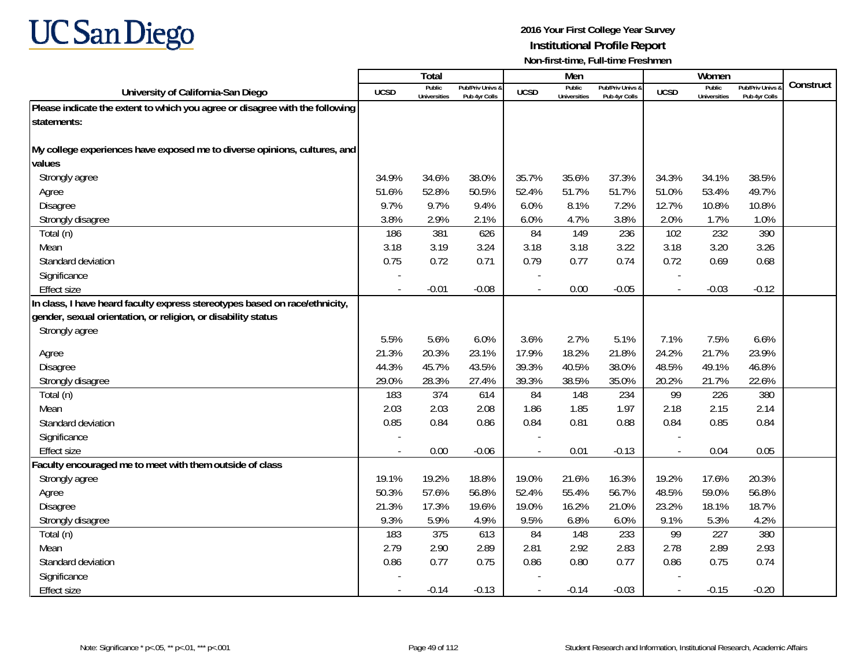

|                                                                              |                          | <b>Total</b>                  |                                   |             | Men                           |                                   |             | Women                         |                                        |           |
|------------------------------------------------------------------------------|--------------------------|-------------------------------|-----------------------------------|-------------|-------------------------------|-----------------------------------|-------------|-------------------------------|----------------------------------------|-----------|
| University of California-San Diego                                           | <b>UCSD</b>              | Public<br><b>Universities</b> | Pub/Priv Univs 8<br>Pub 4yr Colls | <b>UCSD</b> | Public<br><b>Universities</b> | Pub/Priv Univs &<br>Pub 4vr Colls | <b>UCSD</b> | Public<br><b>Universities</b> | <b>Pub/Priv Univs</b><br>Pub 4yr Colls | Construct |
| Please indicate the extent to which you agree or disagree with the following |                          |                               |                                   |             |                               |                                   |             |                               |                                        |           |
| statements:                                                                  |                          |                               |                                   |             |                               |                                   |             |                               |                                        |           |
|                                                                              |                          |                               |                                   |             |                               |                                   |             |                               |                                        |           |
| My college experiences have exposed me to diverse opinions, cultures, and    |                          |                               |                                   |             |                               |                                   |             |                               |                                        |           |
| values                                                                       |                          |                               |                                   |             |                               |                                   |             |                               |                                        |           |
| Strongly agree                                                               | 34.9%                    | 34.6%                         | 38.0%                             | 35.7%       | 35.6%                         | 37.3%                             | 34.3%       | 34.1%                         | 38.5%                                  |           |
| Agree                                                                        | 51.6%                    | 52.8%                         | 50.5%                             | 52.4%       | 51.7%                         | 51.7%                             | 51.0%       | 53.4%                         | 49.7%                                  |           |
| Disagree                                                                     | 9.7%                     | 9.7%                          | 9.4%                              | 6.0%        | 8.1%                          | 7.2%                              | 12.7%       | 10.8%                         | 10.8%                                  |           |
| Strongly disagree                                                            | 3.8%                     | 2.9%                          | 2.1%                              | 6.0%        | 4.7%                          | 3.8%                              | 2.0%        | 1.7%                          | 1.0%                                   |           |
| Total (n)                                                                    | 186                      | 381                           | 626                               | 84          | 149                           | 236                               | 102         | 232                           | 390                                    |           |
| Mean                                                                         | 3.18                     | 3.19                          | 3.24                              | 3.18        | 3.18                          | 3.22                              | 3.18        | 3.20                          | 3.26                                   |           |
| Standard deviation                                                           | 0.75                     | 0.72                          | 0.71                              | 0.79        | 0.77                          | 0.74                              | 0.72        | 0.69                          | 0.68                                   |           |
| Significance                                                                 |                          |                               |                                   |             |                               |                                   |             |                               |                                        |           |
| <b>Effect size</b>                                                           |                          | $-0.01$                       | $-0.08$                           | $\sim$      | 0.00                          | $-0.05$                           |             | $-0.03$                       | $-0.12$                                |           |
| In class, I have heard faculty express stereotypes based on race/ethnicity,  |                          |                               |                                   |             |                               |                                   |             |                               |                                        |           |
| gender, sexual orientation, or religion, or disability status                |                          |                               |                                   |             |                               |                                   |             |                               |                                        |           |
| Strongly agree                                                               |                          |                               |                                   |             |                               |                                   |             |                               |                                        |           |
|                                                                              | 5.5%                     | 5.6%                          | 6.0%                              | 3.6%        | 2.7%                          | 5.1%                              | 7.1%        | 7.5%                          | 6.6%                                   |           |
| Agree                                                                        | 21.3%                    | 20.3%                         | 23.1%                             | 17.9%       | 18.2%                         | 21.8%                             | 24.2%       | 21.7%                         | 23.9%                                  |           |
| Disagree                                                                     | 44.3%                    | 45.7%                         | 43.5%                             | 39.3%       | 40.5%                         | 38.0%                             | 48.5%       | 49.1%                         | 46.8%                                  |           |
| Strongly disagree                                                            | 29.0%                    | 28.3%                         | 27.4%                             | 39.3%       | 38.5%                         | 35.0%                             | 20.2%       | 21.7%                         | 22.6%                                  |           |
| Total (n)                                                                    | 183                      | 374                           | 614                               | 84          | 148                           | 234                               | 99          | 226                           | 380                                    |           |
| Mean                                                                         | 2.03                     | 2.03                          | 2.08                              | 1.86        | 1.85                          | 1.97                              | 2.18        | 2.15                          | 2.14                                   |           |
| Standard deviation                                                           | 0.85                     | 0.84                          | 0.86                              | 0.84        | 0.81                          | 0.88                              | 0.84        | 0.85                          | 0.84                                   |           |
| Significance                                                                 |                          |                               |                                   |             |                               |                                   |             |                               |                                        |           |
| <b>Effect size</b>                                                           | $\overline{\phantom{a}}$ | 0.00                          | $-0.06$                           |             | 0.01                          | $-0.13$                           |             | 0.04                          | 0.05                                   |           |
| Faculty encouraged me to meet with them outside of class                     |                          |                               |                                   |             |                               |                                   |             |                               |                                        |           |
| Strongly agree                                                               | 19.1%                    | 19.2%                         | 18.8%                             | 19.0%       | 21.6%                         | 16.3%                             | 19.2%       | 17.6%                         | 20.3%                                  |           |
| Agree                                                                        | 50.3%                    | 57.6%                         | 56.8%                             | 52.4%       | 55.4%                         | 56.7%                             | 48.5%       | 59.0%                         | 56.8%                                  |           |
| Disagree                                                                     | 21.3%                    | 17.3%                         | 19.6%                             | 19.0%       | 16.2%                         | 21.0%                             | 23.2%       | 18.1%                         | 18.7%                                  |           |
| Strongly disagree                                                            | 9.3%                     | 5.9%                          | 4.9%                              | 9.5%        | 6.8%                          | 6.0%                              | 9.1%        | 5.3%                          | 4.2%                                   |           |
| Total (n)                                                                    | 183                      | 375                           | 613                               | 84          | 148                           | 233                               | 99          | 227                           | 380                                    |           |
| Mean                                                                         | 2.79                     | 2.90                          | 2.89                              | 2.81        | 2.92                          | 2.83                              | 2.78        | 2.89                          | 2.93                                   |           |
| Standard deviation                                                           | 0.86                     | 0.77                          | 0.75                              | 0.86        | 0.80                          | 0.77                              | 0.86        | 0.75                          | 0.74                                   |           |
| Significance                                                                 |                          |                               |                                   |             |                               |                                   |             |                               |                                        |           |
| <b>Effect size</b>                                                           |                          | $-0.14$                       | $-0.13$                           |             | $-0.14$                       | $-0.03$                           |             | $-0.15$                       | $-0.20$                                |           |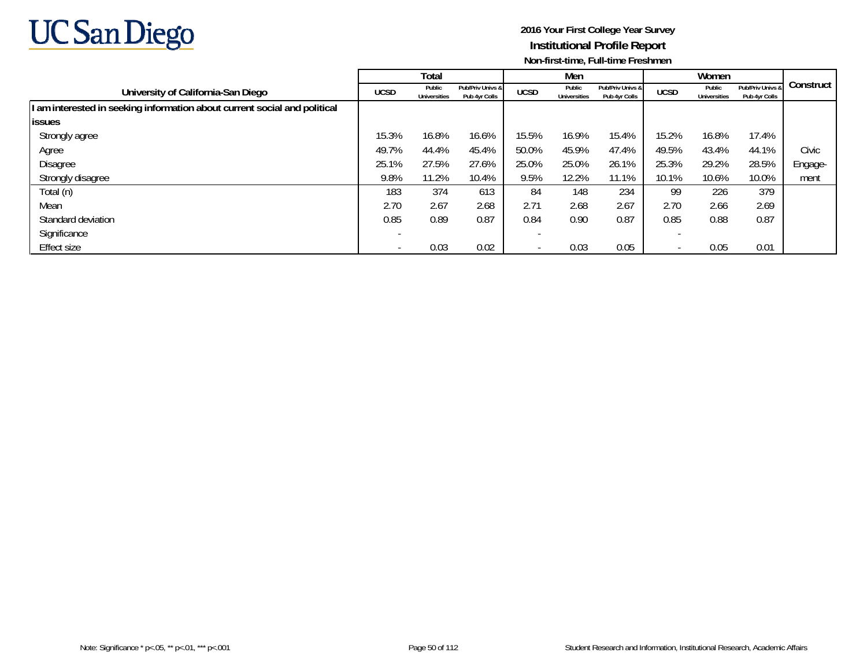

|                                                                           |             | Total                         |                                   |             | Men                           |                                   |                          | Women                         |                                   |           |
|---------------------------------------------------------------------------|-------------|-------------------------------|-----------------------------------|-------------|-------------------------------|-----------------------------------|--------------------------|-------------------------------|-----------------------------------|-----------|
| University of California-San Diego                                        | <b>UCSD</b> | Public<br><b>Universities</b> | Pub/Priv Univs &<br>Pub 4yr Colls | <b>UCSD</b> | Public<br><b>Universities</b> | Pub/Priv Univs &<br>Pub 4yr Colls | <b>UCSD</b>              | Public<br><b>Universities</b> | Pub/Priv Univs &<br>Pub 4yr Colls | Construct |
| I am interested in seeking information about current social and political |             |                               |                                   |             |                               |                                   |                          |                               |                                   |           |
| <b>issues</b>                                                             |             |                               |                                   |             |                               |                                   |                          |                               |                                   |           |
| Strongly agree                                                            | 15.3%       | 16.8%                         | 16.6%                             | 15.5%       | 16.9%                         | 15.4%                             | 15.2%                    | 16.8%                         | 17.4%                             |           |
| Agree                                                                     | 49.7%       | 44.4%                         | 45.4%                             | 50.0%       | 45.9%                         | 47.4%                             | 49.5%                    | 43.4%                         | 44.1%                             | Civic     |
| Disagree                                                                  | 25.1%       | 27.5%                         | 27.6%                             | 25.0%       | 25.0%                         | 26.1%                             | 25.3%                    | 29.2%                         | 28.5%                             | Engage-   |
| Strongly disagree                                                         | 9.8%        | 11.2%                         | 10.4%                             | 9.5%        | 12.2%                         | 11.1%                             | 10.1%                    | 10.6%                         | 10.0%                             | ment      |
| Total (n)                                                                 | 183         | 374                           | 613                               | 84          | 148                           | 234                               | 99                       | 226                           | 379                               |           |
| Mean                                                                      | 2.70        | 2.67                          | 2.68                              | 2.71        | 2.68                          | 2.67                              | 2.70                     | 2.66                          | 2.69                              |           |
| Standard deviation                                                        | 0.85        | 0.89                          | 0.87                              | 0.84        | 0.90                          | 0.87                              | 0.85                     | 0.88                          | 0.87                              |           |
| Significance                                                              |             |                               |                                   |             |                               |                                   |                          |                               |                                   |           |
| Effect size                                                               |             | 0.03                          | 0.02                              |             | 0.03                          | 0.05                              | $\overline{\phantom{a}}$ | 0.05                          | 0.01                              |           |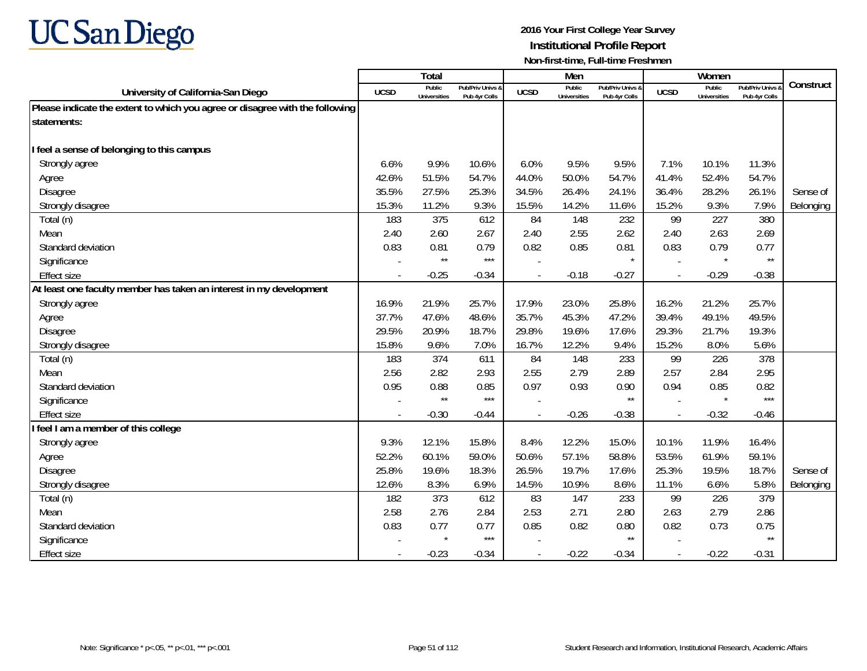

|                                                                              |             | <b>Total</b>                  |                                   |             | Men                           |                                   |                          | Women                         |                                        |           |
|------------------------------------------------------------------------------|-------------|-------------------------------|-----------------------------------|-------------|-------------------------------|-----------------------------------|--------------------------|-------------------------------|----------------------------------------|-----------|
| University of California-San Diego                                           | <b>UCSD</b> | Public<br><b>Universities</b> | Pub/Priv Univs &<br>Pub 4yr Colls | <b>UCSD</b> | Public<br><b>Universities</b> | Pub/Priv Univs &<br>Pub 4yr Colls | <b>UCSD</b>              | Public<br><b>Universities</b> | <b>Pub/Priv Univs</b><br>Pub 4yr Colls | Construct |
| Please indicate the extent to which you agree or disagree with the following |             |                               |                                   |             |                               |                                   |                          |                               |                                        |           |
| statements:                                                                  |             |                               |                                   |             |                               |                                   |                          |                               |                                        |           |
|                                                                              |             |                               |                                   |             |                               |                                   |                          |                               |                                        |           |
| I feel a sense of belonging to this campus                                   |             |                               |                                   |             |                               |                                   |                          |                               |                                        |           |
| Strongly agree                                                               | 6.6%        | 9.9%                          | 10.6%                             | 6.0%        | 9.5%                          | 9.5%                              | 7.1%                     | 10.1%                         | 11.3%                                  |           |
| Agree                                                                        | 42.6%       | 51.5%                         | 54.7%                             | 44.0%       | 50.0%                         | 54.7%                             | 41.4%                    | 52.4%                         | 54.7%                                  |           |
| Disagree                                                                     | 35.5%       | 27.5%                         | 25.3%                             | 34.5%       | 26.4%                         | 24.1%                             | 36.4%                    | 28.2%                         | 26.1%                                  | Sense of  |
| Strongly disagree                                                            | 15.3%       | 11.2%                         | 9.3%                              | 15.5%       | 14.2%                         | 11.6%                             | 15.2%                    | 9.3%                          | 7.9%                                   | Belonging |
| Total (n)                                                                    | 183         | 375                           | 612                               | 84          | 148                           | 232                               | 99                       | 227                           | 380                                    |           |
| Mean                                                                         | 2.40        | 2.60                          | 2.67                              | 2.40        | 2.55                          | 2.62                              | 2.40                     | 2.63                          | 2.69                                   |           |
| Standard deviation                                                           | 0.83        | 0.81                          | 0.79                              | 0.82        | 0.85                          | 0.81                              | 0.83                     | 0.79                          | 0.77                                   |           |
| Significance                                                                 |             | $\star\star$                  | $***$                             |             |                               | $\star$                           | $\overline{\phantom{a}}$ | $\star$                       | $\star\star$                           |           |
| <b>Effect size</b>                                                           |             | $-0.25$                       | $-0.34$                           |             | $-0.18$                       | $-0.27$                           |                          | $-0.29$                       | $-0.38$                                |           |
| At least one faculty member has taken an interest in my development          |             |                               |                                   |             |                               |                                   |                          |                               |                                        |           |
| Strongly agree                                                               | 16.9%       | 21.9%                         | 25.7%                             | 17.9%       | 23.0%                         | 25.8%                             | 16.2%                    | 21.2%                         | 25.7%                                  |           |
| Agree                                                                        | 37.7%       | 47.6%                         | 48.6%                             | 35.7%       | 45.3%                         | 47.2%                             | 39.4%                    | 49.1%                         | 49.5%                                  |           |
| Disagree                                                                     | 29.5%       | 20.9%                         | 18.7%                             | 29.8%       | 19.6%                         | 17.6%                             | 29.3%                    | 21.7%                         | 19.3%                                  |           |
| Strongly disagree                                                            | 15.8%       | 9.6%                          | 7.0%                              | 16.7%       | 12.2%                         | 9.4%                              | 15.2%                    | 8.0%                          | 5.6%                                   |           |
| Total (n)                                                                    | 183         | 374                           | 611                               | 84          | 148                           | 233                               | 99                       | 226                           | 378                                    |           |
| Mean                                                                         | 2.56        | 2.82                          | 2.93                              | 2.55        | 2.79                          | 2.89                              | 2.57                     | 2.84                          | 2.95                                   |           |
| Standard deviation                                                           | 0.95        | 0.88                          | 0.85                              | 0.97        | 0.93                          | 0.90                              | 0.94                     | 0.85                          | 0.82                                   |           |
| Significance                                                                 |             | $\star\star$                  | $***$                             |             |                               | $^{\star\star}$                   |                          | $\star$                       | $***$                                  |           |
| <b>Effect size</b>                                                           |             | $-0.30$                       | $-0.44$                           |             | $-0.26$                       | $-0.38$                           | $\overline{\phantom{a}}$ | $-0.32$                       | $-0.46$                                |           |
| feel I am a member of this college                                           |             |                               |                                   |             |                               |                                   |                          |                               |                                        |           |
| Strongly agree                                                               | 9.3%        | 12.1%                         | 15.8%                             | 8.4%        | 12.2%                         | 15.0%                             | 10.1%                    | 11.9%                         | 16.4%                                  |           |
| Agree                                                                        | 52.2%       | 60.1%                         | 59.0%                             | 50.6%       | 57.1%                         | 58.8%                             | 53.5%                    | 61.9%                         | 59.1%                                  |           |
| <b>Disagree</b>                                                              | 25.8%       | 19.6%                         | 18.3%                             | 26.5%       | 19.7%                         | 17.6%                             | 25.3%                    | 19.5%                         | 18.7%                                  | Sense of  |
| Strongly disagree                                                            | 12.6%       | 8.3%                          | 6.9%                              | 14.5%       | 10.9%                         | 8.6%                              | 11.1%                    | 6.6%                          | 5.8%                                   | Belonging |
| Total (n)                                                                    | 182         | 373                           | 612                               | 83          | 147                           | 233                               | 99                       | 226                           | 379                                    |           |
| Mean                                                                         | 2.58        | 2.76                          | 2.84                              | 2.53        | 2.71                          | 2.80                              | 2.63                     | 2.79                          | 2.86                                   |           |
| Standard deviation                                                           | 0.83        | 0.77                          | 0.77                              | 0.85        | 0.82                          | 0.80                              | 0.82                     | 0.73                          | 0.75                                   |           |
| Significance                                                                 |             | $\star$                       | $***$                             |             |                               | $\star\star$                      |                          |                               | $\star\star$                           |           |
| <b>Effect size</b>                                                           |             | $-0.23$                       | $-0.34$                           |             | $-0.22$                       | $-0.34$                           | $\sim$                   | $-0.22$                       | $-0.31$                                |           |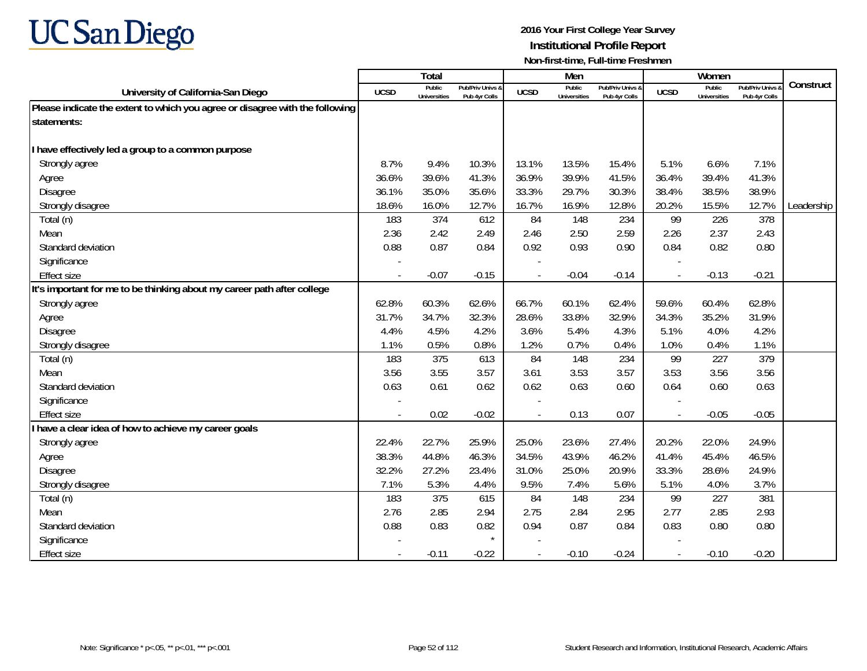

|                                                                              |             | <b>Total</b>                  |                                   |             | Men                           |                                   |                          | Women                         |                                        |            |
|------------------------------------------------------------------------------|-------------|-------------------------------|-----------------------------------|-------------|-------------------------------|-----------------------------------|--------------------------|-------------------------------|----------------------------------------|------------|
| University of California-San Diego                                           | <b>UCSD</b> | Public<br><b>Universities</b> | Pub/Priv Univs &<br>Pub 4yr Colls | <b>UCSD</b> | Public<br><b>Universities</b> | Pub/Priv Univs &<br>Pub 4yr Colls | <b>UCSD</b>              | Public<br><b>Universities</b> | <b>Pub/Priv Univs</b><br>Pub 4yr Colls | Construct  |
| Please indicate the extent to which you agree or disagree with the following |             |                               |                                   |             |                               |                                   |                          |                               |                                        |            |
| statements:                                                                  |             |                               |                                   |             |                               |                                   |                          |                               |                                        |            |
|                                                                              |             |                               |                                   |             |                               |                                   |                          |                               |                                        |            |
| I have effectively led a group to a common purpose                           |             |                               |                                   |             |                               |                                   |                          |                               |                                        |            |
| Strongly agree                                                               | 8.7%        | 9.4%                          | 10.3%                             | 13.1%       | 13.5%                         | 15.4%                             | 5.1%                     | 6.6%                          | 7.1%                                   |            |
| Agree                                                                        | 36.6%       | 39.6%                         | 41.3%                             | 36.9%       | 39.9%                         | 41.5%                             | 36.4%                    | 39.4%                         | 41.3%                                  |            |
| Disagree                                                                     | 36.1%       | 35.0%                         | 35.6%                             | 33.3%       | 29.7%                         | 30.3%                             | 38.4%                    | 38.5%                         | 38.9%                                  |            |
| Strongly disagree                                                            | 18.6%       | 16.0%                         | 12.7%                             | 16.7%       | 16.9%                         | 12.8%                             | 20.2%                    | 15.5%                         | 12.7%                                  | Leadership |
| Total (n)                                                                    | 183         | 374                           | 612                               | 84          | 148                           | 234                               | 99                       | 226                           | 378                                    |            |
| Mean                                                                         | 2.36        | 2.42                          | 2.49                              | 2.46        | 2.50                          | 2.59                              | 2.26                     | 2.37                          | 2.43                                   |            |
| Standard deviation                                                           | 0.88        | 0.87                          | 0.84                              | 0.92        | 0.93                          | 0.90                              | 0.84                     | 0.82                          | 0.80                                   |            |
| Significance                                                                 |             |                               |                                   |             |                               |                                   |                          |                               |                                        |            |
| <b>Effect size</b>                                                           |             | $-0.07$                       | $-0.15$                           |             | $-0.04$                       | $-0.14$                           |                          | $-0.13$                       | $-0.21$                                |            |
| It's important for me to be thinking about my career path after college      |             |                               |                                   |             |                               |                                   |                          |                               |                                        |            |
| Strongly agree                                                               | 62.8%       | 60.3%                         | 62.6%                             | 66.7%       | 60.1%                         | 62.4%                             | 59.6%                    | 60.4%                         | 62.8%                                  |            |
| Agree                                                                        | 31.7%       | 34.7%                         | 32.3%                             | 28.6%       | 33.8%                         | 32.9%                             | 34.3%                    | 35.2%                         | 31.9%                                  |            |
| Disagree                                                                     | 4.4%        | 4.5%                          | 4.2%                              | 3.6%        | 5.4%                          | 4.3%                              | 5.1%                     | 4.0%                          | 4.2%                                   |            |
| Strongly disagree                                                            | 1.1%        | 0.5%                          | 0.8%                              | 1.2%        | 0.7%                          | 0.4%                              | 1.0%                     | 0.4%                          | 1.1%                                   |            |
| Total (n)                                                                    | 183         | 375                           | 613                               | 84          | 148                           | 234                               | 99                       | 227                           | 379                                    |            |
| Mean                                                                         | 3.56        | 3.55                          | 3.57                              | 3.61        | 3.53                          | 3.57                              | 3.53                     | 3.56                          | 3.56                                   |            |
| Standard deviation                                                           | 0.63        | 0.61                          | 0.62                              | 0.62        | 0.63                          | 0.60                              | 0.64                     | 0.60                          | 0.63                                   |            |
| Significance                                                                 |             |                               |                                   |             |                               |                                   |                          |                               |                                        |            |
| <b>Effect size</b>                                                           |             | 0.02                          | $-0.02$                           |             | 0.13                          | 0.07                              | $\overline{\phantom{a}}$ | $-0.05$                       | $-0.05$                                |            |
| have a clear idea of how to achieve my career goals                          |             |                               |                                   |             |                               |                                   |                          |                               |                                        |            |
| Strongly agree                                                               | 22.4%       | 22.7%                         | 25.9%                             | 25.0%       | 23.6%                         | 27.4%                             | 20.2%                    | 22.0%                         | 24.9%                                  |            |
| Agree                                                                        | 38.3%       | 44.8%                         | 46.3%                             | 34.5%       | 43.9%                         | 46.2%                             | 41.4%                    | 45.4%                         | 46.5%                                  |            |
| <b>Disagree</b>                                                              | 32.2%       | 27.2%                         | 23.4%                             | 31.0%       | 25.0%                         | 20.9%                             | 33.3%                    | 28.6%                         | 24.9%                                  |            |
| Strongly disagree                                                            | 7.1%        | 5.3%                          | 4.4%                              | 9.5%        | 7.4%                          | 5.6%                              | 5.1%                     | 4.0%                          | 3.7%                                   |            |
| Total (n)                                                                    | 183         | 375                           | 615                               | 84          | 148                           | 234                               | 99                       | 227                           | 381                                    |            |
| Mean                                                                         | 2.76        | 2.85                          | 2.94                              | 2.75        | 2.84                          | 2.95                              | 2.77                     | 2.85                          | 2.93                                   |            |
| Standard deviation                                                           | 0.88        | 0.83                          | 0.82                              | 0.94        | 0.87                          | 0.84                              | 0.83                     | 0.80                          | 0.80                                   |            |
| Significance                                                                 |             |                               | $\star$                           |             |                               |                                   |                          |                               |                                        |            |
| <b>Effect size</b>                                                           |             | $-0.11$                       | $-0.22$                           |             | $-0.10$                       | $-0.24$                           | $\sim$                   | $-0.10$                       | $-0.20$                                |            |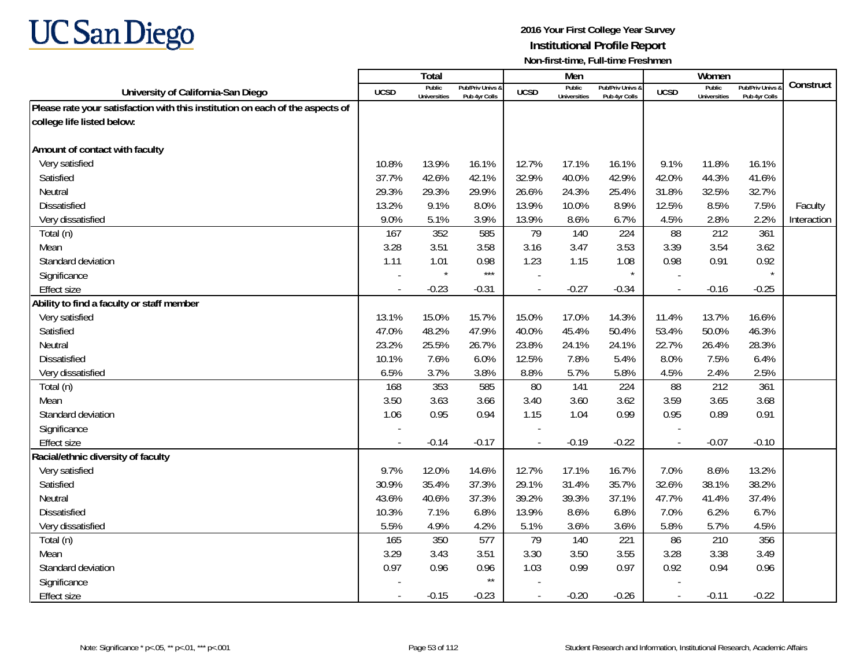

|                                                                               |             | Total                         |                                   |                | Men                           |                                   |                          | Women                         |                                        |             |
|-------------------------------------------------------------------------------|-------------|-------------------------------|-----------------------------------|----------------|-------------------------------|-----------------------------------|--------------------------|-------------------------------|----------------------------------------|-------------|
| University of California-San Diego                                            | <b>UCSD</b> | Public<br><b>Universities</b> | Pub/Priv Univs &<br>Pub 4yr Colls | <b>UCSD</b>    | Public<br><b>Universities</b> | Pub/Priv Univs &<br>Pub 4vr Colls | <b>UCSD</b>              | Public<br><b>Universities</b> | <b>Pub/Priv Univs</b><br>Pub 4vr Colls | Construct   |
| Please rate your satisfaction with this institution on each of the aspects of |             |                               |                                   |                |                               |                                   |                          |                               |                                        |             |
| college life listed below:                                                    |             |                               |                                   |                |                               |                                   |                          |                               |                                        |             |
|                                                                               |             |                               |                                   |                |                               |                                   |                          |                               |                                        |             |
| Amount of contact with faculty                                                |             |                               |                                   |                |                               |                                   |                          |                               |                                        |             |
| Very satisfied                                                                | 10.8%       | 13.9%                         | 16.1%                             | 12.7%          | 17.1%                         | 16.1%                             | 9.1%                     | 11.8%                         | 16.1%                                  |             |
| Satisfied                                                                     | 37.7%       | 42.6%                         | 42.1%                             | 32.9%          | 40.0%                         | 42.9%                             | 42.0%                    | 44.3%                         | 41.6%                                  |             |
| Neutral                                                                       | 29.3%       | 29.3%                         | 29.9%                             | 26.6%          | 24.3%                         | 25.4%                             | 31.8%                    | 32.5%                         | 32.7%                                  |             |
| Dissatisfied                                                                  | 13.2%       | 9.1%                          | 8.0%                              | 13.9%          | 10.0%                         | 8.9%                              | 12.5%                    | 8.5%                          | 7.5%                                   | Faculty     |
| Very dissatisfied                                                             | 9.0%        | 5.1%                          | 3.9%                              | 13.9%          | 8.6%                          | 6.7%                              | 4.5%                     | 2.8%                          | 2.2%                                   | Interaction |
| Total (n)                                                                     | 167         | 352                           | 585                               | 79             | 140                           | 224                               | 88                       | 212                           | 361                                    |             |
| Mean                                                                          | 3.28        | 3.51                          | 3.58                              | 3.16           | 3.47                          | 3.53                              | 3.39                     | 3.54                          | 3.62                                   |             |
| Standard deviation                                                            | 1.11        | 1.01                          | 0.98                              | 1.23           | 1.15                          | 1.08                              | 0.98                     | 0.91                          | 0.92                                   |             |
| Significance                                                                  |             | $\star$                       | $***$                             |                |                               |                                   |                          |                               |                                        |             |
| <b>Effect size</b>                                                            | $\sim$      | $-0.23$                       | $-0.31$                           | $\blacksquare$ | $-0.27$                       | $-0.34$                           | $\overline{\phantom{a}}$ | $-0.16$                       | $-0.25$                                |             |
| Ability to find a faculty or staff member                                     |             |                               |                                   |                |                               |                                   |                          |                               |                                        |             |
| Very satisfied                                                                | 13.1%       | 15.0%                         | 15.7%                             | 15.0%          | 17.0%                         | 14.3%                             | 11.4%                    | 13.7%                         | 16.6%                                  |             |
| Satisfied                                                                     | 47.0%       | 48.2%                         | 47.9%                             | 40.0%          | 45.4%                         | 50.4%                             | 53.4%                    | 50.0%                         | 46.3%                                  |             |
| Neutral                                                                       | 23.2%       | 25.5%                         | 26.7%                             | 23.8%          | 24.1%                         | 24.1%                             | 22.7%                    | 26.4%                         | 28.3%                                  |             |
| <b>Dissatisfied</b>                                                           | 10.1%       | 7.6%                          | 6.0%                              | 12.5%          | 7.8%                          | 5.4%                              | 8.0%                     | 7.5%                          | 6.4%                                   |             |
| Very dissatisfied                                                             | 6.5%        | 3.7%                          | 3.8%                              | 8.8%           | 5.7%                          | 5.8%                              | 4.5%                     | 2.4%                          | 2.5%                                   |             |
| Total (n)                                                                     | 168         | 353                           | 585                               | 80             | 141                           | 224                               | 88                       | 212                           | 361                                    |             |
| Mean                                                                          | 3.50        | 3.63                          | 3.66                              | 3.40           | 3.60                          | 3.62                              | 3.59                     | 3.65                          | 3.68                                   |             |
| Standard deviation                                                            | 1.06        | 0.95                          | 0.94                              | 1.15           | 1.04                          | 0.99                              | 0.95                     | 0.89                          | 0.91                                   |             |
| Significance                                                                  |             |                               |                                   |                |                               |                                   |                          |                               |                                        |             |
| <b>Effect size</b>                                                            | $\sim$      | $-0.14$                       | $-0.17$                           | $\overline{a}$ | $-0.19$                       | $-0.22$                           | $\mathbb{Z}$             | $-0.07$                       | $-0.10$                                |             |
| Racial/ethnic diversity of faculty                                            |             |                               |                                   |                |                               |                                   |                          |                               |                                        |             |
| Very satisfied                                                                | 9.7%        | 12.0%                         | 14.6%                             | 12.7%          | 17.1%                         | 16.7%                             | 7.0%                     | 8.6%                          | 13.2%                                  |             |
| Satisfied                                                                     | 30.9%       | 35.4%                         | 37.3%                             | 29.1%          | 31.4%                         | 35.7%                             | 32.6%                    | 38.1%                         | 38.2%                                  |             |
| Neutral                                                                       | 43.6%       | 40.6%                         | 37.3%                             | 39.2%          | 39.3%                         | 37.1%                             | 47.7%                    | 41.4%                         | 37.4%                                  |             |
| <b>Dissatisfied</b>                                                           | 10.3%       | 7.1%                          | 6.8%                              | 13.9%          | 8.6%                          | 6.8%                              | 7.0%                     | 6.2%                          | 6.7%                                   |             |
| Very dissatisfied                                                             | 5.5%        | 4.9%                          | 4.2%                              | 5.1%           | 3.6%                          | 3.6%                              | 5.8%                     | 5.7%                          | 4.5%                                   |             |
| Total (n)                                                                     | 165         | 350                           | 577                               | 79             | 140                           | 221                               | 86                       | 210                           | 356                                    |             |
| Mean                                                                          | 3.29        | 3.43                          | 3.51                              | 3.30           | 3.50                          | 3.55                              | 3.28                     | 3.38                          | 3.49                                   |             |
| Standard deviation                                                            | 0.97        | 0.96                          | 0.96                              | 1.03           | 0.99                          | 0.97                              | 0.92                     | 0.94                          | 0.96                                   |             |
| Significance                                                                  |             |                               | $\star\star$                      |                |                               |                                   |                          |                               |                                        |             |
| <b>Effect size</b>                                                            | $\sim$      | $-0.15$                       | $-0.23$                           | $\blacksquare$ | $-0.20$                       | $-0.26$                           | $\overline{\phantom{a}}$ | $-0.11$                       | $-0.22$                                |             |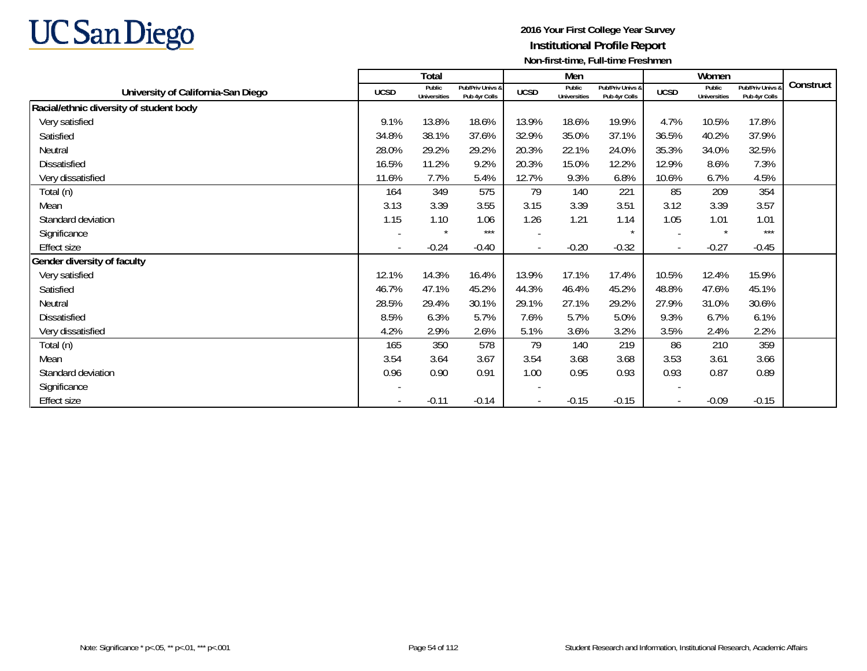

|                                         |                          | Total                         |                                   |                          | Men                           |                                   |                | Women                         |                                        |           |
|-----------------------------------------|--------------------------|-------------------------------|-----------------------------------|--------------------------|-------------------------------|-----------------------------------|----------------|-------------------------------|----------------------------------------|-----------|
| University of California-San Diego      | <b>UCSD</b>              | Public<br><b>Universities</b> | Pub/Priv Univs &<br>Pub 4yr Colls | <b>UCSD</b>              | Public<br><b>Universities</b> | Pub/Priv Univs &<br>Pub 4yr Colls | <b>UCSD</b>    | Public<br><b>Universities</b> | <b>Pub/Priv Univs</b><br>Pub 4yr Colls | Construct |
| Racial/ethnic diversity of student body |                          |                               |                                   |                          |                               |                                   |                |                               |                                        |           |
| Very satisfied                          | 9.1%                     | 13.8%                         | 18.6%                             | 13.9%                    | 18.6%                         | 19.9%                             | 4.7%           | 10.5%                         | 17.8%                                  |           |
| Satisfied                               | 34.8%                    | 38.1%                         | 37.6%                             | 32.9%                    | 35.0%                         | 37.1%                             | 36.5%          | 40.2%                         | 37.9%                                  |           |
| Neutral                                 | 28.0%                    | 29.2%                         | 29.2%                             | 20.3%                    | 22.1%                         | 24.0%                             | 35.3%          | 34.0%                         | 32.5%                                  |           |
| <b>Dissatisfied</b>                     | 16.5%                    | 11.2%                         | 9.2%                              | 20.3%                    | 15.0%                         | 12.2%                             | 12.9%          | 8.6%                          | 7.3%                                   |           |
| Very dissatisfied                       | 11.6%                    | 7.7%                          | 5.4%                              | 12.7%                    | 9.3%                          | 6.8%                              | 10.6%          | 6.7%                          | 4.5%                                   |           |
| Total (n)                               | 164                      | 349                           | 575                               | 79                       | 140                           | 221                               | 85             | 209                           | 354                                    |           |
| Mean                                    | 3.13                     | 3.39                          | 3.55                              | 3.15                     | 3.39                          | 3.51                              | 3.12           | 3.39                          | 3.57                                   |           |
| Standard deviation                      | 1.15                     | 1.10                          | 1.06                              | 1.26                     | 1.21                          | 1.14                              | 1.05           | 1.01                          | 1.01                                   |           |
| Significance                            |                          |                               | $***$                             |                          |                               |                                   |                | $\star$                       | $***$                                  |           |
| <b>Effect size</b>                      | $\overline{\phantom{a}}$ | $-0.24$                       | $-0.40$                           | $\overline{\phantom{a}}$ | $-0.20$                       | $-0.32$                           | $\blacksquare$ | $-0.27$                       | $-0.45$                                |           |
| Gender diversity of faculty             |                          |                               |                                   |                          |                               |                                   |                |                               |                                        |           |
| Very satisfied                          | 12.1%                    | 14.3%                         | 16.4%                             | 13.9%                    | 17.1%                         | 17.4%                             | 10.5%          | 12.4%                         | 15.9%                                  |           |
| Satisfied                               | 46.7%                    | 47.1%                         | 45.2%                             | 44.3%                    | 46.4%                         | 45.2%                             | 48.8%          | 47.6%                         | 45.1%                                  |           |
| Neutral                                 | 28.5%                    | 29.4%                         | 30.1%                             | 29.1%                    | 27.1%                         | 29.2%                             | 27.9%          | 31.0%                         | 30.6%                                  |           |
| Dissatisfied                            | 8.5%                     | 6.3%                          | 5.7%                              | 7.6%                     | 5.7%                          | 5.0%                              | 9.3%           | 6.7%                          | 6.1%                                   |           |
| Very dissatisfied                       | 4.2%                     | 2.9%                          | 2.6%                              | 5.1%                     | 3.6%                          | 3.2%                              | 3.5%           | 2.4%                          | 2.2%                                   |           |
| Total (n)                               | 165                      | 350                           | 578                               | 79                       | 140                           | 219                               | 86             | 210                           | 359                                    |           |
| Mean                                    | 3.54                     | 3.64                          | 3.67                              | 3.54                     | 3.68                          | 3.68                              | 3.53           | 3.61                          | 3.66                                   |           |
| Standard deviation                      | 0.96                     | 0.90                          | 0.91                              | 1.00                     | 0.95                          | 0.93                              | 0.93           | 0.87                          | 0.89                                   |           |
| Significance                            |                          |                               |                                   |                          |                               |                                   |                |                               |                                        |           |
| <b>Effect size</b>                      |                          | $-0.11$                       | $-0.14$                           |                          | $-0.15$                       | $-0.15$                           |                | $-0.09$                       | $-0.15$                                |           |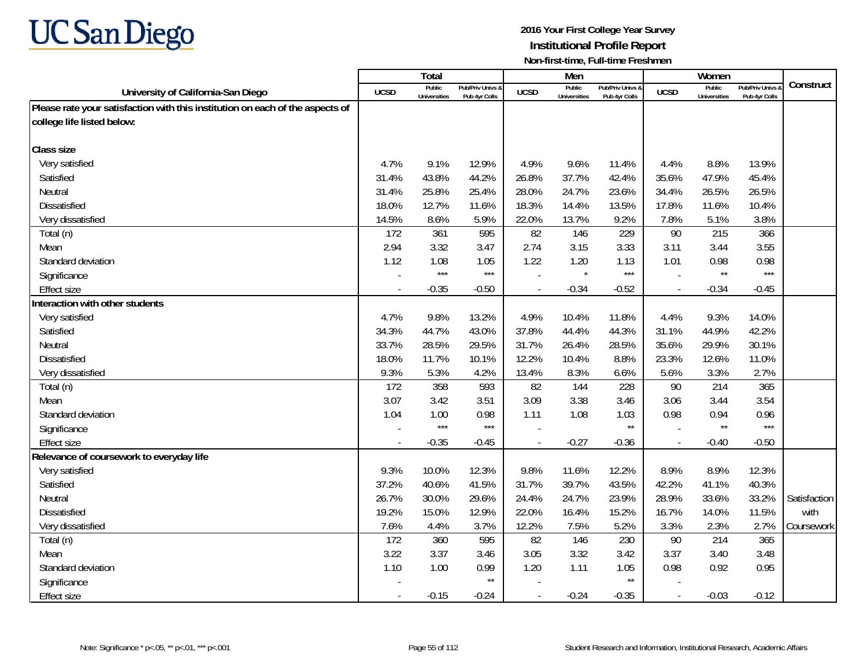

|                                                                               |                | Total                         |                                   |                | Men                           |                                   |                | Women                         |                                        |              |
|-------------------------------------------------------------------------------|----------------|-------------------------------|-----------------------------------|----------------|-------------------------------|-----------------------------------|----------------|-------------------------------|----------------------------------------|--------------|
| University of California-San Diego                                            | <b>UCSD</b>    | Public<br><b>Universities</b> | Pub/Priv Univs &<br>Pub 4yr Colls | <b>UCSD</b>    | Public<br><b>Universities</b> | Pub/Priv Univs &<br>Pub 4vr Colls | <b>UCSD</b>    | Public<br><b>Universities</b> | <b>Pub/Priv Univs</b><br>Pub 4yr Colls | Construct    |
| Please rate your satisfaction with this institution on each of the aspects of |                |                               |                                   |                |                               |                                   |                |                               |                                        |              |
| college life listed below:                                                    |                |                               |                                   |                |                               |                                   |                |                               |                                        |              |
|                                                                               |                |                               |                                   |                |                               |                                   |                |                               |                                        |              |
| <b>Class size</b>                                                             |                |                               |                                   |                |                               |                                   |                |                               |                                        |              |
| Very satisfied                                                                | 4.7%           | 9.1%                          | 12.9%                             | 4.9%           | 9.6%                          | 11.4%                             | 4.4%           | 8.8%                          | 13.9%                                  |              |
| Satisfied                                                                     | 31.4%          | 43.8%                         | 44.2%                             | 26.8%          | 37.7%                         | 42.4%                             | 35.6%          | 47.9%                         | 45.4%                                  |              |
| Neutral                                                                       | 31.4%          | 25.8%                         | 25.4%                             | 28.0%          | 24.7%                         | 23.6%                             | 34.4%          | 26.5%                         | 26.5%                                  |              |
| Dissatisfied                                                                  | 18.0%          | 12.7%                         | 11.6%                             | 18.3%          | 14.4%                         | 13.5%                             | 17.8%          | 11.6%                         | 10.4%                                  |              |
| Very dissatisfied                                                             | 14.5%          | 8.6%                          | 5.9%                              | 22.0%          | 13.7%                         | 9.2%                              | 7.8%           | 5.1%                          | 3.8%                                   |              |
| Total (n)                                                                     | 172            | 361                           | 595                               | 82             | 146                           | 229                               | 90             | 215                           | 366                                    |              |
| Mean                                                                          | 2.94           | 3.32                          | 3.47                              | 2.74           | 3.15                          | 3.33                              | 3.11           | 3.44                          | 3.55                                   |              |
| Standard deviation                                                            | 1.12           | 1.08                          | 1.05                              | 1.22           | 1.20                          | 1.13                              | 1.01           | 0.98                          | 0.98                                   |              |
| Significance                                                                  |                | $***$                         | $***$                             |                | $\star$                       | $***$                             |                | $\star\star$                  | $***$                                  |              |
| <b>Effect size</b>                                                            | $\sim$         | $-0.35$                       | $-0.50$                           | $\sim$         | $-0.34$                       | $-0.52$                           | $\overline{a}$ | $-0.34$                       | $-0.45$                                |              |
| Interaction with other students                                               |                |                               |                                   |                |                               |                                   |                |                               |                                        |              |
| Very satisfied                                                                | 4.7%           | 9.8%                          | 13.2%                             | 4.9%           | 10.4%                         | 11.8%                             | 4.4%           | 9.3%                          | 14.0%                                  |              |
| Satisfied                                                                     | 34.3%          | 44.7%                         | 43.0%                             | 37.8%          | 44.4%                         | 44.3%                             | 31.1%          | 44.9%                         | 42.2%                                  |              |
| Neutral                                                                       | 33.7%          | 28.5%                         | 29.5%                             | 31.7%          | 26.4%                         | 28.5%                             | 35.6%          | 29.9%                         | 30.1%                                  |              |
| <b>Dissatisfied</b>                                                           | 18.0%          | 11.7%                         | 10.1%                             | 12.2%          | 10.4%                         | 8.8%                              | 23.3%          | 12.6%                         | 11.0%                                  |              |
| Very dissatisfied                                                             | 9.3%           | 5.3%                          | 4.2%                              | 13.4%          | 8.3%                          | 6.6%                              | 5.6%           | 3.3%                          | 2.7%                                   |              |
| Total (n)                                                                     | 172            | 358                           | 593                               | 82             | 144                           | 228                               | 90             | 214                           | 365                                    |              |
| Mean                                                                          | 3.07           | 3.42                          | 3.51                              | 3.09           | 3.38                          | 3.46                              | 3.06           | 3.44                          | 3.54                                   |              |
| Standard deviation                                                            | 1.04           | 1.00                          | 0.98                              | 1.11           | 1.08                          | 1.03                              | 0.98           | 0.94                          | 0.96                                   |              |
| Significance                                                                  |                | $***$                         | $***$                             |                |                               | $\star\star$                      |                | $\star\star$                  | $***$                                  |              |
| <b>Effect size</b>                                                            | $\overline{a}$ | $-0.35$                       | $-0.45$                           | $\overline{a}$ | $-0.27$                       | $-0.36$                           | $\sim$         | $-0.40$                       | $-0.50$                                |              |
| Relevance of coursework to everyday life                                      |                |                               |                                   |                |                               |                                   |                |                               |                                        |              |
| Very satisfied                                                                | 9.3%           | 10.0%                         | 12.3%                             | 9.8%           | 11.6%                         | 12.2%                             | 8.9%           | 8.9%                          | 12.3%                                  |              |
| Satisfied                                                                     | 37.2%          | 40.6%                         | 41.5%                             | 31.7%          | 39.7%                         | 43.5%                             | 42.2%          | 41.1%                         | 40.3%                                  |              |
| Neutral                                                                       | 26.7%          | 30.0%                         | 29.6%                             | 24.4%          | 24.7%                         | 23.9%                             | 28.9%          | 33.6%                         | 33.2%                                  | Satisfaction |
| <b>Dissatisfied</b>                                                           | 19.2%          | 15.0%                         | 12.9%                             | 22.0%          | 16.4%                         | 15.2%                             | 16.7%          | 14.0%                         | 11.5%                                  | with         |
| Very dissatisfied                                                             | 7.6%           | 4.4%                          | 3.7%                              | 12.2%          | 7.5%                          | 5.2%                              | 3.3%           | 2.3%                          | 2.7%                                   | Coursework   |
| Total (n)                                                                     | 172            | 360                           | 595                               | 82             | 146                           | 230                               | 90             | 214                           | 365                                    |              |
| Mean                                                                          | 3.22           | 3.37                          | 3.46                              | 3.05           | 3.32                          | 3.42                              | 3.37           | 3.40                          | 3.48                                   |              |
| Standard deviation                                                            | 1.10           | 1.00                          | 0.99                              | 1.20           | 1.11                          | 1.05                              | 0.98           | 0.92                          | 0.95                                   |              |
| Significance                                                                  |                |                               | $^{\star\star}$                   |                |                               | $\star\star$                      |                |                               |                                        |              |
| <b>Effect size</b>                                                            | $\blacksquare$ | $-0.15$                       | $-0.24$                           | $\blacksquare$ | $-0.24$                       | $-0.35$                           | $\sim$         | $-0.03$                       | $-0.12$                                |              |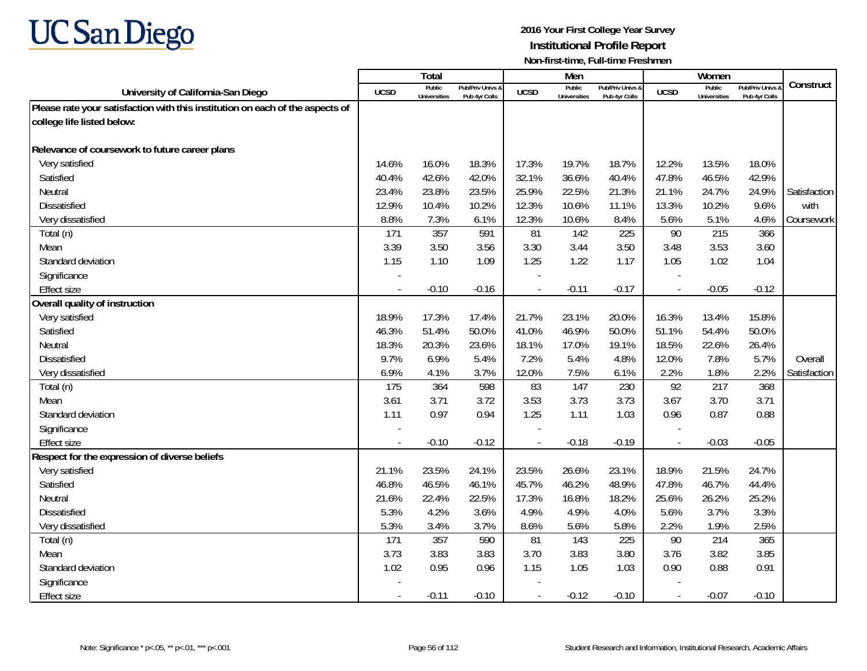

|                                                                               |             | Total                         |                                   |                          | Men                           |                                   |                          | Women                         |                                        |              |
|-------------------------------------------------------------------------------|-------------|-------------------------------|-----------------------------------|--------------------------|-------------------------------|-----------------------------------|--------------------------|-------------------------------|----------------------------------------|--------------|
| University of California-San Diego                                            | <b>UCSD</b> | Public<br><b>Universities</b> | Pub/Priv Univs &<br>Pub 4yr Colls | <b>UCSD</b>              | Public<br><b>Universities</b> | Pub/Priv Univs &<br>Pub 4vr Colls | <b>UCSD</b>              | Public<br><b>Universities</b> | <b>Pub/Priv Univs</b><br>Pub 4yr Colls | Construct    |
| Please rate your satisfaction with this institution on each of the aspects of |             |                               |                                   |                          |                               |                                   |                          |                               |                                        |              |
| college life listed below:                                                    |             |                               |                                   |                          |                               |                                   |                          |                               |                                        |              |
|                                                                               |             |                               |                                   |                          |                               |                                   |                          |                               |                                        |              |
| Relevance of coursework to future career plans                                |             |                               |                                   |                          |                               |                                   |                          |                               |                                        |              |
| Very satisfied                                                                | 14.6%       | 16.0%                         | 18.3%                             | 17.3%                    | 19.7%                         | 18.7%                             | 12.2%                    | 13.5%                         | 18.0%                                  |              |
| Satisfied                                                                     | 40.4%       | 42.6%                         | 42.0%                             | 32.1%                    | 36.6%                         | 40.4%                             | 47.8%                    | 46.5%                         | 42.9%                                  |              |
| Neutral                                                                       | 23.4%       | 23.8%                         | 23.5%                             | 25.9%                    | 22.5%                         | 21.3%                             | 21.1%                    | 24.7%                         | 24.9%                                  | Satisfaction |
| Dissatisfied                                                                  | 12.9%       | 10.4%                         | 10.2%                             | 12.3%                    | 10.6%                         | 11.1%                             | 13.3%                    | 10.2%                         | 9.6%                                   | with         |
| Very dissatisfied                                                             | 8.8%        | 7.3%                          | 6.1%                              | 12.3%                    | 10.6%                         | 8.4%                              | 5.6%                     | 5.1%                          | 4.6%                                   | Coursework   |
| Total (n)                                                                     | 171         | 357                           | 591                               | 81                       | 142                           | 225                               | 90                       | 215                           | 366                                    |              |
| Mean                                                                          | 3.39        | 3.50                          | 3.56                              | 3.30                     | 3.44                          | 3.50                              | 3.48                     | 3.53                          | 3.60                                   |              |
| Standard deviation                                                            | 1.15        | 1.10                          | 1.09                              | 1.25                     | 1.22                          | 1.17                              | 1.05                     | 1.02                          | 1.04                                   |              |
| Significance                                                                  |             |                               |                                   |                          |                               |                                   |                          |                               |                                        |              |
| <b>Effect size</b>                                                            | $\sim$      | $-0.10$                       | $-0.16$                           | $\overline{\phantom{a}}$ | $-0.11$                       | $-0.17$                           | $\sim$                   | $-0.05$                       | $-0.12$                                |              |
| Overall quality of instruction                                                |             |                               |                                   |                          |                               |                                   |                          |                               |                                        |              |
| Very satisfied                                                                | 18.9%       | 17.3%                         | 17.4%                             | 21.7%                    | 23.1%                         | 20.0%                             | 16.3%                    | 13.4%                         | 15.8%                                  |              |
| Satisfied                                                                     | 46.3%       | 51.4%                         | 50.0%                             | 41.0%                    | 46.9%                         | 50.0%                             | 51.1%                    | 54.4%                         | 50.0%                                  |              |
| Neutral                                                                       | 18.3%       | 20.3%                         | 23.6%                             | 18.1%                    | 17.0%                         | 19.1%                             | 18.5%                    | 22.6%                         | 26.4%                                  |              |
| <b>Dissatisfied</b>                                                           | 9.7%        | 6.9%                          | 5.4%                              | 7.2%                     | 5.4%                          | 4.8%                              | 12.0%                    | 7.8%                          | 5.7%                                   | Overall      |
| Very dissatisfied                                                             | 6.9%        | 4.1%                          | 3.7%                              | 12.0%                    | 7.5%                          | 6.1%                              | 2.2%                     | 1.8%                          | 2.2%                                   | Satisfaction |
| Total (n)                                                                     | 175         | 364                           | 598                               | 83                       | 147                           | 230                               | 92                       | 217                           | 368                                    |              |
| Mean                                                                          | 3.61        | 3.71                          | 3.72                              | 3.53                     | 3.73                          | 3.73                              | 3.67                     | 3.70                          | 3.71                                   |              |
| Standard deviation                                                            | 1.11        | 0.97                          | 0.94                              | 1.25                     | 1.11                          | 1.03                              | 0.96                     | 0.87                          | 0.88                                   |              |
| Significance                                                                  |             |                               |                                   |                          |                               |                                   |                          |                               |                                        |              |
| <b>Effect size</b>                                                            | $\sim$      | $-0.10$                       | $-0.12$                           | $\overline{\phantom{a}}$ | $-0.18$                       | $-0.19$                           | $\sim$                   | $-0.03$                       | $-0.05$                                |              |
| Respect for the expression of diverse beliefs                                 |             |                               |                                   |                          |                               |                                   |                          |                               |                                        |              |
| Very satisfied                                                                | 21.1%       | 23.5%                         | 24.1%                             | 23.5%                    | 26.6%                         | 23.1%                             | 18.9%                    | 21.5%                         | 24.7%                                  |              |
| Satisfied                                                                     | 46.8%       | 46.5%                         | 46.1%                             | 45.7%                    | 46.2%                         | 48.9%                             | 47.8%                    | 46.7%                         | 44.4%                                  |              |
| Neutral                                                                       | 21.6%       | 22.4%                         | 22.5%                             | 17.3%                    | 16.8%                         | 18.2%                             | 25.6%                    | 26.2%                         | 25.2%                                  |              |
| Dissatisfied                                                                  | 5.3%        | 4.2%                          | 3.6%                              | 4.9%                     | 4.9%                          | 4.0%                              | 5.6%                     | 3.7%                          | 3.3%                                   |              |
| Very dissatisfied                                                             | 5.3%        | 3.4%                          | 3.7%                              | 8.6%                     | 5.6%                          | 5.8%                              | 2.2%                     | 1.9%                          | 2.5%                                   |              |
| Total (n)                                                                     | 171         | 357                           | 590                               | 81                       | 143                           | 225                               | 90                       | 214                           | 365                                    |              |
| Mean                                                                          | 3.73        | 3.83                          | 3.83                              | 3.70                     | 3.83                          | 3.80                              | 3.76                     | 3.82                          | 3.85                                   |              |
| Standard deviation                                                            | 1.02        | 0.95                          | 0.96                              | 1.15                     | 1.05                          | 1.03                              | 0.90                     | 0.88                          | 0.91                                   |              |
| Significance                                                                  |             |                               |                                   |                          |                               |                                   |                          |                               |                                        |              |
| <b>Effect size</b>                                                            | $\sim$      | $-0.11$                       | $-0.10$                           | $\blacksquare$           | $-0.12$                       | $-0.10$                           | $\overline{\phantom{a}}$ | $-0.07$                       | $-0.10$                                |              |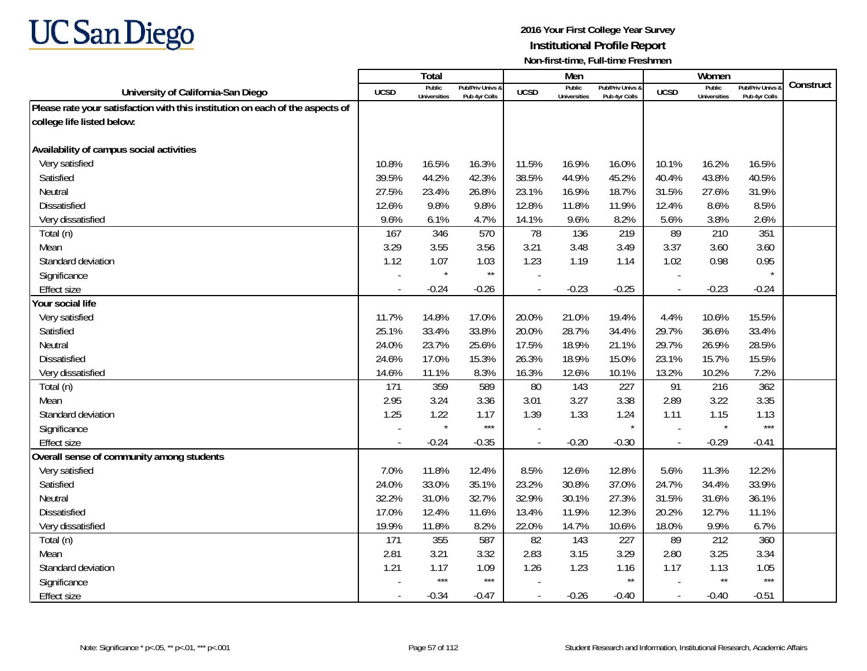

|                                                                               |                          | <b>Total</b>                  |                                   |                | Men                           |                                   |                          | Women                         |                                        |           |
|-------------------------------------------------------------------------------|--------------------------|-------------------------------|-----------------------------------|----------------|-------------------------------|-----------------------------------|--------------------------|-------------------------------|----------------------------------------|-----------|
| University of California-San Diego                                            | UCSD                     | Public<br><b>Universities</b> | Pub/Priv Univs &<br>Pub 4yr Colls | <b>UCSD</b>    | Public<br><b>Universities</b> | Pub/Priv Univs &<br>Pub 4yr Colls | <b>UCSD</b>              | Public<br><b>Universities</b> | <b>Pub/Priv Univs</b><br>Pub 4vr Colls | Construct |
| Please rate your satisfaction with this institution on each of the aspects of |                          |                               |                                   |                |                               |                                   |                          |                               |                                        |           |
| college life listed below:                                                    |                          |                               |                                   |                |                               |                                   |                          |                               |                                        |           |
|                                                                               |                          |                               |                                   |                |                               |                                   |                          |                               |                                        |           |
| Availability of campus social activities                                      |                          |                               |                                   |                |                               |                                   |                          |                               |                                        |           |
| Very satisfied                                                                | 10.8%                    | 16.5%                         | 16.3%                             | 11.5%          | 16.9%                         | 16.0%                             | 10.1%                    | 16.2%                         | 16.5%                                  |           |
| Satisfied                                                                     | 39.5%                    | 44.2%                         | 42.3%                             | 38.5%          | 44.9%                         | 45.2%                             | 40.4%                    | 43.8%                         | 40.5%                                  |           |
| Neutral                                                                       | 27.5%                    | 23.4%                         | 26.8%                             | 23.1%          | 16.9%                         | 18.7%                             | 31.5%                    | 27.6%                         | 31.9%                                  |           |
| Dissatisfied                                                                  | 12.6%                    | 9.8%                          | 9.8%                              | 12.8%          | 11.8%                         | 11.9%                             | 12.4%                    | 8.6%                          | 8.5%                                   |           |
| Very dissatisfied                                                             | 9.6%                     | 6.1%                          | 4.7%                              | 14.1%          | 9.6%                          | 8.2%                              | 5.6%                     | 3.8%                          | 2.6%                                   |           |
| Total (n)                                                                     | 167                      | 346                           | 570                               | 78             | 136                           | 219                               | 89                       | 210                           | 351                                    |           |
| Mean                                                                          | 3.29                     | 3.55                          | 3.56                              | 3.21           | 3.48                          | 3.49                              | 3.37                     | 3.60                          | 3.60                                   |           |
| Standard deviation                                                            | 1.12                     | 1.07                          | 1.03                              | 1.23           | 1.19                          | 1.14                              | 1.02                     | 0.98                          | 0.95                                   |           |
| Significance                                                                  |                          |                               | $\star\star$                      |                |                               |                                   |                          |                               |                                        |           |
| <b>Effect size</b>                                                            |                          | $-0.24$                       | $-0.26$                           | $\blacksquare$ | $-0.23$                       | $-0.25$                           | $\overline{\phantom{a}}$ | $-0.23$                       | $-0.24$                                |           |
| Your social life                                                              |                          |                               |                                   |                |                               |                                   |                          |                               |                                        |           |
| Very satisfied                                                                | 11.7%                    | 14.8%                         | 17.0%                             | 20.0%          | 21.0%                         | 19.4%                             | 4.4%                     | 10.6%                         | 15.5%                                  |           |
| Satisfied                                                                     | 25.1%                    | 33.4%                         | 33.8%                             | 20.0%          | 28.7%                         | 34.4%                             | 29.7%                    | 36.6%                         | 33.4%                                  |           |
| Neutral                                                                       | 24.0%                    | 23.7%                         | 25.6%                             | 17.5%          | 18.9%                         | 21.1%                             | 29.7%                    | 26.9%                         | 28.5%                                  |           |
| <b>Dissatisfied</b>                                                           | 24.6%                    | 17.0%                         | 15.3%                             | 26.3%          | 18.9%                         | 15.0%                             | 23.1%                    | 15.7%                         | 15.5%                                  |           |
| Very dissatisfied                                                             | 14.6%                    | 11.1%                         | 8.3%                              | 16.3%          | 12.6%                         | 10.1%                             | 13.2%                    | 10.2%                         | 7.2%                                   |           |
| Total (n)                                                                     | 171                      | 359                           | 589                               | 80             | 143                           | 227                               | 91                       | 216                           | 362                                    |           |
| Mean                                                                          | 2.95                     | 3.24                          | 3.36                              | 3.01           | 3.27                          | 3.38                              | 2.89                     | 3.22                          | 3.35                                   |           |
| Standard deviation                                                            | 1.25                     | 1.22                          | 1.17                              | 1.39           | 1.33                          | 1.24                              | 1.11                     | 1.15                          | 1.13                                   |           |
| Significance                                                                  |                          | $\star$                       | $***$                             |                |                               |                                   |                          | $\star$                       | $***$                                  |           |
| Effect size                                                                   | $\overline{\phantom{a}}$ | $-0.24$                       | $-0.35$                           | $\overline{a}$ | $-0.20$                       | $-0.30$                           | $\overline{\phantom{a}}$ | $-0.29$                       | $-0.41$                                |           |
| Overall sense of community among students                                     |                          |                               |                                   |                |                               |                                   |                          |                               |                                        |           |
| Very satisfied                                                                | 7.0%                     | 11.8%                         | 12.4%                             | 8.5%           | 12.6%                         | 12.8%                             | 5.6%                     | 11.3%                         | 12.2%                                  |           |
| Satisfied                                                                     | 24.0%                    | 33.0%                         | 35.1%                             | 23.2%          | 30.8%                         | 37.0%                             | 24.7%                    | 34.4%                         | 33.9%                                  |           |
| Neutral                                                                       | 32.2%                    | 31.0%                         | 32.7%                             | 32.9%          | 30.1%                         | 27.3%                             | 31.5%                    | 31.6%                         | 36.1%                                  |           |
| Dissatisfied                                                                  | 17.0%                    | 12.4%                         | 11.6%                             | 13.4%          | 11.9%                         | 12.3%                             | 20.2%                    | 12.7%                         | 11.1%                                  |           |
| Very dissatisfied                                                             | 19.9%                    | 11.8%                         | 8.2%                              | 22.0%          | 14.7%                         | 10.6%                             | 18.0%                    | 9.9%                          | 6.7%                                   |           |
| Total (n)                                                                     | 171                      | 355                           | 587                               | 82             | 143                           | 227                               | 89                       | 212                           | 360                                    |           |
| Mean                                                                          | 2.81                     | 3.21                          | 3.32                              | 2.83           | 3.15                          | 3.29                              | 2.80                     | 3.25                          | 3.34                                   |           |
| Standard deviation                                                            | 1.21                     | 1.17                          | 1.09                              | 1.26           | 1.23                          | 1.16                              | 1.17                     | 1.13                          | 1.05                                   |           |
| Significance                                                                  |                          | $***$                         | $***$                             |                |                               | $\star\star$                      |                          | $\star\star$                  | $***$                                  |           |
| <b>Effect size</b>                                                            |                          | $-0.34$                       | $-0.47$                           | $\sim$         | $-0.26$                       | $-0.40$                           | $\overline{\phantom{a}}$ | $-0.40$                       | $-0.51$                                |           |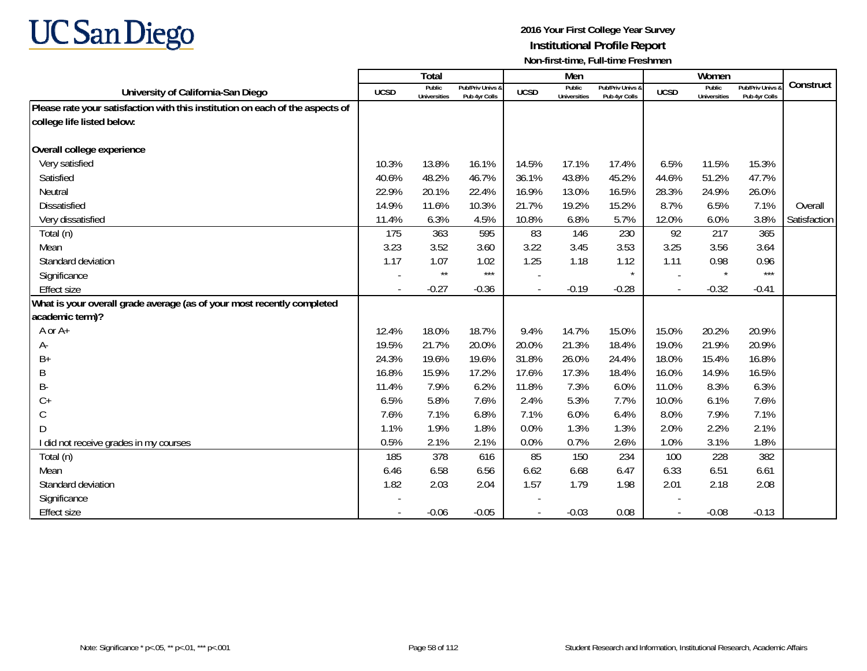

|                                                                               |             | <b>Total</b>                  |                                   |             | Men                           |                                   |                          | Women                         |                                 |              |
|-------------------------------------------------------------------------------|-------------|-------------------------------|-----------------------------------|-------------|-------------------------------|-----------------------------------|--------------------------|-------------------------------|---------------------------------|--------------|
| University of California-San Diego                                            | <b>UCSD</b> | Public<br><b>Universities</b> | Pub/Priv Univs &<br>Pub 4yr Colls | <b>UCSD</b> | Public<br><b>Universities</b> | Pub/Priv Univs &<br>Pub 4yr Colls | <b>UCSD</b>              | Public<br><b>Universities</b> | Pub/Priv Univs<br>Pub 4yr Colls | Construct    |
| Please rate your satisfaction with this institution on each of the aspects of |             |                               |                                   |             |                               |                                   |                          |                               |                                 |              |
| college life listed below:                                                    |             |                               |                                   |             |                               |                                   |                          |                               |                                 |              |
|                                                                               |             |                               |                                   |             |                               |                                   |                          |                               |                                 |              |
| Overall college experience                                                    |             |                               |                                   |             |                               |                                   |                          |                               |                                 |              |
| Very satisfied                                                                | 10.3%       | 13.8%                         | 16.1%                             | 14.5%       | 17.1%                         | 17.4%                             | 6.5%                     | 11.5%                         | 15.3%                           |              |
| Satisfied                                                                     | 40.6%       | 48.2%                         | 46.7%                             | 36.1%       | 43.8%                         | 45.2%                             | 44.6%                    | 51.2%                         | 47.7%                           |              |
| Neutral                                                                       | 22.9%       | 20.1%                         | 22.4%                             | 16.9%       | 13.0%                         | 16.5%                             | 28.3%                    | 24.9%                         | 26.0%                           |              |
| <b>Dissatisfied</b>                                                           | 14.9%       | 11.6%                         | 10.3%                             | 21.7%       | 19.2%                         | 15.2%                             | 8.7%                     | 6.5%                          | 7.1%                            | Overall      |
| Very dissatisfied                                                             | 11.4%       | 6.3%                          | 4.5%                              | 10.8%       | 6.8%                          | 5.7%                              | 12.0%                    | 6.0%                          | 3.8%                            | Satisfaction |
| Total (n)                                                                     | 175         | 363                           | 595                               | 83          | 146                           | 230                               | 92                       | 217                           | 365                             |              |
| Mean                                                                          | 3.23        | 3.52                          | 3.60                              | 3.22        | 3.45                          | 3.53                              | 3.25                     | 3.56                          | 3.64                            |              |
| Standard deviation                                                            | 1.17        | 1.07                          | 1.02                              | 1.25        | 1.18                          | 1.12                              | 1.11                     | 0.98                          | 0.96                            |              |
| Significance                                                                  |             | $\star\star$                  | $***$                             |             |                               | $\star$                           |                          | $\star$                       | $***$                           |              |
| <b>Effect size</b>                                                            |             | $-0.27$                       | $-0.36$                           |             | $-0.19$                       | $-0.28$                           | $\overline{\phantom{a}}$ | $-0.32$                       | $-0.41$                         |              |
| What is your overall grade average (as of your most recently completed        |             |                               |                                   |             |                               |                                   |                          |                               |                                 |              |
| academic term)?                                                               |             |                               |                                   |             |                               |                                   |                          |                               |                                 |              |
| A or A+                                                                       | 12.4%       | 18.0%                         | 18.7%                             | 9.4%        | 14.7%                         | 15.0%                             | 15.0%                    | 20.2%                         | 20.9%                           |              |
| А-                                                                            | 19.5%       | 21.7%                         | 20.0%                             | 20.0%       | 21.3%                         | 18.4%                             | 19.0%                    | 21.9%                         | 20.9%                           |              |
| B+                                                                            | 24.3%       | 19.6%                         | 19.6%                             | 31.8%       | 26.0%                         | 24.4%                             | 18.0%                    | 15.4%                         | 16.8%                           |              |
| B                                                                             | 16.8%       | 15.9%                         | 17.2%                             | 17.6%       | 17.3%                         | 18.4%                             | 16.0%                    | 14.9%                         | 16.5%                           |              |
| В-                                                                            | 11.4%       | 7.9%                          | 6.2%                              | 11.8%       | 7.3%                          | 6.0%                              | 11.0%                    | 8.3%                          | 6.3%                            |              |
| $C+$                                                                          | 6.5%        | 5.8%                          | 7.6%                              | 2.4%        | 5.3%                          | 7.7%                              | 10.0%                    | 6.1%                          | 7.6%                            |              |
| С                                                                             | 7.6%        | 7.1%                          | 6.8%                              | 7.1%        | 6.0%                          | 6.4%                              | 8.0%                     | 7.9%                          | 7.1%                            |              |
| D                                                                             | 1.1%        | 1.9%                          | 1.8%                              | 0.0%        | 1.3%                          | 1.3%                              | 2.0%                     | 2.2%                          | 2.1%                            |              |
| I did not receive grades in my courses                                        | 0.5%        | 2.1%                          | 2.1%                              | 0.0%        | 0.7%                          | 2.6%                              | 1.0%                     | 3.1%                          | 1.8%                            |              |
| Total (n)                                                                     | 185         | 378                           | 616                               | 85          | 150                           | 234                               | 100                      | 228                           | 382                             |              |
| Mean                                                                          | 6.46        | 6.58                          | 6.56                              | 6.62        | 6.68                          | 6.47                              | 6.33                     | 6.51                          | 6.61                            |              |
| Standard deviation                                                            | 1.82        | 2.03                          | 2.04                              | 1.57        | 1.79                          | 1.98                              | 2.01                     | 2.18                          | 2.08                            |              |
| Significance                                                                  |             |                               |                                   |             |                               |                                   |                          |                               |                                 |              |
| <b>Effect size</b>                                                            |             | $-0.06$                       | $-0.05$                           |             | $-0.03$                       | 0.08                              |                          | $-0.08$                       | $-0.13$                         |              |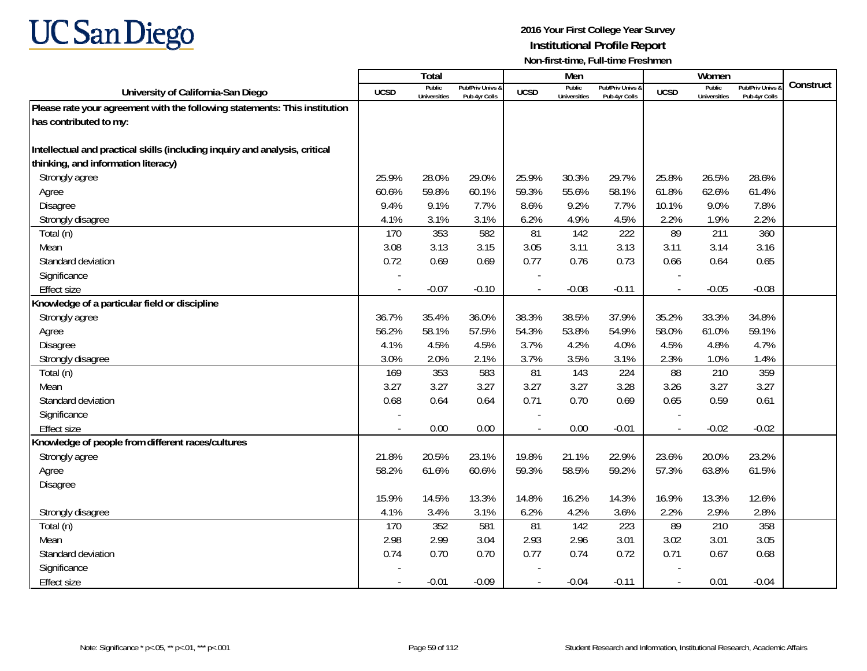

|                                                                             |                          | Total                         |                                   |                          | Men                           |                                   |                | Women                         |                                        |           |
|-----------------------------------------------------------------------------|--------------------------|-------------------------------|-----------------------------------|--------------------------|-------------------------------|-----------------------------------|----------------|-------------------------------|----------------------------------------|-----------|
| University of California-San Diego                                          | <b>UCSD</b>              | Public<br><b>Universities</b> | Pub/Priv Univs &<br>Pub 4yr Colls | <b>UCSD</b>              | Public<br><b>Universities</b> | Pub/Priv Univs &<br>Pub 4yr Colls | <b>UCSD</b>    | Public<br><b>Universities</b> | <b>Pub/Priv Univs</b><br>Pub 4yr Colls | Construct |
| Please rate your agreement with the following statements: This institution  |                          |                               |                                   |                          |                               |                                   |                |                               |                                        |           |
| has contributed to my:                                                      |                          |                               |                                   |                          |                               |                                   |                |                               |                                        |           |
|                                                                             |                          |                               |                                   |                          |                               |                                   |                |                               |                                        |           |
| Intellectual and practical skills (including inquiry and analysis, critical |                          |                               |                                   |                          |                               |                                   |                |                               |                                        |           |
| thinking, and information literacy)                                         |                          |                               |                                   |                          |                               |                                   |                |                               |                                        |           |
| Strongly agree                                                              | 25.9%                    | 28.0%                         | 29.0%                             | 25.9%                    | 30.3%                         | 29.7%                             | 25.8%          | 26.5%                         | 28.6%                                  |           |
| Agree                                                                       | 60.6%                    | 59.8%                         | 60.1%                             | 59.3%                    | 55.6%                         | 58.1%                             | 61.8%          | 62.6%                         | 61.4%                                  |           |
| Disagree                                                                    | 9.4%                     | 9.1%                          | 7.7%                              | 8.6%                     | 9.2%                          | 7.7%                              | 10.1%          | 9.0%                          | 7.8%                                   |           |
| Strongly disagree                                                           | 4.1%                     | 3.1%                          | 3.1%                              | 6.2%                     | 4.9%                          | 4.5%                              | 2.2%           | 1.9%                          | 2.2%                                   |           |
| Total (n)                                                                   | 170                      | 353                           | 582                               | 81                       | 142                           | 222                               | 89             | 211                           | 360                                    |           |
| Mean                                                                        | 3.08                     | 3.13                          | 3.15                              | 3.05                     | 3.11                          | 3.13                              | 3.11           | 3.14                          | 3.16                                   |           |
| Standard deviation                                                          | 0.72                     | 0.69                          | 0.69                              | 0.77                     | 0.76                          | 0.73                              | 0.66           | 0.64                          | 0.65                                   |           |
| Significance                                                                |                          |                               |                                   |                          |                               |                                   |                |                               |                                        |           |
| <b>Effect size</b>                                                          | $\overline{\phantom{a}}$ | $-0.07$                       | $-0.10$                           | $\overline{\phantom{a}}$ | $-0.08$                       | $-0.11$                           | $\sim$         | $-0.05$                       | $-0.08$                                |           |
| Knowledge of a particular field or discipline                               |                          |                               |                                   |                          |                               |                                   |                |                               |                                        |           |
| Strongly agree                                                              | 36.7%                    | 35.4%                         | 36.0%                             | 38.3%                    | 38.5%                         | 37.9%                             | 35.2%          | 33.3%                         | 34.8%                                  |           |
| Agree                                                                       | 56.2%                    | 58.1%                         | 57.5%                             | 54.3%                    | 53.8%                         | 54.9%                             | 58.0%          | 61.0%                         | 59.1%                                  |           |
| Disagree                                                                    | 4.1%                     | 4.5%                          | 4.5%                              | 3.7%                     | 4.2%                          | 4.0%                              | 4.5%           | 4.8%                          | 4.7%                                   |           |
| Strongly disagree                                                           | 3.0%                     | 2.0%                          | 2.1%                              | 3.7%                     | 3.5%                          | 3.1%                              | 2.3%           | 1.0%                          | 1.4%                                   |           |
| Total (n)                                                                   | 169                      | 353                           | 583                               | 81                       | 143                           | 224                               | 88             | 210                           | 359                                    |           |
| Mean                                                                        | 3.27                     | 3.27                          | 3.27                              | 3.27                     | 3.27                          | 3.28                              | 3.26           | 3.27                          | 3.27                                   |           |
| Standard deviation                                                          | 0.68                     | 0.64                          | 0.64                              | 0.71                     | 0.70                          | 0.69                              | 0.65           | 0.59                          | 0.61                                   |           |
| Significance                                                                |                          |                               |                                   |                          |                               |                                   |                |                               |                                        |           |
| <b>Effect size</b>                                                          | $\sim$                   | 0.00                          | 0.00                              | $\overline{\phantom{a}}$ | 0.00                          | $-0.01$                           | $\blacksquare$ | $-0.02$                       | $-0.02$                                |           |
| Knowledge of people from different races/cultures                           |                          |                               |                                   |                          |                               |                                   |                |                               |                                        |           |
| Strongly agree                                                              | 21.8%                    | 20.5%                         | 23.1%                             | 19.8%                    | 21.1%                         | 22.9%                             | 23.6%          | 20.0%                         | 23.2%                                  |           |
| Agree                                                                       | 58.2%                    | 61.6%                         | 60.6%                             | 59.3%                    | 58.5%                         | 59.2%                             | 57.3%          | 63.8%                         | 61.5%                                  |           |
| Disagree                                                                    |                          |                               |                                   |                          |                               |                                   |                |                               |                                        |           |
|                                                                             | 15.9%                    | 14.5%                         | 13.3%                             | 14.8%                    | 16.2%                         | 14.3%                             | 16.9%          | 13.3%                         | 12.6%                                  |           |
| Strongly disagree                                                           | 4.1%                     | 3.4%                          | 3.1%                              | 6.2%                     | 4.2%                          | 3.6%                              | 2.2%           | 2.9%                          | 2.8%                                   |           |
| Total (n)                                                                   | 170                      | 352                           | 581                               | 81                       | 142                           | 223                               | 89             | 210                           | 358                                    |           |
| Mean                                                                        | 2.98                     | 2.99                          | 3.04                              | 2.93                     | 2.96                          | 3.01                              | 3.02           | 3.01                          | 3.05                                   |           |
| Standard deviation                                                          | 0.74                     | 0.70                          | 0.70                              | 0.77                     | 0.74                          | 0.72                              | 0.71           | 0.67                          | 0.68                                   |           |
| Significance                                                                |                          |                               |                                   |                          |                               |                                   |                |                               |                                        |           |
| <b>Effect size</b>                                                          |                          | $-0.01$                       | $-0.09$                           |                          | $-0.04$                       | $-0.11$                           | $\blacksquare$ | 0.01                          | $-0.04$                                |           |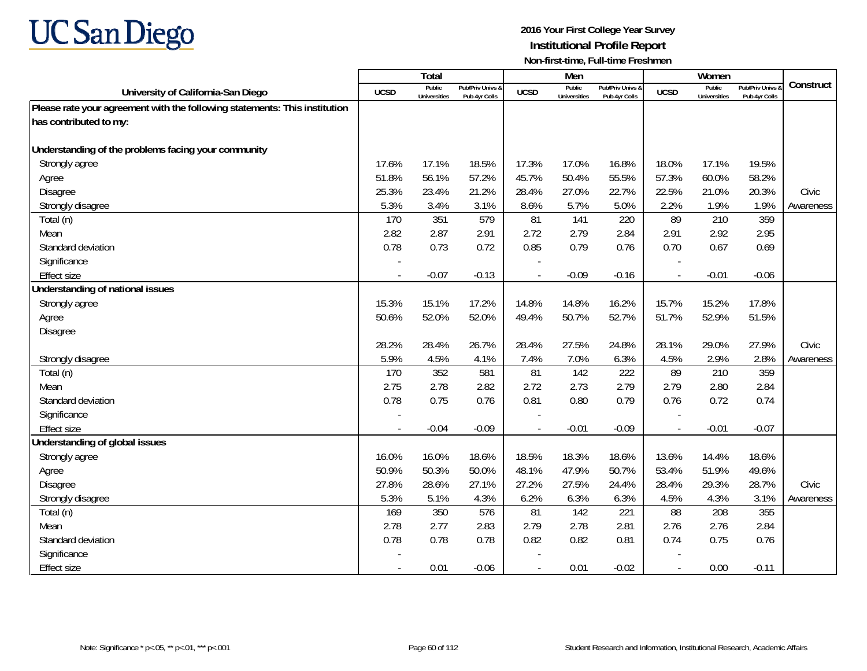

|                                                                            |                          | Total                         |                                   |                | Men                           |                                   |                | Women                         |                                        |           |
|----------------------------------------------------------------------------|--------------------------|-------------------------------|-----------------------------------|----------------|-------------------------------|-----------------------------------|----------------|-------------------------------|----------------------------------------|-----------|
| University of California-San Diego                                         | <b>UCSD</b>              | Public<br><b>Universities</b> | Pub/Priv Univs &<br>Pub 4yr Colls | <b>UCSD</b>    | Public<br><b>Universities</b> | Pub/Priv Univs &<br>Pub 4yr Colls | <b>UCSD</b>    | Public<br><b>Universities</b> | <b>Pub/Priv Univs</b><br>Pub 4yr Colls | Construct |
| Please rate your agreement with the following statements: This institution |                          |                               |                                   |                |                               |                                   |                |                               |                                        |           |
| has contributed to my:                                                     |                          |                               |                                   |                |                               |                                   |                |                               |                                        |           |
|                                                                            |                          |                               |                                   |                |                               |                                   |                |                               |                                        |           |
| Understanding of the problems facing your community                        |                          |                               |                                   |                |                               |                                   |                |                               |                                        |           |
| Strongly agree                                                             | 17.6%                    | 17.1%                         | 18.5%                             | 17.3%          | 17.0%                         | 16.8%                             | 18.0%          | 17.1%                         | 19.5%                                  |           |
| Agree                                                                      | 51.8%                    | 56.1%                         | 57.2%                             | 45.7%          | 50.4%                         | 55.5%                             | 57.3%          | 60.0%                         | 58.2%                                  |           |
| Disagree                                                                   | 25.3%                    | 23.4%                         | 21.2%                             | 28.4%          | 27.0%                         | 22.7%                             | 22.5%          | 21.0%                         | 20.3%                                  | Civic     |
| Strongly disagree                                                          | 5.3%                     | 3.4%                          | 3.1%                              | 8.6%           | 5.7%                          | 5.0%                              | 2.2%           | 1.9%                          | 1.9%                                   | Awareness |
| Total (n)                                                                  | 170                      | 351                           | 579                               | 81             | 141                           | 220                               | 89             | 210                           | 359                                    |           |
| Mean                                                                       | 2.82                     | 2.87                          | 2.91                              | 2.72           | 2.79                          | 2.84                              | 2.91           | 2.92                          | 2.95                                   |           |
| Standard deviation                                                         | 0.78                     | 0.73                          | 0.72                              | 0.85           | 0.79                          | 0.76                              | 0.70           | 0.67                          | 0.69                                   |           |
| Significance                                                               |                          |                               |                                   |                |                               |                                   |                |                               |                                        |           |
| <b>Effect size</b>                                                         |                          | $-0.07$                       | $-0.13$                           |                | $-0.09$                       | $-0.16$                           |                | $-0.01$                       | $-0.06$                                |           |
| Understanding of national issues                                           |                          |                               |                                   |                |                               |                                   |                |                               |                                        |           |
| Strongly agree                                                             | 15.3%                    | 15.1%                         | 17.2%                             | 14.8%          | 14.8%                         | 16.2%                             | 15.7%          | 15.2%                         | 17.8%                                  |           |
| Agree                                                                      | 50.6%                    | 52.0%                         | 52.0%                             | 49.4%          | 50.7%                         | 52.7%                             | 51.7%          | 52.9%                         | 51.5%                                  |           |
| Disagree                                                                   |                          |                               |                                   |                |                               |                                   |                |                               |                                        |           |
|                                                                            | 28.2%                    | 28.4%                         | 26.7%                             | 28.4%          | 27.5%                         | 24.8%                             | 28.1%          | 29.0%                         | 27.9%                                  | Civic     |
| Strongly disagree                                                          | 5.9%                     | 4.5%                          | 4.1%                              | 7.4%           | 7.0%                          | 6.3%                              | 4.5%           | 2.9%                          | 2.8%                                   | Awareness |
| Total (n)                                                                  | 170                      | 352                           | 581                               | 81             | 142                           | 222                               | 89             | 210                           | 359                                    |           |
| Mean                                                                       | 2.75                     | 2.78                          | 2.82                              | 2.72           | 2.73                          | 2.79                              | 2.79           | 2.80                          | 2.84                                   |           |
| Standard deviation                                                         | 0.78                     | 0.75                          | 0.76                              | 0.81           | 0.80                          | 0.79                              | 0.76           | 0.72                          | 0.74                                   |           |
| Significance                                                               |                          |                               |                                   |                |                               |                                   |                |                               |                                        |           |
| <b>Effect size</b>                                                         |                          | $-0.04$                       | $-0.09$                           |                | $-0.01$                       | $-0.09$                           |                | $-0.01$                       | $-0.07$                                |           |
| Understanding of global issues                                             |                          |                               |                                   |                |                               |                                   |                |                               |                                        |           |
| Strongly agree                                                             | 16.0%                    | 16.0%                         | 18.6%                             | 18.5%          | 18.3%                         | 18.6%                             | 13.6%          | 14.4%                         | 18.6%                                  |           |
| Agree                                                                      | 50.9%                    | 50.3%                         | 50.0%                             | 48.1%          | 47.9%                         | 50.7%                             | 53.4%          | 51.9%                         | 49.6%                                  |           |
| Disagree                                                                   | 27.8%                    | 28.6%                         | 27.1%                             | 27.2%          | 27.5%                         | 24.4%                             | 28.4%          | 29.3%                         | 28.7%                                  | Civic     |
| Strongly disagree                                                          | 5.3%                     | 5.1%                          | 4.3%                              | 6.2%           | 6.3%                          | 6.3%                              | 4.5%           | 4.3%                          | 3.1%                                   | Awareness |
| Total (n)                                                                  | 169                      | 350                           | 576                               | 81             | 142                           | 221                               | 88             | 208                           | 355                                    |           |
| Mean                                                                       | 2.78                     | 2.77                          | 2.83                              | 2.79           | 2.78                          | 2.81                              | 2.76           | 2.76                          | 2.84                                   |           |
| Standard deviation                                                         | 0.78                     | 0.78                          | 0.78                              | 0.82           | 0.82                          | 0.81                              | 0.74           | 0.75                          | 0.76                                   |           |
| Significance                                                               |                          |                               |                                   |                |                               |                                   |                |                               |                                        |           |
| <b>Effect size</b>                                                         | $\overline{\phantom{a}}$ | 0.01                          | $-0.06$                           | $\blacksquare$ | 0.01                          | $-0.02$                           | $\blacksquare$ | 0.00                          | $-0.11$                                |           |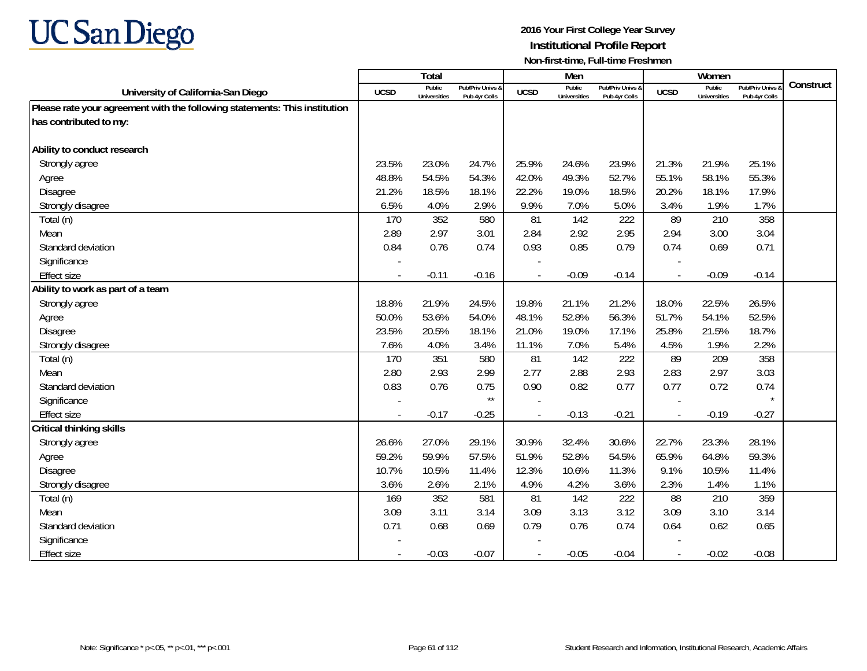

|                                                                            |             | <b>Total</b>                  |                                   |             | Men                           |                                   |                          | Women                         |                                        |           |
|----------------------------------------------------------------------------|-------------|-------------------------------|-----------------------------------|-------------|-------------------------------|-----------------------------------|--------------------------|-------------------------------|----------------------------------------|-----------|
| University of California-San Diego                                         | <b>UCSD</b> | Public<br><b>Universities</b> | Pub/Priv Univs 8<br>Pub 4yr Colls | <b>UCSD</b> | Public<br><b>Universities</b> | Pub/Priv Univs &<br>Pub 4yr Colls | <b>UCSD</b>              | Public<br><b>Universities</b> | <b>Pub/Priv Univs</b><br>Pub 4yr Colls | Construct |
| Please rate your agreement with the following statements: This institution |             |                               |                                   |             |                               |                                   |                          |                               |                                        |           |
| has contributed to my:                                                     |             |                               |                                   |             |                               |                                   |                          |                               |                                        |           |
|                                                                            |             |                               |                                   |             |                               |                                   |                          |                               |                                        |           |
| Ability to conduct research                                                |             |                               |                                   |             |                               |                                   |                          |                               |                                        |           |
| Strongly agree                                                             | 23.5%       | 23.0%                         | 24.7%                             | 25.9%       | 24.6%                         | 23.9%                             | 21.3%                    | 21.9%                         | 25.1%                                  |           |
| Agree                                                                      | 48.8%       | 54.5%                         | 54.3%                             | 42.0%       | 49.3%                         | 52.7%                             | 55.1%                    | 58.1%                         | 55.3%                                  |           |
| Disagree                                                                   | 21.2%       | 18.5%                         | 18.1%                             | 22.2%       | 19.0%                         | 18.5%                             | 20.2%                    | 18.1%                         | 17.9%                                  |           |
| Strongly disagree                                                          | 6.5%        | 4.0%                          | 2.9%                              | 9.9%        | 7.0%                          | 5.0%                              | 3.4%                     | 1.9%                          | 1.7%                                   |           |
| Total (n)                                                                  | 170         | 352                           | 580                               | 81          | 142                           | 222                               | 89                       | 210                           | 358                                    |           |
| Mean                                                                       | 2.89        | 2.97                          | 3.01                              | 2.84        | 2.92                          | 2.95                              | 2.94                     | 3.00                          | 3.04                                   |           |
| Standard deviation                                                         | 0.84        | 0.76                          | 0.74                              | 0.93        | 0.85                          | 0.79                              | 0.74                     | 0.69                          | 0.71                                   |           |
| Significance                                                               |             |                               |                                   |             |                               |                                   |                          |                               |                                        |           |
| <b>Effect size</b>                                                         |             | $-0.11$                       | $-0.16$                           |             | $-0.09$                       | $-0.14$                           |                          | $-0.09$                       | $-0.14$                                |           |
| Ability to work as part of a team                                          |             |                               |                                   |             |                               |                                   |                          |                               |                                        |           |
| Strongly agree                                                             | 18.8%       | 21.9%                         | 24.5%                             | 19.8%       | 21.1%                         | 21.2%                             | 18.0%                    | 22.5%                         | 26.5%                                  |           |
| Agree                                                                      | 50.0%       | 53.6%                         | 54.0%                             | 48.1%       | 52.8%                         | 56.3%                             | 51.7%                    | 54.1%                         | 52.5%                                  |           |
| Disagree                                                                   | 23.5%       | 20.5%                         | 18.1%                             | 21.0%       | 19.0%                         | 17.1%                             | 25.8%                    | 21.5%                         | 18.7%                                  |           |
| Strongly disagree                                                          | 7.6%        | 4.0%                          | 3.4%                              | 11.1%       | 7.0%                          | 5.4%                              | 4.5%                     | 1.9%                          | 2.2%                                   |           |
| Total (n)                                                                  | 170         | 351                           | 580                               | 81          | 142                           | 222                               | 89                       | 209                           | 358                                    |           |
| Mean                                                                       | 2.80        | 2.93                          | 2.99                              | 2.77        | 2.88                          | 2.93                              | 2.83                     | 2.97                          | 3.03                                   |           |
| Standard deviation                                                         | 0.83        | 0.76                          | 0.75                              | 0.90        | 0.82                          | 0.77                              | 0.77                     | 0.72                          | 0.74                                   |           |
| Significance                                                               |             |                               | $\star\star$                      |             |                               |                                   |                          |                               |                                        |           |
| <b>Effect size</b>                                                         | $\sim$      | $-0.17$                       | $-0.25$                           |             | $-0.13$                       | $-0.21$                           | $\overline{\phantom{a}}$ | $-0.19$                       | $-0.27$                                |           |
| <b>Critical thinking skills</b>                                            |             |                               |                                   |             |                               |                                   |                          |                               |                                        |           |
| Strongly agree                                                             | 26.6%       | 27.0%                         | 29.1%                             | 30.9%       | 32.4%                         | 30.6%                             | 22.7%                    | 23.3%                         | 28.1%                                  |           |
| Agree                                                                      | 59.2%       | 59.9%                         | 57.5%                             | 51.9%       | 52.8%                         | 54.5%                             | 65.9%                    | 64.8%                         | 59.3%                                  |           |
| Disagree                                                                   | 10.7%       | 10.5%                         | 11.4%                             | 12.3%       | 10.6%                         | 11.3%                             | 9.1%                     | 10.5%                         | 11.4%                                  |           |
| Strongly disagree                                                          | 3.6%        | 2.6%                          | 2.1%                              | 4.9%        | 4.2%                          | 3.6%                              | 2.3%                     | 1.4%                          | 1.1%                                   |           |
| Total (n)                                                                  | 169         | 352                           | 581                               | 81          | 142                           | 222                               | 88                       | 210                           | 359                                    |           |
| Mean                                                                       | 3.09        | 3.11                          | 3.14                              | 3.09        | 3.13                          | 3.12                              | 3.09                     | 3.10                          | 3.14                                   |           |
| Standard deviation                                                         | 0.71        | 0.68                          | 0.69                              | 0.79        | 0.76                          | 0.74                              | 0.64                     | 0.62                          | 0.65                                   |           |
| Significance                                                               |             |                               |                                   |             |                               |                                   |                          |                               |                                        |           |
| <b>Effect size</b>                                                         |             | $-0.03$                       | $-0.07$                           | $\sim$      | $-0.05$                       | $-0.04$                           | $\overline{a}$           | $-0.02$                       | $-0.08$                                |           |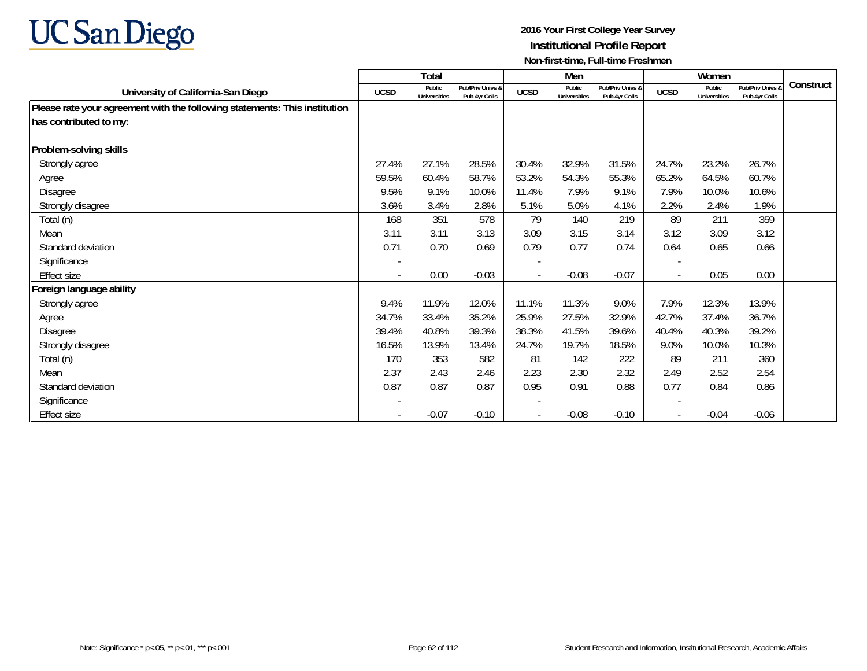

|                                                                            |                          | Total                         |                                   |             | Men                           |                                   |                          | Women                         |                                   |           |
|----------------------------------------------------------------------------|--------------------------|-------------------------------|-----------------------------------|-------------|-------------------------------|-----------------------------------|--------------------------|-------------------------------|-----------------------------------|-----------|
| University of California-San Diego                                         | <b>UCSD</b>              | Public<br><b>Universities</b> | Pub/Priv Univs &<br>Pub 4yr Colls | <b>UCSD</b> | Public<br><b>Universities</b> | Pub/Priv Univs &<br>Pub 4yr Colls | <b>UCSD</b>              | Public<br><b>Universities</b> | Pub/Priv Univs &<br>Pub 4yr Colls | Construct |
| Please rate your agreement with the following statements: This institution |                          |                               |                                   |             |                               |                                   |                          |                               |                                   |           |
| has contributed to my:                                                     |                          |                               |                                   |             |                               |                                   |                          |                               |                                   |           |
|                                                                            |                          |                               |                                   |             |                               |                                   |                          |                               |                                   |           |
| Problem-solving skills                                                     |                          |                               |                                   |             |                               |                                   |                          |                               |                                   |           |
| Strongly agree                                                             | 27.4%                    | 27.1%                         | 28.5%                             | 30.4%       | 32.9%                         | 31.5%                             | 24.7%                    | 23.2%                         | 26.7%                             |           |
| Agree                                                                      | 59.5%                    | 60.4%                         | 58.7%                             | 53.2%       | 54.3%                         | 55.3%                             | 65.2%                    | 64.5%                         | 60.7%                             |           |
| Disagree                                                                   | 9.5%                     | 9.1%                          | 10.0%                             | 11.4%       | 7.9%                          | 9.1%                              | 7.9%                     | 10.0%                         | 10.6%                             |           |
| Strongly disagree                                                          | 3.6%                     | 3.4%                          | 2.8%                              | 5.1%        | 5.0%                          | 4.1%                              | 2.2%                     | 2.4%                          | 1.9%                              |           |
| Total (n)                                                                  | 168                      | 351                           | 578                               | 79          | 140                           | 219                               | 89                       | 211                           | 359                               |           |
| Mean                                                                       | 3.11                     | 3.11                          | 3.13                              | 3.09        | 3.15                          | 3.14                              | 3.12                     | 3.09                          | 3.12                              |           |
| Standard deviation                                                         | 0.71                     | 0.70                          | 0.69                              | 0.79        | 0.77                          | 0.74                              | 0.64                     | 0.65                          | 0.66                              |           |
| Significance                                                               |                          |                               |                                   |             |                               |                                   |                          |                               |                                   |           |
| Effect size                                                                | $\overline{\phantom{a}}$ | 0.00                          | $-0.03$                           |             | $-0.08$                       | $-0.07$                           | $\overline{\phantom{a}}$ | 0.05                          | 0.00                              |           |
| Foreign language ability                                                   |                          |                               |                                   |             |                               |                                   |                          |                               |                                   |           |
| Strongly agree                                                             | 9.4%                     | 11.9%                         | 12.0%                             | 11.1%       | 11.3%                         | 9.0%                              | 7.9%                     | 12.3%                         | 13.9%                             |           |
| Agree                                                                      | 34.7%                    | 33.4%                         | 35.2%                             | 25.9%       | 27.5%                         | 32.9%                             | 42.7%                    | 37.4%                         | 36.7%                             |           |
| Disagree                                                                   | 39.4%                    | 40.8%                         | 39.3%                             | 38.3%       | 41.5%                         | 39.6%                             | 40.4%                    | 40.3%                         | 39.2%                             |           |
| Strongly disagree                                                          | 16.5%                    | 13.9%                         | 13.4%                             | 24.7%       | 19.7%                         | 18.5%                             | 9.0%                     | 10.0%                         | 10.3%                             |           |
| Total (n)                                                                  | 170                      | 353                           | 582                               | 81          | 142                           | 222                               | 89                       | 211                           | 360                               |           |
| Mean                                                                       | 2.37                     | 2.43                          | 2.46                              | 2.23        | 2.30                          | 2.32                              | 2.49                     | 2.52                          | 2.54                              |           |
| Standard deviation                                                         | 0.87                     | 0.87                          | 0.87                              | 0.95        | 0.91                          | 0.88                              | 0.77                     | 0.84                          | 0.86                              |           |
| Significance                                                               |                          |                               |                                   |             |                               |                                   |                          |                               |                                   |           |
| Effect size                                                                |                          | $-0.07$                       | $-0.10$                           |             | $-0.08$                       | $-0.10$                           | $\overline{\phantom{a}}$ | $-0.04$                       | $-0.06$                           |           |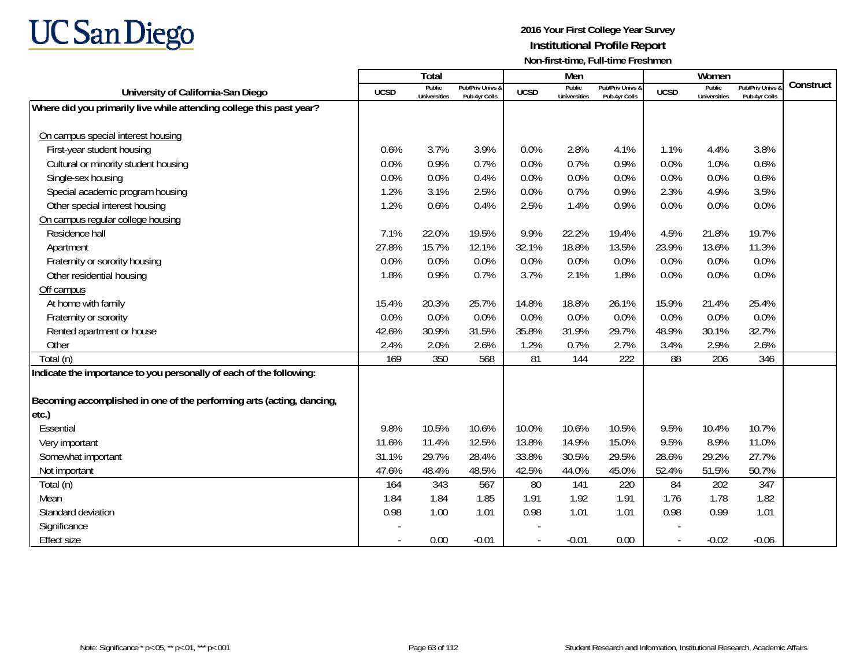

|                                                                       |                          | <b>Total</b>                  |                                   |             | Men                           |                                   |             | Women                                |                                        |           |
|-----------------------------------------------------------------------|--------------------------|-------------------------------|-----------------------------------|-------------|-------------------------------|-----------------------------------|-------------|--------------------------------------|----------------------------------------|-----------|
| University of California-San Diego                                    | <b>UCSD</b>              | Public<br><b>Universities</b> | Pub/Priv Univs &<br>Pub 4yr Colls | <b>UCSD</b> | Public<br><b>Universities</b> | Pub/Priv Univs &<br>Pub 4yr Colls | <b>UCSD</b> | <b>Public</b><br><b>Universities</b> | <b>Pub/Priv Univs</b><br>Pub 4yr Colls | Construct |
| Where did you primarily live while attending college this past year?  |                          |                               |                                   |             |                               |                                   |             |                                      |                                        |           |
|                                                                       |                          |                               |                                   |             |                               |                                   |             |                                      |                                        |           |
| On campus special interest housing                                    |                          |                               |                                   |             |                               |                                   |             |                                      |                                        |           |
| First-year student housing                                            | 0.6%                     | 3.7%                          | 3.9%                              | 0.0%        | 2.8%                          | 4.1%                              | 1.1%        | 4.4%                                 | 3.8%                                   |           |
| Cultural or minority student housing                                  | 0.0%                     | 0.9%                          | 0.7%                              | 0.0%        | 0.7%                          | 0.9%                              | 0.0%        | 1.0%                                 | 0.6%                                   |           |
| Single-sex housing                                                    | 0.0%                     | 0.0%                          | 0.4%                              | 0.0%        | 0.0%                          | 0.0%                              | 0.0%        | 0.0%                                 | 0.6%                                   |           |
| Special academic program housing                                      | 1.2%                     | 3.1%                          | 2.5%                              | 0.0%        | 0.7%                          | 0.9%                              | 2.3%        | 4.9%                                 | 3.5%                                   |           |
| Other special interest housing                                        | 1.2%                     | 0.6%                          | 0.4%                              | 2.5%        | 1.4%                          | 0.9%                              | 0.0%        | 0.0%                                 | 0.0%                                   |           |
| On campus regular college housing                                     |                          |                               |                                   |             |                               |                                   |             |                                      |                                        |           |
| Residence hall                                                        | 7.1%                     | 22.0%                         | 19.5%                             | 9.9%        | 22.2%                         | 19.4%                             | 4.5%        | 21.8%                                | 19.7%                                  |           |
| Apartment                                                             | 27.8%                    | 15.7%                         | 12.1%                             | 32.1%       | 18.8%                         | 13.5%                             | 23.9%       | 13.6%                                | 11.3%                                  |           |
| Fraternity or sorority housing                                        | 0.0%                     | 0.0%                          | 0.0%                              | 0.0%        | 0.0%                          | 0.0%                              | 0.0%        | 0.0%                                 | 0.0%                                   |           |
| Other residential housing                                             | 1.8%                     | 0.9%                          | 0.7%                              | 3.7%        | 2.1%                          | 1.8%                              | 0.0%        | 0.0%                                 | 0.0%                                   |           |
| Off campus                                                            |                          |                               |                                   |             |                               |                                   |             |                                      |                                        |           |
| At home with family                                                   | 15.4%                    | 20.3%                         | 25.7%                             | 14.8%       | 18.8%                         | 26.1%                             | 15.9%       | 21.4%                                | 25.4%                                  |           |
| Fraternity or sorority                                                | 0.0%                     | 0.0%                          | 0.0%                              | 0.0%        | 0.0%                          | 0.0%                              | 0.0%        | 0.0%                                 | 0.0%                                   |           |
| Rented apartment or house                                             | 42.6%                    | 30.9%                         | 31.5%                             | 35.8%       | 31.9%                         | 29.7%                             | 48.9%       | 30.1%                                | 32.7%                                  |           |
| Other                                                                 | 2.4%                     | 2.0%                          | 2.6%                              | 1.2%        | 0.7%                          | 2.7%                              | 3.4%        | 2.9%                                 | 2.6%                                   |           |
| Total (n)                                                             | 169                      | 350                           | 568                               | 81          | 144                           | 222                               | 88          | 206                                  | 346                                    |           |
| Indicate the importance to you personally of each of the following:   |                          |                               |                                   |             |                               |                                   |             |                                      |                                        |           |
|                                                                       |                          |                               |                                   |             |                               |                                   |             |                                      |                                        |           |
| Becoming accomplished in one of the performing arts (acting, dancing, |                          |                               |                                   |             |                               |                                   |             |                                      |                                        |           |
| etc.)                                                                 |                          |                               |                                   |             |                               |                                   |             |                                      |                                        |           |
| Essential                                                             | 9.8%                     | 10.5%                         | 10.6%                             | 10.0%       | 10.6%                         | 10.5%                             | 9.5%        | 10.4%                                | 10.7%                                  |           |
| Very important                                                        | 11.6%                    | 11.4%                         | 12.5%                             | 13.8%       | 14.9%                         | 15.0%                             | 9.5%        | 8.9%                                 | 11.0%                                  |           |
| Somewhat important                                                    | 31.1%                    | 29.7%                         | 28.4%                             | 33.8%       | 30.5%                         | 29.5%                             | 28.6%       | 29.2%                                | 27.7%                                  |           |
| Not important                                                         | 47.6%                    | 48.4%                         | 48.5%                             | 42.5%       | 44.0%                         | 45.0%                             | 52.4%       | 51.5%                                | 50.7%                                  |           |
| Total (n)                                                             | 164                      | 343                           | 567                               | 80          | 141                           | 220                               | 84          | 202                                  | 347                                    |           |
| Mean                                                                  | 1.84                     | 1.84                          | 1.85                              | 1.91        | 1.92                          | 1.91                              | 1.76        | 1.78                                 | 1.82                                   |           |
| Standard deviation                                                    | 0.98                     | 1.00                          | 1.01                              | 0.98        | 1.01                          | 1.01                              | 0.98        | 0.99                                 | 1.01                                   |           |
| Significance                                                          |                          |                               |                                   |             |                               |                                   |             |                                      |                                        |           |
| <b>Effect size</b>                                                    | $\overline{\phantom{a}}$ | 0.00                          | $-0.01$                           | $\sim$      | $-0.01$                       | 0.00                              | $\sim$      | $-0.02$                              | $-0.06$                                |           |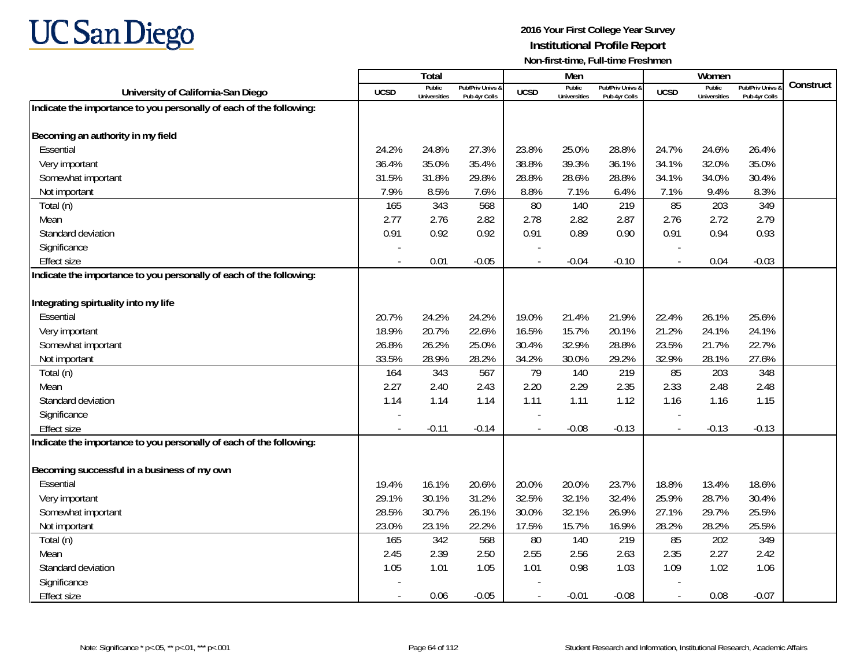

|                                                                     |                | Total                         |                                   |                | Men                           |                                   |                          | Women                         |                                        |           |
|---------------------------------------------------------------------|----------------|-------------------------------|-----------------------------------|----------------|-------------------------------|-----------------------------------|--------------------------|-------------------------------|----------------------------------------|-----------|
| University of California-San Diego                                  | <b>UCSD</b>    | Public<br><b>Universities</b> | Pub/Priv Univs 8<br>Pub 4vr Colls | <b>UCSD</b>    | Public<br><b>Universities</b> | Pub/Priv Univs 8<br>Pub 4vr Colls | <b>UCSD</b>              | Public<br><b>Universities</b> | <b>Pub/Priv Univs</b><br>Pub 4vr Colls | Construct |
| Indicate the importance to you personally of each of the following: |                |                               |                                   |                |                               |                                   |                          |                               |                                        |           |
|                                                                     |                |                               |                                   |                |                               |                                   |                          |                               |                                        |           |
| Becoming an authority in my field                                   |                |                               |                                   |                |                               |                                   |                          |                               |                                        |           |
| Essential                                                           | 24.2%          | 24.8%                         | 27.3%                             | 23.8%          | 25.0%                         | 28.8%                             | 24.7%                    | 24.6%                         | 26.4%                                  |           |
| Very important                                                      | 36.4%          | 35.0%                         | 35.4%                             | 38.8%          | 39.3%                         | 36.1%                             | 34.1%                    | 32.0%                         | 35.0%                                  |           |
| Somewhat important                                                  | 31.5%          | 31.8%                         | 29.8%                             | 28.8%          | 28.6%                         | 28.8%                             | 34.1%                    | 34.0%                         | 30.4%                                  |           |
| Not important                                                       | 7.9%           | 8.5%                          | 7.6%                              | 8.8%           | 7.1%                          | 6.4%                              | 7.1%                     | 9.4%                          | 8.3%                                   |           |
| Total (n)                                                           | 165            | 343                           | 568                               | 80             | 140                           | 219                               | 85                       | 203                           | 349                                    |           |
| Mean                                                                | 2.77           | 2.76                          | 2.82                              | 2.78           | 2.82                          | 2.87                              | 2.76                     | 2.72                          | 2.79                                   |           |
| Standard deviation                                                  | 0.91           | 0.92                          | 0.92                              | 0.91           | 0.89                          | 0.90                              | 0.91                     | 0.94                          | 0.93                                   |           |
| Significance                                                        |                |                               |                                   |                |                               |                                   |                          |                               |                                        |           |
| <b>Effect size</b>                                                  |                | 0.01                          | $-0.05$                           |                | $-0.04$                       | $-0.10$                           |                          | 0.04                          | $-0.03$                                |           |
| Indicate the importance to you personally of each of the following: |                |                               |                                   |                |                               |                                   |                          |                               |                                        |           |
|                                                                     |                |                               |                                   |                |                               |                                   |                          |                               |                                        |           |
| Integrating spirtuality into my life                                |                |                               |                                   |                |                               |                                   |                          |                               |                                        |           |
| Essential                                                           | 20.7%          | 24.2%                         | 24.2%                             | 19.0%          | 21.4%                         | 21.9%                             | 22.4%                    | 26.1%                         | 25.6%                                  |           |
| Very important                                                      | 18.9%          | 20.7%                         | 22.6%                             | 16.5%          | 15.7%                         | 20.1%                             | 21.2%                    | 24.1%                         | 24.1%                                  |           |
| Somewhat important                                                  | 26.8%          | 26.2%                         | 25.0%                             | 30.4%          | 32.9%                         | 28.8%                             | 23.5%                    | 21.7%                         | 22.7%                                  |           |
| Not important                                                       | 33.5%          | 28.9%                         | 28.2%                             | 34.2%          | 30.0%                         | 29.2%                             | 32.9%                    | 28.1%                         | 27.6%                                  |           |
| Total (n)                                                           | 164            | 343                           | 567                               | 79             | 140                           | 219                               | 85                       | 203                           | 348                                    |           |
| Mean                                                                | 2.27           | 2.40                          | 2.43                              | 2.20           | 2.29                          | 2.35                              | 2.33                     | 2.48                          | 2.48                                   |           |
| Standard deviation                                                  | 1.14           | 1.14                          | 1.14                              | 1.11           | 1.11                          | 1.12                              | 1.16                     | 1.16                          | 1.15                                   |           |
| Significance                                                        |                |                               |                                   |                |                               |                                   |                          |                               |                                        |           |
| <b>Effect size</b>                                                  | $\sim$         | $-0.11$                       | $-0.14$                           | $\sim$         | $-0.08$                       | $-0.13$                           | $\overline{\phantom{a}}$ | $-0.13$                       | $-0.13$                                |           |
| Indicate the importance to you personally of each of the following: |                |                               |                                   |                |                               |                                   |                          |                               |                                        |           |
| Becoming successful in a business of my own                         |                |                               |                                   |                |                               |                                   |                          |                               |                                        |           |
| Essential                                                           | 19.4%          | 16.1%                         | 20.6%                             | 20.0%          | 20.0%                         | 23.7%                             | 18.8%                    | 13.4%                         | 18.6%                                  |           |
| Very important                                                      | 29.1%          | 30.1%                         | 31.2%                             | 32.5%          | 32.1%                         | 32.4%                             | 25.9%                    | 28.7%                         | 30.4%                                  |           |
| Somewhat important                                                  | 28.5%          | 30.7%                         | 26.1%                             | 30.0%          | 32.1%                         | 26.9%                             | 27.1%                    | 29.7%                         | 25.5%                                  |           |
| Not important                                                       | 23.0%          | 23.1%                         | 22.2%                             | 17.5%          | 15.7%                         | 16.9%                             | 28.2%                    | 28.2%                         | 25.5%                                  |           |
| Total (n)                                                           | 165            | 342                           | 568                               | 80             | 140                           | 219                               | 85                       | 202                           | 349                                    |           |
| Mean                                                                | 2.45           | 2.39                          | 2.50                              | 2.55           | 2.56                          | 2.63                              | 2.35                     | 2.27                          | 2.42                                   |           |
| Standard deviation                                                  | 1.05           | 1.01                          | 1.05                              | 1.01           | 0.98                          | 1.03                              | 1.09                     | 1.02                          | 1.06                                   |           |
| Significance                                                        |                |                               |                                   |                |                               |                                   |                          |                               |                                        |           |
| <b>Effect size</b>                                                  | $\blacksquare$ | 0.06                          | $-0.05$                           | $\blacksquare$ | $-0.01$                       | $-0.08$                           |                          | 0.08                          | $-0.07$                                |           |
|                                                                     |                |                               |                                   |                |                               |                                   |                          |                               |                                        |           |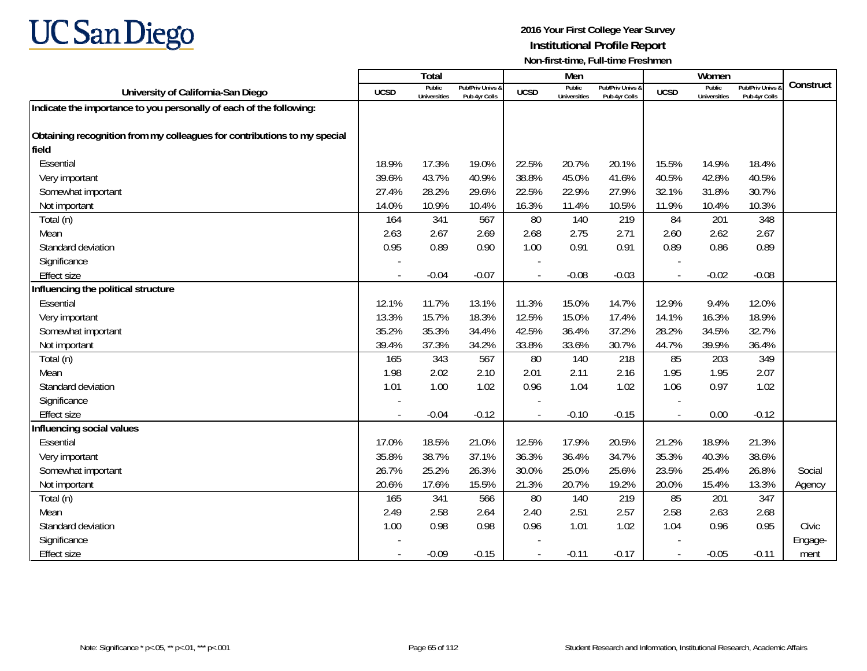

|                                                                          |             | <b>Total</b>                  |                                   |             | Men                           |                                   |                          | Women                         |                                        |           |
|--------------------------------------------------------------------------|-------------|-------------------------------|-----------------------------------|-------------|-------------------------------|-----------------------------------|--------------------------|-------------------------------|----------------------------------------|-----------|
| University of California-San Diego                                       | <b>UCSD</b> | Public<br><b>Universities</b> | Pub/Priv Univs &<br>Pub 4yr Colls | <b>UCSD</b> | Public<br><b>Universities</b> | Pub/Priv Univs 8<br>Pub 4yr Colls | <b>UCSD</b>              | Public<br><b>Universities</b> | <b>Pub/Priv Univs</b><br>Pub 4yr Colls | Construct |
| Indicate the importance to you personally of each of the following:      |             |                               |                                   |             |                               |                                   |                          |                               |                                        |           |
|                                                                          |             |                               |                                   |             |                               |                                   |                          |                               |                                        |           |
| Obtaining recognition from my colleagues for contributions to my special |             |                               |                                   |             |                               |                                   |                          |                               |                                        |           |
| field                                                                    |             |                               |                                   |             |                               |                                   |                          |                               |                                        |           |
| Essential                                                                | 18.9%       | 17.3%                         | 19.0%                             | 22.5%       | 20.7%                         | 20.1%                             | 15.5%                    | 14.9%                         | 18.4%                                  |           |
| Very important                                                           | 39.6%       | 43.7%                         | 40.9%                             | 38.8%       | 45.0%                         | 41.6%                             | 40.5%                    | 42.8%                         | 40.5%                                  |           |
| Somewhat important                                                       | 27.4%       | 28.2%                         | 29.6%                             | 22.5%       | 22.9%                         | 27.9%                             | 32.1%                    | 31.8%                         | 30.7%                                  |           |
| Not important                                                            | 14.0%       | 10.9%                         | 10.4%                             | 16.3%       | 11.4%                         | 10.5%                             | 11.9%                    | 10.4%                         | 10.3%                                  |           |
| Total (n)                                                                | 164         | 341                           | 567                               | 80          | 140                           | 219                               | 84                       | 201                           | 348                                    |           |
| Mean                                                                     | 2.63        | 2.67                          | 2.69                              | 2.68        | 2.75                          | 2.71                              | 2.60                     | 2.62                          | 2.67                                   |           |
| Standard deviation                                                       | 0.95        | 0.89                          | 0.90                              | 1.00        | 0.91                          | 0.91                              | 0.89                     | 0.86                          | 0.89                                   |           |
| Significance                                                             |             |                               |                                   |             |                               |                                   |                          |                               |                                        |           |
| <b>Effect size</b>                                                       |             | $-0.04$                       | $-0.07$                           |             | $-0.08$                       | $-0.03$                           |                          | $-0.02$                       | $-0.08$                                |           |
| Influencing the political structure                                      |             |                               |                                   |             |                               |                                   |                          |                               |                                        |           |
| Essential                                                                | 12.1%       | 11.7%                         | 13.1%                             | 11.3%       | 15.0%                         | 14.7%                             | 12.9%                    | 9.4%                          | 12.0%                                  |           |
| Very important                                                           | 13.3%       | 15.7%                         | 18.3%                             | 12.5%       | 15.0%                         | 17.4%                             | 14.1%                    | 16.3%                         | 18.9%                                  |           |
| Somewhat important                                                       | 35.2%       | 35.3%                         | 34.4%                             | 42.5%       | 36.4%                         | 37.2%                             | 28.2%                    | 34.5%                         | 32.7%                                  |           |
| Not important                                                            | 39.4%       | 37.3%                         | 34.2%                             | 33.8%       | 33.6%                         | 30.7%                             | 44.7%                    | 39.9%                         | 36.4%                                  |           |
| Total (n)                                                                | 165         | 343                           | 567                               | 80          | 140                           | 218                               | 85                       | 203                           | 349                                    |           |
| Mean                                                                     | 1.98        | 2.02                          | 2.10                              | 2.01        | 2.11                          | 2.16                              | 1.95                     | 1.95                          | 2.07                                   |           |
| Standard deviation                                                       | 1.01        | 1.00                          | 1.02                              | 0.96        | 1.04                          | 1.02                              | 1.06                     | 0.97                          | 1.02                                   |           |
| Significance                                                             |             |                               |                                   |             |                               |                                   |                          |                               |                                        |           |
| <b>Effect size</b>                                                       |             | $-0.04$                       | $-0.12$                           |             | $-0.10$                       | $-0.15$                           | $\overline{\phantom{a}}$ | 0.00                          | $-0.12$                                |           |
| Influencing social values                                                |             |                               |                                   |             |                               |                                   |                          |                               |                                        |           |
| Essential                                                                | 17.0%       | 18.5%                         | 21.0%                             | 12.5%       | 17.9%                         | 20.5%                             | 21.2%                    | 18.9%                         | 21.3%                                  |           |
| Very important                                                           | 35.8%       | 38.7%                         | 37.1%                             | 36.3%       | 36.4%                         | 34.7%                             | 35.3%                    | 40.3%                         | 38.6%                                  |           |
| Somewhat important                                                       | 26.7%       | 25.2%                         | 26.3%                             | 30.0%       | 25.0%                         | 25.6%                             | 23.5%                    | 25.4%                         | 26.8%                                  | Social    |
| Not important                                                            | 20.6%       | 17.6%                         | 15.5%                             | 21.3%       | 20.7%                         | 19.2%                             | 20.0%                    | 15.4%                         | 13.3%                                  | Agency    |
| Total (n)                                                                | 165         | 341                           | 566                               | 80          | 140                           | 219                               | 85                       | 201                           | 347                                    |           |
| Mean                                                                     | 2.49        | 2.58                          | 2.64                              | 2.40        | 2.51                          | 2.57                              | 2.58                     | 2.63                          | 2.68                                   |           |
| Standard deviation                                                       | 1.00        | 0.98                          | 0.98                              | 0.96        | 1.01                          | 1.02                              | 1.04                     | 0.96                          | 0.95                                   | Civic     |
| Significance                                                             |             |                               |                                   |             |                               |                                   |                          |                               |                                        | Engage-   |
| <b>Effect size</b>                                                       |             | $-0.09$                       | $-0.15$                           | $\sim$      | $-0.11$                       | $-0.17$                           | $\overline{\phantom{a}}$ | $-0.05$                       | $-0.11$                                | ment      |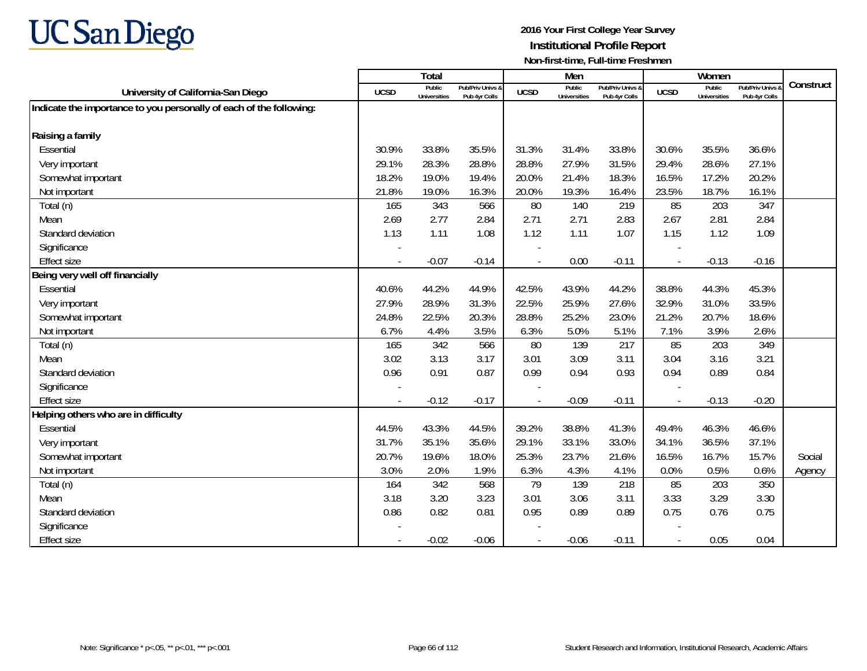

|                                                                     |                          | <b>Total</b>                  |                                   |                | Men                           |                                   |                          | Women                         |                                        |           |
|---------------------------------------------------------------------|--------------------------|-------------------------------|-----------------------------------|----------------|-------------------------------|-----------------------------------|--------------------------|-------------------------------|----------------------------------------|-----------|
| University of California-San Diego                                  | <b>UCSD</b>              | Public<br><b>Universities</b> | Pub/Priv Univs &<br>Pub 4yr Colls | <b>UCSD</b>    | Public<br><b>Universities</b> | Pub/Priv Univs &<br>Pub 4yr Colls | <b>UCSD</b>              | Public<br><b>Universities</b> | <b>Pub/Priv Univs</b><br>Pub 4yr Colls | Construct |
| Indicate the importance to you personally of each of the following: |                          |                               |                                   |                |                               |                                   |                          |                               |                                        |           |
|                                                                     |                          |                               |                                   |                |                               |                                   |                          |                               |                                        |           |
| Raising a family                                                    |                          |                               |                                   |                |                               |                                   |                          |                               |                                        |           |
| Essential                                                           | 30.9%                    | 33.8%                         | 35.5%                             | 31.3%          | 31.4%                         | 33.8%                             | 30.6%                    | 35.5%                         | 36.6%                                  |           |
| Very important                                                      | 29.1%                    | 28.3%                         | 28.8%                             | 28.8%          | 27.9%                         | 31.5%                             | 29.4%                    | 28.6%                         | 27.1%                                  |           |
| Somewhat important                                                  | 18.2%                    | 19.0%                         | 19.4%                             | 20.0%          | 21.4%                         | 18.3%                             | 16.5%                    | 17.2%                         | 20.2%                                  |           |
| Not important                                                       | 21.8%                    | 19.0%                         | 16.3%                             | 20.0%          | 19.3%                         | 16.4%                             | 23.5%                    | 18.7%                         | 16.1%                                  |           |
| Total (n)                                                           | 165                      | 343                           | 566                               | 80             | 140                           | 219                               | 85                       | 203                           | 347                                    |           |
| Mean                                                                | 2.69                     | 2.77                          | 2.84                              | 2.71           | 2.71                          | 2.83                              | 2.67                     | 2.81                          | 2.84                                   |           |
| Standard deviation                                                  | 1.13                     | 1.11                          | 1.08                              | 1.12           | 1.11                          | 1.07                              | 1.15                     | 1.12                          | 1.09                                   |           |
| Significance                                                        |                          |                               |                                   |                |                               |                                   |                          |                               |                                        |           |
| <b>Effect size</b>                                                  | $\overline{\phantom{a}}$ | $-0.07$                       | $-0.14$                           | $\blacksquare$ | 0.00                          | $-0.11$                           | $\overline{\phantom{a}}$ | $-0.13$                       | $-0.16$                                |           |
| Being very well off financially                                     |                          |                               |                                   |                |                               |                                   |                          |                               |                                        |           |
| Essential                                                           | 40.6%                    | 44.2%                         | 44.9%                             | 42.5%          | 43.9%                         | 44.2%                             | 38.8%                    | 44.3%                         | 45.3%                                  |           |
| Very important                                                      | 27.9%                    | 28.9%                         | 31.3%                             | 22.5%          | 25.9%                         | 27.6%                             | 32.9%                    | 31.0%                         | 33.5%                                  |           |
| Somewhat important                                                  | 24.8%                    | 22.5%                         | 20.3%                             | 28.8%          | 25.2%                         | 23.0%                             | 21.2%                    | 20.7%                         | 18.6%                                  |           |
| Not important                                                       | 6.7%                     | 4.4%                          | 3.5%                              | 6.3%           | 5.0%                          | 5.1%                              | 7.1%                     | 3.9%                          | 2.6%                                   |           |
| Total (n)                                                           | 165                      | 342                           | 566                               | 80             | 139                           | 217                               | 85                       | 203                           | 349                                    |           |
| Mean                                                                | 3.02                     | 3.13                          | 3.17                              | 3.01           | 3.09                          | 3.11                              | 3.04                     | 3.16                          | 3.21                                   |           |
| Standard deviation                                                  | 0.96                     | 0.91                          | 0.87                              | 0.99           | 0.94                          | 0.93                              | 0.94                     | 0.89                          | 0.84                                   |           |
| Significance                                                        |                          |                               |                                   |                |                               |                                   |                          |                               |                                        |           |
| <b>Effect size</b>                                                  |                          | $-0.12$                       | $-0.17$                           |                | $-0.09$                       | $-0.11$                           |                          | $-0.13$                       | $-0.20$                                |           |
| Helping others who are in difficulty                                |                          |                               |                                   |                |                               |                                   |                          |                               |                                        |           |
| Essential                                                           | 44.5%                    | 43.3%                         | 44.5%                             | 39.2%          | 38.8%                         | 41.3%                             | 49.4%                    | 46.3%                         | 46.6%                                  |           |
| Very important                                                      | 31.7%                    | 35.1%                         | 35.6%                             | 29.1%          | 33.1%                         | 33.0%                             | 34.1%                    | 36.5%                         | 37.1%                                  |           |
| Somewhat important                                                  | 20.7%                    | 19.6%                         | 18.0%                             | 25.3%          | 23.7%                         | 21.6%                             | 16.5%                    | 16.7%                         | 15.7%                                  | Social    |
| Not important                                                       | 3.0%                     | 2.0%                          | 1.9%                              | 6.3%           | 4.3%                          | 4.1%                              | 0.0%                     | 0.5%                          | 0.6%                                   | Agency    |
| Total (n)                                                           | 164                      | 342                           | 568                               | 79             | 139                           | 218                               | 85                       | 203                           | 350                                    |           |
| Mean                                                                | 3.18                     | 3.20                          | 3.23                              | 3.01           | 3.06                          | 3.11                              | 3.33                     | 3.29                          | 3.30                                   |           |
| Standard deviation                                                  | 0.86                     | 0.82                          | 0.81                              | 0.95           | 0.89                          | 0.89                              | 0.75                     | 0.76                          | 0.75                                   |           |
| Significance                                                        |                          |                               |                                   |                |                               |                                   |                          |                               |                                        |           |
| <b>Effect size</b>                                                  |                          | $-0.02$                       | $-0.06$                           |                | $-0.06$                       | $-0.11$                           |                          | 0.05                          | 0.04                                   |           |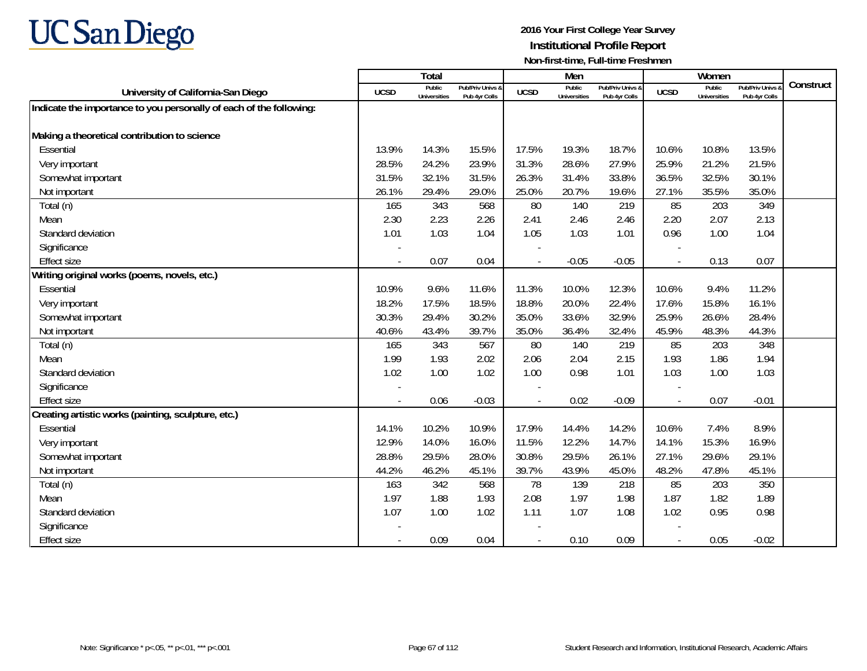

|                                                                     |             | Total                         |                                   |                          | Men                           |                                   |                          | Women                         |                                        |           |
|---------------------------------------------------------------------|-------------|-------------------------------|-----------------------------------|--------------------------|-------------------------------|-----------------------------------|--------------------------|-------------------------------|----------------------------------------|-----------|
| University of California-San Diego                                  | <b>UCSD</b> | Public<br><b>Universities</b> | Pub/Priv Univs &<br>Pub 4yr Colls | <b>UCSD</b>              | Public<br><b>Universities</b> | Pub/Priv Univs &<br>Pub 4yr Colls | <b>UCSD</b>              | Public<br><b>Universities</b> | <b>Pub/Priv Univs</b><br>Pub 4yr Colls | Construct |
| Indicate the importance to you personally of each of the following: |             |                               |                                   |                          |                               |                                   |                          |                               |                                        |           |
|                                                                     |             |                               |                                   |                          |                               |                                   |                          |                               |                                        |           |
| Making a theoretical contribution to science                        |             |                               |                                   |                          |                               |                                   |                          |                               |                                        |           |
| Essential                                                           | 13.9%       | 14.3%                         | 15.5%                             | 17.5%                    | 19.3%                         | 18.7%                             | 10.6%                    | 10.8%                         | 13.5%                                  |           |
| Very important                                                      | 28.5%       | 24.2%                         | 23.9%                             | 31.3%                    | 28.6%                         | 27.9%                             | 25.9%                    | 21.2%                         | 21.5%                                  |           |
| Somewhat important                                                  | 31.5%       | 32.1%                         | 31.5%                             | 26.3%                    | 31.4%                         | 33.8%                             | 36.5%                    | 32.5%                         | 30.1%                                  |           |
| Not important                                                       | 26.1%       | 29.4%                         | 29.0%                             | 25.0%                    | 20.7%                         | 19.6%                             | 27.1%                    | 35.5%                         | 35.0%                                  |           |
| Total (n)                                                           | 165         | 343                           | 568                               | 80                       | 140                           | 219                               | 85                       | 203                           | 349                                    |           |
| Mean                                                                | 2.30        | 2.23                          | 2.26                              | 2.41                     | 2.46                          | 2.46                              | 2.20                     | 2.07                          | 2.13                                   |           |
| Standard deviation                                                  | 1.01        | 1.03                          | 1.04                              | 1.05                     | 1.03                          | 1.01                              | 0.96                     | 1.00                          | 1.04                                   |           |
| Significance                                                        |             |                               |                                   |                          |                               |                                   |                          |                               |                                        |           |
| <b>Effect size</b>                                                  | $\sim$      | 0.07                          | 0.04                              | $\overline{\phantom{a}}$ | $-0.05$                       | $-0.05$                           | $\overline{\phantom{a}}$ | 0.13                          | 0.07                                   |           |
| Writing original works (poems, novels, etc.)                        |             |                               |                                   |                          |                               |                                   |                          |                               |                                        |           |
| Essential                                                           | 10.9%       | 9.6%                          | 11.6%                             | 11.3%                    | 10.0%                         | 12.3%                             | 10.6%                    | 9.4%                          | 11.2%                                  |           |
| Very important                                                      | 18.2%       | 17.5%                         | 18.5%                             | 18.8%                    | 20.0%                         | 22.4%                             | 17.6%                    | 15.8%                         | 16.1%                                  |           |
| Somewhat important                                                  | 30.3%       | 29.4%                         | 30.2%                             | 35.0%                    | 33.6%                         | 32.9%                             | 25.9%                    | 26.6%                         | 28.4%                                  |           |
| Not important                                                       | 40.6%       | 43.4%                         | 39.7%                             | 35.0%                    | 36.4%                         | 32.4%                             | 45.9%                    | 48.3%                         | 44.3%                                  |           |
| Total (n)                                                           | 165         | 343                           | 567                               | 80                       | 140                           | 219                               | 85                       | 203                           | 348                                    |           |
| Mean                                                                | 1.99        | 1.93                          | 2.02                              | 2.06                     | 2.04                          | 2.15                              | 1.93                     | 1.86                          | 1.94                                   |           |
| Standard deviation                                                  | 1.02        | 1.00                          | 1.02                              | 1.00                     | 0.98                          | 1.01                              | 1.03                     | 1.00                          | 1.03                                   |           |
| Significance                                                        |             |                               |                                   |                          |                               |                                   |                          |                               |                                        |           |
| <b>Effect size</b>                                                  |             | 0.06                          | $-0.03$                           |                          | 0.02                          | $-0.09$                           |                          | 0.07                          | $-0.01$                                |           |
| Creating artistic works (painting, sculpture, etc.)                 |             |                               |                                   |                          |                               |                                   |                          |                               |                                        |           |
| Essential                                                           | 14.1%       | 10.2%                         | 10.9%                             | 17.9%                    | 14.4%                         | 14.2%                             | 10.6%                    | 7.4%                          | 8.9%                                   |           |
| Very important                                                      | 12.9%       | 14.0%                         | 16.0%                             | 11.5%                    | 12.2%                         | 14.7%                             | 14.1%                    | 15.3%                         | 16.9%                                  |           |
| Somewhat important                                                  | 28.8%       | 29.5%                         | 28.0%                             | 30.8%                    | 29.5%                         | 26.1%                             | 27.1%                    | 29.6%                         | 29.1%                                  |           |
| Not important                                                       | 44.2%       | 46.2%                         | 45.1%                             | 39.7%                    | 43.9%                         | 45.0%                             | 48.2%                    | 47.8%                         | 45.1%                                  |           |
| Total (n)                                                           | 163         | 342                           | 568                               | 78                       | 139                           | 218                               | 85                       | 203                           | 350                                    |           |
| Mean                                                                | 1.97        | 1.88                          | 1.93                              | 2.08                     | 1.97                          | 1.98                              | 1.87                     | 1.82                          | 1.89                                   |           |
| Standard deviation                                                  | 1.07        | 1.00                          | 1.02                              | 1.11                     | 1.07                          | 1.08                              | 1.02                     | 0.95                          | 0.98                                   |           |
| Significance                                                        |             |                               |                                   |                          |                               |                                   |                          |                               |                                        |           |
| Effect size                                                         |             | 0.09                          | 0.04                              |                          | 0.10                          | 0.09                              |                          | 0.05                          | $-0.02$                                |           |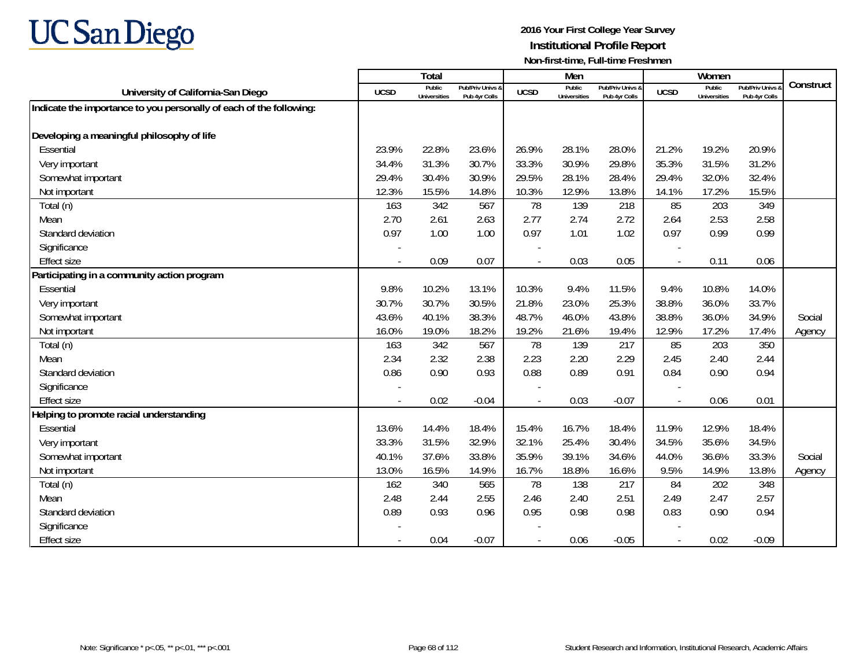

|                                                                     |                          | Total                         |                                   |                | Men                           |                                   |                | Women                         |                                        |           |
|---------------------------------------------------------------------|--------------------------|-------------------------------|-----------------------------------|----------------|-------------------------------|-----------------------------------|----------------|-------------------------------|----------------------------------------|-----------|
| University of California-San Diego                                  | <b>UCSD</b>              | Public<br><b>Universities</b> | Pub/Priv Univs &<br>Pub 4yr Colls | <b>UCSD</b>    | Public<br><b>Universities</b> | Pub/Priv Univs &<br>Pub 4yr Colls | <b>UCSD</b>    | Public<br><b>Universities</b> | <b>Pub/Priv Univs</b><br>Pub 4yr Colls | Construct |
| Indicate the importance to you personally of each of the following: |                          |                               |                                   |                |                               |                                   |                |                               |                                        |           |
|                                                                     |                          |                               |                                   |                |                               |                                   |                |                               |                                        |           |
| Developing a meaningful philosophy of life                          |                          |                               |                                   |                |                               |                                   |                |                               |                                        |           |
| Essential                                                           | 23.9%                    | 22.8%                         | 23.6%                             | 26.9%          | 28.1%                         | 28.0%                             | 21.2%          | 19.2%                         | 20.9%                                  |           |
| Very important                                                      | 34.4%                    | 31.3%                         | 30.7%                             | 33.3%          | 30.9%                         | 29.8%                             | 35.3%          | 31.5%                         | 31.2%                                  |           |
| Somewhat important                                                  | 29.4%                    | 30.4%                         | 30.9%                             | 29.5%          | 28.1%                         | 28.4%                             | 29.4%          | 32.0%                         | 32.4%                                  |           |
| Not important                                                       | 12.3%                    | 15.5%                         | 14.8%                             | 10.3%          | 12.9%                         | 13.8%                             | 14.1%          | 17.2%                         | 15.5%                                  |           |
| Total (n)                                                           | 163                      | 342                           | 567                               | 78             | 139                           | 218                               | 85             | 203                           | 349                                    |           |
| Mean                                                                | 2.70                     | 2.61                          | 2.63                              | 2.77           | 2.74                          | 2.72                              | 2.64           | 2.53                          | 2.58                                   |           |
| Standard deviation                                                  | 0.97                     | 1.00                          | 1.00                              | 0.97           | 1.01                          | 1.02                              | 0.97           | 0.99                          | 0.99                                   |           |
| Significance                                                        |                          |                               |                                   |                |                               |                                   |                |                               |                                        |           |
| <b>Effect size</b>                                                  | $\overline{\phantom{a}}$ | 0.09                          | 0.07                              | $\overline{a}$ | 0.03                          | 0.05                              | $\blacksquare$ | 0.11                          | 0.06                                   |           |
| Participating in a community action program                         |                          |                               |                                   |                |                               |                                   |                |                               |                                        |           |
| Essential                                                           | 9.8%                     | 10.2%                         | 13.1%                             | 10.3%          | 9.4%                          | 11.5%                             | 9.4%           | 10.8%                         | 14.0%                                  |           |
| Very important                                                      | 30.7%                    | 30.7%                         | 30.5%                             | 21.8%          | 23.0%                         | 25.3%                             | 38.8%          | 36.0%                         | 33.7%                                  |           |
| Somewhat important                                                  | 43.6%                    | 40.1%                         | 38.3%                             | 48.7%          | 46.0%                         | 43.8%                             | 38.8%          | 36.0%                         | 34.9%                                  | Social    |
| Not important                                                       | 16.0%                    | 19.0%                         | 18.2%                             | 19.2%          | 21.6%                         | 19.4%                             | 12.9%          | 17.2%                         | 17.4%                                  | Agency    |
| Total (n)                                                           | 163                      | 342                           | 567                               | 78             | 139                           | 217                               | 85             | 203                           | 350                                    |           |
| Mean                                                                | 2.34                     | 2.32                          | 2.38                              | 2.23           | 2.20                          | 2.29                              | 2.45           | 2.40                          | 2.44                                   |           |
| Standard deviation                                                  | 0.86                     | 0.90                          | 0.93                              | 0.88           | 0.89                          | 0.91                              | 0.84           | 0.90                          | 0.94                                   |           |
| Significance                                                        |                          |                               |                                   |                |                               |                                   |                |                               |                                        |           |
| <b>Effect size</b>                                                  |                          | 0.02                          | $-0.04$                           |                | 0.03                          | $-0.07$                           | $\overline{a}$ | 0.06                          | 0.01                                   |           |
| Helping to promote racial understanding                             |                          |                               |                                   |                |                               |                                   |                |                               |                                        |           |
| Essential                                                           | 13.6%                    | 14.4%                         | 18.4%                             | 15.4%          | 16.7%                         | 18.4%                             | 11.9%          | 12.9%                         | 18.4%                                  |           |
| Very important                                                      | 33.3%                    | 31.5%                         | 32.9%                             | 32.1%          | 25.4%                         | 30.4%                             | 34.5%          | 35.6%                         | 34.5%                                  |           |
| Somewhat important                                                  | 40.1%                    | 37.6%                         | 33.8%                             | 35.9%          | 39.1%                         | 34.6%                             | 44.0%          | 36.6%                         | 33.3%                                  | Social    |
| Not important                                                       | 13.0%                    | 16.5%                         | 14.9%                             | 16.7%          | 18.8%                         | 16.6%                             | 9.5%           | 14.9%                         | 13.8%                                  | Agency    |
| Total (n)                                                           | 162                      | 340                           | 565                               | 78             | 138                           | 217                               | 84             | 202                           | 348                                    |           |
| Mean                                                                | 2.48                     | 2.44                          | 2.55                              | 2.46           | 2.40                          | 2.51                              | 2.49           | 2.47                          | 2.57                                   |           |
| Standard deviation                                                  | 0.89                     | 0.93                          | 0.96                              | 0.95           | 0.98                          | 0.98                              | 0.83           | 0.90                          | 0.94                                   |           |
| Significance                                                        |                          |                               |                                   |                |                               |                                   |                |                               |                                        |           |
| <b>Effect size</b>                                                  | $\overline{\phantom{a}}$ | 0.04                          | $-0.07$                           |                | 0.06                          | $-0.05$                           | $\blacksquare$ | 0.02                          | $-0.09$                                |           |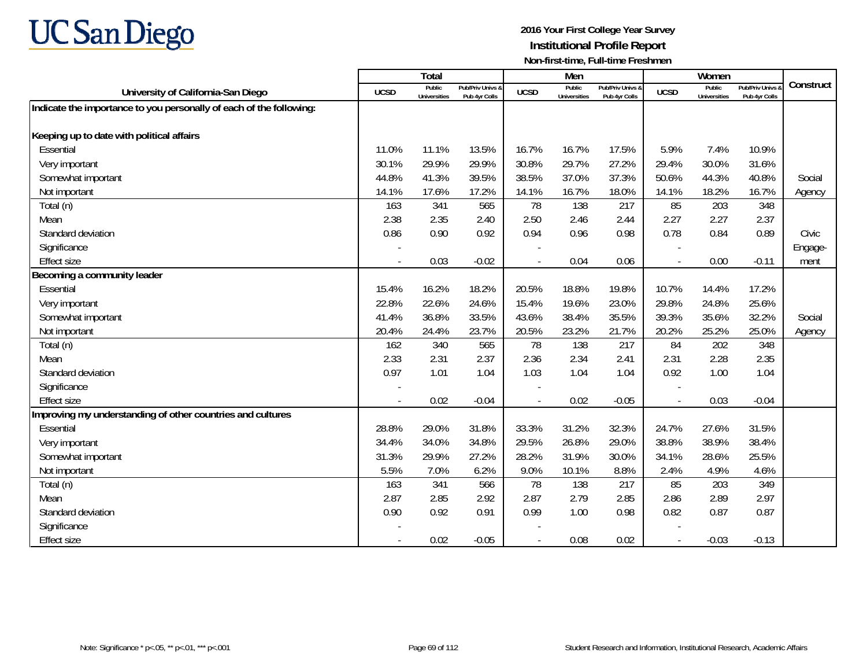

|                                                                     |                          | Total                         |                                   |                | Men                    |                                   |             | Women                         |                                        |           |
|---------------------------------------------------------------------|--------------------------|-------------------------------|-----------------------------------|----------------|------------------------|-----------------------------------|-------------|-------------------------------|----------------------------------------|-----------|
| University of California-San Diego                                  | <b>UCSD</b>              | Public<br><b>Universities</b> | Pub/Priv Univs &<br>Pub 4yr Colls | <b>UCSD</b>    | Public<br>Universities | Pub/Priv Univs &<br>Pub 4yr Colls | <b>UCSD</b> | Public<br><b>Universities</b> | <b>Pub/Priv Univs</b><br>Pub 4yr Colls | Construct |
| Indicate the importance to you personally of each of the following: |                          |                               |                                   |                |                        |                                   |             |                               |                                        |           |
|                                                                     |                          |                               |                                   |                |                        |                                   |             |                               |                                        |           |
| Keeping up to date with political affairs                           |                          |                               |                                   |                |                        |                                   |             |                               |                                        |           |
| Essential                                                           | 11.0%                    | 11.1%                         | 13.5%                             | 16.7%          | 16.7%                  | 17.5%                             | 5.9%        | 7.4%                          | 10.9%                                  |           |
| Very important                                                      | 30.1%                    | 29.9%                         | 29.9%                             | 30.8%          | 29.7%                  | 27.2%                             | 29.4%       | 30.0%                         | 31.6%                                  |           |
| Somewhat important                                                  | 44.8%                    | 41.3%                         | 39.5%                             | 38.5%          | 37.0%                  | 37.3%                             | 50.6%       | 44.3%                         | 40.8%                                  | Social    |
| Not important                                                       | 14.1%                    | 17.6%                         | 17.2%                             | 14.1%          | 16.7%                  | 18.0%                             | 14.1%       | 18.2%                         | 16.7%                                  | Agency    |
| Total (n)                                                           | 163                      | 341                           | 565                               | 78             | 138                    | 217                               | 85          | 203                           | 348                                    |           |
| Mean                                                                | 2.38                     | 2.35                          | 2.40                              | 2.50           | 2.46                   | 2.44                              | 2.27        | 2.27                          | 2.37                                   |           |
| Standard deviation                                                  | 0.86                     | 0.90                          | 0.92                              | 0.94           | 0.96                   | 0.98                              | 0.78        | 0.84                          | 0.89                                   | Civic     |
| Significance                                                        |                          |                               |                                   |                |                        |                                   |             |                               |                                        | Engage-   |
| <b>Effect size</b>                                                  | $\overline{\phantom{a}}$ | 0.03                          | $-0.02$                           | $\overline{a}$ | 0.04                   | 0.06                              | $\sim$      | 0.00                          | $-0.11$                                | ment      |
| Becoming a community leader                                         |                          |                               |                                   |                |                        |                                   |             |                               |                                        |           |
| Essential                                                           | 15.4%                    | 16.2%                         | 18.2%                             | 20.5%          | 18.8%                  | 19.8%                             | 10.7%       | 14.4%                         | 17.2%                                  |           |
| Very important                                                      | 22.8%                    | 22.6%                         | 24.6%                             | 15.4%          | 19.6%                  | 23.0%                             | 29.8%       | 24.8%                         | 25.6%                                  |           |
| Somewhat important                                                  | 41.4%                    | 36.8%                         | 33.5%                             | 43.6%          | 38.4%                  | 35.5%                             | 39.3%       | 35.6%                         | 32.2%                                  | Social    |
| Not important                                                       | 20.4%                    | 24.4%                         | 23.7%                             | 20.5%          | 23.2%                  | 21.7%                             | 20.2%       | 25.2%                         | 25.0%                                  | Agency    |
| Total (n)                                                           | 162                      | 340                           | 565                               | 78             | 138                    | 217                               | 84          | 202                           | 348                                    |           |
| Mean                                                                | 2.33                     | 2.31                          | 2.37                              | 2.36           | 2.34                   | 2.41                              | 2.31        | 2.28                          | 2.35                                   |           |
| Standard deviation                                                  | 0.97                     | 1.01                          | 1.04                              | 1.03           | 1.04                   | 1.04                              | 0.92        | 1.00                          | 1.04                                   |           |
| Significance                                                        |                          |                               |                                   |                |                        |                                   |             |                               |                                        |           |
| <b>Effect size</b>                                                  | $\blacksquare$           | 0.02                          | $-0.04$                           |                | 0.02                   | $-0.05$                           |             | 0.03                          | $-0.04$                                |           |
| Improving my understanding of other countries and cultures          |                          |                               |                                   |                |                        |                                   |             |                               |                                        |           |
| Essential                                                           | 28.8%                    | 29.0%                         | 31.8%                             | 33.3%          | 31.2%                  | 32.3%                             | 24.7%       | 27.6%                         | 31.5%                                  |           |
| Very important                                                      | 34.4%                    | 34.0%                         | 34.8%                             | 29.5%          | 26.8%                  | 29.0%                             | 38.8%       | 38.9%                         | 38.4%                                  |           |
| Somewhat important                                                  | 31.3%                    | 29.9%                         | 27.2%                             | 28.2%          | 31.9%                  | 30.0%                             | 34.1%       | 28.6%                         | 25.5%                                  |           |
| Not important                                                       | 5.5%                     | 7.0%                          | 6.2%                              | 9.0%           | 10.1%                  | 8.8%                              | 2.4%        | 4.9%                          | 4.6%                                   |           |
| Total (n)                                                           | 163                      | 341                           | 566                               | 78             | 138                    | 217                               | 85          | 203                           | 349                                    |           |
| Mean                                                                | 2.87                     | 2.85                          | 2.92                              | 2.87           | 2.79                   | 2.85                              | 2.86        | 2.89                          | 2.97                                   |           |
| Standard deviation                                                  | 0.90                     | 0.92                          | 0.91                              | 0.99           | 1.00                   | 0.98                              | 0.82        | 0.87                          | 0.87                                   |           |
| Significance                                                        |                          |                               |                                   |                |                        |                                   |             |                               |                                        |           |
| <b>Effect size</b>                                                  | $\overline{\phantom{a}}$ | 0.02                          | $-0.05$                           | $\sim$         | 0.08                   | 0.02                              |             | $-0.03$                       | $-0.13$                                |           |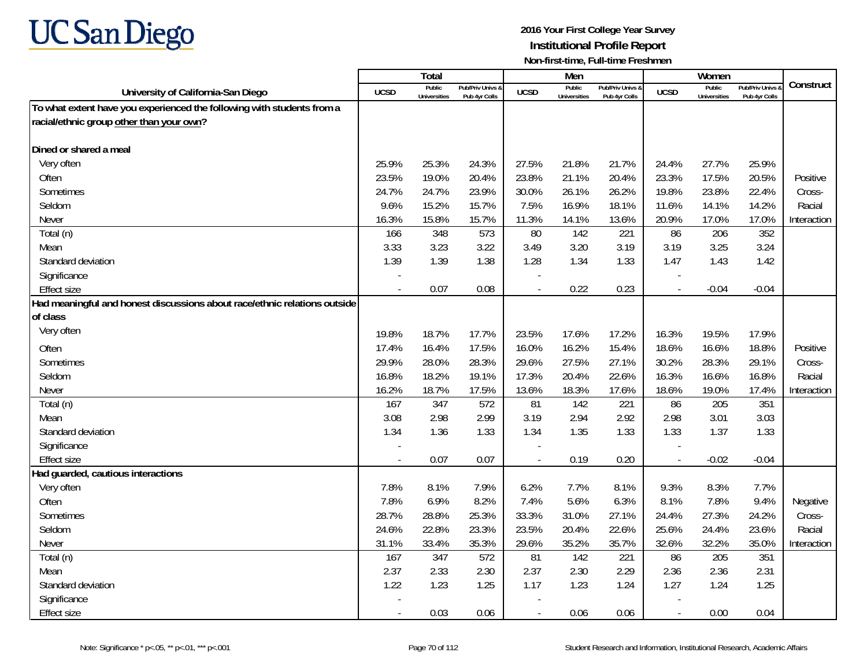

|                                                                           |                          | <b>Total</b>                  |                                   |                | Men                           |                                   |                          | Women                         |                                 |             |
|---------------------------------------------------------------------------|--------------------------|-------------------------------|-----------------------------------|----------------|-------------------------------|-----------------------------------|--------------------------|-------------------------------|---------------------------------|-------------|
| University of California-San Diego                                        | <b>UCSD</b>              | Public<br><b>Universities</b> | Pub/Priv Univs 8<br>Pub 4yr Colls | <b>UCSD</b>    | Public<br><b>Universities</b> | Pub/Priv Univs &<br>Pub 4yr Colls | <b>UCSD</b>              | Public<br><b>Universities</b> | Pub/Priv Univs<br>Pub 4yr Colls | Construct   |
| To what extent have you experienced the following with students from a    |                          |                               |                                   |                |                               |                                   |                          |                               |                                 |             |
| racial/ethnic group other than your own?                                  |                          |                               |                                   |                |                               |                                   |                          |                               |                                 |             |
|                                                                           |                          |                               |                                   |                |                               |                                   |                          |                               |                                 |             |
| Dined or shared a meal                                                    |                          |                               |                                   |                |                               |                                   |                          |                               |                                 |             |
| Very often                                                                | 25.9%                    | 25.3%                         | 24.3%                             | 27.5%          | 21.8%                         | 21.7%                             | 24.4%                    | 27.7%                         | 25.9%                           |             |
| Often                                                                     | 23.5%                    | 19.0%                         | 20.4%                             | 23.8%          | 21.1%                         | 20.4%                             | 23.3%                    | 17.5%                         | 20.5%                           | Positive    |
| Sometimes                                                                 | 24.7%                    | 24.7%                         | 23.9%                             | 30.0%          | 26.1%                         | 26.2%                             | 19.8%                    | 23.8%                         | 22.4%                           | Cross-      |
| Seldom                                                                    | 9.6%                     | 15.2%                         | 15.7%                             | 7.5%           | 16.9%                         | 18.1%                             | 11.6%                    | 14.1%                         | 14.2%                           | Racial      |
| Never                                                                     | 16.3%                    | 15.8%                         | 15.7%                             | 11.3%          | 14.1%                         | 13.6%                             | 20.9%                    | 17.0%                         | 17.0%                           | Interaction |
| Total (n)                                                                 | 166                      | 348                           | 573                               | 80             | 142                           | 221                               | 86                       | 206                           | 352                             |             |
| Mean                                                                      | 3.33                     | 3.23                          | 3.22                              | 3.49           | 3.20                          | 3.19                              | 3.19                     | 3.25                          | 3.24                            |             |
| Standard deviation                                                        | 1.39                     | 1.39                          | 1.38                              | 1.28           | 1.34                          | 1.33                              | 1.47                     | 1.43                          | 1.42                            |             |
| Significance                                                              |                          |                               |                                   |                |                               |                                   |                          |                               |                                 |             |
| <b>Effect size</b>                                                        | $\overline{\phantom{a}}$ | 0.07                          | 0.08                              | $\sim$         | 0.22                          | 0.23                              | $\overline{\phantom{a}}$ | $-0.04$                       | $-0.04$                         |             |
| Had meaningful and honest discussions about race/ethnic relations outside |                          |                               |                                   |                |                               |                                   |                          |                               |                                 |             |
| of class                                                                  |                          |                               |                                   |                |                               |                                   |                          |                               |                                 |             |
| Very often                                                                | 19.8%                    | 18.7%                         | 17.7%                             | 23.5%          | 17.6%                         | 17.2%                             | 16.3%                    | 19.5%                         | 17.9%                           |             |
| Often                                                                     | 17.4%                    | 16.4%                         | 17.5%                             | 16.0%          | 16.2%                         | 15.4%                             | 18.6%                    | 16.6%                         | 18.8%                           | Positive    |
| Sometimes                                                                 | 29.9%                    | 28.0%                         | 28.3%                             | 29.6%          | 27.5%                         | 27.1%                             | 30.2%                    | 28.3%                         | 29.1%                           | Cross-      |
| Seldom                                                                    | 16.8%                    | 18.2%                         | 19.1%                             | 17.3%          | 20.4%                         | 22.6%                             | 16.3%                    | 16.6%                         | 16.8%                           | Racial      |
| Never                                                                     | 16.2%                    | 18.7%                         | 17.5%                             | 13.6%          | 18.3%                         | 17.6%                             | 18.6%                    | 19.0%                         | 17.4%                           | Interaction |
| Total (n)                                                                 | 167                      | 347                           | 572                               | 81             | 142                           | 221                               | 86                       | 205                           | 351                             |             |
| Mean                                                                      | 3.08                     | 2.98                          | 2.99                              | 3.19           | 2.94                          | 2.92                              | 2.98                     | 3.01                          | 3.03                            |             |
| Standard deviation                                                        | 1.34                     | 1.36                          | 1.33                              | 1.34           | 1.35                          | 1.33                              | 1.33                     | 1.37                          | 1.33                            |             |
| Significance                                                              |                          |                               |                                   |                |                               |                                   |                          |                               |                                 |             |
| <b>Effect size</b>                                                        |                          | 0.07                          | 0.07                              |                | 0.19                          | 0.20                              |                          | $-0.02$                       | $-0.04$                         |             |
| Had guarded, cautious interactions                                        |                          |                               |                                   |                |                               |                                   |                          |                               |                                 |             |
| Very often                                                                | 7.8%                     | 8.1%                          | 7.9%                              | 6.2%           | 7.7%                          | 8.1%                              | 9.3%                     | 8.3%                          | 7.7%                            |             |
| Often                                                                     | 7.8%                     | 6.9%                          | 8.2%                              | 7.4%           | 5.6%                          | 6.3%                              | 8.1%                     | 7.8%                          | 9.4%                            | Negative    |
| Sometimes                                                                 | 28.7%                    | 28.8%                         | 25.3%                             | 33.3%          | 31.0%                         | 27.1%                             | 24.4%                    | 27.3%                         | 24.2%                           | Cross-      |
| Seldom                                                                    | 24.6%                    | 22.8%                         | 23.3%                             | 23.5%          | 20.4%                         | 22.6%                             | 25.6%                    | 24.4%                         | 23.6%                           | Racial      |
| Never                                                                     | 31.1%                    | 33.4%                         | 35.3%                             | 29.6%          | 35.2%                         | 35.7%                             | 32.6%                    | 32.2%                         | 35.0%                           | Interaction |
| Total (n)                                                                 | 167                      | 347                           | 572                               | 81             | 142                           | 221                               | 86                       | 205                           | 351                             |             |
| Mean                                                                      | 2.37                     | 2.33                          | 2.30                              | 2.37           | 2.30                          | 2.29                              | 2.36                     | 2.36                          | 2.31                            |             |
| Standard deviation                                                        | 1.22                     | 1.23                          | 1.25                              | 1.17           | 1.23                          | 1.24                              | 1.27                     | 1.24                          | 1.25                            |             |
| Significance                                                              |                          |                               |                                   |                |                               |                                   |                          |                               |                                 |             |
| <b>Effect size</b>                                                        |                          | 0.03                          | 0.06                              | $\overline{a}$ | 0.06                          | 0.06                              | $\overline{\phantom{a}}$ | 0.00                          | 0.04                            |             |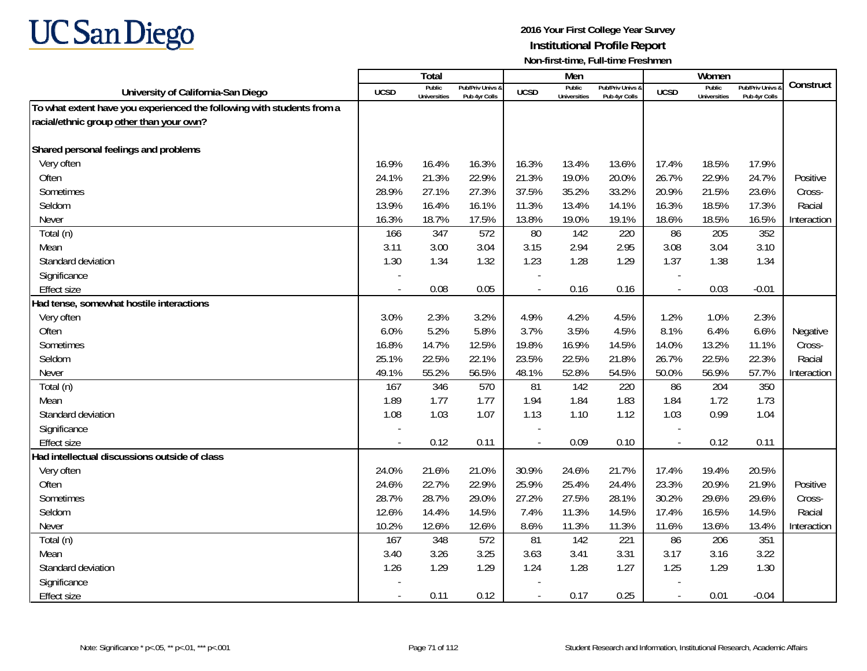

|                                                                        |                          | Total                         |                                   |                | Men                           |                                   |                          | Women                         |                                        |             |
|------------------------------------------------------------------------|--------------------------|-------------------------------|-----------------------------------|----------------|-------------------------------|-----------------------------------|--------------------------|-------------------------------|----------------------------------------|-------------|
| University of California-San Diego                                     | <b>UCSD</b>              | Public<br><b>Universities</b> | Pub/Priv Univs 8<br>Pub 4vr Colls | <b>UCSD</b>    | Public<br><b>Universities</b> | Pub/Priv Univs &<br>Pub 4yr Colls | <b>UCSD</b>              | Public<br><b>Universities</b> | <b>Pub/Priv Univs</b><br>Pub 4yr Colls | Construct   |
| To what extent have you experienced the following with students from a |                          |                               |                                   |                |                               |                                   |                          |                               |                                        |             |
| racial/ethnic group other than your own?                               |                          |                               |                                   |                |                               |                                   |                          |                               |                                        |             |
|                                                                        |                          |                               |                                   |                |                               |                                   |                          |                               |                                        |             |
| Shared personal feelings and problems                                  |                          |                               |                                   |                |                               |                                   |                          |                               |                                        |             |
| Very often                                                             | 16.9%                    | 16.4%                         | 16.3%                             | 16.3%          | 13.4%                         | 13.6%                             | 17.4%                    | 18.5%                         | 17.9%                                  |             |
| Often                                                                  | 24.1%                    | 21.3%                         | 22.9%                             | 21.3%          | 19.0%                         | 20.0%                             | 26.7%                    | 22.9%                         | 24.7%                                  | Positive    |
| Sometimes                                                              | 28.9%                    | 27.1%                         | 27.3%                             | 37.5%          | 35.2%                         | 33.2%                             | 20.9%                    | 21.5%                         | 23.6%                                  | Cross-      |
| Seldom                                                                 | 13.9%                    | 16.4%                         | 16.1%                             | 11.3%          | 13.4%                         | 14.1%                             | 16.3%                    | 18.5%                         | 17.3%                                  | Racial      |
| Never                                                                  | 16.3%                    | 18.7%                         | 17.5%                             | 13.8%          | 19.0%                         | 19.1%                             | 18.6%                    | 18.5%                         | 16.5%                                  | Interaction |
| Total (n)                                                              | 166                      | 347                           | 572                               | 80             | 142                           | 220                               | 86                       | 205                           | 352                                    |             |
| Mean                                                                   | 3.11                     | 3.00                          | 3.04                              | 3.15           | 2.94                          | 2.95                              | 3.08                     | 3.04                          | 3.10                                   |             |
| Standard deviation                                                     | 1.30                     | 1.34                          | 1.32                              | 1.23           | 1.28                          | 1.29                              | 1.37                     | 1.38                          | 1.34                                   |             |
| Significance                                                           |                          |                               |                                   |                |                               |                                   |                          |                               |                                        |             |
| <b>Effect size</b>                                                     |                          | 0.08                          | 0.05                              | $\overline{a}$ | 0.16                          | 0.16                              | $\overline{\phantom{a}}$ | 0.03                          | $-0.01$                                |             |
| Had tense, somewhat hostile interactions                               |                          |                               |                                   |                |                               |                                   |                          |                               |                                        |             |
| Very often                                                             | 3.0%                     | 2.3%                          | 3.2%                              | 4.9%           | 4.2%                          | 4.5%                              | 1.2%                     | 1.0%                          | 2.3%                                   |             |
| Often                                                                  | 6.0%                     | 5.2%                          | 5.8%                              | 3.7%           | 3.5%                          | 4.5%                              | 8.1%                     | 6.4%                          | 6.6%                                   | Negative    |
| Sometimes                                                              | 16.8%                    | 14.7%                         | 12.5%                             | 19.8%          | 16.9%                         | 14.5%                             | 14.0%                    | 13.2%                         | 11.1%                                  | Cross-      |
| Seldom                                                                 | 25.1%                    | 22.5%                         | 22.1%                             | 23.5%          | 22.5%                         | 21.8%                             | 26.7%                    | 22.5%                         | 22.3%                                  | Racial      |
| Never                                                                  | 49.1%                    | 55.2%                         | 56.5%                             | 48.1%          | 52.8%                         | 54.5%                             | 50.0%                    | 56.9%                         | 57.7%                                  | Interaction |
| Total (n)                                                              | 167                      | 346                           | 570                               | 81             | 142                           | 220                               | 86                       | 204                           | 350                                    |             |
| Mean                                                                   | 1.89                     | 1.77                          | 1.77                              | 1.94           | 1.84                          | 1.83                              | 1.84                     | 1.72                          | 1.73                                   |             |
| Standard deviation                                                     | 1.08                     | 1.03                          | 1.07                              | 1.13           | 1.10                          | 1.12                              | 1.03                     | 0.99                          | 1.04                                   |             |
| Significance                                                           |                          |                               |                                   |                |                               |                                   |                          |                               |                                        |             |
| <b>Effect size</b>                                                     | $\overline{\phantom{a}}$ | 0.12                          | 0.11                              | $\overline{a}$ | 0.09                          | 0.10                              | $\overline{\phantom{a}}$ | 0.12                          | 0.11                                   |             |
| Had intellectual discussions outside of class                          |                          |                               |                                   |                |                               |                                   |                          |                               |                                        |             |
| Very often                                                             | 24.0%                    | 21.6%                         | 21.0%                             | 30.9%          | 24.6%                         | 21.7%                             | 17.4%                    | 19.4%                         | 20.5%                                  |             |
| Often                                                                  | 24.6%                    | 22.7%                         | 22.9%                             | 25.9%          | 25.4%                         | 24.4%                             | 23.3%                    | 20.9%                         | 21.9%                                  | Positive    |
| Sometimes                                                              | 28.7%                    | 28.7%                         | 29.0%                             | 27.2%          | 27.5%                         | 28.1%                             | 30.2%                    | 29.6%                         | 29.6%                                  | Cross-      |
| Seldom                                                                 | 12.6%                    | 14.4%                         | 14.5%                             | 7.4%           | 11.3%                         | 14.5%                             | 17.4%                    | 16.5%                         | 14.5%                                  | Racial      |
| Never                                                                  | 10.2%                    | 12.6%                         | 12.6%                             | 8.6%           | 11.3%                         | 11.3%                             | 11.6%                    | 13.6%                         | 13.4%                                  | Interaction |
| Total (n)                                                              | 167                      | 348                           | 572                               | 81             | 142                           | 221                               | 86                       | 206                           | 351                                    |             |
| Mean                                                                   | 3.40                     | 3.26                          | 3.25                              | 3.63           | 3.41                          | 3.31                              | 3.17                     | 3.16                          | 3.22                                   |             |
| Standard deviation                                                     | 1.26                     | 1.29                          | 1.29                              | 1.24           | 1.28                          | 1.27                              | 1.25                     | 1.29                          | 1.30                                   |             |
| Significance                                                           |                          |                               |                                   |                |                               |                                   |                          |                               |                                        |             |
| <b>Effect size</b>                                                     | $\sim$                   | 0.11                          | 0.12                              | $\blacksquare$ | 0.17                          | 0.25                              | $\overline{\phantom{a}}$ | 0.01                          | $-0.04$                                |             |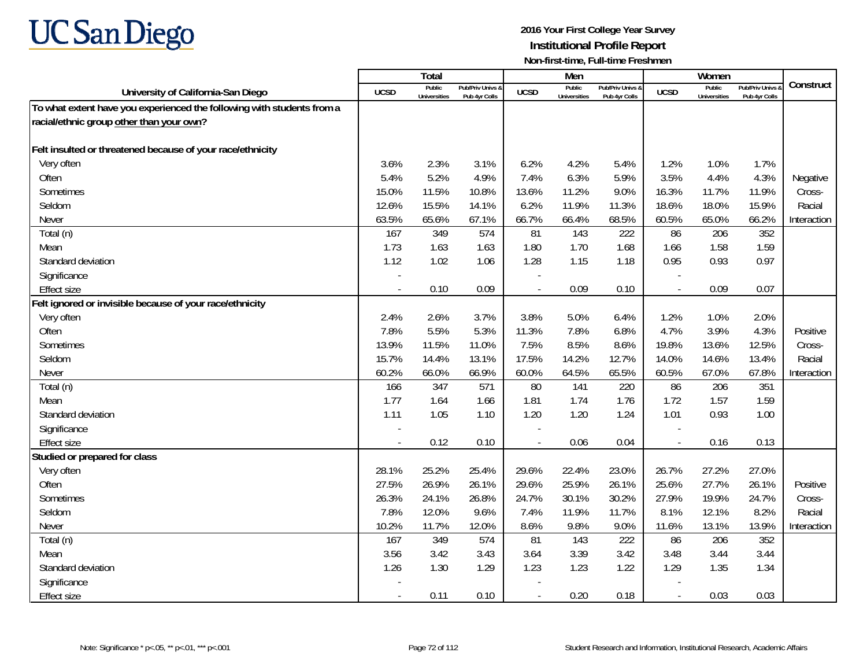

|                                                                        |                | Total                         |                                   |                          | Men                           |                                   |                          | Women                         |                                        |             |
|------------------------------------------------------------------------|----------------|-------------------------------|-----------------------------------|--------------------------|-------------------------------|-----------------------------------|--------------------------|-------------------------------|----------------------------------------|-------------|
| University of California-San Diego                                     | <b>UCSD</b>    | Public<br><b>Universities</b> | Pub/Priv Univs &<br>Pub 4yr Colls | <b>UCSD</b>              | Public<br><b>Universities</b> | Pub/Priv Univs 8<br>Pub 4vr Colls | <b>UCSD</b>              | Public<br><b>Universities</b> | <b>Pub/Priv Univs</b><br>Pub 4yr Colls | Construct   |
| To what extent have you experienced the following with students from a |                |                               |                                   |                          |                               |                                   |                          |                               |                                        |             |
| racial/ethnic group other than your own?                               |                |                               |                                   |                          |                               |                                   |                          |                               |                                        |             |
|                                                                        |                |                               |                                   |                          |                               |                                   |                          |                               |                                        |             |
| Felt insulted or threatened because of your race/ethnicity             |                |                               |                                   |                          |                               |                                   |                          |                               |                                        |             |
| Very often                                                             | 3.6%           | 2.3%                          | 3.1%                              | 6.2%                     | 4.2%                          | 5.4%                              | 1.2%                     | 1.0%                          | 1.7%                                   |             |
| Often                                                                  | 5.4%           | 5.2%                          | 4.9%                              | 7.4%                     | 6.3%                          | 5.9%                              | 3.5%                     | 4.4%                          | 4.3%                                   | Negative    |
| Sometimes                                                              | 15.0%          | 11.5%                         | 10.8%                             | 13.6%                    | 11.2%                         | 9.0%                              | 16.3%                    | 11.7%                         | 11.9%                                  | Cross-      |
| Seldom                                                                 | 12.6%          | 15.5%                         | 14.1%                             | 6.2%                     | 11.9%                         | 11.3%                             | 18.6%                    | 18.0%                         | 15.9%                                  | Racial      |
| Never                                                                  | 63.5%          | 65.6%                         | 67.1%                             | 66.7%                    | 66.4%                         | 68.5%                             | 60.5%                    | 65.0%                         | 66.2%                                  | Interaction |
| Total (n)                                                              | 167            | 349                           | 574                               | 81                       | 143                           | 222                               | 86                       | 206                           | 352                                    |             |
| Mean                                                                   | 1.73           | 1.63                          | 1.63                              | 1.80                     | 1.70                          | 1.68                              | 1.66                     | 1.58                          | 1.59                                   |             |
| Standard deviation                                                     | 1.12           | 1.02                          | 1.06                              | 1.28                     | 1.15                          | 1.18                              | 0.95                     | 0.93                          | 0.97                                   |             |
| Significance                                                           |                |                               |                                   |                          |                               |                                   |                          |                               |                                        |             |
| <b>Effect size</b>                                                     |                | 0.10                          | 0.09                              | $\overline{\phantom{a}}$ | 0.09                          | 0.10                              | $\sim$                   | 0.09                          | 0.07                                   |             |
| Felt ignored or invisible because of your race/ethnicity               |                |                               |                                   |                          |                               |                                   |                          |                               |                                        |             |
| Very often                                                             | 2.4%           | 2.6%                          | 3.7%                              | 3.8%                     | 5.0%                          | 6.4%                              | 1.2%                     | 1.0%                          | 2.0%                                   |             |
| Often                                                                  | 7.8%           | 5.5%                          | 5.3%                              | 11.3%                    | 7.8%                          | 6.8%                              | 4.7%                     | 3.9%                          | 4.3%                                   | Positive    |
| Sometimes                                                              | 13.9%          | 11.5%                         | 11.0%                             | 7.5%                     | 8.5%                          | 8.6%                              | 19.8%                    | 13.6%                         | 12.5%                                  | Cross-      |
| Seldom                                                                 | 15.7%          | 14.4%                         | 13.1%                             | 17.5%                    | 14.2%                         | 12.7%                             | 14.0%                    | 14.6%                         | 13.4%                                  | Racial      |
| Never                                                                  | 60.2%          | 66.0%                         | 66.9%                             | 60.0%                    | 64.5%                         | 65.5%                             | 60.5%                    | 67.0%                         | 67.8%                                  | Interaction |
| Total (n)                                                              | 166            | 347                           | 571                               | 80                       | 141                           | 220                               | 86                       | 206                           | 351                                    |             |
| Mean                                                                   | 1.77           | 1.64                          | 1.66                              | 1.81                     | 1.74                          | 1.76                              | 1.72                     | 1.57                          | 1.59                                   |             |
| Standard deviation                                                     | 1.11           | 1.05                          | 1.10                              | 1.20                     | 1.20                          | 1.24                              | 1.01                     | 0.93                          | 1.00                                   |             |
| Significance                                                           |                |                               |                                   |                          |                               |                                   |                          |                               |                                        |             |
| <b>Effect size</b>                                                     | $\overline{a}$ | 0.12                          | 0.10                              | $\overline{a}$           | 0.06                          | 0.04                              | $\overline{\phantom{a}}$ | 0.16                          | 0.13                                   |             |
| Studied or prepared for class                                          |                |                               |                                   |                          |                               |                                   |                          |                               |                                        |             |
| Very often                                                             | 28.1%          | 25.2%                         | 25.4%                             | 29.6%                    | 22.4%                         | 23.0%                             | 26.7%                    | 27.2%                         | 27.0%                                  |             |
| Often                                                                  | 27.5%          | 26.9%                         | 26.1%                             | 29.6%                    | 25.9%                         | 26.1%                             | 25.6%                    | 27.7%                         | 26.1%                                  | Positive    |
| Sometimes                                                              | 26.3%          | 24.1%                         | 26.8%                             | 24.7%                    | 30.1%                         | 30.2%                             | 27.9%                    | 19.9%                         | 24.7%                                  | Cross-      |
| Seldom                                                                 | 7.8%           | 12.0%                         | 9.6%                              | 7.4%                     | 11.9%                         | 11.7%                             | 8.1%                     | 12.1%                         | 8.2%                                   | Racial      |
| Never                                                                  | 10.2%          | 11.7%                         | 12.0%                             | 8.6%                     | 9.8%                          | 9.0%                              | 11.6%                    | 13.1%                         | 13.9%                                  | Interaction |
| Total (n)                                                              | 167            | 349                           | 574                               | 81                       | 143                           | 222                               | 86                       | 206                           | 352                                    |             |
| Mean                                                                   | 3.56           | 3.42                          | 3.43                              | 3.64                     | 3.39                          | 3.42                              | 3.48                     | 3.44                          | 3.44                                   |             |
| Standard deviation                                                     | 1.26           | 1.30                          | 1.29                              | 1.23                     | 1.23                          | 1.22                              | 1.29                     | 1.35                          | 1.34                                   |             |
| Significance                                                           |                |                               |                                   |                          |                               |                                   |                          |                               |                                        |             |
| <b>Effect size</b>                                                     | $\sim$         | 0.11                          | 0.10                              | $\blacksquare$           | 0.20                          | 0.18                              | $\blacksquare$           | 0.03                          | 0.03                                   |             |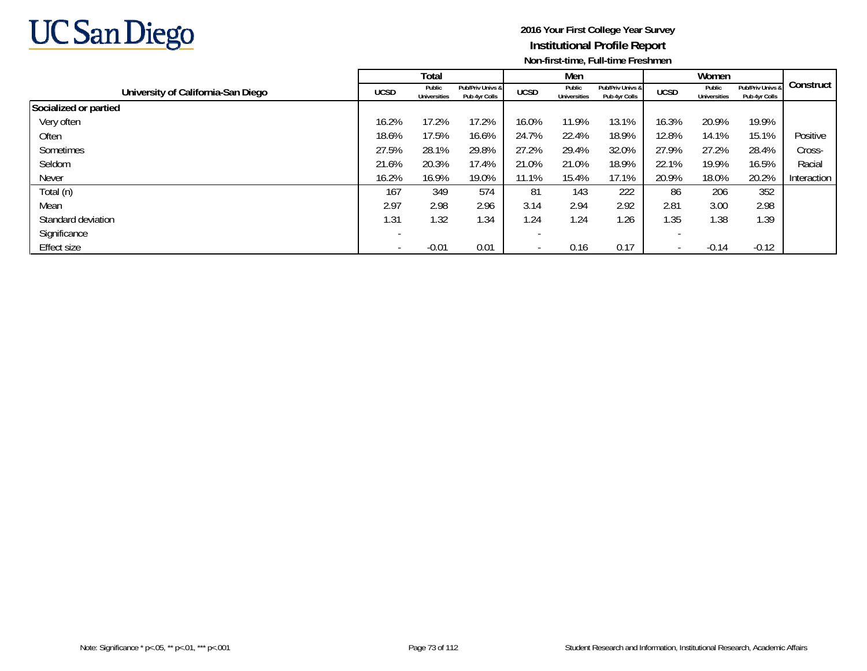

|                                    |                          | Total                         |                                   |             | Men                           |                                   |             | Women                  |                                   |             |
|------------------------------------|--------------------------|-------------------------------|-----------------------------------|-------------|-------------------------------|-----------------------------------|-------------|------------------------|-----------------------------------|-------------|
| University of California-San Diego | <b>UCSD</b>              | Public<br><b>Universities</b> | Pub/Priv Univs &<br>Pub 4yr Colls | <b>UCSD</b> | Public<br><b>Universities</b> | Pub/Priv Univs &<br>Pub 4yr Colls | <b>UCSD</b> | Public<br>Universities | Pub/Priv Univs &<br>Pub 4yr Colls | Construct   |
| Socialized or partied              |                          |                               |                                   |             |                               |                                   |             |                        |                                   |             |
| Very often                         | 16.2%                    | 17.2%                         | 17.2%                             | 16.0%       | 11.9%                         | 13.1%                             | 16.3%       | 20.9%                  | 19.9%                             |             |
| Often                              | 18.6%                    | 17.5%                         | 16.6%                             | 24.7%       | 22.4%                         | 18.9%                             | 12.8%       | 14.1%                  | 15.1%                             | Positive    |
| Sometimes                          | 27.5%                    | 28.1%                         | 29.8%                             | 27.2%       | 29.4%                         | 32.0%                             | 27.9%       | 27.2%                  | 28.4%                             | Cross-      |
| Seldom                             | 21.6%                    | 20.3%                         | 17.4%                             | 21.0%       | 21.0%                         | 18.9%                             | 22.1%       | 19.9%                  | 16.5%                             | Racial      |
| Never                              | 16.2%                    | 16.9%                         | 19.0%                             | 11.1%       | 15.4%                         | 17.1%                             | 20.9%       | 18.0%                  | 20.2%                             | Interaction |
| Total (n)                          | 167                      | 349                           | 574                               | 81          | 143                           | 222                               | 86          | 206                    | 352                               |             |
| Mean                               | 2.97                     | 2.98                          | 2.96                              | 3.14        | 2.94                          | 2.92                              | 2.81        | 3.00                   | 2.98                              |             |
| Standard deviation                 | 1.31                     | 1.32                          | 1.34                              | 1.24        | 1.24                          | .26                               | 1.35        | 1.38                   | 1.39                              |             |
| Significance                       | $\overline{\phantom{a}}$ |                               |                                   |             |                               |                                   |             |                        |                                   |             |
| Effect size                        |                          | $-0.01$                       | 0.01                              |             | 0.16                          | 0.17                              |             | $-0.14$                | $-0.12$                           |             |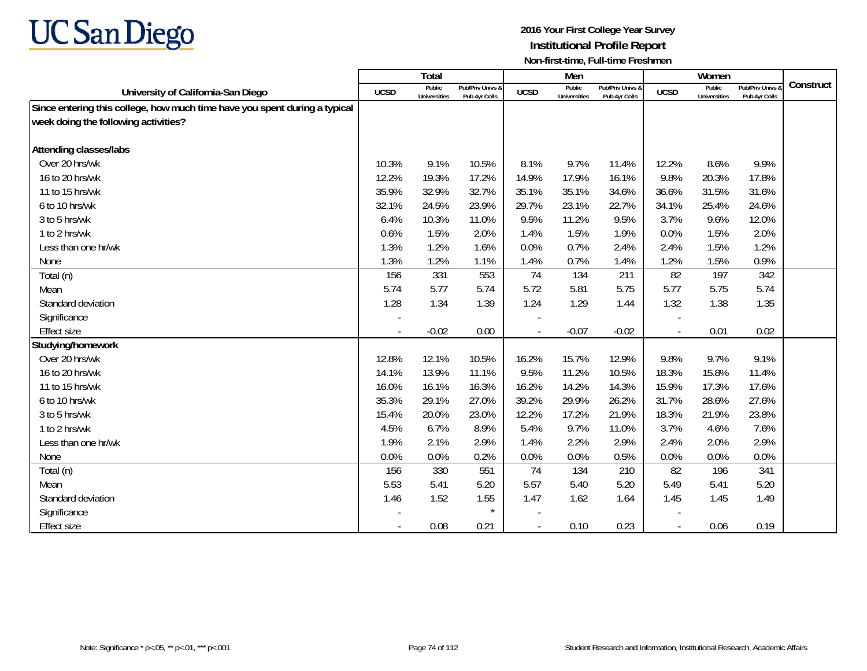

|                                                                            |             | Total                         |                                   |                | Men                           |                                   |                          | Women                         |                                        |           |
|----------------------------------------------------------------------------|-------------|-------------------------------|-----------------------------------|----------------|-------------------------------|-----------------------------------|--------------------------|-------------------------------|----------------------------------------|-----------|
| University of California-San Diego                                         | <b>UCSD</b> | Public<br><b>Universities</b> | Pub/Priv Univs &<br>Pub 4yr Colls | <b>UCSD</b>    | Public<br><b>Universities</b> | Pub/Priv Univs &<br>Pub 4yr Colls | <b>UCSD</b>              | Public<br><b>Universities</b> | <b>Pub/Priv Univs</b><br>Pub 4yr Colls | Construct |
| Since entering this college, how much time have you spent during a typical |             |                               |                                   |                |                               |                                   |                          |                               |                                        |           |
| week doing the following activities?                                       |             |                               |                                   |                |                               |                                   |                          |                               |                                        |           |
|                                                                            |             |                               |                                   |                |                               |                                   |                          |                               |                                        |           |
| <b>Attending classes/labs</b>                                              |             |                               |                                   |                |                               |                                   |                          |                               |                                        |           |
| Over 20 hrs/wk                                                             | 10.3%       | 9.1%                          | 10.5%                             | 8.1%           | 9.7%                          | 11.4%                             | 12.2%                    | 8.6%                          | 9.9%                                   |           |
| 16 to 20 hrs/wk                                                            | 12.2%       | 19.3%                         | 17.2%                             | 14.9%          | 17.9%                         | 16.1%                             | 9.8%                     | 20.3%                         | 17.8%                                  |           |
| 11 to 15 hrs/wk                                                            | 35.9%       | 32.9%                         | 32.7%                             | 35.1%          | 35.1%                         | 34.6%                             | 36.6%                    | 31.5%                         | 31.6%                                  |           |
| 6 to 10 hrs/wk                                                             | 32.1%       | 24.5%                         | 23.9%                             | 29.7%          | 23.1%                         | 22.7%                             | 34.1%                    | 25.4%                         | 24.6%                                  |           |
| 3 to 5 hrs/wk                                                              | 6.4%        | 10.3%                         | 11.0%                             | 9.5%           | 11.2%                         | 9.5%                              | 3.7%                     | 9.6%                          | 12.0%                                  |           |
| 1 to 2 hrs/wk                                                              | 0.6%        | 1.5%                          | 2.0%                              | 1.4%           | 1.5%                          | 1.9%                              | 0.0%                     | 1.5%                          | 2.0%                                   |           |
| Less than one hr/wk                                                        | 1.3%        | 1.2%                          | 1.6%                              | 0.0%           | 0.7%                          | 2.4%                              | 2.4%                     | 1.5%                          | 1.2%                                   |           |
| None                                                                       | 1.3%        | 1.2%                          | 1.1%                              | 1.4%           | 0.7%                          | 1.4%                              | 1.2%                     | 1.5%                          | 0.9%                                   |           |
| Total (n)                                                                  | 156         | 331                           | 553                               | 74             | 134                           | 211                               | 82                       | 197                           | 342                                    |           |
| Mean                                                                       | 5.74        | 5.77                          | 5.74                              | 5.72           | 5.81                          | 5.75                              | 5.77                     | 5.75                          | 5.74                                   |           |
| Standard deviation                                                         | 1.28        | 1.34                          | 1.39                              | 1.24           | 1.29                          | 1.44                              | 1.32                     | 1.38                          | 1.35                                   |           |
| Significance                                                               |             |                               |                                   |                |                               |                                   |                          |                               |                                        |           |
| <b>Effect size</b>                                                         | $\sim$      | $-0.02$                       | 0.00                              | $\sim$         | $-0.07$                       | $-0.02$                           | $\overline{\phantom{a}}$ | 0.01                          | 0.02                                   |           |
| Studying/homework                                                          |             |                               |                                   |                |                               |                                   |                          |                               |                                        |           |
| Over 20 hrs/wk                                                             | 12.8%       | 12.1%                         | 10.5%                             | 16.2%          | 15.7%                         | 12.9%                             | 9.8%                     | 9.7%                          | 9.1%                                   |           |
| 16 to 20 hrs/wk                                                            | 14.1%       | 13.9%                         | 11.1%                             | 9.5%           | 11.2%                         | 10.5%                             | 18.3%                    | 15.8%                         | 11.4%                                  |           |
| 11 to 15 hrs/wk                                                            | 16.0%       | 16.1%                         | 16.3%                             | 16.2%          | 14.2%                         | 14.3%                             | 15.9%                    | 17.3%                         | 17.6%                                  |           |
| 6 to 10 hrs/wk                                                             | 35.3%       | 29.1%                         | 27.0%                             | 39.2%          | 29.9%                         | 26.2%                             | 31.7%                    | 28.6%                         | 27.6%                                  |           |
| 3 to 5 hrs/wk                                                              | 15.4%       | 20.0%                         | 23.0%                             | 12.2%          | 17.2%                         | 21.9%                             | 18.3%                    | 21.9%                         | 23.8%                                  |           |
| 1 to 2 hrs/wk                                                              | 4.5%        | 6.7%                          | 8.9%                              | 5.4%           | 9.7%                          | 11.0%                             | 3.7%                     | 4.6%                          | 7.6%                                   |           |
| Less than one hr/wk                                                        | 1.9%        | 2.1%                          | 2.9%                              | 1.4%           | 2.2%                          | 2.9%                              | 2.4%                     | 2.0%                          | 2.9%                                   |           |
| None                                                                       | 0.0%        | 0.0%                          | 0.2%                              | 0.0%           | 0.0%                          | 0.5%                              | 0.0%                     | 0.0%                          | 0.0%                                   |           |
| Total (n)                                                                  | 156         | 330                           | 551                               | 74             | 134                           | 210                               | 82                       | 196                           | 341                                    |           |
| Mean                                                                       | 5.53        | 5.41                          | 5.20                              | 5.57           | 5.40                          | 5.20                              | 5.49                     | 5.41                          | 5.20                                   |           |
| Standard deviation                                                         | 1.46        | 1.52                          | 1.55                              | 1.47           | 1.62                          | 1.64                              | 1.45                     | 1.45                          | 1.49                                   |           |
| Significance                                                               |             |                               | $\star$                           |                |                               |                                   |                          |                               |                                        |           |
| <b>Effect size</b>                                                         | $\sim$      | 0.08                          | 0.21                              | $\blacksquare$ | 0.10                          | 0.23                              | $\blacksquare$           | 0.06                          | 0.19                                   |           |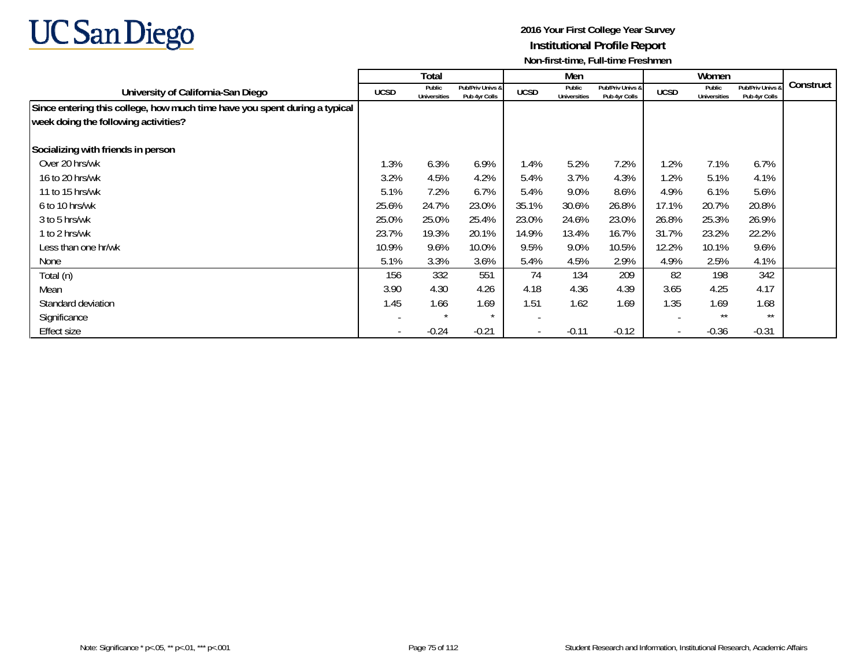

|                                                                            |                          | Total                         |                                   |                          | Men                           |                                   |                          | Women                         |                                   |           |
|----------------------------------------------------------------------------|--------------------------|-------------------------------|-----------------------------------|--------------------------|-------------------------------|-----------------------------------|--------------------------|-------------------------------|-----------------------------------|-----------|
| University of California-San Diego                                         | <b>UCSD</b>              | Public<br><b>Universities</b> | Pub/Priv Univs &<br>Pub 4yr Colls | <b>UCSD</b>              | Public<br><b>Universities</b> | Pub/Priv Univs &<br>Pub 4yr Colls | <b>UCSD</b>              | Public<br><b>Universities</b> | Pub/Priv Univs &<br>Pub 4yr Colls | Construct |
| Since entering this college, how much time have you spent during a typical |                          |                               |                                   |                          |                               |                                   |                          |                               |                                   |           |
| week doing the following activities?                                       |                          |                               |                                   |                          |                               |                                   |                          |                               |                                   |           |
| Socializing with friends in person                                         |                          |                               |                                   |                          |                               |                                   |                          |                               |                                   |           |
| Over 20 hrs/wk                                                             | 1.3%                     | 6.3%                          | 6.9%                              | 1.4%                     | 5.2%                          | 7.2%                              | 1.2%                     | 7.1%                          | 6.7%                              |           |
| 16 to 20 hrs/wk                                                            | 3.2%                     | 4.5%                          | 4.2%                              | 5.4%                     | 3.7%                          | 4.3%                              | 1.2%                     | 5.1%                          | 4.1%                              |           |
| 11 to 15 hrs/wk                                                            | 5.1%                     | 7.2%                          | 6.7%                              | 5.4%                     | 9.0%                          | 8.6%                              | 4.9%                     | 6.1%                          | 5.6%                              |           |
| 6 to 10 hrs/wk                                                             | 25.6%                    | 24.7%                         | 23.0%                             | 35.1%                    | 30.6%                         | 26.8%                             | 17.1%                    | 20.7%                         | 20.8%                             |           |
| 3 to 5 hrs/wk                                                              | 25.0%                    | 25.0%                         | 25.4%                             | 23.0%                    | 24.6%                         | 23.0%                             | 26.8%                    | 25.3%                         | 26.9%                             |           |
| 1 to 2 hrs/wk                                                              | 23.7%                    | 19.3%                         | 20.1%                             | 14.9%                    | 13.4%                         | 16.7%                             | 31.7%                    | 23.2%                         | 22.2%                             |           |
| Less than one hr/wk                                                        | 10.9%                    | 9.6%                          | 10.0%                             | 9.5%                     | 9.0%                          | 10.5%                             | 12.2%                    | 10.1%                         | 9.6%                              |           |
| None                                                                       | 5.1%                     | 3.3%                          | 3.6%                              | 5.4%                     | 4.5%                          | 2.9%                              | 4.9%                     | 2.5%                          | 4.1%                              |           |
| Total (n)                                                                  | 156                      | 332                           | 551                               | 74                       | 134                           | 209                               | 82                       | 198                           | 342                               |           |
| Mean                                                                       | 3.90                     | 4.30                          | 4.26                              | 4.18                     | 4.36                          | 4.39                              | 3.65                     | 4.25                          | 4.17                              |           |
| Standard deviation                                                         | 1.45                     | 1.66                          | 1.69                              | 1.51                     | 1.62                          | 1.69                              | 1.35                     | 1.69                          | 1.68                              |           |
| Significance                                                               |                          | $\star$                       | $\star$                           |                          |                               |                                   |                          | $***$                         | $***$                             |           |
| <b>Effect size</b>                                                         | $\overline{\phantom{a}}$ | $-0.24$                       | $-0.21$                           | $\overline{\phantom{a}}$ | $-0.11$                       | $-0.12$                           | $\overline{\phantom{a}}$ | $-0.36$                       | $-0.31$                           |           |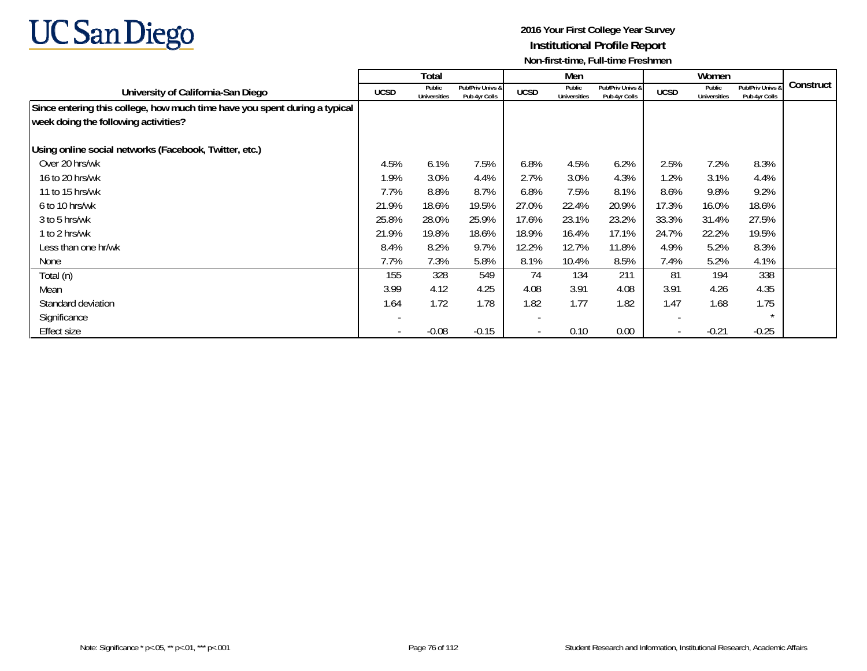

|                                                                            |                          | Total                         |                                   |                          | Men                           |                                   |                          | Women                         |                                   |           |
|----------------------------------------------------------------------------|--------------------------|-------------------------------|-----------------------------------|--------------------------|-------------------------------|-----------------------------------|--------------------------|-------------------------------|-----------------------------------|-----------|
| University of California-San Diego                                         | <b>UCSD</b>              | Public<br><b>Universities</b> | Pub/Priv Univs &<br>Pub 4yr Colls | <b>UCSD</b>              | Public<br><b>Universities</b> | Pub/Priv Univs &<br>Pub 4yr Colls | <b>UCSD</b>              | Public<br><b>Universities</b> | Pub/Priv Univs &<br>Pub 4yr Colls | Construct |
| Since entering this college, how much time have you spent during a typical |                          |                               |                                   |                          |                               |                                   |                          |                               |                                   |           |
| week doing the following activities?                                       |                          |                               |                                   |                          |                               |                                   |                          |                               |                                   |           |
| Using online social networks (Facebook, Twitter, etc.)                     |                          |                               |                                   |                          |                               |                                   |                          |                               |                                   |           |
| Over 20 hrs/wk                                                             | 4.5%                     | 6.1%                          | 7.5%                              | 6.8%                     | 4.5%                          | 6.2%                              | 2.5%                     | 7.2%                          | 8.3%                              |           |
| 16 to 20 hrs/wk                                                            | 1.9%                     | 3.0%                          | 4.4%                              | 2.7%                     | 3.0%                          | 4.3%                              | 1.2%                     | 3.1%                          | 4.4%                              |           |
| 11 to 15 hrs/wk                                                            | 7.7%                     | 8.8%                          | 8.7%                              | 6.8%                     | 7.5%                          | 8.1%                              | 8.6%                     | 9.8%                          | 9.2%                              |           |
| 6 to 10 hrs/wk                                                             | 21.9%                    | 18.6%                         | 19.5%                             | 27.0%                    | 22.4%                         | 20.9%                             | 17.3%                    | 16.0%                         | 18.6%                             |           |
| 3 to 5 hrs/wk                                                              | 25.8%                    | 28.0%                         | 25.9%                             | 17.6%                    | 23.1%                         | 23.2%                             | 33.3%                    | 31.4%                         | 27.5%                             |           |
| 1 to 2 hrs/wk                                                              | 21.9%                    | 19.8%                         | 18.6%                             | 18.9%                    | 16.4%                         | 17.1%                             | 24.7%                    | 22.2%                         | 19.5%                             |           |
| Less than one hr/wk                                                        | 8.4%                     | 8.2%                          | 9.7%                              | 12.2%                    | 12.7%                         | 11.8%                             | 4.9%                     | 5.2%                          | 8.3%                              |           |
| None                                                                       | 7.7%                     | 7.3%                          | 5.8%                              | 8.1%                     | 10.4%                         | 8.5%                              | 7.4%                     | 5.2%                          | 4.1%                              |           |
| Total (n)                                                                  | 155                      | 328                           | 549                               | 74                       | 134                           | 211                               | 81                       | 194                           | 338                               |           |
| Mean                                                                       | 3.99                     | 4.12                          | 4.25                              | 4.08                     | 3.91                          | 4.08                              | 3.91                     | 4.26                          | 4.35                              |           |
| Standard deviation                                                         | 1.64                     | 1.72                          | 1.78                              | 1.82                     | 1.77                          | 1.82                              | 1.47                     | 1.68                          | 1.75                              |           |
| Significance                                                               |                          |                               |                                   | $\overline{\phantom{0}}$ |                               |                                   | $\overline{\phantom{a}}$ |                               | $\star$                           |           |
| <b>Effect size</b>                                                         | $\overline{\phantom{a}}$ | $-0.08$                       | $-0.15$                           | $\overline{\phantom{a}}$ | 0.10                          | 0.00                              | $\overline{\phantom{a}}$ | $-0.21$                       | $-0.25$                           |           |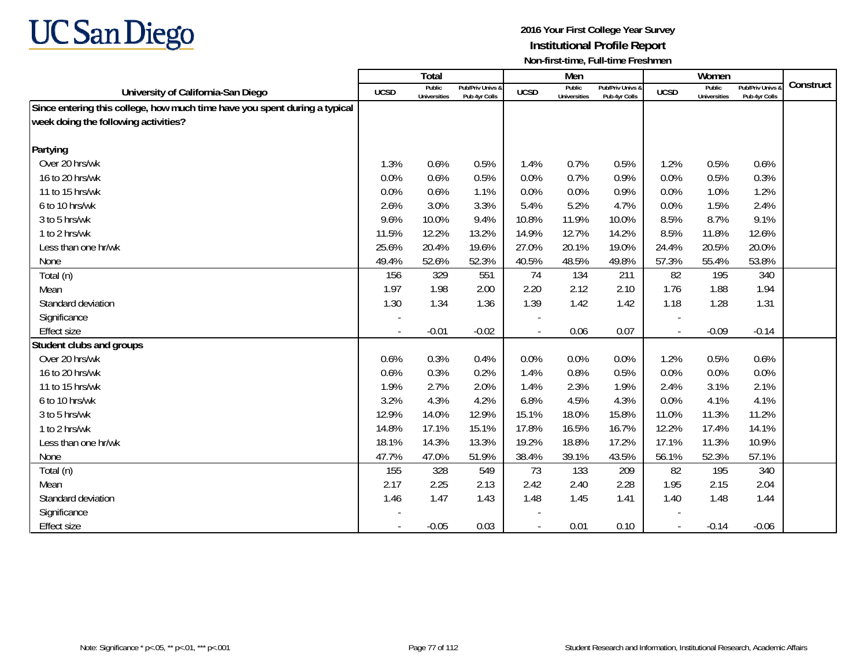

|                                                                            |                          | Total                         |                                   |                | Men                           |                                   |                          | Women                         |                                 |           |
|----------------------------------------------------------------------------|--------------------------|-------------------------------|-----------------------------------|----------------|-------------------------------|-----------------------------------|--------------------------|-------------------------------|---------------------------------|-----------|
| University of California-San Diego                                         | <b>UCSD</b>              | Public<br><b>Universities</b> | Pub/Priv Univs &<br>Pub 4yr Colls | <b>UCSD</b>    | Public<br><b>Universities</b> | Pub/Priv Univs &<br>Pub 4yr Colls | <b>UCSD</b>              | Public<br><b>Universities</b> | Pub/Priv Univs<br>Pub 4yr Colls | Construct |
| Since entering this college, how much time have you spent during a typical |                          |                               |                                   |                |                               |                                   |                          |                               |                                 |           |
| week doing the following activities?                                       |                          |                               |                                   |                |                               |                                   |                          |                               |                                 |           |
|                                                                            |                          |                               |                                   |                |                               |                                   |                          |                               |                                 |           |
| Partying                                                                   |                          |                               |                                   |                |                               |                                   |                          |                               |                                 |           |
| Over 20 hrs/wk                                                             | 1.3%                     | 0.6%                          | 0.5%                              | 1.4%           | 0.7%                          | 0.5%                              | 1.2%                     | 0.5%                          | 0.6%                            |           |
| 16 to 20 hrs/wk                                                            | 0.0%                     | 0.6%                          | 0.5%                              | 0.0%           | 0.7%                          | 0.9%                              | 0.0%                     | 0.5%                          | 0.3%                            |           |
| 11 to 15 hrs/wk                                                            | 0.0%                     | 0.6%                          | 1.1%                              | 0.0%           | 0.0%                          | 0.9%                              | 0.0%                     | 1.0%                          | 1.2%                            |           |
| 6 to 10 hrs/wk                                                             | 2.6%                     | 3.0%                          | 3.3%                              | 5.4%           | 5.2%                          | 4.7%                              | 0.0%                     | 1.5%                          | 2.4%                            |           |
| 3 to 5 hrs/wk                                                              | 9.6%                     | 10.0%                         | 9.4%                              | 10.8%          | 11.9%                         | 10.0%                             | 8.5%                     | 8.7%                          | 9.1%                            |           |
| 1 to 2 hrs/wk                                                              | 11.5%                    | 12.2%                         | 13.2%                             | 14.9%          | 12.7%                         | 14.2%                             | 8.5%                     | 11.8%                         | 12.6%                           |           |
| Less than one hr/wk                                                        | 25.6%                    | 20.4%                         | 19.6%                             | 27.0%          | 20.1%                         | 19.0%                             | 24.4%                    | 20.5%                         | 20.0%                           |           |
| None                                                                       | 49.4%                    | 52.6%                         | 52.3%                             | 40.5%          | 48.5%                         | 49.8%                             | 57.3%                    | 55.4%                         | 53.8%                           |           |
| Total (n)                                                                  | 156                      | 329                           | 551                               | 74             | 134                           | 211                               | 82                       | 195                           | 340                             |           |
| Mean                                                                       | 1.97                     | 1.98                          | 2.00                              | 2.20           | 2.12                          | 2.10                              | 1.76                     | 1.88                          | 1.94                            |           |
| Standard deviation                                                         | 1.30                     | 1.34                          | 1.36                              | 1.39           | 1.42                          | 1.42                              | 1.18                     | 1.28                          | 1.31                            |           |
| Significance                                                               |                          |                               |                                   |                |                               |                                   |                          |                               |                                 |           |
| <b>Effect size</b>                                                         |                          | $-0.01$                       | $-0.02$                           | $\overline{a}$ | 0.06                          | 0.07                              | $\overline{\phantom{a}}$ | $-0.09$                       | $-0.14$                         |           |
| Student clubs and groups                                                   |                          |                               |                                   |                |                               |                                   |                          |                               |                                 |           |
| Over 20 hrs/wk                                                             | 0.6%                     | 0.3%                          | 0.4%                              | 0.0%           | 0.0%                          | 0.0%                              | 1.2%                     | 0.5%                          | 0.6%                            |           |
| 16 to 20 hrs/wk                                                            | 0.6%                     | 0.3%                          | 0.2%                              | 1.4%           | 0.8%                          | 0.5%                              | 0.0%                     | 0.0%                          | 0.0%                            |           |
| 11 to 15 hrs/wk                                                            | 1.9%                     | 2.7%                          | 2.0%                              | 1.4%           | 2.3%                          | 1.9%                              | 2.4%                     | 3.1%                          | 2.1%                            |           |
| 6 to 10 hrs/wk                                                             | 3.2%                     | 4.3%                          | 4.2%                              | 6.8%           | 4.5%                          | 4.3%                              | 0.0%                     | 4.1%                          | 4.1%                            |           |
| 3 to 5 hrs/wk                                                              | 12.9%                    | 14.0%                         | 12.9%                             | 15.1%          | 18.0%                         | 15.8%                             | 11.0%                    | 11.3%                         | 11.2%                           |           |
| 1 to 2 hrs/wk                                                              | 14.8%                    | 17.1%                         | 15.1%                             | 17.8%          | 16.5%                         | 16.7%                             | 12.2%                    | 17.4%                         | 14.1%                           |           |
| Less than one hr/wk                                                        | 18.1%                    | 14.3%                         | 13.3%                             | 19.2%          | 18.8%                         | 17.2%                             | 17.1%                    | 11.3%                         | 10.9%                           |           |
| None                                                                       | 47.7%                    | 47.0%                         | 51.9%                             | 38.4%          | 39.1%                         | 43.5%                             | 56.1%                    | 52.3%                         | 57.1%                           |           |
| Total (n)                                                                  | 155                      | 328                           | 549                               | 73             | 133                           | 209                               | 82                       | 195                           | 340                             |           |
| Mean                                                                       | 2.17                     | 2.25                          | 2.13                              | 2.42           | 2.40                          | 2.28                              | 1.95                     | 2.15                          | 2.04                            |           |
| Standard deviation                                                         | 1.46                     | 1.47                          | 1.43                              | 1.48           | 1.45                          | 1.41                              | 1.40                     | 1.48                          | 1.44                            |           |
| Significance                                                               |                          |                               |                                   |                |                               |                                   |                          |                               |                                 |           |
| <b>Effect size</b>                                                         | $\overline{\phantom{a}}$ | $-0.05$                       | 0.03                              |                | 0.01                          | 0.10                              | $\sim$                   | $-0.14$                       | $-0.06$                         |           |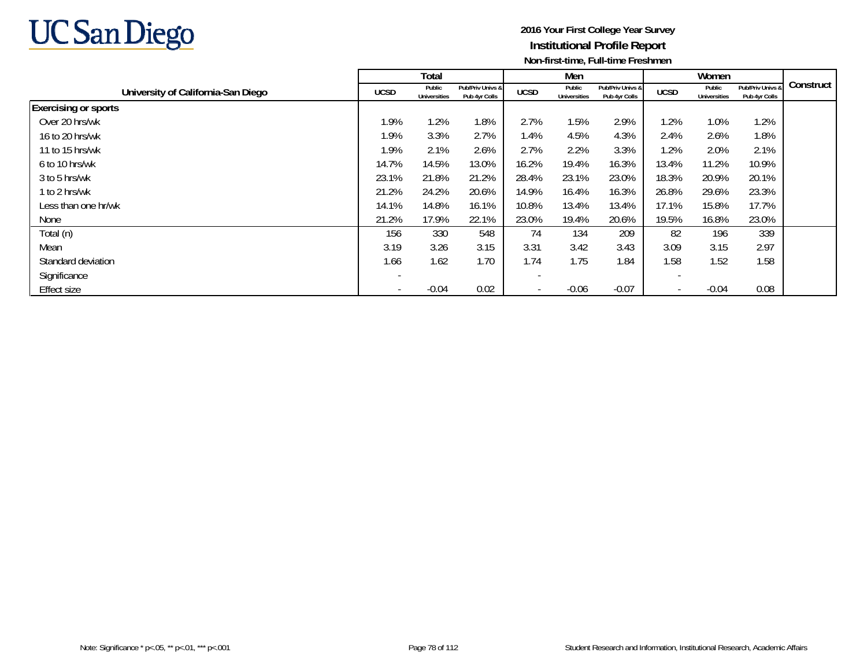

|                                    |                          | Total                         |                                   |             | Men                           |                                   |                          | Women                         |                                   |           |
|------------------------------------|--------------------------|-------------------------------|-----------------------------------|-------------|-------------------------------|-----------------------------------|--------------------------|-------------------------------|-----------------------------------|-----------|
| University of California-San Diego | <b>UCSD</b>              | Public<br><b>Universities</b> | Pub/Priv Univs &<br>Pub 4yr Colls | <b>UCSD</b> | Public<br><b>Universities</b> | Pub/Priv Univs &<br>Pub 4yr Colls | <b>UCSD</b>              | Public<br><b>Universities</b> | Pub/Priv Univs &<br>Pub 4yr Colls | Construct |
| <b>Exercising or sports</b>        |                          |                               |                                   |             |                               |                                   |                          |                               |                                   |           |
| Over 20 hrs/wk                     | 1.9%                     | 1.2%                          | 1.8%                              | 2.7%        | 1.5%                          | 2.9%                              | .2%                      | 1.0%                          | 1.2%                              |           |
| 16 to 20 hrs/wk                    | 1.9%                     | 3.3%                          | 2.7%                              | 1.4%        | 4.5%                          | 4.3%                              | 2.4%                     | 2.6%                          | 1.8%                              |           |
| 11 to 15 hrs/wk                    | 1.9%                     | 2.1%                          | 2.6%                              | 2.7%        | 2.2%                          | 3.3%                              | 1.2%                     | 2.0%                          | 2.1%                              |           |
| 6 to 10 hrs/wk                     | 14.7%                    | 14.5%                         | 13.0%                             | 16.2%       | 19.4%                         | 16.3%                             | 13.4%                    | 11.2%                         | 10.9%                             |           |
| 3 to 5 hrs/wk                      | 23.1%                    | 21.8%                         | 21.2%                             | 28.4%       | 23.1%                         | 23.0%                             | 18.3%                    | 20.9%                         | 20.1%                             |           |
| 1 to 2 hrs/wk                      | 21.2%                    | 24.2%                         | 20.6%                             | 14.9%       | 16.4%                         | 16.3%                             | 26.8%                    | 29.6%                         | 23.3%                             |           |
| Less than one hr/wk                | 14.1%                    | 14.8%                         | 16.1%                             | 10.8%       | 13.4%                         | 13.4%                             | 17.1%                    | 15.8%                         | 17.7%                             |           |
| None                               | 21.2%                    | 17.9%                         | 22.1%                             | 23.0%       | 19.4%                         | 20.6%                             | 19.5%                    | 16.8%                         | 23.0%                             |           |
| Total (n)                          | 156                      | 330                           | 548                               | 74          | 134                           | 209                               | 82                       | 196                           | 339                               |           |
| Mean                               | 3.19                     | 3.26                          | 3.15                              | 3.31        | 3.42                          | 3.43                              | 3.09                     | 3.15                          | 2.97                              |           |
| Standard deviation                 | 1.66                     | 1.62                          | 1.70                              | 1.74        | 1.75                          | .84                               | 1.58                     | 1.52                          | 1.58                              |           |
| Significance                       | $\overline{\phantom{0}}$ |                               |                                   |             |                               |                                   |                          |                               |                                   |           |
| <b>Effect size</b>                 | $\overline{\phantom{a}}$ | $-0.04$                       | 0.02                              |             | $-0.06$                       | $-0.07$                           | $\overline{\phantom{0}}$ | $-0.04$                       | 0.08                              |           |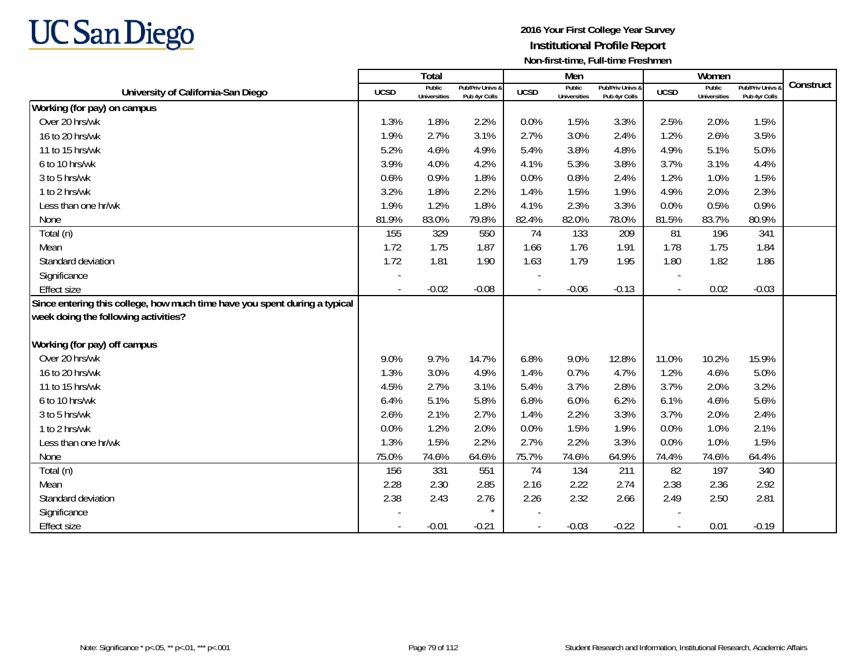

|                                                                            |             | Total                         |                                   |                          | Men                           |                                   |             | Women                         |                                 |           |
|----------------------------------------------------------------------------|-------------|-------------------------------|-----------------------------------|--------------------------|-------------------------------|-----------------------------------|-------------|-------------------------------|---------------------------------|-----------|
| University of California-San Diego                                         | <b>UCSD</b> | Public<br><b>Universities</b> | Pub/Priv Univs &<br>Pub 4yr Colls | <b>UCSD</b>              | Public<br><b>Universities</b> | Pub/Priv Univs &<br>Pub 4yr Colls | <b>UCSD</b> | Public<br><b>Universities</b> | Pub/Priv Univs<br>Pub 4yr Colls | Construct |
| Working (for pay) on campus                                                |             |                               |                                   |                          |                               |                                   |             |                               |                                 |           |
| Over 20 hrs/wk                                                             | 1.3%        | 1.8%                          | 2.2%                              | 0.0%                     | 1.5%                          | 3.3%                              | 2.5%        | 2.0%                          | 1.5%                            |           |
| 16 to 20 hrs/wk                                                            | 1.9%        | 2.7%                          | 3.1%                              | 2.7%                     | 3.0%                          | 2.4%                              | 1.2%        | 2.6%                          | 3.5%                            |           |
| 11 to 15 hrs/wk                                                            | 5.2%        | 4.6%                          | 4.9%                              | 5.4%                     | 3.8%                          | 4.8%                              | 4.9%        | 5.1%                          | 5.0%                            |           |
| 6 to 10 hrs/wk                                                             | 3.9%        | 4.0%                          | 4.2%                              | 4.1%                     | 5.3%                          | 3.8%                              | 3.7%        | 3.1%                          | 4.4%                            |           |
| 3 to 5 hrs/wk                                                              | 0.6%        | 0.9%                          | 1.8%                              | 0.0%                     | 0.8%                          | 2.4%                              | 1.2%        | 1.0%                          | 1.5%                            |           |
| 1 to 2 hrs/wk                                                              | 3.2%        | 1.8%                          | 2.2%                              | 1.4%                     | 1.5%                          | 1.9%                              | 4.9%        | 2.0%                          | 2.3%                            |           |
| Less than one hr/wk                                                        | 1.9%        | 1.2%                          | 1.8%                              | 4.1%                     | 2.3%                          | 3.3%                              | 0.0%        | 0.5%                          | 0.9%                            |           |
| None                                                                       | 81.9%       | 83.0%                         | 79.8%                             | 82.4%                    | 82.0%                         | 78.0%                             | 81.5%       | 83.7%                         | 80.9%                           |           |
| Total (n)                                                                  | 155         | 329                           | 550                               | 74                       | 133                           | 209                               | 81          | 196                           | 341                             |           |
| Mean                                                                       | 1.72        | 1.75                          | 1.87                              | 1.66                     | 1.76                          | 1.91                              | 1.78        | 1.75                          | 1.84                            |           |
| Standard deviation                                                         | 1.72        | 1.81                          | 1.90                              | 1.63                     | 1.79                          | 1.95                              | 1.80        | 1.82                          | 1.86                            |           |
| Significance                                                               |             |                               |                                   |                          |                               |                                   |             |                               |                                 |           |
| <b>Effect size</b>                                                         |             | $-0.02$                       | $-0.08$                           |                          | $-0.06$                       | $-0.13$                           |             | 0.02                          | $-0.03$                         |           |
| Since entering this college, how much time have you spent during a typical |             |                               |                                   |                          |                               |                                   |             |                               |                                 |           |
| week doing the following activities?                                       |             |                               |                                   |                          |                               |                                   |             |                               |                                 |           |
| Working (for pay) off campus                                               |             |                               |                                   |                          |                               |                                   |             |                               |                                 |           |
| Over 20 hrs/wk                                                             | 9.0%        | 9.7%                          | 14.7%                             | 6.8%                     | 9.0%                          | 12.8%                             | 11.0%       | 10.2%                         | 15.9%                           |           |
| 16 to 20 hrs/wk                                                            | 1.3%        | 3.0%                          | 4.9%                              | 1.4%                     | 0.7%                          | 4.7%                              | 1.2%        | 4.6%                          | 5.0%                            |           |
| 11 to 15 hrs/wk                                                            | 4.5%        | 2.7%                          | 3.1%                              | 5.4%                     | 3.7%                          | 2.8%                              | 3.7%        | 2.0%                          | 3.2%                            |           |
| 6 to 10 hrs/wk                                                             | 6.4%        | 5.1%                          | 5.8%                              | 6.8%                     | 6.0%                          | 6.2%                              | 6.1%        | 4.6%                          | 5.6%                            |           |
| 3 to 5 hrs/wk                                                              | 2.6%        | 2.1%                          | 2.7%                              | 1.4%                     | 2.2%                          | 3.3%                              | 3.7%        | 2.0%                          | 2.4%                            |           |
| 1 to 2 hrs/wk                                                              | 0.0%        | 1.2%                          | 2.0%                              | 0.0%                     | 1.5%                          | 1.9%                              | 0.0%        | 1.0%                          | 2.1%                            |           |
| Less than one hr/wk                                                        | 1.3%        | 1.5%                          | 2.2%                              | 2.7%                     | 2.2%                          | 3.3%                              | 0.0%        | 1.0%                          | 1.5%                            |           |
| None                                                                       | 75.0%       | 74.6%                         | 64.6%                             | 75.7%                    | 74.6%                         | 64.9%                             | 74.4%       | 74.6%                         | 64.4%                           |           |
| Total (n)                                                                  | 156         | 331                           | 551                               | 74                       | 134                           | 211                               | 82          | 197                           | 340                             |           |
| Mean                                                                       | 2.28        | 2.30                          | 2.85                              | 2.16                     | 2.22                          | 2.74                              | 2.38        | 2.36                          | 2.92                            |           |
| Standard deviation                                                         | 2.38        | 2.43                          | 2.76                              | 2.26                     | 2.32                          | 2.66                              | 2.49        | 2.50                          | 2.81                            |           |
| Significance                                                               |             |                               | $\star$                           |                          |                               |                                   |             |                               |                                 |           |
| <b>Effect size</b>                                                         |             | $-0.01$                       | $-0.21$                           | $\overline{\phantom{a}}$ | $-0.03$                       | $-0.22$                           |             | 0.01                          | $-0.19$                         |           |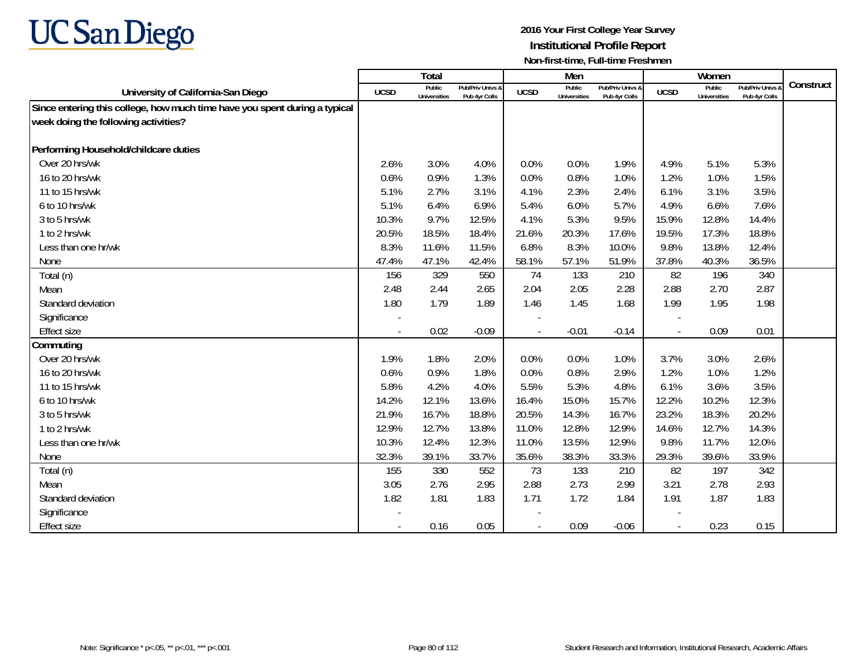

|                                                                            |                          | Total                         |                                   |                | Men                           |                                   |                          | Women                         |                                 |           |
|----------------------------------------------------------------------------|--------------------------|-------------------------------|-----------------------------------|----------------|-------------------------------|-----------------------------------|--------------------------|-------------------------------|---------------------------------|-----------|
| University of California-San Diego                                         | <b>UCSD</b>              | Public<br><b>Universities</b> | Pub/Priv Univs &<br>Pub 4yr Colls | <b>UCSD</b>    | Public<br><b>Universities</b> | Pub/Priv Univs &<br>Pub 4yr Colls | <b>UCSD</b>              | Public<br><b>Universities</b> | Pub/Priv Univs<br>Pub 4yr Colls | Construct |
| Since entering this college, how much time have you spent during a typical |                          |                               |                                   |                |                               |                                   |                          |                               |                                 |           |
| week doing the following activities?                                       |                          |                               |                                   |                |                               |                                   |                          |                               |                                 |           |
|                                                                            |                          |                               |                                   |                |                               |                                   |                          |                               |                                 |           |
| Performing Household/childcare duties                                      |                          |                               |                                   |                |                               |                                   |                          |                               |                                 |           |
| Over 20 hrs/wk                                                             | 2.6%                     | 3.0%                          | 4.0%                              | 0.0%           | 0.0%                          | 1.9%                              | 4.9%                     | 5.1%                          | 5.3%                            |           |
| 16 to 20 hrs/wk                                                            | 0.6%                     | 0.9%                          | 1.3%                              | 0.0%           | 0.8%                          | 1.0%                              | 1.2%                     | 1.0%                          | 1.5%                            |           |
| 11 to 15 hrs/wk                                                            | 5.1%                     | 2.7%                          | 3.1%                              | 4.1%           | 2.3%                          | 2.4%                              | 6.1%                     | 3.1%                          | 3.5%                            |           |
| 6 to 10 hrs/wk                                                             | 5.1%                     | 6.4%                          | 6.9%                              | 5.4%           | 6.0%                          | 5.7%                              | 4.9%                     | 6.6%                          | 7.6%                            |           |
| 3 to 5 hrs/wk                                                              | 10.3%                    | 9.7%                          | 12.5%                             | 4.1%           | 5.3%                          | 9.5%                              | 15.9%                    | 12.8%                         | 14.4%                           |           |
| 1 to 2 hrs/wk                                                              | 20.5%                    | 18.5%                         | 18.4%                             | 21.6%          | 20.3%                         | 17.6%                             | 19.5%                    | 17.3%                         | 18.8%                           |           |
| Less than one hr/wk                                                        | 8.3%                     | 11.6%                         | 11.5%                             | 6.8%           | 8.3%                          | 10.0%                             | 9.8%                     | 13.8%                         | 12.4%                           |           |
| None                                                                       | 47.4%                    | 47.1%                         | 42.4%                             | 58.1%          | 57.1%                         | 51.9%                             | 37.8%                    | 40.3%                         | 36.5%                           |           |
| Total (n)                                                                  | 156                      | 329                           | 550                               | 74             | 133                           | 210                               | 82                       | 196                           | 340                             |           |
| Mean                                                                       | 2.48                     | 2.44                          | 2.65                              | 2.04           | 2.05                          | 2.28                              | 2.88                     | 2.70                          | 2.87                            |           |
| Standard deviation                                                         | 1.80                     | 1.79                          | 1.89                              | 1.46           | 1.45                          | 1.68                              | 1.99                     | 1.95                          | 1.98                            |           |
| Significance                                                               |                          |                               |                                   |                |                               |                                   |                          |                               |                                 |           |
| Effect size                                                                |                          | 0.02                          | $-0.09$                           | $\overline{a}$ | $-0.01$                       | $-0.14$                           | $\overline{\phantom{a}}$ | 0.09                          | 0.01                            |           |
| Commuting                                                                  |                          |                               |                                   |                |                               |                                   |                          |                               |                                 |           |
| Over 20 hrs/wk                                                             | 1.9%                     | 1.8%                          | 2.0%                              | 0.0%           | 0.0%                          | 1.0%                              | 3.7%                     | 3.0%                          | 2.6%                            |           |
| 16 to 20 hrs/wk                                                            | 0.6%                     | 0.9%                          | 1.8%                              | 0.0%           | 0.8%                          | 2.9%                              | 1.2%                     | 1.0%                          | 1.2%                            |           |
| 11 to 15 hrs/wk                                                            | 5.8%                     | 4.2%                          | 4.0%                              | 5.5%           | 5.3%                          | 4.8%                              | 6.1%                     | 3.6%                          | 3.5%                            |           |
| 6 to 10 hrs/wk                                                             | 14.2%                    | 12.1%                         | 13.6%                             | 16.4%          | 15.0%                         | 15.7%                             | 12.2%                    | 10.2%                         | 12.3%                           |           |
| 3 to 5 hrs/wk                                                              | 21.9%                    | 16.7%                         | 18.8%                             | 20.5%          | 14.3%                         | 16.7%                             | 23.2%                    | 18.3%                         | 20.2%                           |           |
| 1 to 2 hrs/wk                                                              | 12.9%                    | 12.7%                         | 13.8%                             | 11.0%          | 12.8%                         | 12.9%                             | 14.6%                    | 12.7%                         | 14.3%                           |           |
| Less than one hr/wk                                                        | 10.3%                    | 12.4%                         | 12.3%                             | 11.0%          | 13.5%                         | 12.9%                             | 9.8%                     | 11.7%                         | 12.0%                           |           |
| None                                                                       | 32.3%                    | 39.1%                         | 33.7%                             | 35.6%          | 38.3%                         | 33.3%                             | 29.3%                    | 39.6%                         | 33.9%                           |           |
| Total (n)                                                                  | 155                      | 330                           | 552                               | 73             | 133                           | 210                               | 82                       | 197                           | 342                             |           |
| Mean                                                                       | 3.05                     | 2.76                          | 2.95                              | 2.88           | 2.73                          | 2.99                              | 3.21                     | 2.78                          | 2.93                            |           |
| Standard deviation                                                         | 1.82                     | 1.81                          | 1.83                              | 1.71           | 1.72                          | 1.84                              | 1.91                     | 1.87                          | 1.83                            |           |
| Significance                                                               |                          |                               |                                   |                |                               |                                   |                          |                               |                                 |           |
| <b>Effect size</b>                                                         | $\overline{\phantom{a}}$ | 0.16                          | 0.05                              | $\overline{a}$ | 0.09                          | $-0.06$                           | $\blacksquare$           | 0.23                          | 0.15                            |           |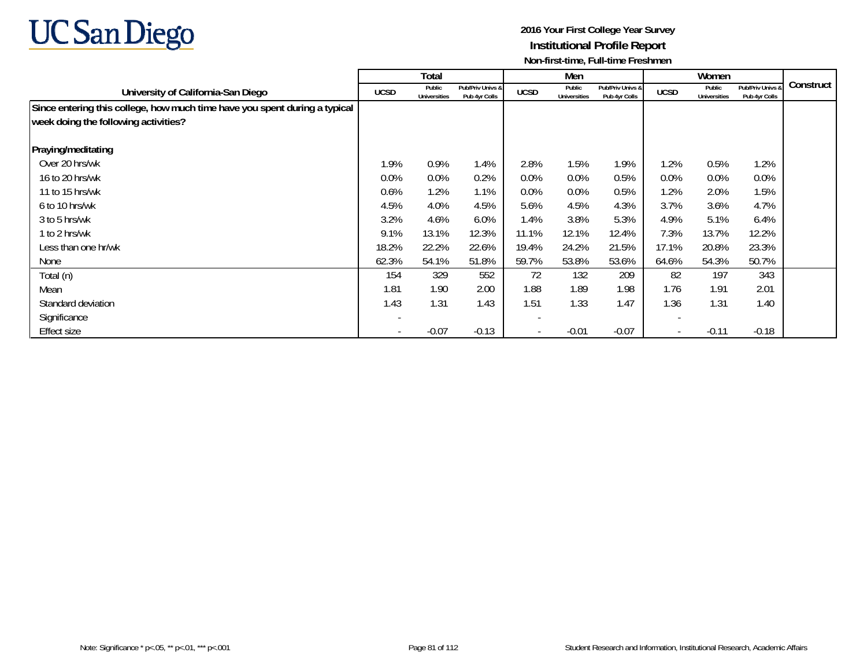

|                                                                            |                          | Total                         |                                   |                          | Men                           |                                   |                          | Women                  |                                   |           |
|----------------------------------------------------------------------------|--------------------------|-------------------------------|-----------------------------------|--------------------------|-------------------------------|-----------------------------------|--------------------------|------------------------|-----------------------------------|-----------|
| University of California-San Diego                                         | <b>UCSD</b>              | Public<br><b>Universities</b> | Pub/Priv Univs &<br>Pub 4yr Colls | <b>UCSD</b>              | Public<br><b>Universities</b> | Pub/Priv Univs &<br>Pub 4yr Colls | <b>UCSD</b>              | Public<br>Universities | Pub/Priv Univs 8<br>Pub 4yr Colls | Construct |
| Since entering this college, how much time have you spent during a typical |                          |                               |                                   |                          |                               |                                   |                          |                        |                                   |           |
| week doing the following activities?                                       |                          |                               |                                   |                          |                               |                                   |                          |                        |                                   |           |
| Praying/meditating                                                         |                          |                               |                                   |                          |                               |                                   |                          |                        |                                   |           |
| Over 20 hrs/wk                                                             | 1.9%                     | 0.9%                          | 1.4%                              | 2.8%                     | 1.5%                          | 1.9%                              | 1.2%                     | 0.5%                   | 1.2%                              |           |
| 16 to 20 hrs/wk                                                            | $0.0\%$                  | 0.0%                          | 0.2%                              | $0.0\%$                  | $0.0\%$                       | 0.5%                              | 0.0%                     | $0.0\%$                | 0.0%                              |           |
| 11 to 15 hrs/wk                                                            | 0.6%                     | 1.2%                          | 1.1%                              | 0.0%                     | $0.0\%$                       | 0.5%                              | 1.2%                     | 2.0%                   | 1.5%                              |           |
| 6 to 10 hrs/wk                                                             | 4.5%                     | 4.0%                          | 4.5%                              | 5.6%                     | 4.5%                          | 4.3%                              | 3.7%                     | 3.6%                   | 4.7%                              |           |
| 3 to 5 hrs/wk                                                              | 3.2%                     | 4.6%                          | 6.0%                              | 1.4%                     | 3.8%                          | 5.3%                              | 4.9%                     | 5.1%                   | 6.4%                              |           |
| 1 to 2 hrs/wk                                                              | 9.1%                     | 13.1%                         | 12.3%                             | 11.1%                    | 12.1%                         | 12.4%                             | 7.3%                     | 13.7%                  | 12.2%                             |           |
| Less than one hr/wk                                                        | 18.2%                    | 22.2%                         | 22.6%                             | 19.4%                    | 24.2%                         | 21.5%                             | 17.1%                    | 20.8%                  | 23.3%                             |           |
| None                                                                       | 62.3%                    | 54.1%                         | 51.8%                             | 59.7%                    | 53.8%                         | 53.6%                             | 64.6%                    | 54.3%                  | 50.7%                             |           |
| Total (n)                                                                  | 154                      | 329                           | 552                               | 72                       | 132                           | 209                               | 82                       | 197                    | 343                               |           |
| Mean                                                                       | 1.81                     | 1.90                          | 2.00                              | 1.88                     | 1.89                          | 1.98                              | 1.76                     | 1.91                   | 2.01                              |           |
| Standard deviation                                                         | 1.43                     | 1.31                          | 1.43                              | 1.51                     | 1.33                          | 1.47                              | 1.36                     | 1.31                   | 1.40                              |           |
| Significance                                                               |                          |                               |                                   | $\overline{\phantom{a}}$ |                               |                                   | $\overline{\phantom{a}}$ |                        |                                   |           |
| <b>Effect size</b>                                                         | $\overline{\phantom{a}}$ | $-0.07$                       | $-0.13$                           | $\overline{\phantom{a}}$ | $-0.01$                       | $-0.07$                           | $\overline{\phantom{a}}$ | $-0.11$                | $-0.18$                           |           |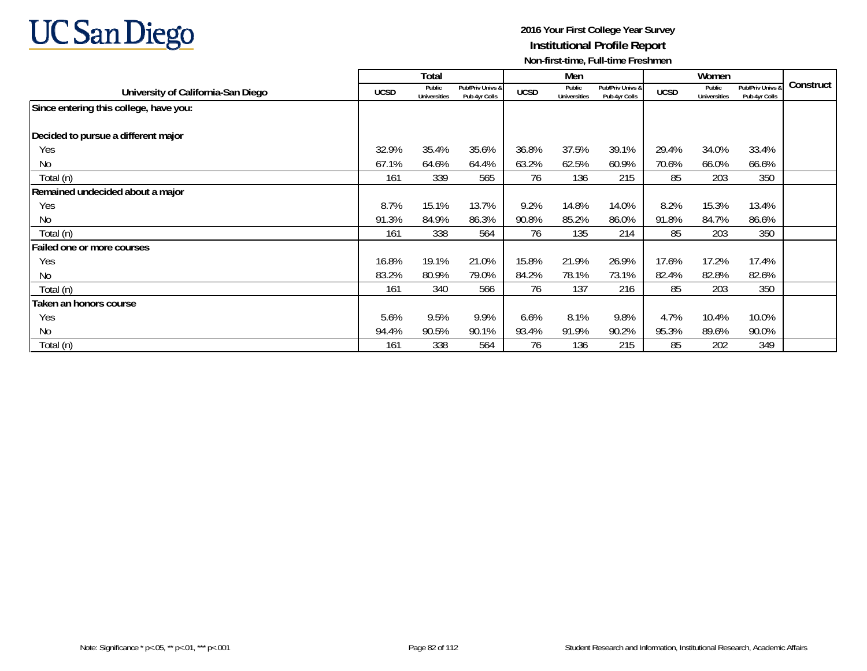

|                                        |             | Total                         |                                   |             | Men                           |                                   |             | Women                         |                                 |           |
|----------------------------------------|-------------|-------------------------------|-----------------------------------|-------------|-------------------------------|-----------------------------------|-------------|-------------------------------|---------------------------------|-----------|
| University of California-San Diego     | <b>UCSD</b> | Public<br><b>Universities</b> | Pub/Priv Univs &<br>Pub 4yr Colls | <b>UCSD</b> | Public<br><b>Universities</b> | Pub/Priv Univs &<br>Pub 4yr Colls | <b>UCSD</b> | Public<br><b>Universities</b> | Pub/Priv Univs<br>Pub 4yr Colls | Construct |
| Since entering this college, have you: |             |                               |                                   |             |                               |                                   |             |                               |                                 |           |
| Decided to pursue a different major    |             |                               |                                   |             |                               |                                   |             |                               |                                 |           |
| Yes                                    | 32.9%       | 35.4%                         | 35.6%                             | 36.8%       | 37.5%                         | 39.1%                             | 29.4%       | 34.0%                         | 33.4%                           |           |
| No                                     | 67.1%       | 64.6%                         | 64.4%                             | 63.2%       | 62.5%                         | 60.9%                             | 70.6%       | 66.0%                         | 66.6%                           |           |
| Total (n)                              | 161         | 339                           | 565                               | 76          | 136                           | 215                               | 85          | 203                           | 350                             |           |
| Remained undecided about a major       |             |                               |                                   |             |                               |                                   |             |                               |                                 |           |
| Yes                                    | 8.7%        | 15.1%                         | 13.7%                             | 9.2%        | 14.8%                         | 14.0%                             | 8.2%        | 15.3%                         | 13.4%                           |           |
| No                                     | 91.3%       | 84.9%                         | 86.3%                             | 90.8%       | 85.2%                         | 86.0%                             | 91.8%       | 84.7%                         | 86.6%                           |           |
| Total (n)                              | 161         | 338                           | 564                               | 76          | 135                           | 214                               | 85          | 203                           | 350                             |           |
| Failed one or more courses             |             |                               |                                   |             |                               |                                   |             |                               |                                 |           |
| Yes                                    | 16.8%       | 19.1%                         | 21.0%                             | 15.8%       | 21.9%                         | 26.9%                             | 17.6%       | 17.2%                         | 17.4%                           |           |
| No                                     | 83.2%       | 80.9%                         | 79.0%                             | 84.2%       | 78.1%                         | 73.1%                             | 82.4%       | 82.8%                         | 82.6%                           |           |
| Total (n)                              | 161         | 340                           | 566                               | 76          | 137                           | 216                               | 85          | 203                           | 350                             |           |
| Taken an honors course                 |             |                               |                                   |             |                               |                                   |             |                               |                                 |           |
| Yes                                    | 5.6%        | 9.5%                          | 9.9%                              | 6.6%        | 8.1%                          | 9.8%                              | 4.7%        | 10.4%                         | 10.0%                           |           |
| No                                     | 94.4%       | 90.5%                         | 90.1%                             | 93.4%       | 91.9%                         | 90.2%                             | 95.3%       | 89.6%                         | 90.0%                           |           |
| Total (n)                              | 161         | 338                           | 564                               | 76          | 136                           | 215                               | 85          | 202                           | 349                             |           |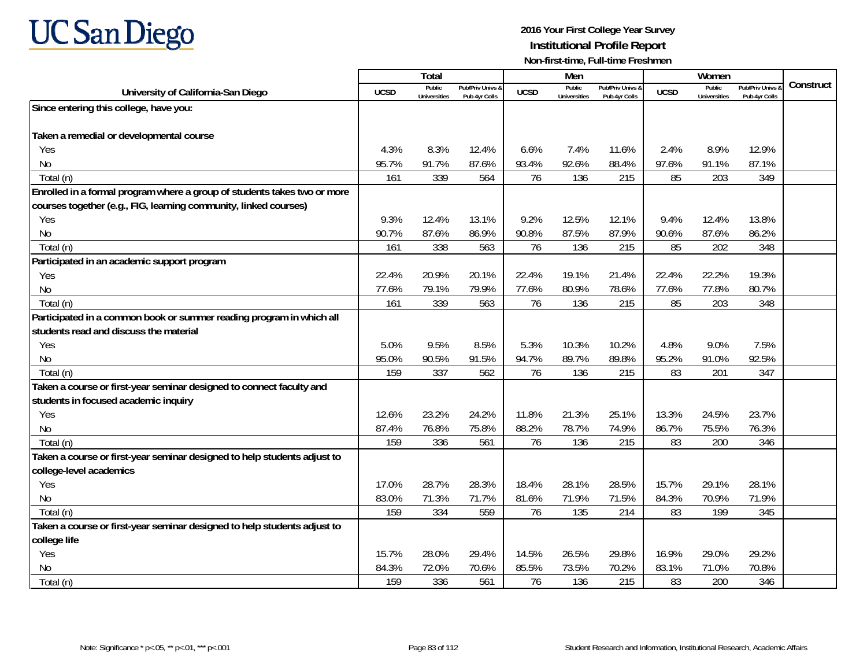

|                                                                          |             | <b>Total</b>                  |                                   |             | Men                           |                                   |             | Women                         |                                        |           |
|--------------------------------------------------------------------------|-------------|-------------------------------|-----------------------------------|-------------|-------------------------------|-----------------------------------|-------------|-------------------------------|----------------------------------------|-----------|
| University of California-San Diego                                       | <b>UCSD</b> | Public<br><b>Universities</b> | Pub/Priv Univs &<br>Pub 4yr Colls | <b>UCSD</b> | Public<br><b>Universities</b> | Pub/Priv Univs &<br>Pub 4yr Colls | <b>UCSD</b> | Public<br><b>Universities</b> | <b>Pub/Priv Univs</b><br>Pub 4yr Colls | Construct |
| Since entering this college, have you:                                   |             |                               |                                   |             |                               |                                   |             |                               |                                        |           |
|                                                                          |             |                               |                                   |             |                               |                                   |             |                               |                                        |           |
| Taken a remedial or developmental course                                 |             |                               |                                   |             |                               |                                   |             |                               |                                        |           |
| Yes                                                                      | 4.3%        | 8.3%                          | 12.4%                             | 6.6%        | 7.4%                          | 11.6%                             | 2.4%        | 8.9%                          | 12.9%                                  |           |
| No                                                                       | 95.7%       | 91.7%                         | 87.6%                             | 93.4%       | 92.6%                         | 88.4%                             | 97.6%       | 91.1%                         | 87.1%                                  |           |
| Total (n)                                                                | 161         | 339                           | 564                               | 76          | 136                           | 215                               | 85          | 203                           | 349                                    |           |
| Enrolled in a formal program where a group of students takes two or more |             |                               |                                   |             |                               |                                   |             |                               |                                        |           |
| courses together (e.g., FIG, learning community, linked courses)         |             |                               |                                   |             |                               |                                   |             |                               |                                        |           |
| Yes                                                                      | 9.3%        | 12.4%                         | 13.1%                             | 9.2%        | 12.5%                         | 12.1%                             | 9.4%        | 12.4%                         | 13.8%                                  |           |
| N <sub>0</sub>                                                           | 90.7%       | 87.6%                         | 86.9%                             | 90.8%       | 87.5%                         | 87.9%                             | 90.6%       | 87.6%                         | 86.2%                                  |           |
| Total (n)                                                                | 161         | 338                           | 563                               | 76          | 136                           | 215                               | 85          | 202                           | 348                                    |           |
| Participated in an academic support program                              |             |                               |                                   |             |                               |                                   |             |                               |                                        |           |
| Yes                                                                      | 22.4%       | 20.9%                         | 20.1%                             | 22.4%       | 19.1%                         | 21.4%                             | 22.4%       | 22.2%                         | 19.3%                                  |           |
| No                                                                       | 77.6%       | 79.1%                         | 79.9%                             | 77.6%       | 80.9%                         | 78.6%                             | 77.6%       | 77.8%                         | 80.7%                                  |           |
| Total (n)                                                                | 161         | 339                           | 563                               | 76          | 136                           | 215                               | 85          | 203                           | 348                                    |           |
| Participated in a common book or summer reading program in which all     |             |                               |                                   |             |                               |                                   |             |                               |                                        |           |
| students read and discuss the material                                   |             |                               |                                   |             |                               |                                   |             |                               |                                        |           |
| Yes                                                                      | 5.0%        | 9.5%                          | 8.5%                              | 5.3%        | 10.3%                         | 10.2%                             | 4.8%        | 9.0%                          | 7.5%                                   |           |
| No                                                                       | 95.0%       | 90.5%                         | 91.5%                             | 94.7%       | 89.7%                         | 89.8%                             | 95.2%       | 91.0%                         | 92.5%                                  |           |
| Total (n)                                                                | 159         | 337                           | 562                               | 76          | 136                           | 215                               | 83          | 201                           | 347                                    |           |
| Taken a course or first-year seminar designed to connect faculty and     |             |                               |                                   |             |                               |                                   |             |                               |                                        |           |
| students in focused academic inquiry                                     |             |                               |                                   |             |                               |                                   |             |                               |                                        |           |
| Yes                                                                      | 12.6%       | 23.2%                         | 24.2%                             | 11.8%       | 21.3%                         | 25.1%                             | 13.3%       | 24.5%                         | 23.7%                                  |           |
| No                                                                       | 87.4%       | 76.8%                         | 75.8%                             | 88.2%       | 78.7%                         | 74.9%                             | 86.7%       | 75.5%                         | 76.3%                                  |           |
| Total (n)                                                                | 159         | 336                           | 561                               | 76          | 136                           | 215                               | 83          | 200                           | 346                                    |           |
| Taken a course or first-year seminar designed to help students adjust to |             |                               |                                   |             |                               |                                   |             |                               |                                        |           |
| college-level academics                                                  |             |                               |                                   |             |                               |                                   |             |                               |                                        |           |
| Yes                                                                      | 17.0%       | 28.7%                         | 28.3%                             | 18.4%       | 28.1%                         | 28.5%                             | 15.7%       | 29.1%                         | 28.1%                                  |           |
| No                                                                       | 83.0%       | 71.3%                         | 71.7%                             | 81.6%       | 71.9%                         | 71.5%                             | 84.3%       | 70.9%                         | 71.9%                                  |           |
| Total (n)                                                                | 159         | 334                           | 559                               | 76          | 135                           | 214                               | 83          | 199                           | 345                                    |           |
| Taken a course or first-year seminar designed to help students adjust to |             |                               |                                   |             |                               |                                   |             |                               |                                        |           |
| college life                                                             |             |                               |                                   |             |                               |                                   |             |                               |                                        |           |
| Yes                                                                      | 15.7%       | 28.0%                         | 29.4%                             | 14.5%       | 26.5%                         | 29.8%                             | 16.9%       | 29.0%                         | 29.2%                                  |           |
| N <sub>0</sub>                                                           | 84.3%       | 72.0%                         | 70.6%                             | 85.5%       | 73.5%                         | 70.2%                             | 83.1%       | 71.0%                         | 70.8%                                  |           |
| Total (n)                                                                | 159         | 336                           | 561                               | 76          | 136                           | 215                               | 83          | 200                           | 346                                    |           |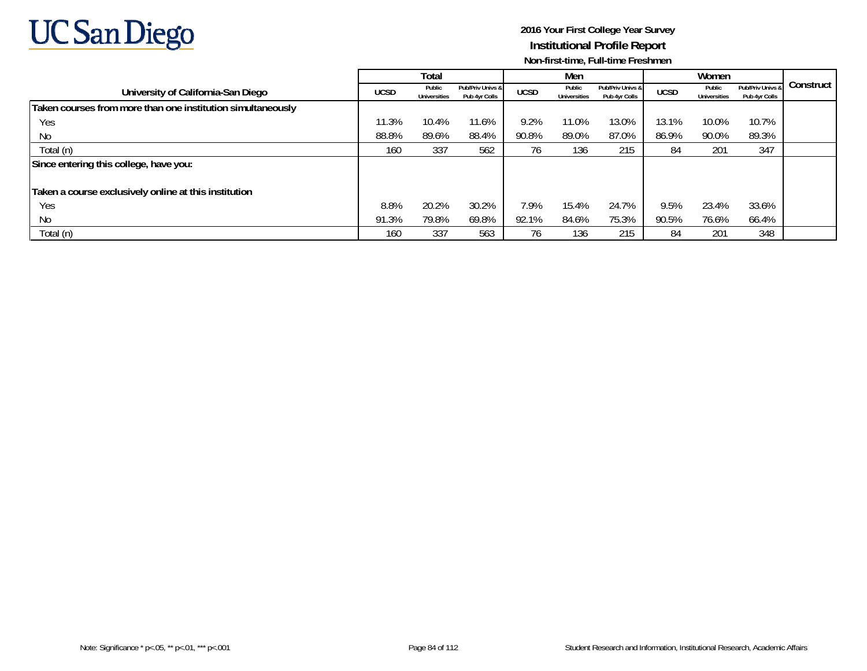

|                                                             |             | Total                         |                                   |             | Men                           |                                   |             | Women                         |                                   |           |
|-------------------------------------------------------------|-------------|-------------------------------|-----------------------------------|-------------|-------------------------------|-----------------------------------|-------------|-------------------------------|-----------------------------------|-----------|
| University of California-San Diego                          | <b>UCSD</b> | Public<br><b>Universities</b> | Pub/Priv Univs &<br>Pub 4yr Colls | <b>UCSD</b> | Public<br><b>Universities</b> | Pub/Priv Univs &<br>Pub 4yr Colls | <b>UCSD</b> | Public<br><b>Universities</b> | Pub/Priv Univs &<br>Pub 4yr Colls | Construct |
| Taken courses from more than one institution simultaneously |             |                               |                                   |             |                               |                                   |             |                               |                                   |           |
| Yes                                                         | 11.3%       | 10.4%                         | 11.6%                             | 9.2%        | 11.0%                         | 13.0%                             | 13.1%       | 10.0%                         | 10.7%                             |           |
| No                                                          | 88.8%       | 89.6%                         | 88.4%                             | 90.8%       | 89.0%                         | 87.0%                             | 86.9%       | 90.0%                         | 89.3%                             |           |
| Total (n)                                                   | 160         | 337                           | 562                               | 76          | 136                           | 215                               | 84          | 201                           | 347                               |           |
| Since entering this college, have you:                      |             |                               |                                   |             |                               |                                   |             |                               |                                   |           |
|                                                             |             |                               |                                   |             |                               |                                   |             |                               |                                   |           |
| Taken a course exclusively online at this institution       |             |                               |                                   |             |                               |                                   |             |                               |                                   |           |
| Yes                                                         | 8.8%        | 20.2%                         | 30.2%                             | 7.9%        | 15.4%                         | 24.7%                             | 9.5%        | 23.4%                         | 33.6%                             |           |
| No                                                          | 91.3%       | 79.8%                         | 69.8%                             | 92.1%       | 84.6%                         | 75.3%                             | 90.5%       | 76.6%                         | 66.4%                             |           |
| Total (n)                                                   | 160         | 337                           | 563                               | 76          | 136                           | 215                               | 84          | 201                           | 348                               |           |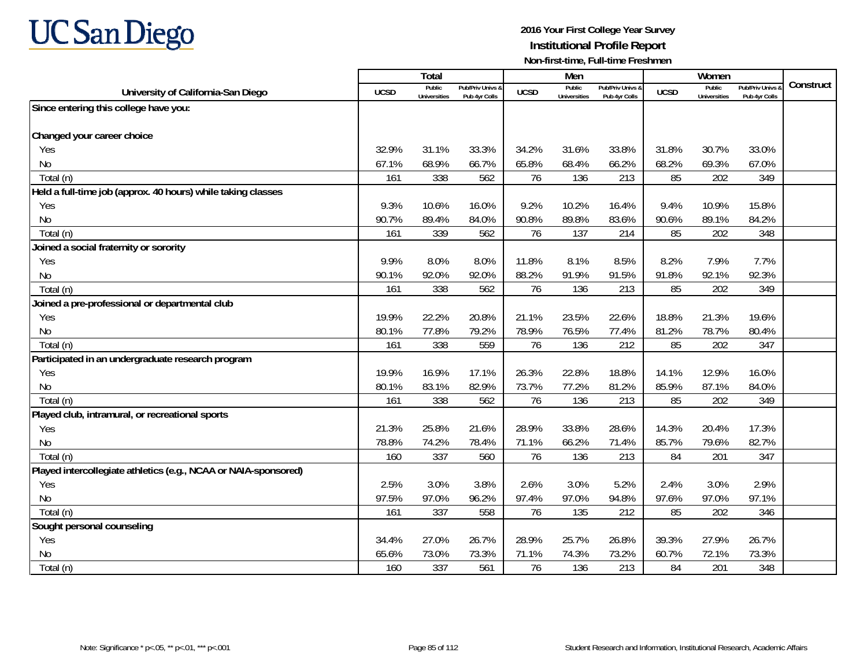

|                                                                 |             | <b>Total</b>                  |                                   |             | Men                           |                                   |             | Women                                |                                        |           |
|-----------------------------------------------------------------|-------------|-------------------------------|-----------------------------------|-------------|-------------------------------|-----------------------------------|-------------|--------------------------------------|----------------------------------------|-----------|
| University of California-San Diego                              | <b>UCSD</b> | Public<br><b>Universities</b> | Pub/Priv Univs &<br>Pub 4yr Colls | <b>UCSD</b> | Public<br><b>Universities</b> | Pub/Priv Univs &<br>Pub 4yr Colls | <b>UCSD</b> | <b>Public</b><br><b>Universities</b> | <b>Pub/Priv Univs</b><br>Pub 4yr Colls | Construct |
| Since entering this college have you:                           |             |                               |                                   |             |                               |                                   |             |                                      |                                        |           |
|                                                                 |             |                               |                                   |             |                               |                                   |             |                                      |                                        |           |
| Changed your career choice                                      |             |                               |                                   |             |                               |                                   |             |                                      |                                        |           |
| Yes                                                             | 32.9%       | 31.1%                         | 33.3%                             | 34.2%       | 31.6%                         | 33.8%                             | 31.8%       | 30.7%                                | 33.0%                                  |           |
| N <sub>0</sub>                                                  | 67.1%       | 68.9%                         | 66.7%                             | 65.8%       | 68.4%                         | 66.2%                             | 68.2%       | 69.3%                                | 67.0%                                  |           |
| Total (n)                                                       | 161         | 338                           | 562                               | 76          | 136                           | 213                               | 85          | 202                                  | 349                                    |           |
| Held a full-time job (approx. 40 hours) while taking classes    |             |                               |                                   |             |                               |                                   |             |                                      |                                        |           |
| Yes                                                             | 9.3%        | 10.6%                         | 16.0%                             | 9.2%        | 10.2%                         | 16.4%                             | 9.4%        | 10.9%                                | 15.8%                                  |           |
| No                                                              | 90.7%       | 89.4%                         | 84.0%                             | 90.8%       | 89.8%                         | 83.6%                             | 90.6%       | 89.1%                                | 84.2%                                  |           |
| Total (n)                                                       | 161         | 339                           | 562                               | 76          | 137                           | 214                               | 85          | 202                                  | 348                                    |           |
| Joined a social fraternity or sorority                          |             |                               |                                   |             |                               |                                   |             |                                      |                                        |           |
| Yes                                                             | 9.9%        | 8.0%                          | 8.0%                              | 11.8%       | 8.1%                          | 8.5%                              | 8.2%        | 7.9%                                 | 7.7%                                   |           |
| N <sub>0</sub>                                                  | 90.1%       | 92.0%                         | 92.0%                             | 88.2%       | 91.9%                         | 91.5%                             | 91.8%       | 92.1%                                | 92.3%                                  |           |
| Total (n)                                                       | 161         | 338                           | 562                               | 76          | 136                           | 213                               | 85          | 202                                  | 349                                    |           |
| Joined a pre-professional or departmental club                  |             |                               |                                   |             |                               |                                   |             |                                      |                                        |           |
| Yes                                                             | 19.9%       | 22.2%                         | 20.8%                             | 21.1%       | 23.5%                         | 22.6%                             | 18.8%       | 21.3%                                | 19.6%                                  |           |
| N <sub>0</sub>                                                  | 80.1%       | 77.8%                         | 79.2%                             | 78.9%       | 76.5%                         | 77.4%                             | 81.2%       | 78.7%                                | 80.4%                                  |           |
| Total (n)                                                       | 161         | 338                           | 559                               | 76          | 136                           | 212                               | 85          | 202                                  | 347                                    |           |
| Participated in an undergraduate research program               |             |                               |                                   |             |                               |                                   |             |                                      |                                        |           |
| Yes                                                             | 19.9%       | 16.9%                         | 17.1%                             | 26.3%       | 22.8%                         | 18.8%                             | 14.1%       | 12.9%                                | 16.0%                                  |           |
| N <sub>0</sub>                                                  | 80.1%       | 83.1%                         | 82.9%                             | 73.7%       | 77.2%                         | 81.2%                             | 85.9%       | 87.1%                                | 84.0%                                  |           |
| Total (n)                                                       | 161         | 338                           | 562                               | 76          | 136                           | 213                               | 85          | 202                                  | 349                                    |           |
| Played club, intramural, or recreational sports                 |             |                               |                                   |             |                               |                                   |             |                                      |                                        |           |
| Yes                                                             | 21.3%       | 25.8%                         | 21.6%                             | 28.9%       | 33.8%                         | 28.6%                             | 14.3%       | 20.4%                                | 17.3%                                  |           |
| N <sub>0</sub>                                                  | 78.8%       | 74.2%                         | 78.4%                             | 71.1%       | 66.2%                         | 71.4%                             | 85.7%       | 79.6%                                | 82.7%                                  |           |
| Total (n)                                                       | 160         | 337                           | 560                               | 76          | 136                           | 213                               | 84          | 201                                  | 347                                    |           |
| Played intercollegiate athletics (e.g., NCAA or NAIA-sponsored) |             |                               |                                   |             |                               |                                   |             |                                      |                                        |           |
| Yes                                                             | 2.5%        | 3.0%                          | 3.8%                              | 2.6%        | 3.0%                          | 5.2%                              | 2.4%        | 3.0%                                 | 2.9%                                   |           |
| <b>No</b>                                                       | 97.5%       | 97.0%                         | 96.2%                             | 97.4%       | 97.0%                         | 94.8%                             | 97.6%       | 97.0%                                | 97.1%                                  |           |
| Total (n)                                                       | 161         | 337                           | 558                               | 76          | 135                           | 212                               | 85          | 202                                  | 346                                    |           |
| Sought personal counseling                                      |             |                               |                                   |             |                               |                                   |             |                                      |                                        |           |
| Yes                                                             | 34.4%       | 27.0%                         | 26.7%                             | 28.9%       | 25.7%                         | 26.8%                             | 39.3%       | 27.9%                                | 26.7%                                  |           |
| N <sub>o</sub>                                                  | 65.6%       | 73.0%                         | 73.3%                             | 71.1%       | 74.3%                         | 73.2%                             | 60.7%       | 72.1%                                | 73.3%                                  |           |
| Total (n)                                                       | 160         | 337                           | 561                               | 76          | 136                           | 213                               | 84          | 201                                  | 348                                    |           |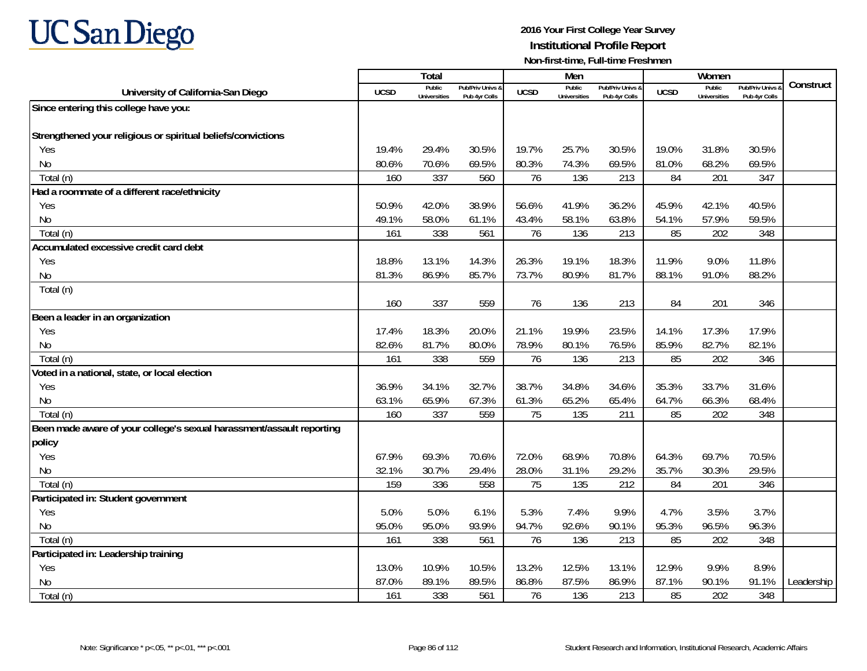# **UC San Diego**

|                                                                       |             | <b>Total</b>                  |                                   |                | Men                           |                                   |             | Women                                |                                        |            |
|-----------------------------------------------------------------------|-------------|-------------------------------|-----------------------------------|----------------|-------------------------------|-----------------------------------|-------------|--------------------------------------|----------------------------------------|------------|
| University of California-San Diego                                    | <b>UCSD</b> | Public<br><b>Universities</b> | Pub/Priv Univs &<br>Pub 4yr Colls | <b>UCSD</b>    | Public<br><b>Universities</b> | Pub/Priv Univs &<br>Pub 4yr Colls | <b>UCSD</b> | <b>Public</b><br><b>Universities</b> | <b>Pub/Priv Univs</b><br>Pub 4yr Colls | Construct  |
| Since entering this college have you:                                 |             |                               |                                   |                |                               |                                   |             |                                      |                                        |            |
|                                                                       |             |                               |                                   |                |                               |                                   |             |                                      |                                        |            |
| Strengthened your religious or spiritual beliefs/convictions          |             |                               |                                   |                |                               |                                   |             |                                      |                                        |            |
| Yes                                                                   | 19.4%       | 29.4%                         | 30.5%                             | 19.7%          | 25.7%                         | 30.5%                             | 19.0%       | 31.8%                                | 30.5%                                  |            |
| N <sub>0</sub>                                                        | 80.6%       | 70.6%                         | 69.5%                             | 80.3%          | 74.3%                         | 69.5%                             | 81.0%       | 68.2%                                | 69.5%                                  |            |
| Total (n)                                                             | 160         | 337                           | 560                               | 76             | 136                           | 213                               | 84          | 201                                  | 347                                    |            |
| Had a roommate of a different race/ethnicity                          |             |                               |                                   |                |                               |                                   |             |                                      |                                        |            |
| Yes                                                                   | 50.9%       | 42.0%                         | 38.9%                             | 56.6%          | 41.9%                         | 36.2%                             | 45.9%       | 42.1%                                | 40.5%                                  |            |
| N <sub>0</sub>                                                        | 49.1%       | 58.0%                         | 61.1%                             | 43.4%          | 58.1%                         | 63.8%                             | 54.1%       | 57.9%                                | 59.5%                                  |            |
| Total (n)                                                             | 161         | 338                           | 561                               | 76             | 136                           | 213                               | 85          | 202                                  | 348                                    |            |
| Accumulated excessive credit card debt                                |             |                               |                                   |                |                               |                                   |             |                                      |                                        |            |
| Yes                                                                   | 18.8%       | 13.1%                         | 14.3%                             | 26.3%          | 19.1%                         | 18.3%                             | 11.9%       | 9.0%                                 | 11.8%                                  |            |
| N <sub>0</sub>                                                        | 81.3%       | 86.9%                         | 85.7%                             | 73.7%          | 80.9%                         | 81.7%                             | 88.1%       | 91.0%                                | 88.2%                                  |            |
| Total (n)                                                             |             |                               |                                   |                |                               |                                   |             |                                      |                                        |            |
|                                                                       | 160         | 337                           | 559                               | 76             | 136                           | 213                               | 84          | 201                                  | 346                                    |            |
| Been a leader in an organization                                      |             |                               |                                   |                |                               |                                   |             |                                      |                                        |            |
| Yes                                                                   | 17.4%       | 18.3%                         | 20.0%                             | 21.1%          | 19.9%                         | 23.5%                             | 14.1%       | 17.3%                                | 17.9%                                  |            |
| N <sub>0</sub>                                                        | 82.6%       | 81.7%                         | 80.0%                             | 78.9%          | 80.1%                         | 76.5%                             | 85.9%       | 82.7%                                | 82.1%                                  |            |
| Total (n)                                                             | 161         | 338                           | 559                               | 76             | 136                           | 213                               | 85          | 202                                  | 346                                    |            |
| Voted in a national, state, or local election                         |             |                               |                                   |                |                               |                                   |             |                                      |                                        |            |
| Yes                                                                   | 36.9%       | 34.1%                         | 32.7%                             | 38.7%          | 34.8%                         | 34.6%                             | 35.3%       | 33.7%                                | 31.6%                                  |            |
| <b>No</b>                                                             | 63.1%       | 65.9%                         | 67.3%                             | 61.3%          | 65.2%                         | 65.4%                             | 64.7%       | 66.3%                                | 68.4%                                  |            |
| Total (n)                                                             | 160         | 337                           | 559                               | 75             | 135                           | 211                               | 85          | 202                                  | 348                                    |            |
| Been made aware of your college's sexual harassment/assault reporting |             |                               |                                   |                |                               |                                   |             |                                      |                                        |            |
| policy                                                                |             |                               |                                   |                |                               |                                   |             |                                      |                                        |            |
| Yes                                                                   | 67.9%       | 69.3%                         | 70.6%                             | 72.0%          | 68.9%                         | 70.8%                             | 64.3%       | 69.7%                                | 70.5%                                  |            |
| N <sub>0</sub>                                                        | 32.1%       | 30.7%                         | 29.4%                             | 28.0%          | 31.1%                         | 29.2%                             | 35.7%       | 30.3%                                | 29.5%                                  |            |
| Total (n)                                                             | 159         | 336                           | 558                               | 75             | 135                           | 212                               | 84          | 201                                  | 346                                    |            |
| Participated in: Student government                                   |             |                               |                                   |                |                               |                                   |             |                                      |                                        |            |
| Yes                                                                   | 5.0%        | 5.0%                          | 6.1%                              | 5.3%           | 7.4%                          | 9.9%                              | 4.7%        | 3.5%                                 | 3.7%                                   |            |
| <b>No</b>                                                             | 95.0%       | 95.0%                         | 93.9%                             | 94.7%          | 92.6%                         | 90.1%                             | 95.3%       | 96.5%                                | 96.3%                                  |            |
| Total (n)                                                             | 161         | 338                           | 561                               | 76             | 136                           | 213                               | 85          | 202                                  | 348                                    |            |
| Participated in: Leadership training                                  |             |                               |                                   |                |                               |                                   |             |                                      | 8.9%                                   |            |
| Yes                                                                   | 13.0%       | 10.9%<br>89.1%                | 10.5%                             | 13.2%<br>86.8% | 12.5%                         | 13.1%                             | 12.9%       | 9.9%                                 |                                        |            |
| N <sub>0</sub>                                                        | 87.0%       |                               | 89.5%                             |                | 87.5%                         | 86.9%                             | 87.1%       | 90.1%                                | 91.1%                                  | Leadership |
| Total (n)                                                             | 161         | 338                           | 561                               | 76             | 136                           | 213                               | 85          | 202                                  | 348                                    |            |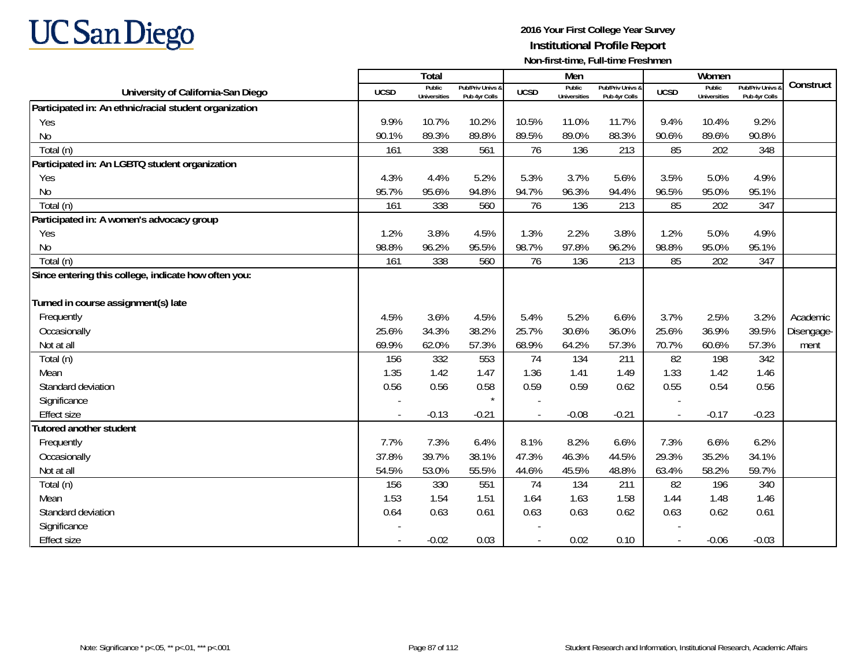# **UC San Diego**

|                                                        |             | Total                         |                                              |             | Men                           |                                   |             | Women                         |                                        |            |
|--------------------------------------------------------|-------------|-------------------------------|----------------------------------------------|-------------|-------------------------------|-----------------------------------|-------------|-------------------------------|----------------------------------------|------------|
| University of California-San Diego                     | <b>UCSD</b> | Public<br><b>Universities</b> | <b>Pub/Priv Univs &amp;</b><br>Pub 4yr Colls | <b>UCSD</b> | Public<br><b>Universities</b> | Pub/Priv Univs &<br>Pub 4yr Colls | <b>UCSD</b> | Public<br><b>Universities</b> | <b>Pub/Priv Univs</b><br>Pub 4yr Colls | Construct  |
| Participated in: An ethnic/racial student organization |             |                               |                                              |             |                               |                                   |             |                               |                                        |            |
| Yes                                                    | 9.9%        | 10.7%                         | 10.2%                                        | 10.5%       | 11.0%                         | 11.7%                             | 9.4%        | 10.4%                         | 9.2%                                   |            |
| N <sub>0</sub>                                         | 90.1%       | 89.3%                         | 89.8%                                        | 89.5%       | 89.0%                         | 88.3%                             | 90.6%       | 89.6%                         | 90.8%                                  |            |
| Total (n)                                              | 161         | 338                           | 561                                          | 76          | 136                           | 213                               | 85          | 202                           | 348                                    |            |
| Participated in: An LGBTQ student organization         |             |                               |                                              |             |                               |                                   |             |                               |                                        |            |
| Yes                                                    | 4.3%        | 4.4%                          | 5.2%                                         | 5.3%        | 3.7%                          | 5.6%                              | 3.5%        | 5.0%                          | 4.9%                                   |            |
| <b>No</b>                                              | 95.7%       | 95.6%                         | 94.8%                                        | 94.7%       | 96.3%                         | 94.4%                             | 96.5%       | 95.0%                         | 95.1%                                  |            |
| Total (n)                                              | 161         | 338                           | 560                                          | 76          | 136                           | 213                               | 85          | 202                           | 347                                    |            |
| Participated in: A women's advocacy group              |             |                               |                                              |             |                               |                                   |             |                               |                                        |            |
| Yes                                                    | 1.2%        | 3.8%                          | 4.5%                                         | 1.3%        | 2.2%                          | 3.8%                              | 1.2%        | 5.0%                          | 4.9%                                   |            |
| <b>No</b>                                              | 98.8%       | 96.2%                         | 95.5%                                        | 98.7%       | 97.8%                         | 96.2%                             | 98.8%       | 95.0%                         | 95.1%                                  |            |
| Total (n)                                              | 161         | 338                           | 560                                          | 76          | 136                           | 213                               | 85          | 202                           | 347                                    |            |
| Since entering this college, indicate how often you:   |             |                               |                                              |             |                               |                                   |             |                               |                                        |            |
|                                                        |             |                               |                                              |             |                               |                                   |             |                               |                                        |            |
| Turned in course assignment(s) late                    |             |                               |                                              |             |                               |                                   |             |                               |                                        |            |
| Frequently                                             | 4.5%        | 3.6%                          | 4.5%                                         | 5.4%        | 5.2%                          | 6.6%                              | 3.7%        | 2.5%                          | 3.2%                                   | Academic   |
| Occasionally                                           | 25.6%       | 34.3%                         | 38.2%                                        | 25.7%       | 30.6%                         | 36.0%                             | 25.6%       | 36.9%                         | 39.5%                                  | Disengage- |
| Not at all                                             | 69.9%       | 62.0%                         | 57.3%                                        | 68.9%       | 64.2%                         | 57.3%                             | 70.7%       | 60.6%                         | 57.3%                                  | ment       |
| Total (n)                                              | 156         | 332                           | 553                                          | 74          | 134                           | 211                               | 82          | 198                           | 342                                    |            |
| Mean                                                   | 1.35        | 1.42                          | 1.47                                         | 1.36        | 1.41                          | 1.49                              | 1.33        | 1.42                          | 1.46                                   |            |
| Standard deviation                                     | 0.56        | 0.56                          | 0.58                                         | 0.59        | 0.59                          | 0.62                              | 0.55        | 0.54                          | 0.56                                   |            |
| Significance                                           |             |                               | $\star$                                      |             |                               |                                   |             |                               |                                        |            |
| <b>Effect size</b>                                     |             | $-0.13$                       | $-0.21$                                      |             | $-0.08$                       | $-0.21$                           |             | $-0.17$                       | $-0.23$                                |            |
| <b>Tutored another student</b>                         |             |                               |                                              |             |                               |                                   |             |                               |                                        |            |
| Frequently                                             | 7.7%        | 7.3%                          | 6.4%                                         | 8.1%        | 8.2%                          | 6.6%                              | 7.3%        | 6.6%                          | 6.2%                                   |            |
| Occasionally                                           | 37.8%       | 39.7%                         | 38.1%                                        | 47.3%       | 46.3%                         | 44.5%                             | 29.3%       | 35.2%                         | 34.1%                                  |            |
| Not at all                                             | 54.5%       | 53.0%                         | 55.5%                                        | 44.6%       | 45.5%                         | 48.8%                             | 63.4%       | 58.2%                         | 59.7%                                  |            |
| Total (n)                                              | 156         | 330                           | 551                                          | 74          | 134                           | 211                               | 82          | 196                           | 340                                    |            |
| Mean                                                   | 1.53        | 1.54                          | 1.51                                         | 1.64        | 1.63                          | 1.58                              | 1.44        | 1.48                          | 1.46                                   |            |
| Standard deviation                                     | 0.64        | 0.63                          | 0.61                                         | 0.63        | 0.63                          | 0.62                              | 0.63        | 0.62                          | 0.61                                   |            |
| Significance                                           |             |                               |                                              |             |                               |                                   |             |                               |                                        |            |
| <b>Effect size</b>                                     |             | $-0.02$                       | 0.03                                         |             | 0.02                          | 0.10                              |             | $-0.06$                       | $-0.03$                                |            |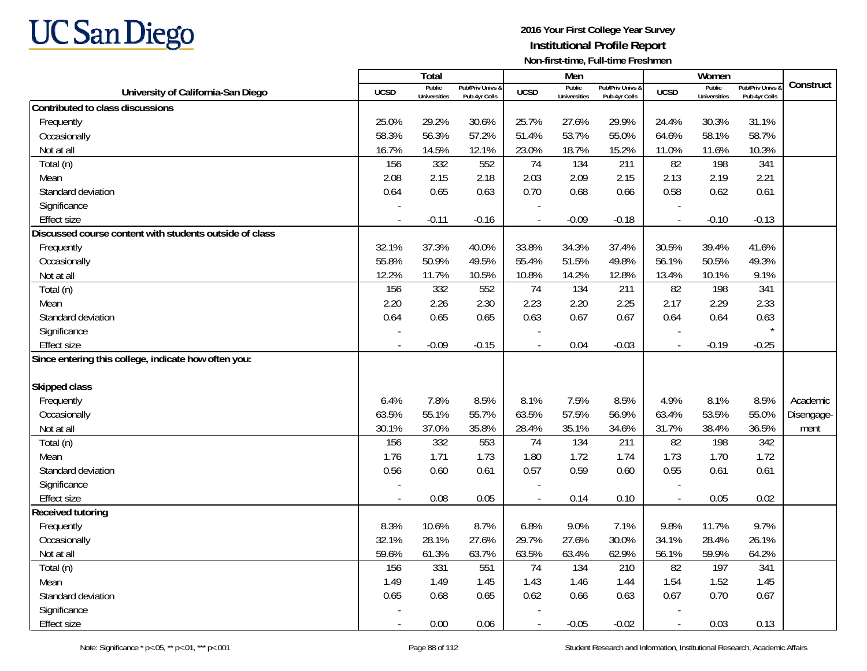

|                                                         |             | Total                         |                                   |                          | Men                    |                                   |                          | Women                         |                                        |            |
|---------------------------------------------------------|-------------|-------------------------------|-----------------------------------|--------------------------|------------------------|-----------------------------------|--------------------------|-------------------------------|----------------------------------------|------------|
| University of California-San Diego                      | <b>UCSD</b> | Public<br><b>Universities</b> | Pub/Priv Univs &<br>Pub 4yr Colls | <b>UCSD</b>              | Public<br>Universities | Pub/Priv Univs &<br>Pub 4yr Colls | <b>UCSD</b>              | Public<br><b>Universities</b> | <b>Pub/Priv Univs</b><br>Pub 4yr Colls | Construct  |
| Contributed to class discussions                        |             |                               |                                   |                          |                        |                                   |                          |                               |                                        |            |
| Frequently                                              | 25.0%       | 29.2%                         | 30.6%                             | 25.7%                    | 27.6%                  | 29.9%                             | 24.4%                    | 30.3%                         | 31.1%                                  |            |
| Occasionally                                            | 58.3%       | 56.3%                         | 57.2%                             | 51.4%                    | 53.7%                  | 55.0%                             | 64.6%                    | 58.1%                         | 58.7%                                  |            |
| Not at all                                              | 16.7%       | 14.5%                         | 12.1%                             | 23.0%                    | 18.7%                  | 15.2%                             | 11.0%                    | 11.6%                         | 10.3%                                  |            |
| Total (n)                                               | 156         | 332                           | 552                               | 74                       | 134                    | 211                               | 82                       | 198                           | 341                                    |            |
| Mean                                                    | 2.08        | 2.15                          | 2.18                              | 2.03                     | 2.09                   | 2.15                              | 2.13                     | 2.19                          | 2.21                                   |            |
| Standard deviation                                      | 0.64        | 0.65                          | 0.63                              | 0.70                     | 0.68                   | 0.66                              | 0.58                     | 0.62                          | 0.61                                   |            |
| Significance                                            |             |                               |                                   |                          |                        |                                   |                          |                               |                                        |            |
| <b>Effect size</b>                                      | $\sim$      | $-0.11$                       | $-0.16$                           | $\overline{a}$           | $-0.09$                | $-0.18$                           | $\overline{\phantom{a}}$ | $-0.10$                       | $-0.13$                                |            |
| Discussed course content with students outside of class |             |                               |                                   |                          |                        |                                   |                          |                               |                                        |            |
| Frequently                                              | 32.1%       | 37.3%                         | 40.0%                             | 33.8%                    | 34.3%                  | 37.4%                             | 30.5%                    | 39.4%                         | 41.6%                                  |            |
| Occasionally                                            | 55.8%       | 50.9%                         | 49.5%                             | 55.4%                    | 51.5%                  | 49.8%                             | 56.1%                    | 50.5%                         | 49.3%                                  |            |
| Not at all                                              | 12.2%       | 11.7%                         | 10.5%                             | 10.8%                    | 14.2%                  | 12.8%                             | 13.4%                    | 10.1%                         | 9.1%                                   |            |
| Total (n)                                               | 156         | 332                           | 552                               | 74                       | 134                    | 211                               | 82                       | 198                           | 341                                    |            |
| Mean                                                    | 2.20        | 2.26                          | 2.30                              | 2.23                     | 2.20                   | 2.25                              | 2.17                     | 2.29                          | 2.33                                   |            |
| Standard deviation                                      | 0.64        | 0.65                          | 0.65                              | 0.63                     | 0.67                   | 0.67                              | 0.64                     | 0.64                          | 0.63                                   |            |
| Significance                                            |             |                               |                                   |                          |                        |                                   |                          |                               |                                        |            |
| <b>Effect size</b>                                      | $\sim$      | $-0.09$                       | $-0.15$                           | $\overline{a}$           | 0.04                   | $-0.03$                           | $\overline{a}$           | $-0.19$                       | $-0.25$                                |            |
| Since entering this college, indicate how often you:    |             |                               |                                   |                          |                        |                                   |                          |                               |                                        |            |
|                                                         |             |                               |                                   |                          |                        |                                   |                          |                               |                                        |            |
| <b>Skipped class</b>                                    |             |                               |                                   |                          |                        |                                   |                          |                               |                                        |            |
| Frequently                                              | 6.4%        | 7.8%                          | 8.5%                              | 8.1%                     | 7.5%                   | 8.5%                              | 4.9%                     | 8.1%                          | 8.5%                                   | Academic   |
| Occasionally                                            | 63.5%       | 55.1%                         | 55.7%                             | 63.5%                    | 57.5%                  | 56.9%                             | 63.4%                    | 53.5%                         | 55.0%                                  | Disengage- |
| Not at all                                              | 30.1%       | 37.0%                         | 35.8%                             | 28.4%                    | 35.1%                  | 34.6%                             | 31.7%                    | 38.4%                         | 36.5%                                  | ment       |
| Total (n)                                               | 156         | 332                           | 553                               | 74                       | 134                    | 211                               | 82                       | 198                           | 342                                    |            |
| Mean                                                    | 1.76        | 1.71                          | 1.73                              | 1.80                     | 1.72                   | 1.74                              | 1.73                     | 1.70                          | 1.72                                   |            |
| Standard deviation                                      | 0.56        | 0.60                          | 0.61                              | 0.57                     | 0.59                   | 0.60                              | 0.55                     | 0.61                          | 0.61                                   |            |
| Significance                                            |             |                               |                                   |                          |                        |                                   |                          |                               |                                        |            |
| <b>Effect size</b>                                      |             | 0.08                          | 0.05                              |                          | 0.14                   | 0.10                              | $\overline{\phantom{a}}$ | 0.05                          | 0.02                                   |            |
| <b>Received tutoring</b>                                |             |                               |                                   |                          |                        |                                   |                          |                               |                                        |            |
| Frequently                                              | 8.3%        | 10.6%                         | 8.7%                              | 6.8%                     | 9.0%                   | 7.1%                              | 9.8%                     | 11.7%                         | 9.7%                                   |            |
| Occasionally                                            | 32.1%       | 28.1%                         | 27.6%                             | 29.7%                    | 27.6%                  | 30.0%                             | 34.1%                    | 28.4%                         | 26.1%                                  |            |
| Not at all                                              | 59.6%       | 61.3%                         | 63.7%                             | 63.5%                    | 63.4%                  | 62.9%                             | 56.1%                    | 59.9%                         | 64.2%                                  |            |
| Total (n)                                               | 156         | 331                           | 551                               | 74                       | 134                    | 210                               | 82                       | 197                           | 341                                    |            |
| Mean                                                    | 1.49        | 1.49                          | 1.45                              | 1.43                     | 1.46                   | 1.44                              | 1.54                     | 1.52                          | 1.45                                   |            |
| Standard deviation                                      | 0.65        | 0.68                          | 0.65                              | 0.62                     | 0.66                   | 0.63                              | 0.67                     | 0.70                          | 0.67                                   |            |
| Significance                                            |             |                               |                                   |                          |                        |                                   |                          |                               |                                        |            |
| <b>Effect size</b>                                      | $\sim$      | 0.00                          | 0.06                              | $\overline{\phantom{a}}$ | $-0.05$                | $-0.02$                           | $\overline{\phantom{a}}$ | 0.03                          | 0.13                                   |            |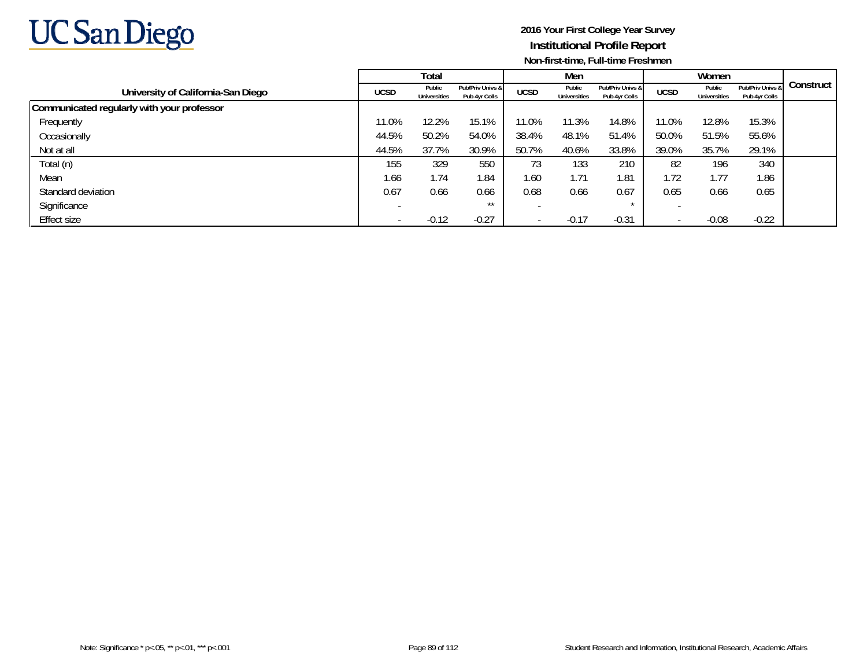

|                                            |             | Total                  |                                   |             | Men                           |                                   |             | Women                         |                                   |           |
|--------------------------------------------|-------------|------------------------|-----------------------------------|-------------|-------------------------------|-----------------------------------|-------------|-------------------------------|-----------------------------------|-----------|
| University of California-San Diego         | <b>UCSD</b> | Public<br>Universities | Pub/Priv Univs &<br>Pub 4yr Colls | <b>UCSD</b> | Public<br><b>Universities</b> | Pub/Priv Univs &<br>Pub 4yr Colls | <b>UCSD</b> | Public<br><b>Universities</b> | Pub/Priv Univs &<br>Pub 4yr Colls | Construct |
| Communicated regularly with your professor |             |                        |                                   |             |                               |                                   |             |                               |                                   |           |
| Frequently                                 | 11.0%       | 12.2%                  | 15.1%                             | 11.0%       | 11.3%                         | 14.8%                             | 11.0%       | 12.8%                         | 15.3%                             |           |
| Occasionally                               | 44.5%       | 50.2%                  | 54.0%                             | 38.4%       | 48.1%                         | 51.4%                             | 50.0%       | 51.5%                         | 55.6%                             |           |
| Not at all                                 | 44.5%       | 37.7%                  | 30.9%                             | 50.7%       | 40.6%                         | 33.8%                             | 39.0%       | 35.7%                         | 29.1%                             |           |
| Total (n)                                  | 155         | 329                    | 550                               | 73          | 133                           | 210                               | 82          | 196                           | 340                               |           |
| Mean                                       | 1.66        | 1.74                   | 1.84                              | 1.60        | 1.71                          | i 81                              | 1.72        | 1.77                          | 1.86                              |           |
| Standard deviation                         | 0.67        | 0.66                   | 0.66                              | 0.68        | 0.66                          | 0.67                              | 0.65        | 0.66                          | 0.65                              |           |
| Significance                               |             |                        | $***$                             |             |                               |                                   |             |                               |                                   |           |
| Effect size                                |             | $-0.12$                | $-0.27$                           |             | $-0.17$                       | $-0.31$                           |             | $-0.08$                       | $-0.22$                           |           |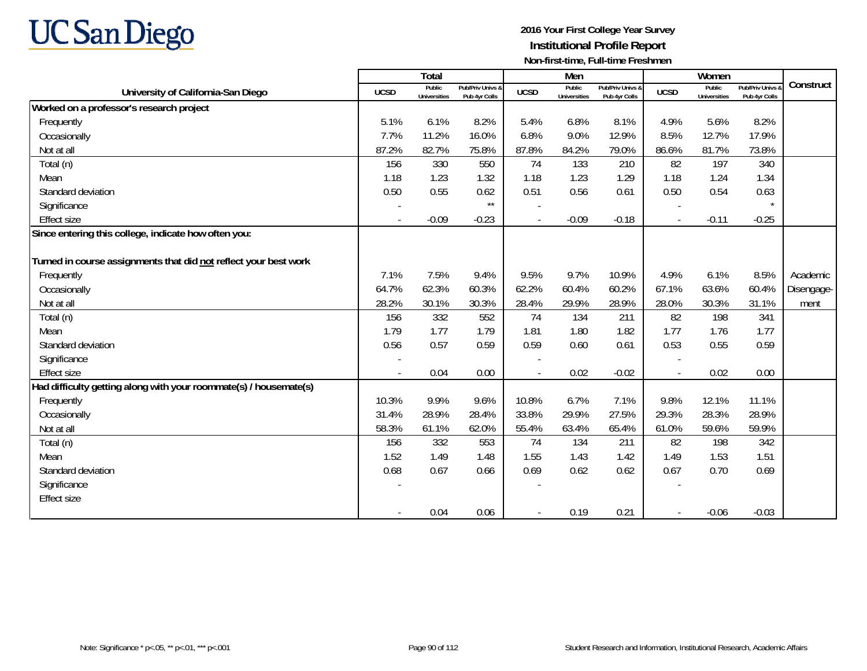

|                                                                   |             | <b>Total</b>                  |                                   |             | Men                           |                                   |                | Women                         |                                        |            |
|-------------------------------------------------------------------|-------------|-------------------------------|-----------------------------------|-------------|-------------------------------|-----------------------------------|----------------|-------------------------------|----------------------------------------|------------|
| University of California-San Diego                                | <b>UCSD</b> | Public<br><b>Universities</b> | Pub/Priv Univs &<br>Pub 4yr Colls | <b>UCSD</b> | Public<br><b>Universities</b> | Pub/Priv Univs &<br>Pub 4yr Colls | <b>UCSD</b>    | Public<br><b>Universities</b> | <b>Pub/Priv Univs</b><br>Pub 4yr Colls | Construct  |
| Worked on a professor's research project                          |             |                               |                                   |             |                               |                                   |                |                               |                                        |            |
| Frequently                                                        | 5.1%        | 6.1%                          | 8.2%                              | 5.4%        | 6.8%                          | 8.1%                              | 4.9%           | 5.6%                          | 8.2%                                   |            |
| Occasionally                                                      | 7.7%        | 11.2%                         | 16.0%                             | 6.8%        | 9.0%                          | 12.9%                             | 8.5%           | 12.7%                         | 17.9%                                  |            |
| Not at all                                                        | 87.2%       | 82.7%                         | 75.8%                             | 87.8%       | 84.2%                         | 79.0%                             | 86.6%          | 81.7%                         | 73.8%                                  |            |
| Total (n)                                                         | 156         | 330                           | 550                               | 74          | 133                           | 210                               | 82             | 197                           | 340                                    |            |
| Mean                                                              | 1.18        | 1.23                          | 1.32                              | 1.18        | 1.23                          | 1.29                              | 1.18           | 1.24                          | 1.34                                   |            |
| Standard deviation                                                | 0.50        | 0.55                          | 0.62                              | 0.51        | 0.56                          | 0.61                              | 0.50           | 0.54                          | 0.63                                   |            |
| Significance                                                      |             |                               | $\star\star$                      |             |                               |                                   |                |                               | $\star$                                |            |
| <b>Effect size</b>                                                |             | $-0.09$                       | $-0.23$                           |             | $-0.09$                       | $-0.18$                           |                | $-0.11$                       | $-0.25$                                |            |
| Since entering this college, indicate how often you:              |             |                               |                                   |             |                               |                                   |                |                               |                                        |            |
|                                                                   |             |                               |                                   |             |                               |                                   |                |                               |                                        |            |
| Turned in course assignments that did not reflect your best work  |             |                               |                                   |             |                               |                                   |                |                               |                                        |            |
| Frequently                                                        | 7.1%        | 7.5%                          | 9.4%                              | 9.5%        | 9.7%                          | 10.9%                             | 4.9%           | 6.1%                          | 8.5%                                   | Academic   |
| Occasionally                                                      | 64.7%       | 62.3%                         | 60.3%                             | 62.2%       | 60.4%                         | 60.2%                             | 67.1%          | 63.6%                         | 60.4%                                  | Disengage- |
| Not at all                                                        | 28.2%       | 30.1%                         | 30.3%                             | 28.4%       | 29.9%                         | 28.9%                             | 28.0%          | 30.3%                         | 31.1%                                  | ment       |
| Total (n)                                                         | 156         | 332                           | 552                               | 74          | 134                           | 211                               | 82             | 198                           | 341                                    |            |
| Mean                                                              | 1.79        | 1.77                          | 1.79                              | 1.81        | 1.80                          | 1.82                              | 1.77           | 1.76                          | 1.77                                   |            |
| Standard deviation                                                | 0.56        | 0.57                          | 0.59                              | 0.59        | 0.60                          | 0.61                              | 0.53           | 0.55                          | 0.59                                   |            |
| Significance                                                      |             |                               |                                   |             |                               |                                   |                |                               |                                        |            |
| <b>Effect size</b>                                                |             | 0.04                          | 0.00                              |             | 0.02                          | $-0.02$                           | $\overline{a}$ | 0.02                          | 0.00                                   |            |
| Had difficulty getting along with your roommate(s) / housemate(s) |             |                               |                                   |             |                               |                                   |                |                               |                                        |            |
| Frequently                                                        | 10.3%       | 9.9%                          | 9.6%                              | 10.8%       | 6.7%                          | 7.1%                              | 9.8%           | 12.1%                         | 11.1%                                  |            |
| Occasionally                                                      | 31.4%       | 28.9%                         | 28.4%                             | 33.8%       | 29.9%                         | 27.5%                             | 29.3%          | 28.3%                         | 28.9%                                  |            |
| Not at all                                                        | 58.3%       | 61.1%                         | 62.0%                             | 55.4%       | 63.4%                         | 65.4%                             | 61.0%          | 59.6%                         | 59.9%                                  |            |
| Total (n)                                                         | 156         | 332                           | 553                               | 74          | 134                           | 211                               | 82             | 198                           | 342                                    |            |
| Mean                                                              | 1.52        | 1.49                          | 1.48                              | 1.55        | 1.43                          | 1.42                              | 1.49           | 1.53                          | 1.51                                   |            |
| Standard deviation                                                | 0.68        | 0.67                          | 0.66                              | 0.69        | 0.62                          | 0.62                              | 0.67           | 0.70                          | 0.69                                   |            |
| Significance                                                      |             |                               |                                   |             |                               |                                   |                |                               |                                        |            |
| <b>Effect size</b>                                                |             |                               |                                   |             |                               |                                   |                |                               |                                        |            |
|                                                                   |             | 0.04                          | 0.06                              |             | 0.19                          | 0.21                              |                | $-0.06$                       | $-0.03$                                |            |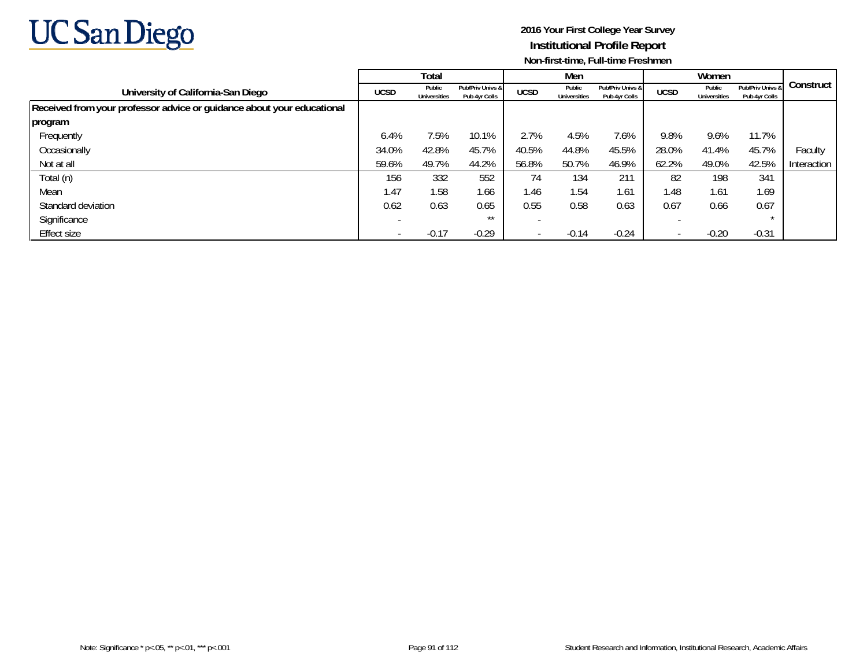

|                                                                        |             | Total                         |                                   |             | Men                           |                                   |             | Women                  |                                   |             |
|------------------------------------------------------------------------|-------------|-------------------------------|-----------------------------------|-------------|-------------------------------|-----------------------------------|-------------|------------------------|-----------------------------------|-------------|
| University of California-San Diego                                     | <b>UCSD</b> | Public<br><b>Universities</b> | Pub/Priv Univs &<br>Pub 4yr Colls | <b>UCSD</b> | Public<br><b>Universities</b> | Pub/Priv Univs &<br>Pub 4yr Colls | <b>UCSD</b> | Public<br>Universities | Pub/Priv Univs &<br>Pub 4yr Colls | Construct   |
| Received from your professor advice or guidance about your educational |             |                               |                                   |             |                               |                                   |             |                        |                                   |             |
| program                                                                |             |                               |                                   |             |                               |                                   |             |                        |                                   |             |
| Frequently                                                             | 6.4%        | 7.5%                          | 10.1%                             | 2.7%        | 4.5%                          | 7.6%                              | 9.8%        | 9.6%                   | 11.7%                             |             |
| Occasionally                                                           | 34.0%       | 42.8%                         | 45.7%                             | 40.5%       | 44.8%                         | 45.5%                             | 28.0%       | 41.4%                  | 45.7%                             | Faculty     |
| Not at all                                                             | 59.6%       | 49.7%                         | 44.2%                             | 56.8%       | 50.7%                         | 46.9%                             | 62.2%       | 49.0%                  | 42.5%                             | Interaction |
| Total (n)                                                              | 156         | 332                           | 552                               | 74          | 134                           | 211                               | 82          | 198                    | 341                               |             |
| Mean                                                                   | 1.47        | 1.58                          | 1.66                              | 1.46        | 1.54                          | 1.61                              | 1.48        | 1.61                   | 1.69                              |             |
| Standard deviation                                                     | 0.62        | 0.63                          | 0.65                              | 0.55        | 0.58                          | 0.63                              | 0.67        | 0.66                   | 0.67                              |             |
| Significance                                                           |             |                               | $***$                             |             |                               |                                   |             |                        |                                   |             |
| Effect size                                                            |             | $-0.17$                       | $-0.29$                           |             | $-0.14$                       | $-0.24$                           |             | $-0.20$                | $-0.31$                           |             |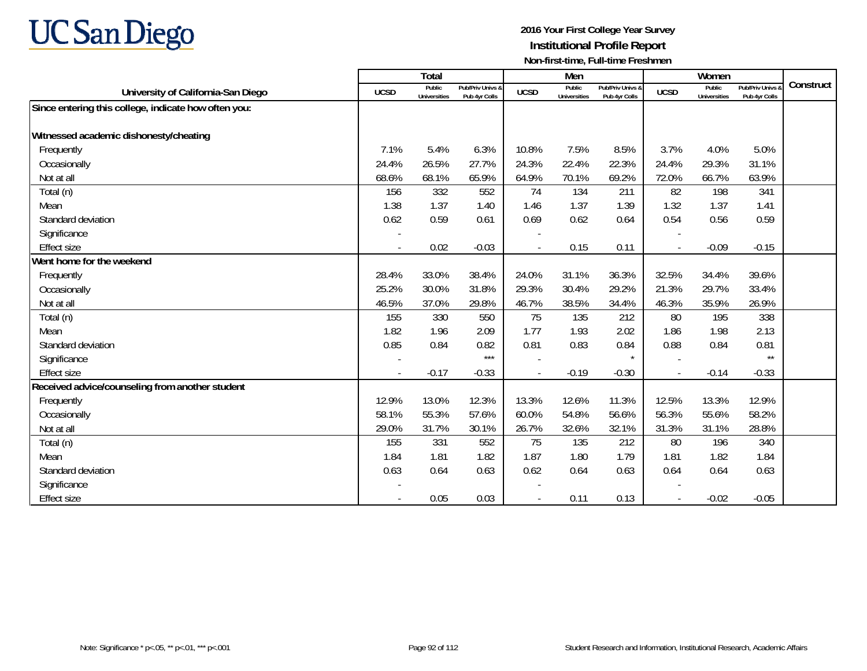# **UC San Diego**

|                                                      |                          | Total                         |                                   |                | Men                           |                                   |             | Women                         |                                 |           |
|------------------------------------------------------|--------------------------|-------------------------------|-----------------------------------|----------------|-------------------------------|-----------------------------------|-------------|-------------------------------|---------------------------------|-----------|
| University of California-San Diego                   | <b>UCSD</b>              | Public<br><b>Universities</b> | Pub/Priv Univs &<br>Pub 4yr Colls | <b>UCSD</b>    | Public<br><b>Universities</b> | Pub/Priv Univs &<br>Pub 4yr Colls | <b>UCSD</b> | Public<br><b>Universities</b> | Pub/Priv Univs<br>Pub 4yr Colls | Construct |
| Since entering this college, indicate how often you: |                          |                               |                                   |                |                               |                                   |             |                               |                                 |           |
|                                                      |                          |                               |                                   |                |                               |                                   |             |                               |                                 |           |
| Witnessed academic dishonesty/cheating               |                          |                               |                                   |                |                               |                                   |             |                               |                                 |           |
| Frequently                                           | 7.1%                     | 5.4%                          | 6.3%                              | 10.8%          | 7.5%                          | 8.5%                              | 3.7%        | 4.0%                          | 5.0%                            |           |
| Occasionally                                         | 24.4%                    | 26.5%                         | 27.7%                             | 24.3%          | 22.4%                         | 22.3%                             | 24.4%       | 29.3%                         | 31.1%                           |           |
| Not at all                                           | 68.6%                    | 68.1%                         | 65.9%                             | 64.9%          | 70.1%                         | 69.2%                             | 72.0%       | 66.7%                         | 63.9%                           |           |
| Total (n)                                            | 156                      | 332                           | 552                               | 74             | 134                           | 211                               | 82          | 198                           | 341                             |           |
| Mean                                                 | 1.38                     | 1.37                          | 1.40                              | 1.46           | 1.37                          | 1.39                              | 1.32        | 1.37                          | 1.41                            |           |
| Standard deviation                                   | 0.62                     | 0.59                          | 0.61                              | 0.69           | 0.62                          | 0.64                              | 0.54        | 0.56                          | 0.59                            |           |
| Significance                                         |                          |                               |                                   |                |                               |                                   |             |                               |                                 |           |
| <b>Effect size</b>                                   | $\overline{\phantom{a}}$ | 0.02                          | $-0.03$                           | $\blacksquare$ | 0.15                          | 0.11                              | $\sim$      | $-0.09$                       | $-0.15$                         |           |
| Went home for the weekend                            |                          |                               |                                   |                |                               |                                   |             |                               |                                 |           |
| Frequently                                           | 28.4%                    | 33.0%                         | 38.4%                             | 24.0%          | 31.1%                         | 36.3%                             | 32.5%       | 34.4%                         | 39.6%                           |           |
| Occasionally                                         | 25.2%                    | 30.0%                         | 31.8%                             | 29.3%          | 30.4%                         | 29.2%                             | 21.3%       | 29.7%                         | 33.4%                           |           |
| Not at all                                           | 46.5%                    | 37.0%                         | 29.8%                             | 46.7%          | 38.5%                         | 34.4%                             | 46.3%       | 35.9%                         | 26.9%                           |           |
| Total (n)                                            | 155                      | 330                           | 550                               | 75             | 135                           | 212                               | 80          | 195                           | 338                             |           |
| Mean                                                 | 1.82                     | 1.96                          | 2.09                              | 1.77           | 1.93                          | 2.02                              | 1.86        | 1.98                          | 2.13                            |           |
| Standard deviation                                   | 0.85                     | 0.84                          | 0.82                              | 0.81           | 0.83                          | 0.84                              | 0.88        | 0.84                          | 0.81                            |           |
| Significance                                         |                          |                               | $***$                             |                |                               | $\star$                           |             |                               | $\star\star$                    |           |
| <b>Effect size</b>                                   |                          | $-0.17$                       | $-0.33$                           |                | $-0.19$                       | $-0.30$                           |             | $-0.14$                       | $-0.33$                         |           |
| Received advice/counseling from another student      |                          |                               |                                   |                |                               |                                   |             |                               |                                 |           |
| Frequently                                           | 12.9%                    | 13.0%                         | 12.3%                             | 13.3%          | 12.6%                         | 11.3%                             | 12.5%       | 13.3%                         | 12.9%                           |           |
| Occasionally                                         | 58.1%                    | 55.3%                         | 57.6%                             | 60.0%          | 54.8%                         | 56.6%                             | 56.3%       | 55.6%                         | 58.2%                           |           |
| Not at all                                           | 29.0%                    | 31.7%                         | 30.1%                             | 26.7%          | 32.6%                         | 32.1%                             | 31.3%       | 31.1%                         | 28.8%                           |           |
| Total (n)                                            | 155                      | 331                           | 552                               | 75             | 135                           | 212                               | 80          | 196                           | 340                             |           |
| Mean                                                 | 1.84                     | 1.81                          | 1.82                              | 1.87           | 1.80                          | 1.79                              | 1.81        | 1.82                          | 1.84                            |           |
| Standard deviation                                   | 0.63                     | 0.64                          | 0.63                              | 0.62           | 0.64                          | 0.63                              | 0.64        | 0.64                          | 0.63                            |           |
| Significance                                         |                          |                               |                                   |                |                               |                                   |             |                               |                                 |           |
| <b>Effect size</b>                                   |                          | 0.05                          | 0.03                              |                | 0.11                          | 0.13                              |             | $-0.02$                       | $-0.05$                         |           |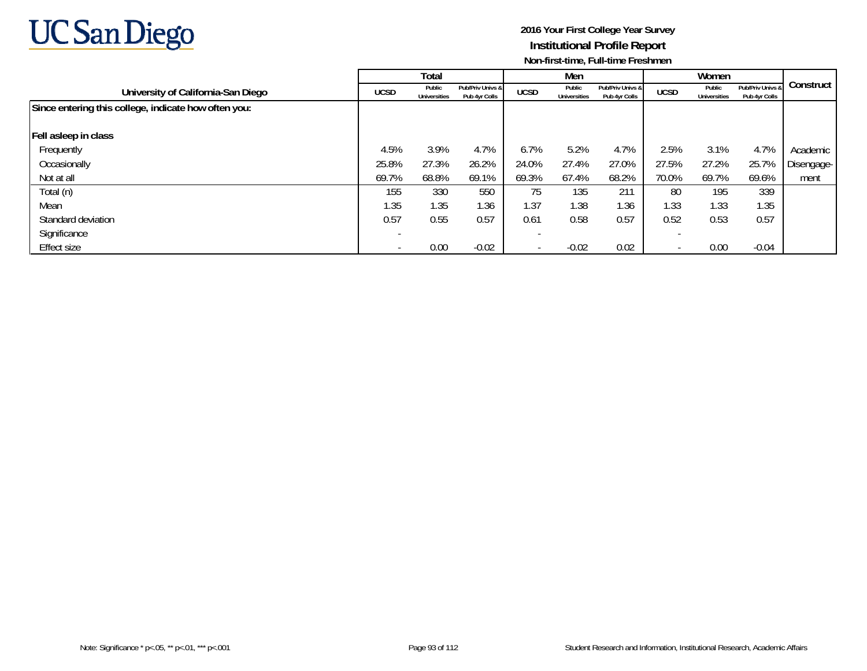

|                                                      | Total       |                               |                                   | Men                      |                               |                                   |             |                               |                                   |            |
|------------------------------------------------------|-------------|-------------------------------|-----------------------------------|--------------------------|-------------------------------|-----------------------------------|-------------|-------------------------------|-----------------------------------|------------|
| University of California-San Diego                   | <b>UCSD</b> | Public<br><b>Universities</b> | Pub/Priv Univs &<br>Pub 4yr Colls | <b>UCSD</b>              | Public<br><b>Universities</b> | Pub/Priv Univs &<br>Pub 4yr Colls | <b>UCSD</b> | Public<br><b>Universities</b> | Pub/Priv Univs &<br>Pub 4yr Colls | Construct  |
| Since entering this college, indicate how often you: |             |                               |                                   |                          |                               |                                   |             |                               |                                   |            |
| Fell asleep in class                                 |             |                               |                                   |                          |                               |                                   |             |                               |                                   |            |
| Frequently                                           | 4.5%        | 3.9%                          | 4.7%                              | 6.7%                     | 5.2%                          | 4.7%                              | 2.5%        | 3.1%                          | 4.7%                              | Academic   |
| Occasionally                                         | 25.8%       | 27.3%                         | 26.2%                             | 24.0%                    | 27.4%                         | 27.0%                             | 27.5%       | 27.2%                         | 25.7%                             | Disengage- |
| Not at all                                           | 69.7%       | 68.8%                         | 69.1%                             | 69.3%                    | 67.4%                         | 68.2%                             | 70.0%       | 69.7%                         | 69.6%                             | ment       |
| Total (n)                                            | 155         | 330                           | 550                               | 75                       | 135                           | 211                               | 80          | 195                           | 339                               |            |
| Mean                                                 | 1.35        | 1.35                          | 1.36                              | 1.37                     | 1.38                          | 1.36                              | 1.33        | 1.33                          | 1.35                              |            |
| Standard deviation                                   | 0.57        | 0.55                          | 0.57                              | 0.61                     | 0.58                          | 0.57                              | 0.52        | 0.53                          | 0.57                              |            |
| Significance                                         |             |                               |                                   |                          |                               |                                   |             |                               |                                   |            |
| Effect size                                          |             | 0.00                          | $-0.02$                           | $\overline{\phantom{a}}$ | $-0.02$                       | 0.02                              |             | 0.00                          | $-0.04$                           |            |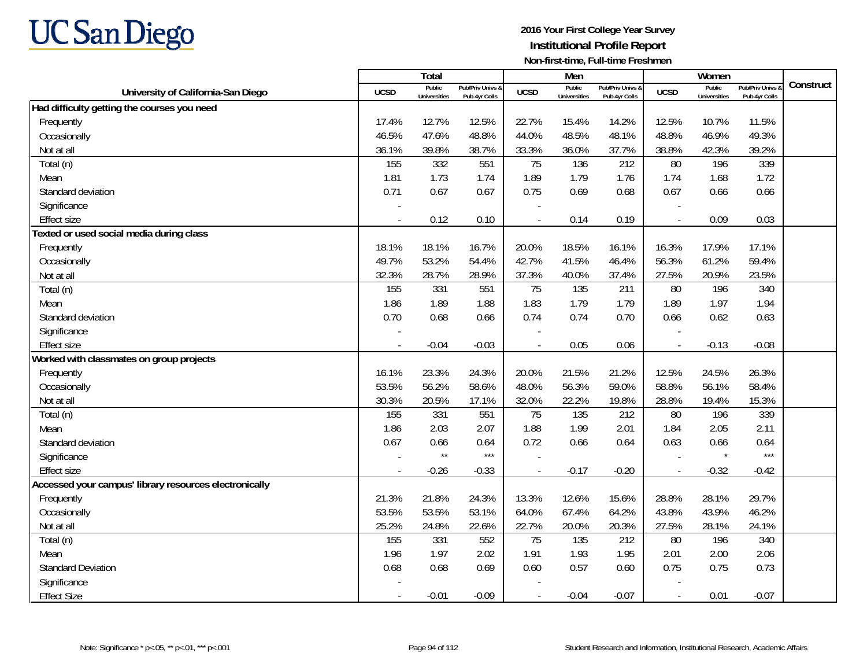

|                                                        |             | Total                         |                                   |             | Men                           |                                   |                          | Women                         |                                        |           |
|--------------------------------------------------------|-------------|-------------------------------|-----------------------------------|-------------|-------------------------------|-----------------------------------|--------------------------|-------------------------------|----------------------------------------|-----------|
| University of California-San Diego                     | <b>UCSD</b> | Public<br><b>Universities</b> | Pub/Priv Univs &<br>Pub 4yr Colls | <b>UCSD</b> | Public<br><b>Universities</b> | Pub/Priv Univs &<br>Pub 4yr Colls | <b>UCSD</b>              | Public<br><b>Universities</b> | <b>Pub/Priv Univs</b><br>Pub 4yr Colls | Construct |
| Had difficulty getting the courses you need            |             |                               |                                   |             |                               |                                   |                          |                               |                                        |           |
| Frequently                                             | 17.4%       | 12.7%                         | 12.5%                             | 22.7%       | 15.4%                         | 14.2%                             | 12.5%                    | 10.7%                         | 11.5%                                  |           |
| Occasionally                                           | 46.5%       | 47.6%                         | 48.8%                             | 44.0%       | 48.5%                         | 48.1%                             | 48.8%                    | 46.9%                         | 49.3%                                  |           |
| Not at all                                             | 36.1%       | 39.8%                         | 38.7%                             | 33.3%       | 36.0%                         | 37.7%                             | 38.8%                    | 42.3%                         | 39.2%                                  |           |
| Total (n)                                              | 155         | 332                           | 551                               | 75          | 136                           | 212                               | 80                       | 196                           | 339                                    |           |
| Mean                                                   | 1.81        | 1.73                          | 1.74                              | 1.89        | 1.79                          | 1.76                              | 1.74                     | 1.68                          | 1.72                                   |           |
| Standard deviation                                     | 0.71        | 0.67                          | 0.67                              | 0.75        | 0.69                          | 0.68                              | 0.67                     | 0.66                          | 0.66                                   |           |
| Significance                                           |             |                               |                                   |             |                               |                                   |                          |                               |                                        |           |
| <b>Effect size</b>                                     |             | 0.12                          | 0.10                              |             | 0.14                          | 0.19                              |                          | 0.09                          | 0.03                                   |           |
| Texted or used social media during class               |             |                               |                                   |             |                               |                                   |                          |                               |                                        |           |
| Frequently                                             | 18.1%       | 18.1%                         | 16.7%                             | 20.0%       | 18.5%                         | 16.1%                             | 16.3%                    | 17.9%                         | 17.1%                                  |           |
| Occasionally                                           | 49.7%       | 53.2%                         | 54.4%                             | 42.7%       | 41.5%                         | 46.4%                             | 56.3%                    | 61.2%                         | 59.4%                                  |           |
| Not at all                                             | 32.3%       | 28.7%                         | 28.9%                             | 37.3%       | 40.0%                         | 37.4%                             | 27.5%                    | 20.9%                         | 23.5%                                  |           |
| Total (n)                                              | 155         | 331                           | 551                               | 75          | 135                           | 211                               | 80                       | 196                           | 340                                    |           |
| Mean                                                   | 1.86        | 1.89                          | 1.88                              | 1.83        | 1.79                          | 1.79                              | 1.89                     | 1.97                          | 1.94                                   |           |
| Standard deviation                                     | 0.70        | 0.68                          | 0.66                              | 0.74        | 0.74                          | 0.70                              | 0.66                     | 0.62                          | 0.63                                   |           |
| Significance                                           |             |                               |                                   |             |                               |                                   |                          |                               |                                        |           |
| <b>Effect size</b>                                     |             | $-0.04$                       | $-0.03$                           |             | 0.05                          | 0.06                              | $\overline{\phantom{a}}$ | $-0.13$                       | $-0.08$                                |           |
| Worked with classmates on group projects               |             |                               |                                   |             |                               |                                   |                          |                               |                                        |           |
| Frequently                                             | 16.1%       | 23.3%                         | 24.3%                             | 20.0%       | 21.5%                         | 21.2%                             | 12.5%                    | 24.5%                         | 26.3%                                  |           |
| Occasionally                                           | 53.5%       | 56.2%                         | 58.6%                             | 48.0%       | 56.3%                         | 59.0%                             | 58.8%                    | 56.1%                         | 58.4%                                  |           |
| Not at all                                             | 30.3%       | 20.5%                         | 17.1%                             | 32.0%       | 22.2%                         | 19.8%                             | 28.8%                    | 19.4%                         | 15.3%                                  |           |
| Total (n)                                              | 155         | 331                           | 551                               | 75          | 135                           | 212                               | 80                       | 196                           | 339                                    |           |
| Mean                                                   | 1.86        | 2.03                          | 2.07                              | 1.88        | 1.99                          | 2.01                              | 1.84                     | 2.05                          | 2.11                                   |           |
| Standard deviation                                     | 0.67        | 0.66                          | 0.64                              | 0.72        | 0.66                          | 0.64                              | 0.63                     | 0.66                          | 0.64                                   |           |
| Significance                                           |             | $\star\star$                  | $***$                             |             |                               |                                   |                          | $\star$                       | $***$                                  |           |
| <b>Effect size</b>                                     |             | $-0.26$                       | $-0.33$                           |             | $-0.17$                       | $-0.20$                           | $\overline{\phantom{a}}$ | $-0.32$                       | $-0.42$                                |           |
| Accessed your campus' library resources electronically |             |                               |                                   |             |                               |                                   |                          |                               |                                        |           |
| Frequently                                             | 21.3%       | 21.8%                         | 24.3%                             | 13.3%       | 12.6%                         | 15.6%                             | 28.8%                    | 28.1%                         | 29.7%                                  |           |
| Occasionally                                           | 53.5%       | 53.5%                         | 53.1%                             | 64.0%       | 67.4%                         | 64.2%                             | 43.8%                    | 43.9%                         | 46.2%                                  |           |
| Not at all                                             | 25.2%       | 24.8%                         | 22.6%                             | 22.7%       | 20.0%                         | 20.3%                             | 27.5%                    | 28.1%                         | 24.1%                                  |           |
| Total (n)                                              | 155         | 331                           | 552                               | 75          | 135                           | 212                               | 80                       | 196                           | 340                                    |           |
| Mean                                                   | 1.96        | 1.97                          | 2.02                              | 1.91        | 1.93                          | 1.95                              | 2.01                     | 2.00                          | 2.06                                   |           |
| <b>Standard Deviation</b>                              | 0.68        | 0.68                          | 0.69                              | 0.60        | 0.57                          | 0.60                              | 0.75                     | 0.75                          | 0.73                                   |           |
| Significance                                           |             |                               |                                   |             |                               |                                   |                          |                               |                                        |           |
| <b>Effect Size</b>                                     |             | $-0.01$                       | $-0.09$                           |             | $-0.04$                       | $-0.07$                           | $\overline{\phantom{a}}$ | 0.01                          | $-0.07$                                |           |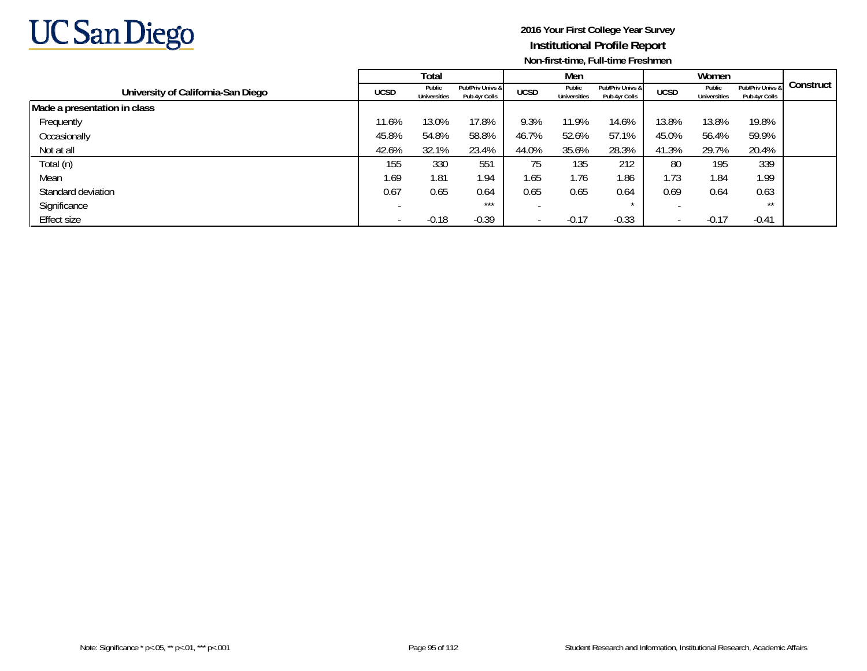

|                                    |                          | Total                  |                                   |                          | Men                           |                                   |             | Women                  |                                   |           |
|------------------------------------|--------------------------|------------------------|-----------------------------------|--------------------------|-------------------------------|-----------------------------------|-------------|------------------------|-----------------------------------|-----------|
| University of California-San Diego | <b>UCSD</b>              | Public<br>Universities | Pub/Priv Univs &<br>Pub 4yr Colls | <b>UCSD</b>              | Public<br><b>Universities</b> | Pub/Priv Univs &<br>Pub 4yr Colls | <b>UCSD</b> | Public<br>Universities | Pub/Priv Univs &<br>Pub 4yr Colls | Construct |
| Made a presentation in class       |                          |                        |                                   |                          |                               |                                   |             |                        |                                   |           |
| Frequently                         | 11.6%                    | 13.0%                  | 17.8%                             | 9.3%                     | 11.9%                         | 14.6%                             | 13.8%       | 13.8%                  | 19.8%                             |           |
| Occasionally                       | 45.8%                    | 54.8%                  | 58.8%                             | 46.7%                    | 52.6%                         | 57.1%                             | 45.0%       | 56.4%                  | 59.9%                             |           |
| Not at all                         | 42.6%                    | 32.1%                  | 23.4%                             | 44.0%                    | 35.6%                         | 28.3%                             | 41.3%       | 29.7%                  | 20.4%                             |           |
| Total (n)                          | 155                      | 330                    | 551                               | 75                       | 135                           | 212                               | 80          | 195                    | 339                               |           |
| Mean                               | 1.69                     | 1.81                   | 1.94                              | 1.65                     | 1.76                          | 1.86                              | 1.73        | 1.84                   | 1.99                              |           |
| Standard deviation                 | 0.67                     | 0.65                   | 0.64                              | 0.65                     | 0.65                          | 0.64                              | 0.69        | 0.64                   | 0.63                              |           |
| Significance                       | $\overline{\phantom{a}}$ |                        | $***$                             |                          |                               |                                   |             |                        | $***$                             |           |
| Effect size                        |                          | $-0.18$                | $-0.39$                           | $\overline{\phantom{a}}$ | $-0.17$                       | $-0.33$                           |             | $-0.17$                | $-0.41$                           |           |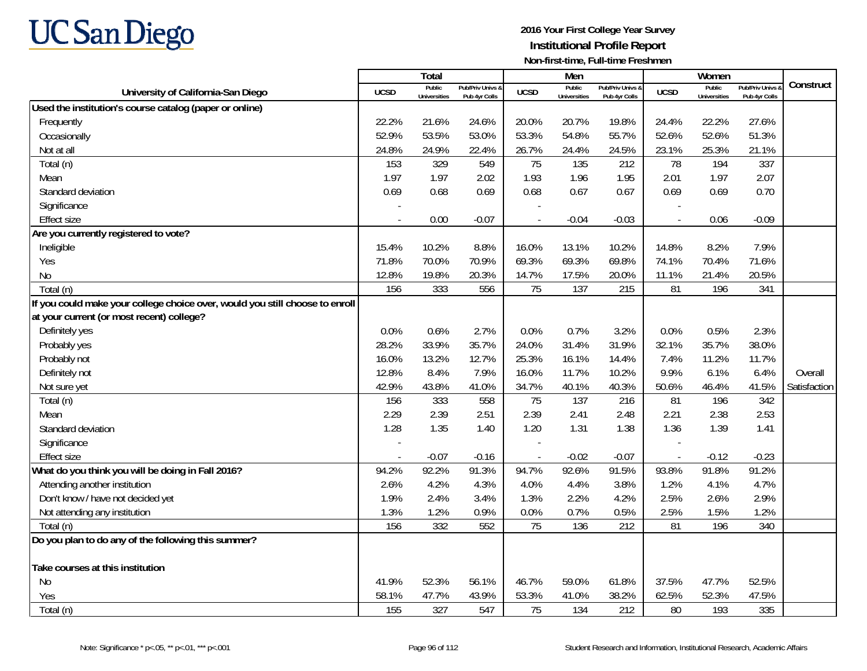

|                                                                              |             | Total                         |                                   |                | Men                           |                                   |                          | Women                         |                                        | Construct    |
|------------------------------------------------------------------------------|-------------|-------------------------------|-----------------------------------|----------------|-------------------------------|-----------------------------------|--------------------------|-------------------------------|----------------------------------------|--------------|
| University of California-San Diego                                           | <b>UCSD</b> | Public<br><b>Universities</b> | Pub/Priv Univs &<br>Pub 4yr Colls | <b>UCSD</b>    | Public<br><b>Universities</b> | Pub/Priv Univs &<br>Pub 4yr Colls | <b>UCSD</b>              | Public<br><b>Universities</b> | <b>Pub/Priv Univs</b><br>Pub 4yr Colls |              |
| Used the institution's course catalog (paper or online)                      |             |                               |                                   |                |                               |                                   |                          |                               |                                        |              |
| Frequently                                                                   | 22.2%       | 21.6%                         | 24.6%                             | 20.0%          | 20.7%                         | 19.8%                             | 24.4%                    | 22.2%                         | 27.6%                                  |              |
| Occasionally                                                                 | 52.9%       | 53.5%                         | 53.0%                             | 53.3%          | 54.8%                         | 55.7%                             | 52.6%                    | 52.6%                         | 51.3%                                  |              |
| Not at all                                                                   | 24.8%       | 24.9%                         | 22.4%                             | 26.7%          | 24.4%                         | 24.5%                             | 23.1%                    | 25.3%                         | 21.1%                                  |              |
| Total (n)                                                                    | 153         | 329                           | 549                               | 75             | 135                           | 212                               | 78                       | 194                           | 337                                    |              |
| Mean                                                                         | 1.97        | 1.97                          | 2.02                              | 1.93           | 1.96                          | 1.95                              | 2.01                     | 1.97                          | 2.07                                   |              |
| Standard deviation                                                           | 0.69        | 0.68                          | 0.69                              | 0.68           | 0.67                          | 0.67                              | 0.69                     | 0.69                          | 0.70                                   |              |
| Significance                                                                 |             |                               |                                   |                |                               |                                   |                          |                               |                                        |              |
| <b>Effect size</b>                                                           |             | 0.00                          | $-0.07$                           |                | $-0.04$                       | $-0.03$                           | $\overline{\phantom{a}}$ | 0.06                          | $-0.09$                                |              |
| Are you currently registered to vote?                                        |             |                               |                                   |                |                               |                                   |                          |                               |                                        |              |
| Ineligible                                                                   | 15.4%       | 10.2%                         | 8.8%                              | 16.0%          | 13.1%                         | 10.2%                             | 14.8%                    | 8.2%                          | 7.9%                                   |              |
| Yes                                                                          | 71.8%       | 70.0%                         | 70.9%                             | 69.3%          | 69.3%                         | 69.8%                             | 74.1%                    | 70.4%                         | 71.6%                                  |              |
| <b>No</b>                                                                    | 12.8%       | 19.8%                         | 20.3%                             | 14.7%          | 17.5%                         | 20.0%                             | 11.1%                    | 21.4%                         | 20.5%                                  |              |
| Total (n)                                                                    | 156         | 333                           | 556                               | 75             | 137                           | 215                               | 81                       | 196                           | 341                                    |              |
| If you could make your college choice over, would you still choose to enroll |             |                               |                                   |                |                               |                                   |                          |                               |                                        |              |
| at your current (or most recent) college?                                    |             |                               |                                   |                |                               |                                   |                          |                               |                                        |              |
| Definitely yes                                                               | 0.0%        | 0.6%                          | 2.7%                              | 0.0%           | 0.7%                          | 3.2%                              | 0.0%                     | 0.5%                          | 2.3%                                   |              |
| Probably yes                                                                 | 28.2%       | 33.9%                         | 35.7%                             | 24.0%          | 31.4%                         | 31.9%                             | 32.1%                    | 35.7%                         | 38.0%                                  |              |
| Probably not                                                                 | 16.0%       | 13.2%                         | 12.7%                             | 25.3%          | 16.1%                         | 14.4%                             | 7.4%                     | 11.2%                         | 11.7%                                  |              |
| Definitely not                                                               | 12.8%       | 8.4%                          | 7.9%                              | 16.0%          | 11.7%                         | 10.2%                             | 9.9%                     | 6.1%                          | 6.4%                                   | Overall      |
| Not sure yet                                                                 | 42.9%       | 43.8%                         | 41.0%                             | 34.7%          | 40.1%                         | 40.3%                             | 50.6%                    | 46.4%                         | 41.5%                                  | Satisfaction |
| Total (n)                                                                    | 156         | 333                           | 558                               | 75             | 137                           | 216                               | 81                       | 196                           | 342                                    |              |
| Mean                                                                         | 2.29        | 2.39                          | 2.51                              | 2.39           | 2.41                          | 2.48                              | 2.21                     | 2.38                          | 2.53                                   |              |
| Standard deviation                                                           | 1.28        | 1.35                          | 1.40                              | 1.20           | 1.31                          | 1.38                              | 1.36                     | 1.39                          | 1.41                                   |              |
| Significance                                                                 |             |                               |                                   |                |                               |                                   |                          |                               |                                        |              |
| <b>Effect size</b>                                                           |             | $-0.07$                       | $-0.16$                           | $\overline{a}$ | $-0.02$                       | $-0.07$                           | $\overline{a}$           | $-0.12$                       | $-0.23$                                |              |
| What do you think you will be doing in Fall 2016?                            | 94.2%       | 92.2%                         | 91.3%                             | 94.7%          | 92.6%                         | 91.5%                             | 93.8%                    | 91.8%                         | 91.2%                                  |              |
| Attending another institution                                                | 2.6%        | 4.2%                          | 4.3%                              | 4.0%           | 4.4%                          | 3.8%                              | 1.2%                     | 4.1%                          | 4.7%                                   |              |
| Don't know / have not decided yet                                            | 1.9%        | 2.4%                          | 3.4%                              | 1.3%           | 2.2%                          | 4.2%                              | 2.5%                     | 2.6%                          | 2.9%                                   |              |
| Not attending any institution                                                | 1.3%        | 1.2%                          | 0.9%                              | 0.0%           | 0.7%                          | 0.5%                              | 2.5%                     | 1.5%                          | 1.2%                                   |              |
| Total (n)                                                                    | 156         | 332                           | 552                               | 75             | 136                           | 212                               | 81                       | 196                           | 340                                    |              |
| Do you plan to do any of the following this summer?                          |             |                               |                                   |                |                               |                                   |                          |                               |                                        |              |
| Take courses at this institution                                             |             |                               |                                   |                |                               |                                   |                          |                               |                                        |              |
| <b>No</b>                                                                    | 41.9%       | 52.3%                         | 56.1%                             | 46.7%          | 59.0%                         | 61.8%                             | 37.5%                    | 47.7%                         | 52.5%                                  |              |
| Yes                                                                          | 58.1%       | 47.7%                         | 43.9%                             | 53.3%          | 41.0%                         | 38.2%                             | 62.5%                    | 52.3%                         | 47.5%                                  |              |
| Total (n)                                                                    | 155         | 327                           | 547                               | 75             | 134                           | 212                               | 80                       | 193                           | 335                                    |              |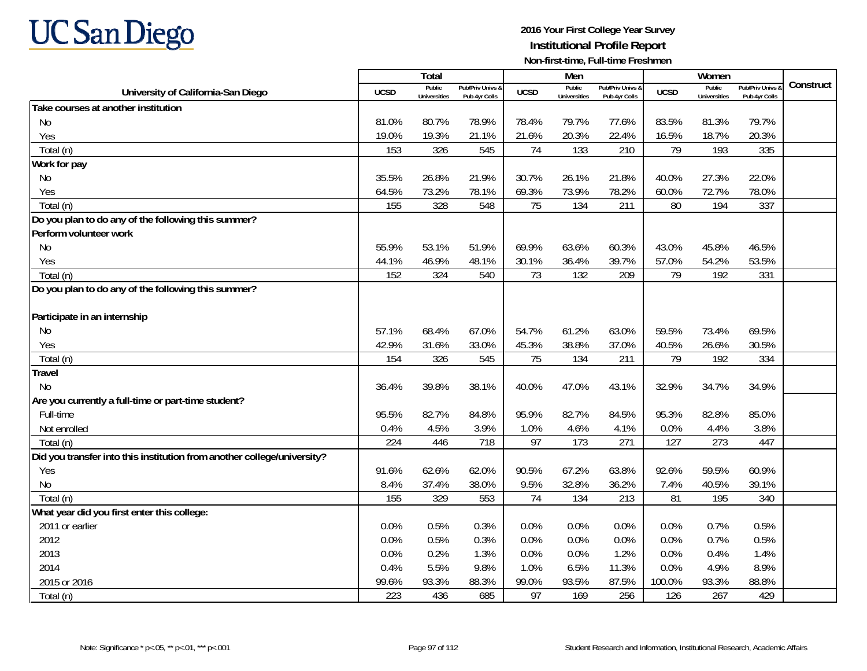

|                                                                         |             | Total                         |                                   |             | Men                           |                                   |             | Women                         |                                        |           |
|-------------------------------------------------------------------------|-------------|-------------------------------|-----------------------------------|-------------|-------------------------------|-----------------------------------|-------------|-------------------------------|----------------------------------------|-----------|
| University of California-San Diego                                      | <b>UCSD</b> | Public<br><b>Universities</b> | Pub/Priv Univs &<br>Pub 4yr Colls | <b>UCSD</b> | Public<br><b>Universities</b> | Pub/Priv Univs &<br>Pub 4yr Colls | <b>UCSD</b> | Public<br><b>Universities</b> | <b>Pub/Priv Univs</b><br>Pub 4yr Colls | Construct |
| Take courses at another institution                                     |             |                               |                                   |             |                               |                                   |             |                               |                                        |           |
| No                                                                      | 81.0%       | 80.7%                         | 78.9%                             | 78.4%       | 79.7%                         | 77.6%                             | 83.5%       | 81.3%                         | 79.7%                                  |           |
| Yes                                                                     | 19.0%       | 19.3%                         | 21.1%                             | 21.6%       | 20.3%                         | 22.4%                             | 16.5%       | 18.7%                         | 20.3%                                  |           |
| Total (n)                                                               | 153         | 326                           | 545                               | 74          | 133                           | 210                               | 79          | 193                           | 335                                    |           |
| Work for pay                                                            |             |                               |                                   |             |                               |                                   |             |                               |                                        |           |
| No                                                                      | 35.5%       | 26.8%                         | 21.9%                             | 30.7%       | 26.1%                         | 21.8%                             | 40.0%       | 27.3%                         | 22.0%                                  |           |
| Yes                                                                     | 64.5%       | 73.2%                         | 78.1%                             | 69.3%       | 73.9%                         | 78.2%                             | 60.0%       | 72.7%                         | 78.0%                                  |           |
| Total (n)                                                               | 155         | 328                           | 548                               | 75          | 134                           | 211                               | 80          | 194                           | 337                                    |           |
| Do you plan to do any of the following this summer?                     |             |                               |                                   |             |                               |                                   |             |                               |                                        |           |
| Perform volunteer work                                                  |             |                               |                                   |             |                               |                                   |             |                               |                                        |           |
| No                                                                      | 55.9%       | 53.1%                         | 51.9%                             | 69.9%       | 63.6%                         | 60.3%                             | 43.0%       | 45.8%                         | 46.5%                                  |           |
| Yes                                                                     | 44.1%       | 46.9%                         | 48.1%                             | 30.1%       | 36.4%                         | 39.7%                             | 57.0%       | 54.2%                         | 53.5%                                  |           |
| Total (n)                                                               | 152         | 324                           | 540                               | 73          | 132                           | 209                               | 79          | 192                           | 331                                    |           |
| Do you plan to do any of the following this summer?                     |             |                               |                                   |             |                               |                                   |             |                               |                                        |           |
|                                                                         |             |                               |                                   |             |                               |                                   |             |                               |                                        |           |
| Participate in an internship                                            |             |                               |                                   |             |                               |                                   |             |                               |                                        |           |
| No.                                                                     | 57.1%       | 68.4%                         | 67.0%                             | 54.7%       | 61.2%                         | 63.0%                             | 59.5%       | 73.4%                         | 69.5%                                  |           |
| Yes                                                                     | 42.9%       | 31.6%                         | 33.0%                             | 45.3%       | 38.8%                         | 37.0%                             | 40.5%       | 26.6%                         | 30.5%                                  |           |
| Total (n)                                                               | 154         | 326                           | 545                               | 75          | 134                           | 211                               | 79          | 192                           | 334                                    |           |
| <b>Travel</b>                                                           |             |                               |                                   |             |                               |                                   |             |                               |                                        |           |
| <b>No</b>                                                               | 36.4%       | 39.8%                         | 38.1%                             | 40.0%       | 47.0%                         | 43.1%                             | 32.9%       | 34.7%                         | 34.9%                                  |           |
| Are you currently a full-time or part-time student?                     |             |                               |                                   |             |                               |                                   |             |                               |                                        |           |
| Full-time                                                               | 95.5%       | 82.7%                         | 84.8%                             | 95.9%       | 82.7%                         | 84.5%                             | 95.3%       | 82.8%                         | 85.0%                                  |           |
| Not enrolled                                                            | 0.4%        | 4.5%                          | 3.9%                              | 1.0%        | 4.6%                          | 4.1%                              | 0.0%        | 4.4%                          | 3.8%                                   |           |
| Total (n)                                                               | 224         | 446                           | 718                               | 97          | 173                           | 271                               | 127         | 273                           | 447                                    |           |
| Did you transfer into this institution from another college/university? |             |                               |                                   |             |                               |                                   |             |                               |                                        |           |
| Yes                                                                     | 91.6%       | 62.6%                         | 62.0%                             | 90.5%       | 67.2%                         | 63.8%                             | 92.6%       | 59.5%                         | 60.9%                                  |           |
| <b>No</b>                                                               | 8.4%        | 37.4%                         | 38.0%                             | 9.5%        | 32.8%                         | 36.2%                             | 7.4%        | 40.5%                         | 39.1%                                  |           |
| Total (n)                                                               | 155         | 329                           | 553                               | 74          | 134                           | 213                               | 81          | 195                           | 340                                    |           |
| What year did you first enter this college:                             |             |                               |                                   |             |                               |                                   |             |                               |                                        |           |
| 2011 or earlier                                                         | 0.0%        | 0.5%                          | 0.3%                              | 0.0%        | 0.0%                          | 0.0%                              | 0.0%        | 0.7%                          | 0.5%                                   |           |
| 2012                                                                    | 0.0%        | 0.5%                          | 0.3%                              | 0.0%        | 0.0%                          | 0.0%                              | 0.0%        | 0.7%                          | 0.5%                                   |           |
| 2013                                                                    | 0.0%        | 0.2%                          | 1.3%                              | 0.0%        | 0.0%                          | 1.2%                              | 0.0%        | 0.4%                          | 1.4%                                   |           |
| 2014                                                                    | 0.4%        | 5.5%                          | 9.8%                              | 1.0%        | 6.5%                          | 11.3%                             | 0.0%        | 4.9%                          | 8.9%                                   |           |
| 2015 or 2016                                                            | 99.6%       | 93.3%                         | 88.3%                             | 99.0%       | 93.5%                         | 87.5%                             | 100.0%      | 93.3%                         | 88.8%                                  |           |
| Total (n)                                                               | 223         | 436                           | 685                               | 97          | 169                           | 256                               | 126         | 267                           | 429                                    |           |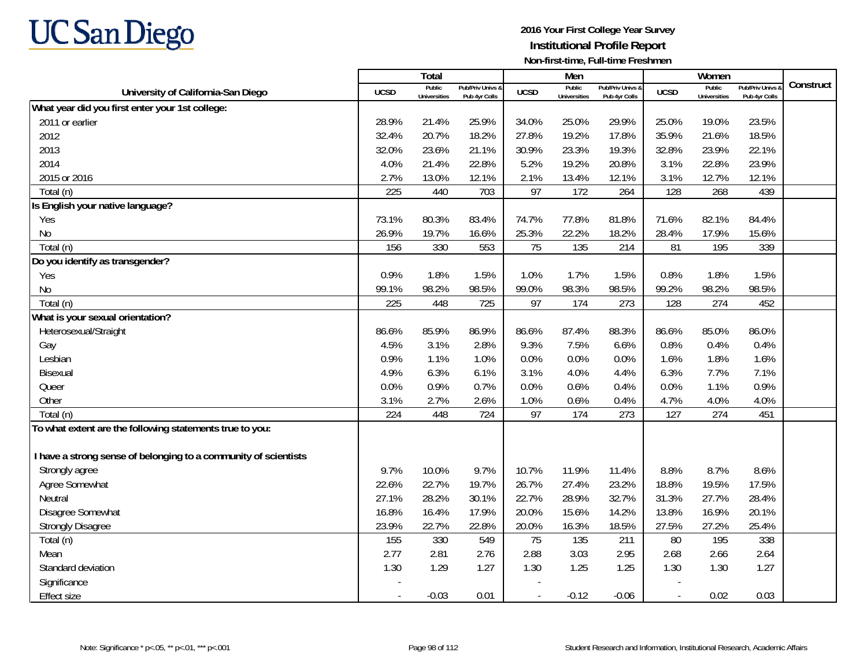

|                                                                 |             | Total                         |                                   |             | Men                           |                                   |             | Women                         |                                        | Construct |
|-----------------------------------------------------------------|-------------|-------------------------------|-----------------------------------|-------------|-------------------------------|-----------------------------------|-------------|-------------------------------|----------------------------------------|-----------|
| University of California-San Diego                              | <b>UCSD</b> | Public<br><b>Universities</b> | Pub/Priv Univs &<br>Pub 4yr Colls | <b>UCSD</b> | Public<br><b>Universities</b> | Pub/Priv Univs &<br>Pub 4yr Colls | <b>UCSD</b> | Public<br><b>Universities</b> | <b>Pub/Priv Univs</b><br>Pub 4yr Colls |           |
| What year did you first enter your 1st college:                 |             |                               |                                   |             |                               |                                   |             |                               |                                        |           |
| 2011 or earlier                                                 | 28.9%       | 21.4%                         | 25.9%                             | 34.0%       | 25.0%                         | 29.9%                             | 25.0%       | 19.0%                         | 23.5%                                  |           |
| 2012                                                            | 32.4%       | 20.7%                         | 18.2%                             | 27.8%       | 19.2%                         | 17.8%                             | 35.9%       | 21.6%                         | 18.5%                                  |           |
| 2013                                                            | 32.0%       | 23.6%                         | 21.1%                             | 30.9%       | 23.3%                         | 19.3%                             | 32.8%       | 23.9%                         | 22.1%                                  |           |
| 2014                                                            | 4.0%        | 21.4%                         | 22.8%                             | 5.2%        | 19.2%                         | 20.8%                             | 3.1%        | 22.8%                         | 23.9%                                  |           |
| 2015 or 2016                                                    | 2.7%        | 13.0%                         | 12.1%                             | 2.1%        | 13.4%                         | 12.1%                             | 3.1%        | 12.7%                         | 12.1%                                  |           |
| Total (n)                                                       | 225         | 440                           | 703                               | 97          | 172                           | 264                               | 128         | 268                           | 439                                    |           |
| Is English your native language?                                |             |                               |                                   |             |                               |                                   |             |                               |                                        |           |
| Yes                                                             | 73.1%       | 80.3%                         | 83.4%                             | 74.7%       | 77.8%                         | 81.8%                             | 71.6%       | 82.1%                         | 84.4%                                  |           |
| No                                                              | 26.9%       | 19.7%                         | 16.6%                             | 25.3%       | 22.2%                         | 18.2%                             | 28.4%       | 17.9%                         | 15.6%                                  |           |
| Total (n)                                                       | 156         | 330                           | 553                               | 75          | 135                           | 214                               | 81          | 195                           | 339                                    |           |
| Do you identify as transgender?                                 |             |                               |                                   |             |                               |                                   |             |                               |                                        |           |
| Yes                                                             | 0.9%        | 1.8%                          | 1.5%                              | 1.0%        | 1.7%                          | 1.5%                              | 0.8%        | 1.8%                          | 1.5%                                   |           |
| No                                                              | 99.1%       | 98.2%                         | 98.5%                             | 99.0%       | 98.3%                         | 98.5%                             | 99.2%       | 98.2%                         | 98.5%                                  |           |
| Total (n)                                                       | 225         | 448                           | 725                               | 97          | 174                           | 273                               | 128         | 274                           | 452                                    |           |
| What is your sexual orientation?                                |             |                               |                                   |             |                               |                                   |             |                               |                                        |           |
| Heterosexual/Straight                                           | 86.6%       | 85.9%                         | 86.9%                             | 86.6%       | 87.4%                         | 88.3%                             | 86.6%       | 85.0%                         | 86.0%                                  |           |
| Gay                                                             | 4.5%        | 3.1%                          | 2.8%                              | 9.3%        | 7.5%                          | 6.6%                              | 0.8%        | 0.4%                          | 0.4%                                   |           |
| Lesbian                                                         | 0.9%        | 1.1%                          | 1.0%                              | 0.0%        | 0.0%                          | 0.0%                              | 1.6%        | 1.8%                          | 1.6%                                   |           |
| Bisexual                                                        | 4.9%        | 6.3%                          | 6.1%                              | 3.1%        | 4.0%                          | 4.4%                              | 6.3%        | 7.7%                          | 7.1%                                   |           |
| Queer                                                           | 0.0%        | 0.9%                          | 0.7%                              | 0.0%        | 0.6%                          | 0.4%                              | 0.0%        | 1.1%                          | 0.9%                                   |           |
| Other                                                           | 3.1%        | 2.7%                          | 2.6%                              | 1.0%        | 0.6%                          | 0.4%                              | 4.7%        | 4.0%                          | 4.0%                                   |           |
| Total (n)                                                       | 224         | 448                           | 724                               | 97          | 174                           | 273                               | 127         | 274                           | 451                                    |           |
| To what extent are the following statements true to you:        |             |                               |                                   |             |                               |                                   |             |                               |                                        |           |
|                                                                 |             |                               |                                   |             |                               |                                   |             |                               |                                        |           |
| I have a strong sense of belonging to a community of scientists |             |                               |                                   |             |                               |                                   |             |                               |                                        |           |
| Strongly agree                                                  | 9.7%        | 10.0%                         | 9.7%                              | 10.7%       | 11.9%                         | 11.4%                             | 8.8%        | 8.7%                          | 8.6%                                   |           |
| Agree Somewhat                                                  | 22.6%       | 22.7%                         | 19.7%                             | 26.7%       | 27.4%                         | 23.2%                             | 18.8%       | 19.5%                         | 17.5%                                  |           |
| Neutral                                                         | 27.1%       | 28.2%                         | 30.1%                             | 22.7%       | 28.9%                         | 32.7%                             | 31.3%       | 27.7%                         | 28.4%                                  |           |
| Disagree Somewhat                                               | 16.8%       | 16.4%                         | 17.9%                             | 20.0%       | 15.6%                         | 14.2%                             | 13.8%       | 16.9%                         | 20.1%                                  |           |
| <b>Strongly Disagree</b>                                        | 23.9%       | 22.7%                         | 22.8%                             | 20.0%       | 16.3%                         | 18.5%                             | 27.5%       | 27.2%                         | 25.4%                                  |           |
| Total (n)                                                       | 155         | 330                           | 549                               | 75          | 135                           | 211                               | 80          | 195                           | 338                                    |           |
| Mean                                                            | 2.77        | 2.81                          | 2.76                              | 2.88        | 3.03                          | 2.95                              | 2.68        | 2.66                          | 2.64                                   |           |
| Standard deviation                                              | 1.30        | 1.29                          | 1.27                              | 1.30        | 1.25                          | 1.25                              | 1.30        | 1.30                          | 1.27                                   |           |
| Significance                                                    |             |                               |                                   |             |                               |                                   |             |                               |                                        |           |
| <b>Effect size</b>                                              |             | $-0.03$                       | 0.01                              |             | $-0.12$                       | $-0.06$                           |             | 0.02                          | 0.03                                   |           |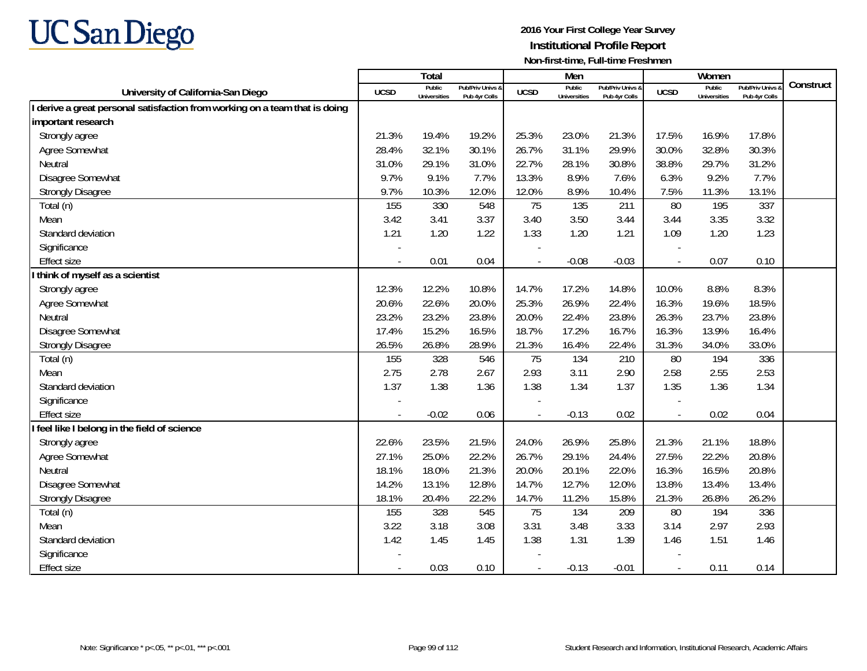

|                                                                             |             | <b>Total</b>                  |                                   |                | Men                           |                                   |                          | Women                         |                                        |           |
|-----------------------------------------------------------------------------|-------------|-------------------------------|-----------------------------------|----------------|-------------------------------|-----------------------------------|--------------------------|-------------------------------|----------------------------------------|-----------|
| University of California-San Diego                                          | <b>UCSD</b> | Public<br><b>Universities</b> | Pub/Priv Univs &<br>Pub 4yr Colls | <b>UCSD</b>    | Public<br><b>Universities</b> | Pub/Priv Univs &<br>Pub 4yr Colls | <b>UCSD</b>              | Public<br><b>Universities</b> | <b>Pub/Priv Univs</b><br>Pub 4yr Colls | Construct |
| I derive a great personal satisfaction from working on a team that is doing |             |                               |                                   |                |                               |                                   |                          |                               |                                        |           |
| important research                                                          |             |                               |                                   |                |                               |                                   |                          |                               |                                        |           |
| Strongly agree                                                              | 21.3%       | 19.4%                         | 19.2%                             | 25.3%          | 23.0%                         | 21.3%                             | 17.5%                    | 16.9%                         | 17.8%                                  |           |
| Agree Somewhat                                                              | 28.4%       | 32.1%                         | 30.1%                             | 26.7%          | 31.1%                         | 29.9%                             | 30.0%                    | 32.8%                         | 30.3%                                  |           |
| Neutral                                                                     | 31.0%       | 29.1%                         | 31.0%                             | 22.7%          | 28.1%                         | 30.8%                             | 38.8%                    | 29.7%                         | 31.2%                                  |           |
| Disagree Somewhat                                                           | 9.7%        | 9.1%                          | 7.7%                              | 13.3%          | 8.9%                          | 7.6%                              | 6.3%                     | 9.2%                          | 7.7%                                   |           |
| <b>Strongly Disagree</b>                                                    | 9.7%        | 10.3%                         | 12.0%                             | 12.0%          | 8.9%                          | 10.4%                             | 7.5%                     | 11.3%                         | 13.1%                                  |           |
| Total (n)                                                                   | 155         | 330                           | 548                               | 75             | 135                           | 211                               | 80                       | 195                           | 337                                    |           |
| Mean                                                                        | 3.42        | 3.41                          | 3.37                              | 3.40           | 3.50                          | 3.44                              | 3.44                     | 3.35                          | 3.32                                   |           |
| Standard deviation                                                          | 1.21        | 1.20                          | 1.22                              | 1.33           | 1.20                          | 1.21                              | 1.09                     | 1.20                          | 1.23                                   |           |
| Significance                                                                |             |                               |                                   |                |                               |                                   |                          |                               |                                        |           |
| <b>Effect size</b>                                                          |             | 0.01                          | 0.04                              |                | $-0.08$                       | $-0.03$                           | $\overline{\phantom{a}}$ | 0.07                          | 0.10                                   |           |
| think of myself as a scientist                                              |             |                               |                                   |                |                               |                                   |                          |                               |                                        |           |
| Strongly agree                                                              | 12.3%       | 12.2%                         | 10.8%                             | 14.7%          | 17.2%                         | 14.8%                             | 10.0%                    | 8.8%                          | 8.3%                                   |           |
| Agree Somewhat                                                              | 20.6%       | 22.6%                         | 20.0%                             | 25.3%          | 26.9%                         | 22.4%                             | 16.3%                    | 19.6%                         | 18.5%                                  |           |
| Neutral                                                                     | 23.2%       | 23.2%                         | 23.8%                             | 20.0%          | 22.4%                         | 23.8%                             | 26.3%                    | 23.7%                         | 23.8%                                  |           |
| Disagree Somewhat                                                           | 17.4%       | 15.2%                         | 16.5%                             | 18.7%          | 17.2%                         | 16.7%                             | 16.3%                    | 13.9%                         | 16.4%                                  |           |
| <b>Strongly Disagree</b>                                                    | 26.5%       | 26.8%                         | 28.9%                             | 21.3%          | 16.4%                         | 22.4%                             | 31.3%                    | 34.0%                         | 33.0%                                  |           |
| Total (n)                                                                   | 155         | 328                           | 546                               | 75             | 134                           | 210                               | 80                       | 194                           | 336                                    |           |
| Mean                                                                        | 2.75        | 2.78                          | 2.67                              | 2.93           | 3.11                          | 2.90                              | 2.58                     | 2.55                          | 2.53                                   |           |
| Standard deviation                                                          | 1.37        | 1.38                          | 1.36                              | 1.38           | 1.34                          | 1.37                              | 1.35                     | 1.36                          | 1.34                                   |           |
| Significance                                                                |             |                               |                                   |                |                               |                                   |                          |                               |                                        |           |
| <b>Effect size</b>                                                          |             | $-0.02$                       | 0.06                              | $\blacksquare$ | $-0.13$                       | 0.02                              | $\overline{\phantom{a}}$ | 0.02                          | 0.04                                   |           |
| I feel like I belong in the field of science                                |             |                               |                                   |                |                               |                                   |                          |                               |                                        |           |
| Strongly agree                                                              | 22.6%       | 23.5%                         | 21.5%                             | 24.0%          | 26.9%                         | 25.8%                             | 21.3%                    | 21.1%                         | 18.8%                                  |           |
| Agree Somewhat                                                              | 27.1%       | 25.0%                         | 22.2%                             | 26.7%          | 29.1%                         | 24.4%                             | 27.5%                    | 22.2%                         | 20.8%                                  |           |
| Neutral                                                                     | 18.1%       | 18.0%                         | 21.3%                             | 20.0%          | 20.1%                         | 22.0%                             | 16.3%                    | 16.5%                         | 20.8%                                  |           |
| Disagree Somewhat                                                           | 14.2%       | 13.1%                         | 12.8%                             | 14.7%          | 12.7%                         | 12.0%                             | 13.8%                    | 13.4%                         | 13.4%                                  |           |
| <b>Strongly Disagree</b>                                                    | 18.1%       | 20.4%                         | 22.2%                             | 14.7%          | 11.2%                         | 15.8%                             | 21.3%                    | 26.8%                         | 26.2%                                  |           |
| Total (n)                                                                   | 155         | 328                           | 545                               | 75             | 134                           | 209                               | 80                       | 194                           | 336                                    |           |
| Mean                                                                        | 3.22        | 3.18                          | 3.08                              | 3.31           | 3.48                          | 3.33                              | 3.14                     | 2.97                          | 2.93                                   |           |
| Standard deviation                                                          | 1.42        | 1.45                          | 1.45                              | 1.38           | 1.31                          | 1.39                              | 1.46                     | 1.51                          | 1.46                                   |           |
| Significance                                                                |             |                               |                                   |                |                               |                                   |                          |                               |                                        |           |
| <b>Effect size</b>                                                          |             | 0.03                          | 0.10                              | $\blacksquare$ | $-0.13$                       | $-0.01$                           | $\overline{\phantom{a}}$ | 0.11                          | 0.14                                   |           |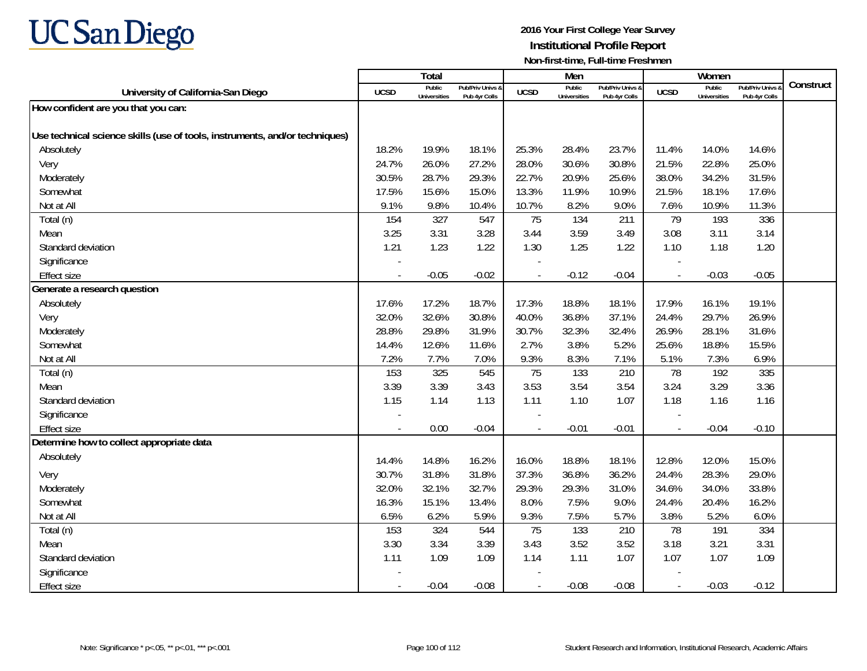

|                                                                             |                          | Total                         |                                   |                          | Men                           |                                   |                          | Women                         |                                        |           |
|-----------------------------------------------------------------------------|--------------------------|-------------------------------|-----------------------------------|--------------------------|-------------------------------|-----------------------------------|--------------------------|-------------------------------|----------------------------------------|-----------|
| University of California-San Diego                                          | <b>UCSD</b>              | Public<br><b>Universities</b> | Pub/Priv Univs &<br>Pub 4yr Colls | <b>UCSD</b>              | Public<br><b>Universities</b> | Pub/Priv Univs &<br>Pub 4yr Colls | <b>UCSD</b>              | Public<br><b>Universities</b> | <b>Pub/Priv Univs</b><br>Pub 4yr Colls | Construct |
| How confident are you that you can:                                         |                          |                               |                                   |                          |                               |                                   |                          |                               |                                        |           |
|                                                                             |                          |                               |                                   |                          |                               |                                   |                          |                               |                                        |           |
| Use technical science skills (use of tools, instruments, and/or techniques) |                          |                               |                                   |                          |                               |                                   |                          |                               |                                        |           |
| Absolutely                                                                  | 18.2%                    | 19.9%                         | 18.1%                             | 25.3%                    | 28.4%                         | 23.7%                             | 11.4%                    | 14.0%                         | 14.6%                                  |           |
| Very                                                                        | 24.7%                    | 26.0%                         | 27.2%                             | 28.0%                    | 30.6%                         | 30.8%                             | 21.5%                    | 22.8%                         | 25.0%                                  |           |
| Moderately                                                                  | 30.5%                    | 28.7%                         | 29.3%                             | 22.7%                    | 20.9%                         | 25.6%                             | 38.0%                    | 34.2%                         | 31.5%                                  |           |
| Somewhat                                                                    | 17.5%                    | 15.6%                         | 15.0%                             | 13.3%                    | 11.9%                         | 10.9%                             | 21.5%                    | 18.1%                         | 17.6%                                  |           |
| Not at All                                                                  | 9.1%                     | 9.8%                          | 10.4%                             | 10.7%                    | 8.2%                          | 9.0%                              | 7.6%                     | 10.9%                         | 11.3%                                  |           |
| Total (n)                                                                   | 154                      | 327                           | 547                               | 75                       | 134                           | 211                               | 79                       | 193                           | 336                                    |           |
| Mean                                                                        | 3.25                     | 3.31                          | 3.28                              | 3.44                     | 3.59                          | 3.49                              | 3.08                     | 3.11                          | 3.14                                   |           |
| Standard deviation                                                          | 1.21                     | 1.23                          | 1.22                              | 1.30                     | 1.25                          | 1.22                              | 1.10                     | 1.18                          | 1.20                                   |           |
| Significance                                                                |                          |                               |                                   |                          |                               |                                   |                          |                               |                                        |           |
| <b>Effect size</b>                                                          | $\overline{\phantom{a}}$ | $-0.05$                       | $-0.02$                           | $\overline{\phantom{a}}$ | $-0.12$                       | $-0.04$                           | $\overline{\phantom{a}}$ | $-0.03$                       | $-0.05$                                |           |
| Generate a research question                                                |                          |                               |                                   |                          |                               |                                   |                          |                               |                                        |           |
| Absolutely                                                                  | 17.6%                    | 17.2%                         | 18.7%                             | 17.3%                    | 18.8%                         | 18.1%                             | 17.9%                    | 16.1%                         | 19.1%                                  |           |
| Very                                                                        | 32.0%                    | 32.6%                         | 30.8%                             | 40.0%                    | 36.8%                         | 37.1%                             | 24.4%                    | 29.7%                         | 26.9%                                  |           |
| Moderately                                                                  | 28.8%                    | 29.8%                         | 31.9%                             | 30.7%                    | 32.3%                         | 32.4%                             | 26.9%                    | 28.1%                         | 31.6%                                  |           |
| Somewhat                                                                    | 14.4%                    | 12.6%                         | 11.6%                             | 2.7%                     | 3.8%                          | 5.2%                              | 25.6%                    | 18.8%                         | 15.5%                                  |           |
| Not at All                                                                  | 7.2%                     | 7.7%                          | 7.0%                              | 9.3%                     | 8.3%                          | 7.1%                              | 5.1%                     | 7.3%                          | 6.9%                                   |           |
| Total (n)                                                                   | 153                      | 325                           | 545                               | 75                       | 133                           | 210                               | 78                       | 192                           | 335                                    |           |
| Mean                                                                        | 3.39                     | 3.39                          | 3.43                              | 3.53                     | 3.54                          | 3.54                              | 3.24                     | 3.29                          | 3.36                                   |           |
| Standard deviation                                                          | 1.15                     | 1.14                          | 1.13                              | 1.11                     | 1.10                          | 1.07                              | 1.18                     | 1.16                          | 1.16                                   |           |
| Significance                                                                |                          |                               |                                   |                          |                               |                                   |                          |                               |                                        |           |
| <b>Effect size</b>                                                          |                          | 0.00                          | $-0.04$                           | $\overline{a}$           | $-0.01$                       | $-0.01$                           |                          | $-0.04$                       | $-0.10$                                |           |
| Determine how to collect appropriate data                                   |                          |                               |                                   |                          |                               |                                   |                          |                               |                                        |           |
| Absolutely                                                                  | 14.4%                    | 14.8%                         | 16.2%                             | 16.0%                    | 18.8%                         | 18.1%                             | 12.8%                    | 12.0%                         | 15.0%                                  |           |
| Very                                                                        | 30.7%                    | 31.8%                         | 31.8%                             | 37.3%                    | 36.8%                         | 36.2%                             | 24.4%                    | 28.3%                         | 29.0%                                  |           |
| Moderately                                                                  | 32.0%                    | 32.1%                         | 32.7%                             | 29.3%                    | 29.3%                         | 31.0%                             | 34.6%                    | 34.0%                         | 33.8%                                  |           |
| Somewhat                                                                    | 16.3%                    | 15.1%                         | 13.4%                             | 8.0%                     | 7.5%                          | 9.0%                              | 24.4%                    | 20.4%                         | 16.2%                                  |           |
| Not at All                                                                  | 6.5%                     | 6.2%                          | 5.9%                              | 9.3%                     | 7.5%                          | 5.7%                              | 3.8%                     | 5.2%                          | 6.0%                                   |           |
| Total (n)                                                                   | 153                      | 324                           | 544                               | 75                       | 133                           | 210                               | 78                       | 191                           | 334                                    |           |
| Mean                                                                        | 3.30                     | 3.34                          | 3.39                              | 3.43                     | 3.52                          | 3.52                              | 3.18                     | 3.21                          | 3.31                                   |           |
| Standard deviation                                                          | 1.11                     | 1.09                          | 1.09                              | 1.14                     | 1.11                          | 1.07                              | 1.07                     | 1.07                          | 1.09                                   |           |
| Significance                                                                |                          |                               |                                   |                          |                               |                                   |                          |                               |                                        |           |
| <b>Effect size</b>                                                          |                          | $-0.04$                       | $-0.08$                           |                          | $-0.08$                       | $-0.08$                           |                          | $-0.03$                       | $-0.12$                                |           |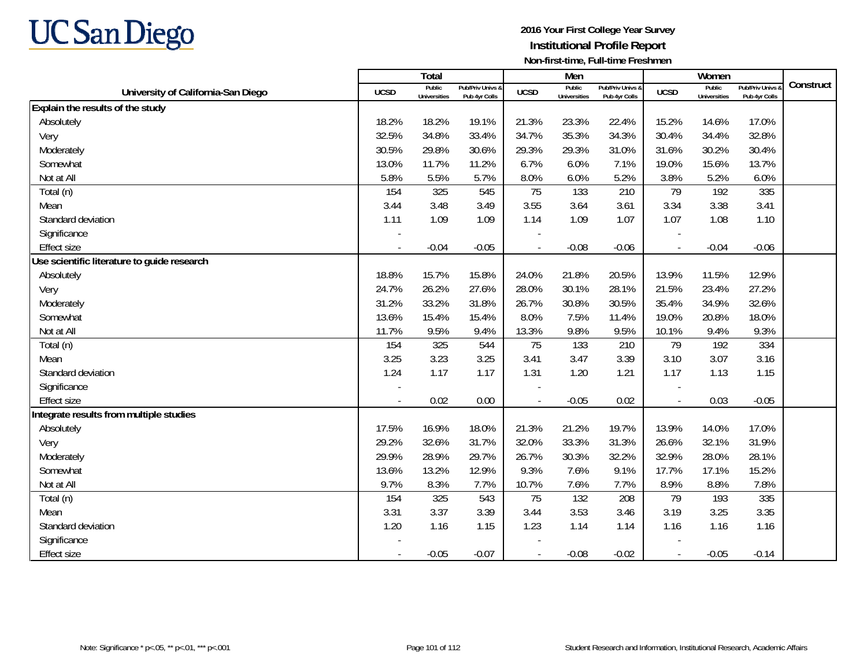

|                                             |                | <b>Total</b>                  |                                   |                          | Men                           |                                   |              | Women                         |                                        |           |
|---------------------------------------------|----------------|-------------------------------|-----------------------------------|--------------------------|-------------------------------|-----------------------------------|--------------|-------------------------------|----------------------------------------|-----------|
| University of California-San Diego          | <b>UCSD</b>    | Public<br><b>Universities</b> | Pub/Priv Univs &<br>Pub 4yr Colls | <b>UCSD</b>              | Public<br><b>Universities</b> | Pub/Priv Univs 8<br>Pub 4yr Colls | <b>UCSD</b>  | Public<br><b>Universities</b> | <b>Pub/Priv Univs</b><br>Pub 4yr Colls | Construct |
| Explain the results of the study            |                |                               |                                   |                          |                               |                                   |              |                               |                                        |           |
| Absolutely                                  | 18.2%          | 18.2%                         | 19.1%                             | 21.3%                    | 23.3%                         | 22.4%                             | 15.2%        | 14.6%                         | 17.0%                                  |           |
| Very                                        | 32.5%          | 34.8%                         | 33.4%                             | 34.7%                    | 35.3%                         | 34.3%                             | 30.4%        | 34.4%                         | 32.8%                                  |           |
| Moderately                                  | 30.5%          | 29.8%                         | 30.6%                             | 29.3%                    | 29.3%                         | 31.0%                             | 31.6%        | 30.2%                         | 30.4%                                  |           |
| Somewhat                                    | 13.0%          | 11.7%                         | 11.2%                             | 6.7%                     | 6.0%                          | 7.1%                              | 19.0%        | 15.6%                         | 13.7%                                  |           |
| Not at All                                  | 5.8%           | 5.5%                          | 5.7%                              | 8.0%                     | 6.0%                          | 5.2%                              | 3.8%         | 5.2%                          | 6.0%                                   |           |
| Total (n)                                   | 154            | 325                           | 545                               | 75                       | 133                           | 210                               | 79           | 192                           | 335                                    |           |
| Mean                                        | 3.44           | 3.48                          | 3.49                              | 3.55                     | 3.64                          | 3.61                              | 3.34         | 3.38                          | 3.41                                   |           |
| Standard deviation                          | 1.11           | 1.09                          | 1.09                              | 1.14                     | 1.09                          | 1.07                              | 1.07         | 1.08                          | 1.10                                   |           |
| Significance                                |                |                               |                                   |                          |                               |                                   |              |                               |                                        |           |
| <b>Effect size</b>                          |                | $-0.04$                       | $-0.05$                           | $\sim$                   | $-0.08$                       | $-0.06$                           |              | $-0.04$                       | $-0.06$                                |           |
| Use scientific literature to guide research |                |                               |                                   |                          |                               |                                   |              |                               |                                        |           |
| Absolutely                                  | 18.8%          | 15.7%                         | 15.8%                             | 24.0%                    | 21.8%                         | 20.5%                             | 13.9%        | 11.5%                         | 12.9%                                  |           |
| Very                                        | 24.7%          | 26.2%                         | 27.6%                             | 28.0%                    | 30.1%                         | 28.1%                             | 21.5%        | 23.4%                         | 27.2%                                  |           |
| Moderately                                  | 31.2%          | 33.2%                         | 31.8%                             | 26.7%                    | 30.8%                         | 30.5%                             | 35.4%        | 34.9%                         | 32.6%                                  |           |
| Somewhat                                    | 13.6%          | 15.4%                         | 15.4%                             | 8.0%                     | 7.5%                          | 11.4%                             | 19.0%        | 20.8%                         | 18.0%                                  |           |
| Not at All                                  | 11.7%          | 9.5%                          | 9.4%                              | 13.3%                    | 9.8%                          | 9.5%                              | 10.1%        | 9.4%                          | 9.3%                                   |           |
| Total (n)                                   | 154            | 325                           | 544                               | 75                       | 133                           | 210                               | 79           | 192                           | 334                                    |           |
| Mean                                        | 3.25           | 3.23                          | 3.25                              | 3.41                     | 3.47                          | 3.39                              | 3.10         | 3.07                          | 3.16                                   |           |
| Standard deviation                          | 1.24           | 1.17                          | 1.17                              | 1.31                     | 1.20                          | 1.21                              | 1.17         | 1.13                          | 1.15                                   |           |
| Significance                                |                |                               |                                   |                          |                               |                                   |              |                               |                                        |           |
| <b>Effect size</b>                          | $\blacksquare$ | 0.02                          | 0.00                              | $\overline{\phantom{a}}$ | $-0.05$                       | 0.02                              | $\mathbb{L}$ | 0.03                          | $-0.05$                                |           |
| Integrate results from multiple studies     |                |                               |                                   |                          |                               |                                   |              |                               |                                        |           |
| Absolutely                                  | 17.5%          | 16.9%                         | 18.0%                             | 21.3%                    | 21.2%                         | 19.7%                             | 13.9%        | 14.0%                         | 17.0%                                  |           |
| Very                                        | 29.2%          | 32.6%                         | 31.7%                             | 32.0%                    | 33.3%                         | 31.3%                             | 26.6%        | 32.1%                         | 31.9%                                  |           |
| Moderately                                  | 29.9%          | 28.9%                         | 29.7%                             | 26.7%                    | 30.3%                         | 32.2%                             | 32.9%        | 28.0%                         | 28.1%                                  |           |
| Somewhat                                    | 13.6%          | 13.2%                         | 12.9%                             | 9.3%                     | 7.6%                          | 9.1%                              | 17.7%        | 17.1%                         | 15.2%                                  |           |
| Not at All                                  | 9.7%           | 8.3%                          | 7.7%                              | 10.7%                    | 7.6%                          | 7.7%                              | 8.9%         | 8.8%                          | 7.8%                                   |           |
| Total (n)                                   | 154            | 325                           | 543                               | 75                       | 132                           | 208                               | 79           | 193                           | 335                                    |           |
| Mean                                        | 3.31           | 3.37                          | 3.39                              | 3.44                     | 3.53                          | 3.46                              | 3.19         | 3.25                          | 3.35                                   |           |
| Standard deviation                          | 1.20           | 1.16                          | 1.15                              | 1.23                     | 1.14                          | 1.14                              | 1.16         | 1.16                          | 1.16                                   |           |
| Significance                                |                |                               |                                   |                          |                               |                                   |              |                               |                                        |           |
| <b>Effect size</b>                          |                | $-0.05$                       | $-0.07$                           | $\blacksquare$           | $-0.08$                       | $-0.02$                           | $\sim$       | $-0.05$                       | $-0.14$                                |           |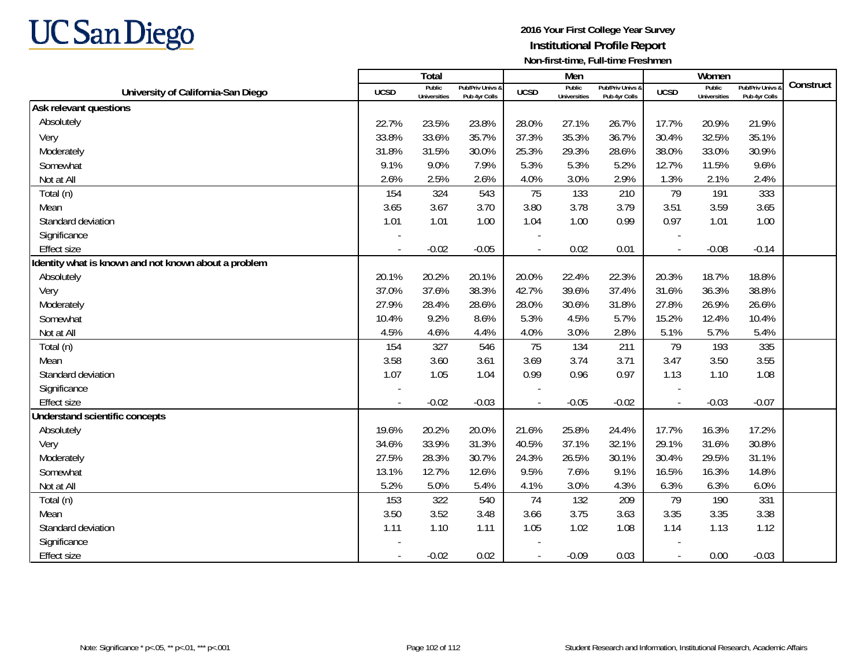

|                                                      |                | Total                         |                                   |                | Men                           |                                   |                          | Women                         |                                 |           |
|------------------------------------------------------|----------------|-------------------------------|-----------------------------------|----------------|-------------------------------|-----------------------------------|--------------------------|-------------------------------|---------------------------------|-----------|
| University of California-San Diego                   | <b>UCSD</b>    | Public<br><b>Universities</b> | Pub/Priv Univs &<br>Pub 4yr Colls | <b>UCSD</b>    | Public<br><b>Universities</b> | Pub/Priv Univs &<br>Pub 4yr Colls | <b>UCSD</b>              | Public<br><b>Universities</b> | Pub/Priv Univs<br>Pub 4yr Colls | Construct |
| Ask relevant questions                               |                |                               |                                   |                |                               |                                   |                          |                               |                                 |           |
| Absolutely                                           | 22.7%          | 23.5%                         | 23.8%                             | 28.0%          | 27.1%                         | 26.7%                             | 17.7%                    | 20.9%                         | 21.9%                           |           |
| Very                                                 | 33.8%          | 33.6%                         | 35.7%                             | 37.3%          | 35.3%                         | 36.7%                             | 30.4%                    | 32.5%                         | 35.1%                           |           |
| Moderately                                           | 31.8%          | 31.5%                         | 30.0%                             | 25.3%          | 29.3%                         | 28.6%                             | 38.0%                    | 33.0%                         | 30.9%                           |           |
| Somewhat                                             | 9.1%           | 9.0%                          | 7.9%                              | 5.3%           | 5.3%                          | 5.2%                              | 12.7%                    | 11.5%                         | 9.6%                            |           |
| Not at All                                           | 2.6%           | 2.5%                          | 2.6%                              | 4.0%           | 3.0%                          | 2.9%                              | 1.3%                     | 2.1%                          | 2.4%                            |           |
| Total (n)                                            | 154            | 324                           | 543                               | 75             | 133                           | 210                               | 79                       | 191                           | 333                             |           |
| Mean                                                 | 3.65           | 3.67                          | 3.70                              | 3.80           | 3.78                          | 3.79                              | 3.51                     | 3.59                          | 3.65                            |           |
| Standard deviation                                   | 1.01           | 1.01                          | 1.00                              | 1.04           | 1.00                          | 0.99                              | 0.97                     | 1.01                          | 1.00                            |           |
| Significance                                         |                |                               |                                   |                |                               |                                   |                          |                               |                                 |           |
| <b>Effect size</b>                                   |                | $-0.02$                       | $-0.05$                           | $\overline{a}$ | 0.02                          | 0.01                              | $\overline{\phantom{a}}$ | $-0.08$                       | $-0.14$                         |           |
| Identity what is known and not known about a problem |                |                               |                                   |                |                               |                                   |                          |                               |                                 |           |
| Absolutely                                           | 20.1%          | 20.2%                         | 20.1%                             | 20.0%          | 22.4%                         | 22.3%                             | 20.3%                    | 18.7%                         | 18.8%                           |           |
| Very                                                 | 37.0%          | 37.6%                         | 38.3%                             | 42.7%          | 39.6%                         | 37.4%                             | 31.6%                    | 36.3%                         | 38.8%                           |           |
| Moderately                                           | 27.9%          | 28.4%                         | 28.6%                             | 28.0%          | 30.6%                         | 31.8%                             | 27.8%                    | 26.9%                         | 26.6%                           |           |
| Somewhat                                             | 10.4%          | 9.2%                          | 8.6%                              | 5.3%           | 4.5%                          | 5.7%                              | 15.2%                    | 12.4%                         | 10.4%                           |           |
| Not at All                                           | 4.5%           | 4.6%                          | 4.4%                              | 4.0%           | 3.0%                          | 2.8%                              | 5.1%                     | 5.7%                          | 5.4%                            |           |
| Total (n)                                            | 154            | 327                           | 546                               | 75             | 134                           | 211                               | 79                       | 193                           | 335                             |           |
| Mean                                                 | 3.58           | 3.60                          | 3.61                              | 3.69           | 3.74                          | 3.71                              | 3.47                     | 3.50                          | 3.55                            |           |
| Standard deviation                                   | 1.07           | 1.05                          | 1.04                              | 0.99           | 0.96                          | 0.97                              | 1.13                     | 1.10                          | 1.08                            |           |
| Significance                                         |                |                               |                                   |                |                               |                                   |                          |                               |                                 |           |
| <b>Effect size</b>                                   | $\blacksquare$ | $-0.02$                       | $-0.03$                           |                | $-0.05$                       | $-0.02$                           | $\overline{\phantom{a}}$ | $-0.03$                       | $-0.07$                         |           |
| Understand scientific concepts                       |                |                               |                                   |                |                               |                                   |                          |                               |                                 |           |
| Absolutely                                           | 19.6%          | 20.2%                         | 20.0%                             | 21.6%          | 25.8%                         | 24.4%                             | 17.7%                    | 16.3%                         | 17.2%                           |           |
| Very                                                 | 34.6%          | 33.9%                         | 31.3%                             | 40.5%          | 37.1%                         | 32.1%                             | 29.1%                    | 31.6%                         | 30.8%                           |           |
| Moderately                                           | 27.5%          | 28.3%                         | 30.7%                             | 24.3%          | 26.5%                         | 30.1%                             | 30.4%                    | 29.5%                         | 31.1%                           |           |
| Somewhat                                             | 13.1%          | 12.7%                         | 12.6%                             | 9.5%           | 7.6%                          | 9.1%                              | 16.5%                    | 16.3%                         | 14.8%                           |           |
| Not at All                                           | 5.2%           | 5.0%                          | 5.4%                              | 4.1%           | 3.0%                          | 4.3%                              | 6.3%                     | 6.3%                          | 6.0%                            |           |
| Total (n)                                            | 153            | 322                           | 540                               | 74             | 132                           | 209                               | 79                       | 190                           | 331                             |           |
| Mean                                                 | 3.50           | 3.52                          | 3.48                              | 3.66           | 3.75                          | 3.63                              | 3.35                     | 3.35                          | 3.38                            |           |
| Standard deviation                                   | 1.11           | 1.10                          | 1.11                              | 1.05           | 1.02                          | 1.08                              | 1.14                     | 1.13                          | 1.12                            |           |
| Significance                                         |                |                               |                                   |                |                               |                                   |                          |                               |                                 |           |
| <b>Effect size</b>                                   | $\sim$         | $-0.02$                       | 0.02                              | $\blacksquare$ | $-0.09$                       | 0.03                              | $\overline{\phantom{a}}$ | 0.00                          | $-0.03$                         |           |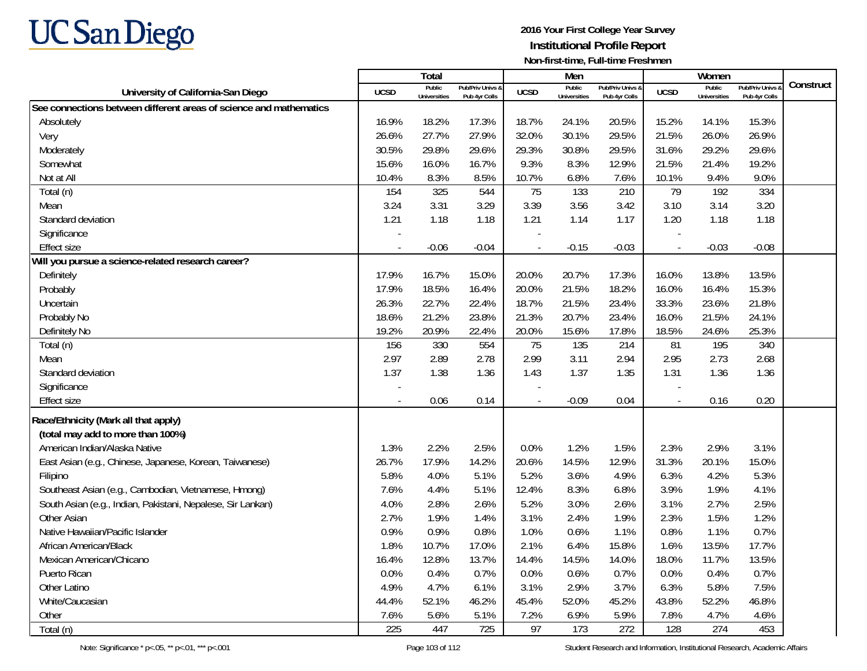

|                                                                    |                          | Total                         |                                   |                          | Men                           |                                   |                | Women                         |                                   |           |
|--------------------------------------------------------------------|--------------------------|-------------------------------|-----------------------------------|--------------------------|-------------------------------|-----------------------------------|----------------|-------------------------------|-----------------------------------|-----------|
| University of California-San Diego                                 | <b>UCSD</b>              | Public<br><b>Universities</b> | Pub/Priv Univs &<br>Pub 4yr Colls | <b>UCSD</b>              | Public<br><b>Universities</b> | Pub/Priv Univs &<br>Pub 4yr Colls | <b>UCSD</b>    | Public<br><b>Universities</b> | Pub/Priv Univs &<br>Pub 4yr Colls | Construct |
| See connections between different areas of science and mathematics |                          |                               |                                   |                          |                               |                                   |                |                               |                                   |           |
| Absolutely                                                         | 16.9%                    | 18.2%                         | 17.3%                             | 18.7%                    | 24.1%                         | 20.5%                             | 15.2%          | 14.1%                         | 15.3%                             |           |
| Very                                                               | 26.6%                    | 27.7%                         | 27.9%                             | 32.0%                    | 30.1%                         | 29.5%                             | 21.5%          | 26.0%                         | 26.9%                             |           |
| Moderately                                                         | 30.5%                    | 29.8%                         | 29.6%                             | 29.3%                    | 30.8%                         | 29.5%                             | 31.6%          | 29.2%                         | 29.6%                             |           |
| Somewhat                                                           | 15.6%                    | 16.0%                         | 16.7%                             | 9.3%                     | 8.3%                          | 12.9%                             | 21.5%          | 21.4%                         | 19.2%                             |           |
| Not at All                                                         | 10.4%                    | 8.3%                          | 8.5%                              | 10.7%                    | 6.8%                          | 7.6%                              | 10.1%          | 9.4%                          | 9.0%                              |           |
| Total (n)                                                          | 154                      | 325                           | 544                               | 75                       | 133                           | 210                               | 79             | 192                           | 334                               |           |
| Mean                                                               | 3.24                     | 3.31                          | 3.29                              | 3.39                     | 3.56                          | 3.42                              | 3.10           | 3.14                          | 3.20                              |           |
| Standard deviation                                                 | 1.21                     | 1.18                          | 1.18                              | 1.21                     | 1.14                          | 1.17                              | 1.20           | 1.18                          | 1.18                              |           |
| Significance                                                       | $\overline{\phantom{a}}$ |                               |                                   | $\overline{\phantom{a}}$ |                               |                                   |                |                               |                                   |           |
| <b>Effect size</b>                                                 |                          | $-0.06$                       | $-0.04$                           | $\blacksquare$           | $-0.15$                       | $-0.03$                           | $\blacksquare$ | $-0.03$                       | $-0.08$                           |           |
| Will you pursue a science-related research career?                 |                          |                               |                                   |                          |                               |                                   |                |                               |                                   |           |
| Definitely                                                         | 17.9%                    | 16.7%                         | 15.0%                             | 20.0%                    | 20.7%                         | 17.3%                             | 16.0%          | 13.8%                         | 13.5%                             |           |
| Probably                                                           | 17.9%                    | 18.5%                         | 16.4%                             | 20.0%                    | 21.5%                         | 18.2%                             | 16.0%          | 16.4%                         | 15.3%                             |           |
| Uncertain                                                          | 26.3%                    | 22.7%                         | 22.4%                             | 18.7%                    | 21.5%                         | 23.4%                             | 33.3%          | 23.6%                         | 21.8%                             |           |
| Probably No                                                        | 18.6%                    | 21.2%                         | 23.8%                             | 21.3%                    | 20.7%                         | 23.4%                             | 16.0%          | 21.5%                         | 24.1%                             |           |
| Definitely No                                                      | 19.2%                    | 20.9%                         | 22.4%                             | 20.0%                    | 15.6%                         | 17.8%                             | 18.5%          | 24.6%                         | 25.3%                             |           |
| Total (n)                                                          | 156                      | 330                           | 554                               | 75                       | 135                           | 214                               | 81             | 195                           | 340                               |           |
| Mean                                                               | 2.97                     | 2.89                          | 2.78                              | 2.99                     | 3.11                          | 2.94                              | 2.95           | 2.73                          | 2.68                              |           |
| Standard deviation                                                 | 1.37                     | 1.38                          | 1.36                              | 1.43                     | 1.37                          | 1.35                              | 1.31           | 1.36                          | 1.36                              |           |
| Significance                                                       |                          |                               |                                   |                          |                               |                                   |                |                               |                                   |           |
| <b>Effect size</b>                                                 | $\sim$                   | 0.06                          | 0.14                              | $\overline{a}$           | $-0.09$                       | 0.04                              | $\overline{a}$ | 0.16                          | 0.20                              |           |
| Race/Ethnicity (Mark all that apply)                               |                          |                               |                                   |                          |                               |                                   |                |                               |                                   |           |
| (total may add to more than 100%)                                  |                          |                               |                                   |                          |                               |                                   |                |                               |                                   |           |
| American Indian/Alaska Native                                      | 1.3%                     | 2.2%                          | 2.5%                              | 0.0%                     | 1.2%                          | 1.5%                              | 2.3%           | 2.9%                          | 3.1%                              |           |
| East Asian (e.g., Chinese, Japanese, Korean, Taiwanese)            | 26.7%                    | 17.9%                         | 14.2%                             | 20.6%                    | 14.5%                         | 12.9%                             | 31.3%          | 20.1%                         | 15.0%                             |           |
| Filipino                                                           | 5.8%                     | 4.0%                          | 5.1%                              | 5.2%                     | 3.6%                          | 4.9%                              | 6.3%           | 4.2%                          | 5.3%                              |           |
| Southeast Asian (e.g., Cambodian, Vietnamese, Hmong)               | 7.6%                     | 4.4%                          | 5.1%                              | 12.4%                    | 8.3%                          | 6.8%                              | 3.9%           | 1.9%                          | 4.1%                              |           |
| South Asian (e.g., Indian, Pakistani, Nepalese, Sir Lankan)        | 4.0%                     | 2.8%                          | 2.6%                              | 5.2%                     | 3.0%                          | 2.6%                              | 3.1%           | 2.7%                          | 2.5%                              |           |
| Other Asian                                                        | 2.7%                     | 1.9%                          | 1.4%                              | 3.1%                     | 2.4%                          | 1.9%                              | 2.3%           | 1.5%                          | 1.2%                              |           |
| Native Hawaiian/Pacific Islander                                   | 0.9%                     | 0.9%                          | 0.8%                              | 1.0%                     | 0.6%                          | 1.1%                              | 0.8%           | 1.1%                          | 0.7%                              |           |
| African American/Black                                             | 1.8%                     | 10.7%                         | 17.0%                             | 2.1%                     | 6.4%                          | 15.8%                             | 1.6%           | 13.5%                         | 17.7%                             |           |
| Mexican American/Chicano                                           | 16.4%                    | 12.8%                         | 13.7%                             | 14.4%                    | 14.5%                         | 14.0%                             | 18.0%          | 11.7%                         | 13.5%                             |           |
| Puerto Rican                                                       | 0.0%                     | 0.4%                          | 0.7%                              | 0.0%                     | 0.6%                          | 0.7%                              | 0.0%           | 0.4%                          | 0.7%                              |           |
| Other Latino                                                       | 4.9%                     | 4.7%                          | 6.1%                              | 3.1%                     | 2.9%                          | 3.7%                              | 6.3%           | 5.8%                          | 7.5%                              |           |
| White/Caucasian                                                    | 44.4%                    | 52.1%                         | 46.2%                             | 45.4%                    | 52.0%                         | 45.2%                             | 43.8%          | 52.2%                         | 46.8%                             |           |
| Other                                                              | 7.6%                     | 5.6%                          | 5.1%                              | 7.2%                     | 6.9%                          | 5.9%                              | 7.8%           | 4.7%                          | 4.6%                              |           |
| Total (n)                                                          | 225                      | 447                           | 725                               | 97                       | 173                           | 272                               | 128            | 274                           | 453                               |           |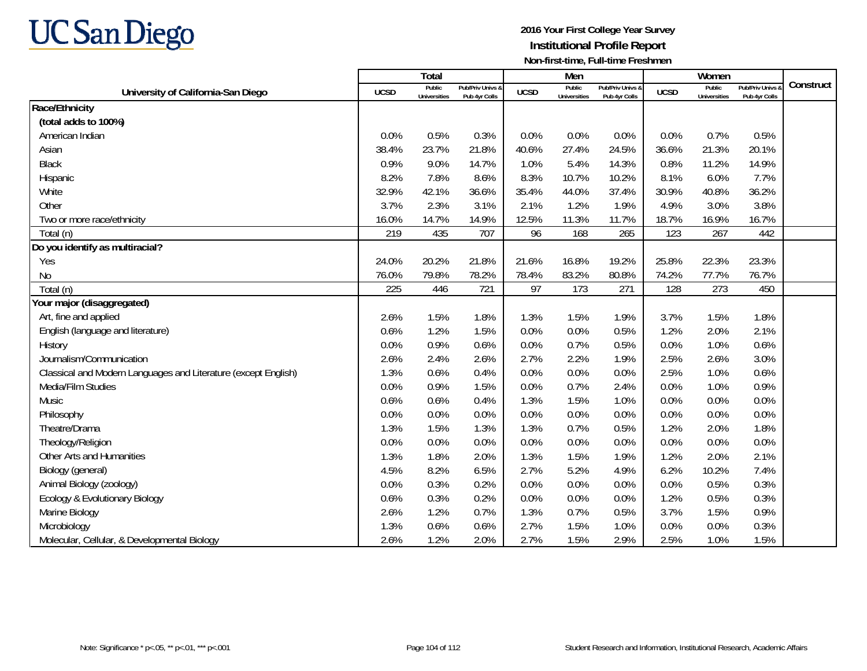

|                                                                |             | Total                         |                                   |             | Men                           |                                   |             | Women                         |                                        |           |
|----------------------------------------------------------------|-------------|-------------------------------|-----------------------------------|-------------|-------------------------------|-----------------------------------|-------------|-------------------------------|----------------------------------------|-----------|
| University of California-San Diego                             | <b>UCSD</b> | Public<br><b>Universities</b> | Pub/Priv Univs &<br>Pub 4yr Colls | <b>UCSD</b> | Public<br><b>Universities</b> | Pub/Priv Univs &<br>Pub 4yr Colls | <b>UCSD</b> | Public<br><b>Universities</b> | <b>Pub/Priv Univs</b><br>Pub 4yr Colls | Construct |
| Race/Ethnicity                                                 |             |                               |                                   |             |                               |                                   |             |                               |                                        |           |
| (total adds to 100%)                                           |             |                               |                                   |             |                               |                                   |             |                               |                                        |           |
| American Indian                                                | 0.0%        | 0.5%                          | 0.3%                              | 0.0%        | 0.0%                          | 0.0%                              | 0.0%        | 0.7%                          | 0.5%                                   |           |
| Asian                                                          | 38.4%       | 23.7%                         | 21.8%                             | 40.6%       | 27.4%                         | 24.5%                             | 36.6%       | 21.3%                         | 20.1%                                  |           |
| <b>Black</b>                                                   | 0.9%        | 9.0%                          | 14.7%                             | 1.0%        | 5.4%                          | 14.3%                             | 0.8%        | 11.2%                         | 14.9%                                  |           |
| Hispanic                                                       | 8.2%        | 7.8%                          | 8.6%                              | 8.3%        | 10.7%                         | 10.2%                             | 8.1%        | 6.0%                          | 7.7%                                   |           |
| White                                                          | 32.9%       | 42.1%                         | 36.6%                             | 35.4%       | 44.0%                         | 37.4%                             | 30.9%       | 40.8%                         | 36.2%                                  |           |
| Other                                                          | 3.7%        | 2.3%                          | 3.1%                              | 2.1%        | 1.2%                          | 1.9%                              | 4.9%        | 3.0%                          | 3.8%                                   |           |
| Two or more race/ethnicity                                     | 16.0%       | 14.7%                         | 14.9%                             | 12.5%       | 11.3%                         | 11.7%                             | 18.7%       | 16.9%                         | 16.7%                                  |           |
| Total (n)                                                      | 219         | 435                           | 707                               | 96          | 168                           | 265                               | 123         | 267                           | 442                                    |           |
| Do you identify as multiracial?                                |             |                               |                                   |             |                               |                                   |             |                               |                                        |           |
| Yes                                                            | 24.0%       | 20.2%                         | 21.8%                             | 21.6%       | 16.8%                         | 19.2%                             | 25.8%       | 22.3%                         | 23.3%                                  |           |
| No                                                             | 76.0%       | 79.8%                         | 78.2%                             | 78.4%       | 83.2%                         | 80.8%                             | 74.2%       | 77.7%                         | 76.7%                                  |           |
| Total (n)                                                      | 225         | 446                           | 721                               | 97          | 173                           | 271                               | 128         | 273                           | 450                                    |           |
| Your major (disaggregated)                                     |             |                               |                                   |             |                               |                                   |             |                               |                                        |           |
| Art, fine and applied                                          | 2.6%        | 1.5%                          | 1.8%                              | 1.3%        | 1.5%                          | 1.9%                              | 3.7%        | 1.5%                          | 1.8%                                   |           |
| English (language and literature)                              | 0.6%        | 1.2%                          | 1.5%                              | 0.0%        | 0.0%                          | 0.5%                              | 1.2%        | 2.0%                          | 2.1%                                   |           |
| History                                                        | 0.0%        | 0.9%                          | 0.6%                              | 0.0%        | 0.7%                          | 0.5%                              | 0.0%        | 1.0%                          | 0.6%                                   |           |
| Journalism/Communication                                       | 2.6%        | 2.4%                          | 2.6%                              | 2.7%        | 2.2%                          | 1.9%                              | 2.5%        | 2.6%                          | 3.0%                                   |           |
| Classical and Modern Languages and Literature (except English) | 1.3%        | 0.6%                          | 0.4%                              | 0.0%        | 0.0%                          | 0.0%                              | 2.5%        | 1.0%                          | 0.6%                                   |           |
| Media/Film Studies                                             | 0.0%        | 0.9%                          | 1.5%                              | 0.0%        | 0.7%                          | 2.4%                              | 0.0%        | 1.0%                          | 0.9%                                   |           |
| Music                                                          | 0.6%        | 0.6%                          | 0.4%                              | 1.3%        | 1.5%                          | 1.0%                              | 0.0%        | 0.0%                          | 0.0%                                   |           |
| Philosophy                                                     | 0.0%        | 0.0%                          | 0.0%                              | 0.0%        | 0.0%                          | 0.0%                              | 0.0%        | 0.0%                          | 0.0%                                   |           |
| Theatre/Drama                                                  | 1.3%        | 1.5%                          | 1.3%                              | 1.3%        | 0.7%                          | 0.5%                              | 1.2%        | 2.0%                          | 1.8%                                   |           |
| Theology/Religion                                              | 0.0%        | 0.0%                          | 0.0%                              | 0.0%        | 0.0%                          | 0.0%                              | 0.0%        | 0.0%                          | 0.0%                                   |           |
| Other Arts and Humanities                                      | 1.3%        | 1.8%                          | 2.0%                              | 1.3%        | 1.5%                          | 1.9%                              | 1.2%        | 2.0%                          | 2.1%                                   |           |
| Biology (general)                                              | 4.5%        | 8.2%                          | 6.5%                              | 2.7%        | 5.2%                          | 4.9%                              | 6.2%        | 10.2%                         | 7.4%                                   |           |
| Animal Biology (zoology)                                       | 0.0%        | 0.3%                          | 0.2%                              | 0.0%        | 0.0%                          | 0.0%                              | 0.0%        | 0.5%                          | 0.3%                                   |           |
| Ecology & Evolutionary Biology                                 | 0.6%        | 0.3%                          | 0.2%                              | 0.0%        | 0.0%                          | 0.0%                              | 1.2%        | 0.5%                          | 0.3%                                   |           |
| Marine Biology                                                 | 2.6%        | 1.2%                          | 0.7%                              | 1.3%        | 0.7%                          | 0.5%                              | 3.7%        | 1.5%                          | 0.9%                                   |           |
| Microbiology                                                   | 1.3%        | 0.6%                          | 0.6%                              | 2.7%        | 1.5%                          | 1.0%                              | 0.0%        | 0.0%                          | 0.3%                                   |           |
| Molecular, Cellular, & Developmental Biology                   | 2.6%        | 1.2%                          | 2.0%                              | 2.7%        | 1.5%                          | 2.9%                              | 2.5%        | 1.0%                          | 1.5%                                   |           |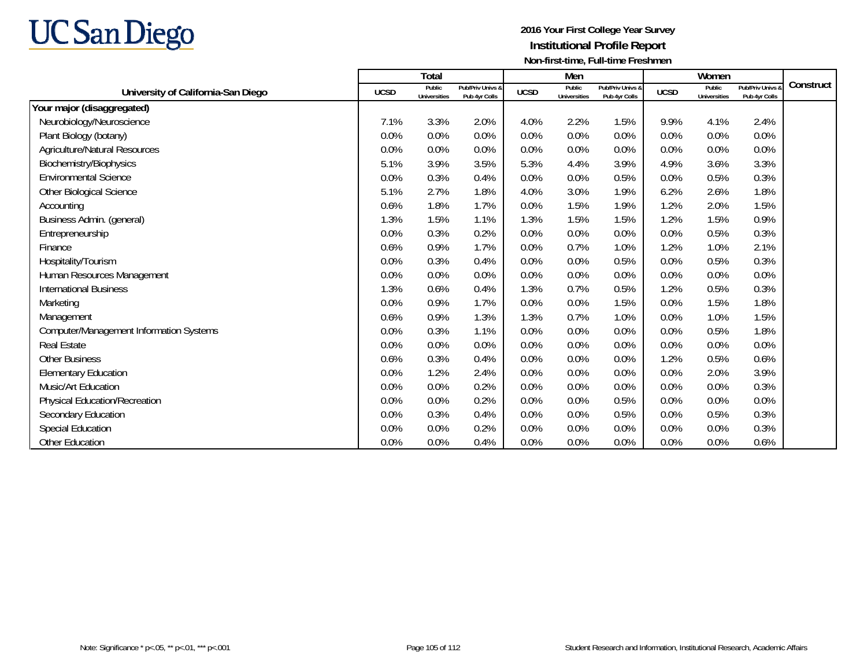

|                                                |             | <b>Total</b>                  |                                   |             | Men                           |                                   |             | Women                         |                                   |           |
|------------------------------------------------|-------------|-------------------------------|-----------------------------------|-------------|-------------------------------|-----------------------------------|-------------|-------------------------------|-----------------------------------|-----------|
| University of California-San Diego             | <b>UCSD</b> | Public<br><b>Universities</b> | Pub/Priv Univs &<br>Pub 4yr Colls | <b>UCSD</b> | Public<br><b>Universities</b> | Pub/Priv Univs &<br>Pub 4yr Colls | <b>UCSD</b> | Public<br><b>Universities</b> | Pub/Priv Univs &<br>Pub 4yr Colls | Construct |
| Your major (disaggregated)                     |             |                               |                                   |             |                               |                                   |             |                               |                                   |           |
| Neurobiology/Neuroscience                      | 7.1%        | 3.3%                          | 2.0%                              | 4.0%        | 2.2%                          | 1.5%                              | 9.9%        | 4.1%                          | 2.4%                              |           |
| Plant Biology (botany)                         | 0.0%        | 0.0%                          | 0.0%                              | 0.0%        | 0.0%                          | 0.0%                              | 0.0%        | 0.0%                          | 0.0%                              |           |
| <b>Agriculture/Natural Resources</b>           | 0.0%        | 0.0%                          | 0.0%                              | 0.0%        | 0.0%                          | 0.0%                              | 0.0%        | 0.0%                          | 0.0%                              |           |
| Biochemistry/Biophysics                        | 5.1%        | 3.9%                          | 3.5%                              | 5.3%        | 4.4%                          | 3.9%                              | 4.9%        | 3.6%                          | 3.3%                              |           |
| <b>Environmental Science</b>                   | 0.0%        | 0.3%                          | 0.4%                              | 0.0%        | 0.0%                          | 0.5%                              | 0.0%        | 0.5%                          | 0.3%                              |           |
| Other Biological Science                       | 5.1%        | 2.7%                          | 1.8%                              | 4.0%        | 3.0%                          | 1.9%                              | 6.2%        | 2.6%                          | 1.8%                              |           |
| Accounting                                     | 0.6%        | 1.8%                          | 1.7%                              | 0.0%        | 1.5%                          | 1.9%                              | 1.2%        | 2.0%                          | 1.5%                              |           |
| Business Admin. (general)                      | 1.3%        | 1.5%                          | 1.1%                              | 1.3%        | 1.5%                          | 1.5%                              | 1.2%        | 1.5%                          | 0.9%                              |           |
| Entrepreneurship                               | 0.0%        | 0.3%                          | 0.2%                              | 0.0%        | 0.0%                          | 0.0%                              | 0.0%        | 0.5%                          | 0.3%                              |           |
| Finance                                        | 0.6%        | 0.9%                          | 1.7%                              | 0.0%        | 0.7%                          | 1.0%                              | 1.2%        | 1.0%                          | 2.1%                              |           |
| Hospitality/Tourism                            | 0.0%        | 0.3%                          | 0.4%                              | 0.0%        | 0.0%                          | 0.5%                              | 0.0%        | 0.5%                          | 0.3%                              |           |
| Human Resources Management                     | 0.0%        | 0.0%                          | 0.0%                              | 0.0%        | 0.0%                          | 0.0%                              | 0.0%        | 0.0%                          | 0.0%                              |           |
| <b>International Business</b>                  | 1.3%        | 0.6%                          | 0.4%                              | 1.3%        | 0.7%                          | 0.5%                              | 1.2%        | 0.5%                          | 0.3%                              |           |
| Marketing                                      | 0.0%        | 0.9%                          | 1.7%                              | 0.0%        | 0.0%                          | 1.5%                              | 0.0%        | 1.5%                          | 1.8%                              |           |
| Management                                     | 0.6%        | 0.9%                          | 1.3%                              | 1.3%        | 0.7%                          | 1.0%                              | 0.0%        | 1.0%                          | 1.5%                              |           |
| <b>Computer/Management Information Systems</b> | 0.0%        | 0.3%                          | 1.1%                              | 0.0%        | 0.0%                          | 0.0%                              | 0.0%        | 0.5%                          | 1.8%                              |           |
| <b>Real Estate</b>                             | 0.0%        | 0.0%                          | 0.0%                              | 0.0%        | 0.0%                          | 0.0%                              | 0.0%        | 0.0%                          | 0.0%                              |           |
| <b>Other Business</b>                          | 0.6%        | 0.3%                          | 0.4%                              | 0.0%        | 0.0%                          | 0.0%                              | 1.2%        | 0.5%                          | 0.6%                              |           |
| <b>Elementary Education</b>                    | 0.0%        | 1.2%                          | 2.4%                              | 0.0%        | 0.0%                          | 0.0%                              | 0.0%        | 2.0%                          | 3.9%                              |           |
| Music/Art Education                            | 0.0%        | 0.0%                          | 0.2%                              | 0.0%        | 0.0%                          | 0.0%                              | 0.0%        | 0.0%                          | 0.3%                              |           |
| <b>Physical Education/Recreation</b>           | 0.0%        | 0.0%                          | 0.2%                              | 0.0%        | 0.0%                          | 0.5%                              | 0.0%        | 0.0%                          | 0.0%                              |           |
| Secondary Education                            | 0.0%        | 0.3%                          | 0.4%                              | 0.0%        | 0.0%                          | 0.5%                              | 0.0%        | 0.5%                          | 0.3%                              |           |
| <b>Special Education</b>                       | 0.0%        | 0.0%                          | 0.2%                              | 0.0%        | 0.0%                          | 0.0%                              | 0.0%        | 0.0%                          | 0.3%                              |           |
| Other Education                                | 0.0%        | 0.0%                          | 0.4%                              | 0.0%        | 0.0%                          | 0.0%                              | 0.0%        | 0.0%                          | 0.6%                              |           |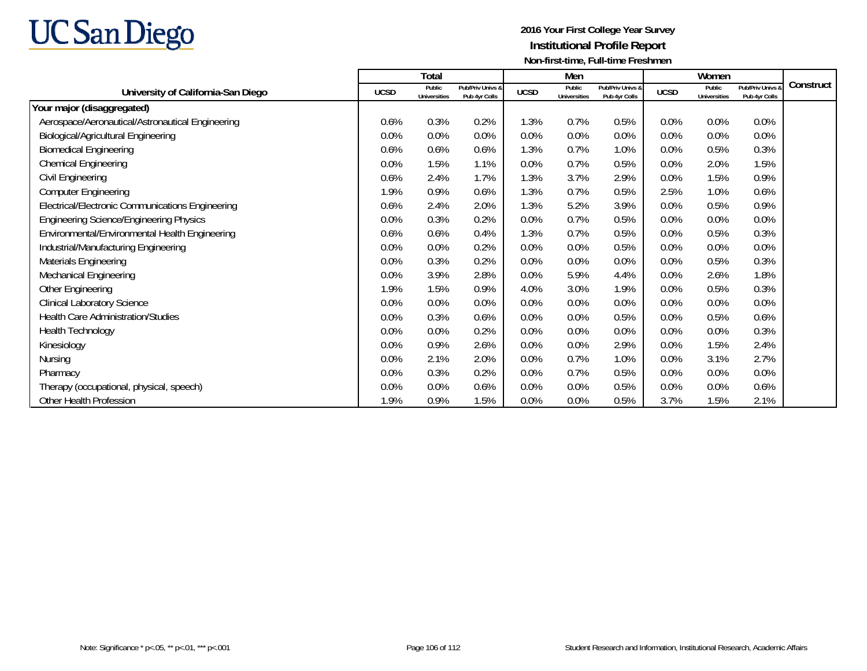

|                                                  |             | Total                         |                                   |             | Men                           |                                   |             | Women                         |                                   |           |
|--------------------------------------------------|-------------|-------------------------------|-----------------------------------|-------------|-------------------------------|-----------------------------------|-------------|-------------------------------|-----------------------------------|-----------|
| University of California-San Diego               | <b>UCSD</b> | Public<br><b>Universities</b> | Pub/Priv Univs &<br>Pub 4yr Colls | <b>UCSD</b> | Public<br><b>Universities</b> | Pub/Priv Univs &<br>Pub 4yr Colls | <b>UCSD</b> | Public<br><b>Universities</b> | Pub/Priv Univs &<br>Pub 4yr Colls | Construct |
| Your major (disaggregated)                       |             |                               |                                   |             |                               |                                   |             |                               |                                   |           |
| Aerospace/Aeronautical/Astronautical Engineering | 0.6%        | 0.3%                          | 0.2%                              | 1.3%        | 0.7%                          | 0.5%                              | 0.0%        | 0.0%                          | 0.0%                              |           |
| <b>Biological/Agricultural Engineering</b>       | 0.0%        | 0.0%                          | 0.0%                              | 0.0%        | 0.0%                          | 0.0%                              | 0.0%        | 0.0%                          | 0.0%                              |           |
| <b>Biomedical Engineering</b>                    | 0.6%        | 0.6%                          | 0.6%                              | 1.3%        | 0.7%                          | 1.0%                              | 0.0%        | 0.5%                          | 0.3%                              |           |
| <b>Chemical Engineering</b>                      | 0.0%        | 1.5%                          | 1.1%                              | 0.0%        | 0.7%                          | 0.5%                              | 0.0%        | 2.0%                          | 1.5%                              |           |
| Civil Engineering                                | 0.6%        | 2.4%                          | 1.7%                              | 1.3%        | 3.7%                          | 2.9%                              | 0.0%        | 1.5%                          | 0.9%                              |           |
| <b>Computer Engineering</b>                      | 1.9%        | 0.9%                          | 0.6%                              | 1.3%        | 0.7%                          | 0.5%                              | 2.5%        | 1.0%                          | 0.6%                              |           |
| Electrical/Electronic Communications Engineering | 0.6%        | 2.4%                          | 2.0%                              | 1.3%        | 5.2%                          | 3.9%                              | 0.0%        | 0.5%                          | 0.9%                              |           |
| <b>Engineering Science/Engineering Physics</b>   | 0.0%        | 0.3%                          | 0.2%                              | 0.0%        | 0.7%                          | 0.5%                              | 0.0%        | 0.0%                          | 0.0%                              |           |
| Environmental/Environmental Health Engineering   | 0.6%        | 0.6%                          | 0.4%                              | 1.3%        | 0.7%                          | 0.5%                              | 0.0%        | 0.5%                          | 0.3%                              |           |
| Industrial/Manufacturing Engineering             | 0.0%        | 0.0%                          | 0.2%                              | 0.0%        | 0.0%                          | 0.5%                              | 0.0%        | 0.0%                          | 0.0%                              |           |
| Materials Engineering                            | 0.0%        | 0.3%                          | 0.2%                              | 0.0%        | 0.0%                          | 0.0%                              | 0.0%        | 0.5%                          | 0.3%                              |           |
| <b>Mechanical Engineering</b>                    | 0.0%        | 3.9%                          | 2.8%                              | 0.0%        | 5.9%                          | 4.4%                              | 0.0%        | 2.6%                          | 1.8%                              |           |
| Other Engineering                                | 1.9%        | 1.5%                          | 0.9%                              | 4.0%        | 3.0%                          | 1.9%                              | 0.0%        | 0.5%                          | 0.3%                              |           |
| <b>Clinical Laboratory Science</b>               | 0.0%        | 0.0%                          | 0.0%                              | 0.0%        | 0.0%                          | 0.0%                              | 0.0%        | 0.0%                          | 0.0%                              |           |
| <b>Health Care Administration/Studies</b>        | 0.0%        | 0.3%                          | 0.6%                              | 0.0%        | 0.0%                          | 0.5%                              | 0.0%        | 0.5%                          | 0.6%                              |           |
| <b>Health Technology</b>                         | 0.0%        | 0.0%                          | 0.2%                              | 0.0%        | 0.0%                          | 0.0%                              | 0.0%        | 0.0%                          | 0.3%                              |           |
| Kinesiology                                      | 0.0%        | 0.9%                          | 2.6%                              | 0.0%        | 0.0%                          | 2.9%                              | 0.0%        | 1.5%                          | 2.4%                              |           |
| <b>Nursing</b>                                   | 0.0%        | 2.1%                          | 2.0%                              | 0.0%        | 0.7%                          | 1.0%                              | 0.0%        | 3.1%                          | 2.7%                              |           |
| Pharmacy                                         | 0.0%        | 0.3%                          | 0.2%                              | 0.0%        | 0.7%                          | 0.5%                              | 0.0%        | 0.0%                          | 0.0%                              |           |
| Therapy (occupational, physical, speech)         | 0.0%        | 0.0%                          | 0.6%                              | 0.0%        | $0.0\%$                       | 0.5%                              | 0.0%        | 0.0%                          | 0.6%                              |           |
| Other Health Profession                          | 1.9%        | 0.9%                          | 1.5%                              | 0.0%        | 0.0%                          | 0.5%                              | 3.7%        | 1.5%                          | 2.1%                              |           |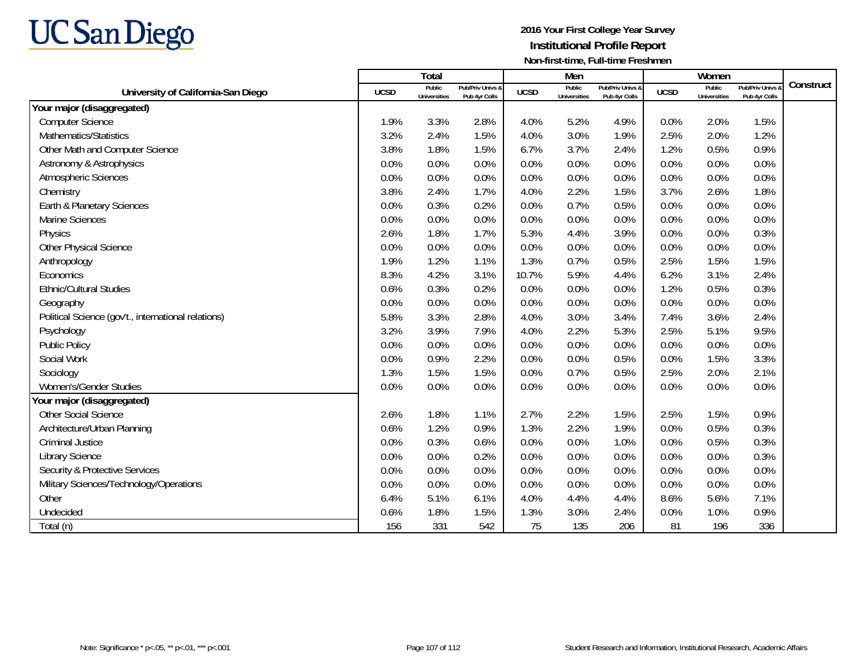

|                                                     |             | Total                         |                                   |             | Men                           |                                   |             | Women                         |                                 |           |
|-----------------------------------------------------|-------------|-------------------------------|-----------------------------------|-------------|-------------------------------|-----------------------------------|-------------|-------------------------------|---------------------------------|-----------|
| University of California-San Diego                  | <b>UCSD</b> | Public<br><b>Universities</b> | Pub/Priv Univs &<br>Pub 4yr Colls | <b>UCSD</b> | Public<br><b>Universities</b> | Pub/Priv Univs &<br>Pub 4yr Colls | <b>UCSD</b> | Public<br><b>Universities</b> | Pub/Priv Univs<br>Pub 4yr Colls | Construct |
| Your major (disaggregated)                          |             |                               |                                   |             |                               |                                   |             |                               |                                 |           |
| <b>Computer Science</b>                             | 1.9%        | 3.3%                          | 2.8%                              | 4.0%        | 5.2%                          | 4.9%                              | 0.0%        | 2.0%                          | 1.5%                            |           |
| Mathematics/Statistics                              | 3.2%        | 2.4%                          | 1.5%                              | 4.0%        | 3.0%                          | 1.9%                              | 2.5%        | 2.0%                          | 1.2%                            |           |
| Other Math and Computer Science                     | 3.8%        | 1.8%                          | 1.5%                              | 6.7%        | 3.7%                          | 2.4%                              | 1.2%        | 0.5%                          | 0.9%                            |           |
| Astronomy & Astrophysics                            | 0.0%        | 0.0%                          | 0.0%                              | 0.0%        | 0.0%                          | 0.0%                              | 0.0%        | 0.0%                          | 0.0%                            |           |
| Atmospheric Sciences                                | 0.0%        | 0.0%                          | 0.0%                              | 0.0%        | 0.0%                          | 0.0%                              | 0.0%        | 0.0%                          | 0.0%                            |           |
| Chemistry                                           | 3.8%        | 2.4%                          | 1.7%                              | 4.0%        | 2.2%                          | 1.5%                              | 3.7%        | 2.6%                          | 1.8%                            |           |
| Earth & Planetary Sciences                          | 0.0%        | 0.3%                          | 0.2%                              | 0.0%        | 0.7%                          | 0.5%                              | 0.0%        | 0.0%                          | 0.0%                            |           |
| <b>Marine Sciences</b>                              | 0.0%        | 0.0%                          | 0.0%                              | 0.0%        | 0.0%                          | 0.0%                              | 0.0%        | 0.0%                          | 0.0%                            |           |
| Physics                                             | 2.6%        | 1.8%                          | 1.7%                              | 5.3%        | 4.4%                          | 3.9%                              | 0.0%        | 0.0%                          | 0.3%                            |           |
| Other Physical Science                              | 0.0%        | 0.0%                          | 0.0%                              | 0.0%        | 0.0%                          | 0.0%                              | 0.0%        | 0.0%                          | 0.0%                            |           |
| Anthropology                                        | 1.9%        | 1.2%                          | 1.1%                              | 1.3%        | 0.7%                          | 0.5%                              | 2.5%        | 1.5%                          | 1.5%                            |           |
| Economics                                           | 8.3%        | 4.2%                          | 3.1%                              | 10.7%       | 5.9%                          | 4.4%                              | 6.2%        | 3.1%                          | 2.4%                            |           |
| <b>Ethnic/Cultural Studies</b>                      | 0.6%        | 0.3%                          | 0.2%                              | 0.0%        | 0.0%                          | 0.0%                              | 1.2%        | 0.5%                          | 0.3%                            |           |
| Geography                                           | 0.0%        | 0.0%                          | 0.0%                              | 0.0%        | 0.0%                          | 0.0%                              | 0.0%        | 0.0%                          | 0.0%                            |           |
| Political Science (gov't., international relations) | 5.8%        | 3.3%                          | 2.8%                              | 4.0%        | 3.0%                          | 3.4%                              | 7.4%        | 3.6%                          | 2.4%                            |           |
| Psychology                                          | 3.2%        | 3.9%                          | 7.9%                              | 4.0%        | 2.2%                          | 5.3%                              | 2.5%        | 5.1%                          | 9.5%                            |           |
| Public Policy                                       | 0.0%        | 0.0%                          | 0.0%                              | 0.0%        | 0.0%                          | 0.0%                              | 0.0%        | 0.0%                          | 0.0%                            |           |
| Social Work                                         | 0.0%        | 0.9%                          | 2.2%                              | 0.0%        | 0.0%                          | 0.5%                              | 0.0%        | 1.5%                          | 3.3%                            |           |
| Sociology                                           | 1.3%        | 1.5%                          | 1.5%                              | 0.0%        | 0.7%                          | 0.5%                              | 2.5%        | 2.0%                          | 2.1%                            |           |
| Women's/Gender Studies                              | 0.0%        | 0.0%                          | 0.0%                              | 0.0%        | 0.0%                          | 0.0%                              | 0.0%        | 0.0%                          | 0.0%                            |           |
| Your major (disaggregated)                          |             |                               |                                   |             |                               |                                   |             |                               |                                 |           |
| <b>Other Social Science</b>                         | 2.6%        | 1.8%                          | 1.1%                              | 2.7%        | 2.2%                          | 1.5%                              | 2.5%        | 1.5%                          | 0.9%                            |           |
| Architecture/Urban Planning                         | 0.6%        | 1.2%                          | 0.9%                              | 1.3%        | 2.2%                          | 1.9%                              | 0.0%        | 0.5%                          | 0.3%                            |           |
| <b>Criminal Justice</b>                             | 0.0%        | 0.3%                          | 0.6%                              | 0.0%        | 0.0%                          | 1.0%                              | 0.0%        | 0.5%                          | 0.3%                            |           |
| <b>Library Science</b>                              | 0.0%        | 0.0%                          | 0.2%                              | 0.0%        | 0.0%                          | 0.0%                              | 0.0%        | 0.0%                          | 0.3%                            |           |
| <b>Security &amp; Protective Services</b>           | 0.0%        | 0.0%                          | 0.0%                              | 0.0%        | 0.0%                          | 0.0%                              | 0.0%        | 0.0%                          | 0.0%                            |           |
| Military Sciences/Technology/Operations             | 0.0%        | 0.0%                          | 0.0%                              | 0.0%        | 0.0%                          | 0.0%                              | 0.0%        | 0.0%                          | 0.0%                            |           |
| Other                                               | 6.4%        | 5.1%                          | 6.1%                              | 4.0%        | 4.4%                          | 4.4%                              | 8.6%        | 5.6%                          | 7.1%                            |           |
| Undecided                                           | 0.6%        | 1.8%                          | 1.5%                              | 1.3%        | 3.0%                          | 2.4%                              | 0.0%        | 1.0%                          | 0.9%                            |           |
| Total (n)                                           | 156         | 331                           | 542                               | 75          | 135                           | 206                               | 81          | 196                           | 336                             |           |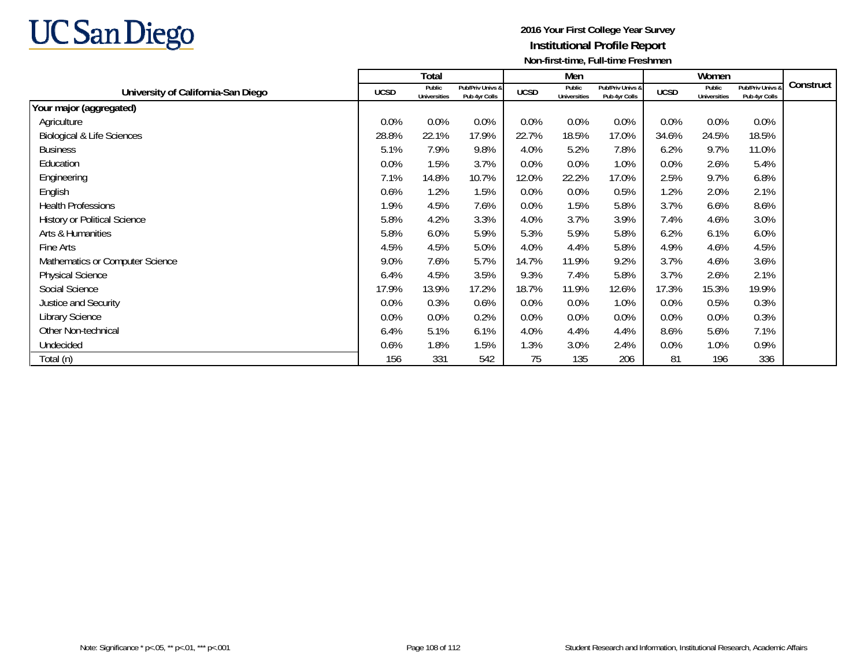

|                                       |             | Total                         |                                   |             | Men                           |                                   |             | Women                         |                                   |           |
|---------------------------------------|-------------|-------------------------------|-----------------------------------|-------------|-------------------------------|-----------------------------------|-------------|-------------------------------|-----------------------------------|-----------|
| University of California-San Diego    | <b>UCSD</b> | Public<br><b>Universities</b> | Pub/Priv Univs &<br>Pub 4yr Colls | <b>UCSD</b> | Public<br><b>Universities</b> | Pub/Priv Univs &<br>Pub 4yr Colls | <b>UCSD</b> | Public<br><b>Universities</b> | Pub/Priv Univs &<br>Pub 4yr Colls | Construct |
| Your major (aggregated)               |             |                               |                                   |             |                               |                                   |             |                               |                                   |           |
| Agriculture                           | 0.0%        | 0.0%                          | 0.0%                              | $0.0\%$     | 0.0%                          | 0.0%                              | 0.0%        | 0.0%                          | 0.0%                              |           |
| <b>Biological &amp; Life Sciences</b> | 28.8%       | 22.1%                         | 17.9%                             | 22.7%       | 18.5%                         | 17.0%                             | 34.6%       | 24.5%                         | 18.5%                             |           |
| <b>Business</b>                       | 5.1%        | 7.9%                          | 9.8%                              | 4.0%        | 5.2%                          | 7.8%                              | 6.2%        | 9.7%                          | 11.0%                             |           |
| Education                             | 0.0%        | 1.5%                          | 3.7%                              | 0.0%        | 0.0%                          | 1.0%                              | 0.0%        | 2.6%                          | 5.4%                              |           |
| Engineering                           | 7.1%        | 14.8%                         | 10.7%                             | 12.0%       | 22.2%                         | 17.0%                             | 2.5%        | 9.7%                          | 6.8%                              |           |
| English                               | 0.6%        | 1.2%                          | 1.5%                              | 0.0%        | 0.0%                          | 0.5%                              | 1.2%        | 2.0%                          | 2.1%                              |           |
| <b>Health Professions</b>             | 1.9%        | 4.5%                          | 7.6%                              | 0.0%        | 1.5%                          | 5.8%                              | 3.7%        | 6.6%                          | 8.6%                              |           |
| <b>History or Political Science</b>   | 5.8%        | 4.2%                          | 3.3%                              | 4.0%        | 3.7%                          | 3.9%                              | 7.4%        | 4.6%                          | 3.0%                              |           |
| Arts & Humanities                     | 5.8%        | 6.0%                          | 5.9%                              | 5.3%        | 5.9%                          | 5.8%                              | 6.2%        | 6.1%                          | 6.0%                              |           |
| Fine Arts                             | 4.5%        | 4.5%                          | 5.0%                              | 4.0%        | 4.4%                          | 5.8%                              | 4.9%        | 4.6%                          | 4.5%                              |           |
| Mathematics or Computer Science       | 9.0%        | 7.6%                          | 5.7%                              | 14.7%       | 11.9%                         | 9.2%                              | 3.7%        | 4.6%                          | 3.6%                              |           |
| <b>Physical Science</b>               | 6.4%        | 4.5%                          | 3.5%                              | 9.3%        | 7.4%                          | 5.8%                              | 3.7%        | 2.6%                          | 2.1%                              |           |
| Social Science                        | 17.9%       | 13.9%                         | 17.2%                             | 18.7%       | 11.9%                         | 12.6%                             | 17.3%       | 15.3%                         | 19.9%                             |           |
| Justice and Security                  | 0.0%        | 0.3%                          | 0.6%                              | 0.0%        | 0.0%                          | 1.0%                              | 0.0%        | 0.5%                          | 0.3%                              |           |
| <b>Library Science</b>                | 0.0%        | 0.0%                          | 0.2%                              | 0.0%        | 0.0%                          | $0.0\%$                           | 0.0%        | 0.0%                          | 0.3%                              |           |
| Other Non-technical                   | 6.4%        | 5.1%                          | 6.1%                              | 4.0%        | 4.4%                          | 4.4%                              | 8.6%        | 5.6%                          | 7.1%                              |           |
| Undecided                             | 0.6%        | 1.8%                          | 1.5%                              | 1.3%        | 3.0%                          | 2.4%                              | 0.0%        | 1.0%                          | 0.9%                              |           |
| Total (n)                             | 156         | 331                           | 542                               | 75          | 135                           | 206                               | 81          | 196                           | 336                               |           |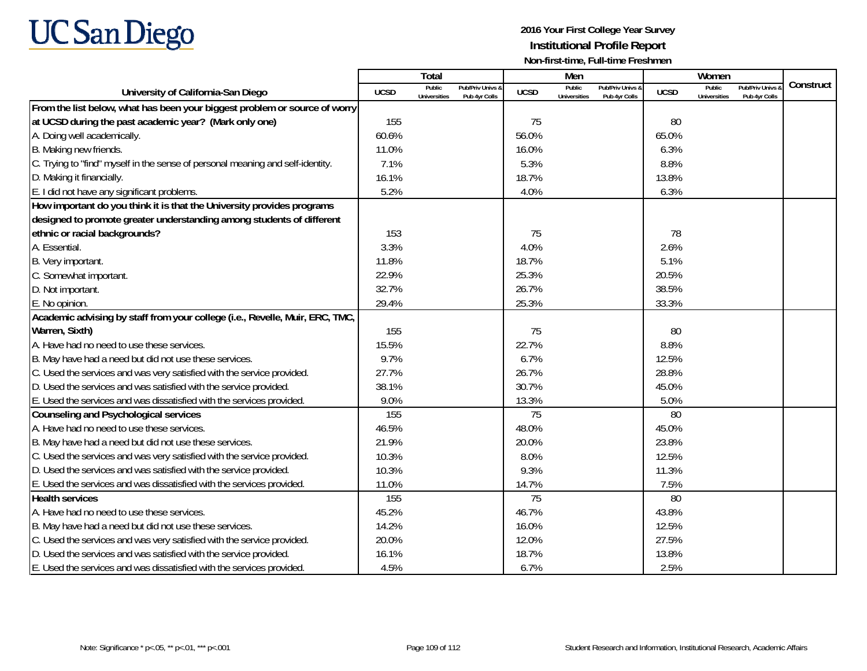

|                                                                                |             | Total                         |                                   |             | Men                           |                                   |             | Women                         |                                        |           |
|--------------------------------------------------------------------------------|-------------|-------------------------------|-----------------------------------|-------------|-------------------------------|-----------------------------------|-------------|-------------------------------|----------------------------------------|-----------|
| University of California-San Diego                                             | <b>UCSD</b> | Public<br><b>Universities</b> | Pub/Priv Univs &<br>Pub 4yr Colls | <b>UCSD</b> | Public<br><b>Universities</b> | Pub/Priv Univs &<br>Pub 4yr Colls | <b>UCSD</b> | Public<br><b>Universities</b> | <b>Pub/Priv Univs</b><br>Pub 4yr Colls | Construct |
| From the list below, what has been your biggest problem or source of worry     |             |                               |                                   |             |                               |                                   |             |                               |                                        |           |
| at UCSD during the past academic year? (Mark only one)                         | 155         |                               |                                   | 75          |                               |                                   | 80          |                               |                                        |           |
| A. Doing well academically.                                                    | 60.6%       |                               |                                   | 56.0%       |                               |                                   | 65.0%       |                               |                                        |           |
| B. Making new friends.                                                         | 11.0%       |                               |                                   | 16.0%       |                               |                                   | 6.3%        |                               |                                        |           |
| C. Trying to "find" myself in the sense of personal meaning and self-identity. | 7.1%        |                               |                                   | 5.3%        |                               |                                   | 8.8%        |                               |                                        |           |
| D. Making it financially.                                                      | 16.1%       |                               |                                   | 18.7%       |                               |                                   | 13.8%       |                               |                                        |           |
| E. I did not have any significant problems.                                    | 5.2%        |                               |                                   | 4.0%        |                               |                                   | 6.3%        |                               |                                        |           |
| How important do you think it is that the University provides programs         |             |                               |                                   |             |                               |                                   |             |                               |                                        |           |
| designed to promote greater understanding among students of different          |             |                               |                                   |             |                               |                                   |             |                               |                                        |           |
| ethnic or racial backgrounds?                                                  | 153         |                               |                                   | 75          |                               |                                   | 78          |                               |                                        |           |
| A. Essential.                                                                  | 3.3%        |                               |                                   | 4.0%        |                               |                                   | 2.6%        |                               |                                        |           |
| B. Very important.                                                             | 11.8%       |                               |                                   | 18.7%       |                               |                                   | 5.1%        |                               |                                        |           |
| C. Somewhat important.                                                         | 22.9%       |                               |                                   | 25.3%       |                               |                                   | 20.5%       |                               |                                        |           |
| D. Not important.                                                              | 32.7%       |                               |                                   | 26.7%       |                               |                                   | 38.5%       |                               |                                        |           |
| E. No opinion.                                                                 | 29.4%       |                               |                                   | 25.3%       |                               |                                   | 33.3%       |                               |                                        |           |
| Academic advising by staff from your college (i.e., Revelle, Muir, ERC, TMC,   |             |                               |                                   |             |                               |                                   |             |                               |                                        |           |
| Warren, Sixth)                                                                 | 155         |                               |                                   | 75          |                               |                                   | 80          |                               |                                        |           |
| A. Have had no need to use these services.                                     | 15.5%       |                               |                                   | 22.7%       |                               |                                   | 8.8%        |                               |                                        |           |
| B. May have had a need but did not use these services.                         | 9.7%        |                               |                                   | 6.7%        |                               |                                   | 12.5%       |                               |                                        |           |
| C. Used the services and was very satisfied with the service provided.         | 27.7%       |                               |                                   | 26.7%       |                               |                                   | 28.8%       |                               |                                        |           |
| D. Used the services and was satisfied with the service provided.              | 38.1%       |                               |                                   | 30.7%       |                               |                                   | 45.0%       |                               |                                        |           |
| E. Used the services and was dissatisfied with the services provided.          | 9.0%        |                               |                                   | 13.3%       |                               |                                   | 5.0%        |                               |                                        |           |
| <b>Counseling and Psychological services</b>                                   | 155         |                               |                                   | 75          |                               |                                   | 80          |                               |                                        |           |
| A. Have had no need to use these services.                                     | 46.5%       |                               |                                   | 48.0%       |                               |                                   | 45.0%       |                               |                                        |           |
| B. May have had a need but did not use these services.                         | 21.9%       |                               |                                   | 20.0%       |                               |                                   | 23.8%       |                               |                                        |           |
| C. Used the services and was very satisfied with the service provided.         | 10.3%       |                               |                                   | 8.0%        |                               |                                   | 12.5%       |                               |                                        |           |
| D. Used the services and was satisfied with the service provided.              | 10.3%       |                               |                                   | 9.3%        |                               |                                   | 11.3%       |                               |                                        |           |
| E. Used the services and was dissatisfied with the services provided.          | 11.0%       |                               |                                   | 14.7%       |                               |                                   | 7.5%        |                               |                                        |           |
| <b>Health services</b>                                                         | 155         |                               |                                   | 75          |                               |                                   | 80          |                               |                                        |           |
| A. Have had no need to use these services.                                     | 45.2%       |                               |                                   | 46.7%       |                               |                                   | 43.8%       |                               |                                        |           |
| B. May have had a need but did not use these services.                         | 14.2%       |                               |                                   | 16.0%       |                               |                                   | 12.5%       |                               |                                        |           |
| C. Used the services and was very satisfied with the service provided.         | 20.0%       |                               |                                   | 12.0%       |                               |                                   | 27.5%       |                               |                                        |           |
| D. Used the services and was satisfied with the service provided.              | 16.1%       |                               |                                   | 18.7%       |                               |                                   | 13.8%       |                               |                                        |           |
| E. Used the services and was dissatisfied with the services provided.          | 4.5%        |                               |                                   | 6.7%        |                               |                                   | 2.5%        |                               |                                        |           |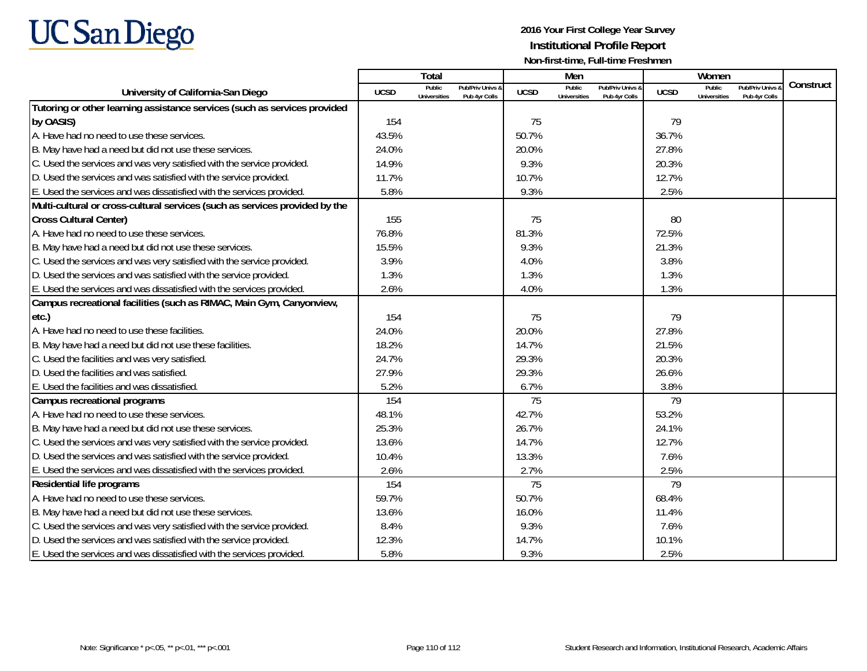

|                                                                             |             | Total                         |                                   |                 | Men                                  |                                   |             | Women                         |                                        |           |
|-----------------------------------------------------------------------------|-------------|-------------------------------|-----------------------------------|-----------------|--------------------------------------|-----------------------------------|-------------|-------------------------------|----------------------------------------|-----------|
| University of California-San Diego                                          | <b>UCSD</b> | Public<br><b>Universities</b> | Pub/Priv Univs &<br>Pub 4yr Colls | <b>UCSD</b>     | <b>Public</b><br><b>Universities</b> | Pub/Priv Univs &<br>Pub 4yr Colls | <b>UCSD</b> | Public<br><b>Universities</b> | <b>Pub/Priv Univs</b><br>Pub 4yr Colls | Construct |
| Tutoring or other learning assistance services (such as services provided   |             |                               |                                   |                 |                                      |                                   |             |                               |                                        |           |
| by OASIS)                                                                   | 154         |                               |                                   | 75              |                                      |                                   | 79          |                               |                                        |           |
| A. Have had no need to use these services.                                  | 43.5%       |                               |                                   | 50.7%           |                                      |                                   | 36.7%       |                               |                                        |           |
| B. May have had a need but did not use these services.                      | 24.0%       |                               |                                   | 20.0%           |                                      |                                   | 27.8%       |                               |                                        |           |
| C. Used the services and was very satisfied with the service provided.      | 14.9%       |                               |                                   | 9.3%            |                                      |                                   | 20.3%       |                               |                                        |           |
| D. Used the services and was satisfied with the service provided.           | 11.7%       |                               |                                   | 10.7%           |                                      |                                   | 12.7%       |                               |                                        |           |
| E. Used the services and was dissatisfied with the services provided.       | 5.8%        |                               |                                   | 9.3%            |                                      |                                   | 2.5%        |                               |                                        |           |
| Multi-cultural or cross-cultural services (such as services provided by the |             |                               |                                   |                 |                                      |                                   |             |                               |                                        |           |
| <b>Cross Cultural Center)</b>                                               | 155         |                               |                                   | 75              |                                      |                                   | 80          |                               |                                        |           |
| A. Have had no need to use these services.                                  | 76.8%       |                               |                                   | 81.3%           |                                      |                                   | 72.5%       |                               |                                        |           |
| B. May have had a need but did not use these services.                      | 15.5%       |                               |                                   | 9.3%            |                                      |                                   | 21.3%       |                               |                                        |           |
| C. Used the services and was very satisfied with the service provided.      | 3.9%        |                               |                                   | 4.0%            |                                      |                                   | 3.8%        |                               |                                        |           |
| D. Used the services and was satisfied with the service provided.           | 1.3%        |                               |                                   | 1.3%            |                                      |                                   | 1.3%        |                               |                                        |           |
| E. Used the services and was dissatisfied with the services provided.       | 2.6%        |                               |                                   | 4.0%            |                                      |                                   | 1.3%        |                               |                                        |           |
| Campus recreational facilities (such as RIMAC, Main Gym, Canyonview,        |             |                               |                                   |                 |                                      |                                   |             |                               |                                        |           |
| etc.)                                                                       | 154         |                               |                                   | 75              |                                      |                                   | 79          |                               |                                        |           |
| A. Have had no need to use these facilities.                                | 24.0%       |                               |                                   | 20.0%           |                                      |                                   | 27.8%       |                               |                                        |           |
| B. May have had a need but did not use these facilities.                    | 18.2%       |                               |                                   | 14.7%           |                                      |                                   | 21.5%       |                               |                                        |           |
| C. Used the facilities and was very satisfied.                              | 24.7%       |                               |                                   | 29.3%           |                                      |                                   | 20.3%       |                               |                                        |           |
| D. Used the facilities and was satisfied.                                   | 27.9%       |                               |                                   | 29.3%           |                                      |                                   | 26.6%       |                               |                                        |           |
| E. Used the facilities and was dissatisfied.                                | 5.2%        |                               |                                   | 6.7%            |                                      |                                   | 3.8%        |                               |                                        |           |
| Campus recreational programs                                                | 154         |                               |                                   | 75              |                                      |                                   | 79          |                               |                                        |           |
| A. Have had no need to use these services.                                  | 48.1%       |                               |                                   | 42.7%           |                                      |                                   | 53.2%       |                               |                                        |           |
| B. May have had a need but did not use these services.                      | 25.3%       |                               |                                   | 26.7%           |                                      |                                   | 24.1%       |                               |                                        |           |
| C. Used the services and was very satisfied with the service provided.      | 13.6%       |                               |                                   | 14.7%           |                                      |                                   | 12.7%       |                               |                                        |           |
| D. Used the services and was satisfied with the service provided.           | 10.4%       |                               |                                   | 13.3%           |                                      |                                   | 7.6%        |                               |                                        |           |
| E. Used the services and was dissatisfied with the services provided.       | 2.6%        |                               |                                   | 2.7%            |                                      |                                   | 2.5%        |                               |                                        |           |
| <b>Residential life programs</b>                                            | 154         |                               |                                   | $\overline{75}$ |                                      |                                   | 79          |                               |                                        |           |
| A. Have had no need to use these services.                                  | 59.7%       |                               |                                   | 50.7%           |                                      |                                   | 68.4%       |                               |                                        |           |
| B. May have had a need but did not use these services.                      | 13.6%       |                               |                                   | 16.0%           |                                      |                                   | 11.4%       |                               |                                        |           |
| C. Used the services and was very satisfied with the service provided.      | 8.4%        |                               |                                   | 9.3%            |                                      |                                   | 7.6%        |                               |                                        |           |
| D. Used the services and was satisfied with the service provided.           | 12.3%       |                               |                                   | 14.7%           |                                      |                                   | 10.1%       |                               |                                        |           |
| E. Used the services and was dissatisfied with the services provided.       | 5.8%        |                               |                                   | 9.3%            |                                      |                                   | 2.5%        |                               |                                        |           |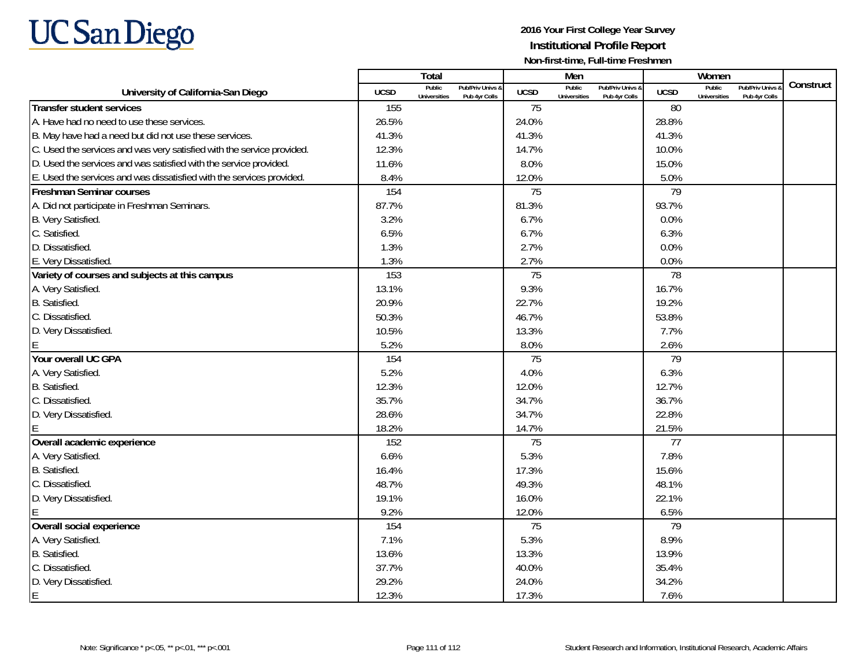

|                                                                        |             | Total                                                                         |             | Men                           |                                   |                 | Women                         |                                        |           |
|------------------------------------------------------------------------|-------------|-------------------------------------------------------------------------------|-------------|-------------------------------|-----------------------------------|-----------------|-------------------------------|----------------------------------------|-----------|
| University of California-San Diego                                     | <b>UCSD</b> | Public<br><b>Pub/Priv Univs &amp;</b><br><b>Universities</b><br>Pub 4yr Colls | <b>UCSD</b> | Public<br><b>Universities</b> | Pub/Priv Univs &<br>Pub 4yr Colls | <b>UCSD</b>     | Public<br><b>Universities</b> | <b>Pub/Priv Univs</b><br>Pub 4yr Colls | Construct |
| <b>Transfer student services</b>                                       | 155         |                                                                               | 75          |                               |                                   | 80              |                               |                                        |           |
| A. Have had no need to use these services.                             | 26.5%       |                                                                               | 24.0%       |                               |                                   | 28.8%           |                               |                                        |           |
| B. May have had a need but did not use these services.                 | 41.3%       |                                                                               | 41.3%       |                               |                                   | 41.3%           |                               |                                        |           |
| C. Used the services and was very satisfied with the service provided. | 12.3%       |                                                                               | 14.7%       |                               |                                   | 10.0%           |                               |                                        |           |
| D. Used the services and was satisfied with the service provided.      | 11.6%       |                                                                               | 8.0%        |                               |                                   | 15.0%           |                               |                                        |           |
| E. Used the services and was dissatisfied with the services provided.  | 8.4%        |                                                                               | 12.0%       |                               |                                   | 5.0%            |                               |                                        |           |
| <b>Freshman Seminar courses</b>                                        | 154         |                                                                               | 75          |                               |                                   | 79              |                               |                                        |           |
| A. Did not participate in Freshman Seminars.                           | 87.7%       |                                                                               | 81.3%       |                               |                                   | 93.7%           |                               |                                        |           |
| B. Very Satisfied.                                                     | 3.2%        |                                                                               | 6.7%        |                               |                                   | 0.0%            |                               |                                        |           |
| C. Satisfied.                                                          | 6.5%        |                                                                               | 6.7%        |                               |                                   | 6.3%            |                               |                                        |           |
| D. Dissatisfied.                                                       | 1.3%        |                                                                               | 2.7%        |                               |                                   | 0.0%            |                               |                                        |           |
| E. Very Dissatisfied.                                                  | 1.3%        |                                                                               | 2.7%        |                               |                                   | 0.0%            |                               |                                        |           |
| Variety of courses and subjects at this campus                         | 153         |                                                                               | 75          |                               |                                   | 78              |                               |                                        |           |
| A. Very Satisfied.                                                     | 13.1%       |                                                                               | 9.3%        |                               |                                   | 16.7%           |                               |                                        |           |
| B. Satisfied.                                                          | 20.9%       |                                                                               | 22.7%       |                               |                                   | 19.2%           |                               |                                        |           |
| C. Dissatisfied.                                                       | 50.3%       |                                                                               | 46.7%       |                               |                                   | 53.8%           |                               |                                        |           |
| D. Very Dissatisfied.                                                  | 10.5%       |                                                                               | 13.3%       |                               |                                   | 7.7%            |                               |                                        |           |
|                                                                        | 5.2%        |                                                                               | 8.0%        |                               |                                   | 2.6%            |                               |                                        |           |
| Your overall UC GPA                                                    | 154         |                                                                               | 75          |                               |                                   | 79              |                               |                                        |           |
| A. Very Satisfied.                                                     | 5.2%        |                                                                               | 4.0%        |                               |                                   | 6.3%            |                               |                                        |           |
| B. Satisfied.                                                          | 12.3%       |                                                                               | 12.0%       |                               |                                   | 12.7%           |                               |                                        |           |
| C. Dissatisfied.                                                       | 35.7%       |                                                                               | 34.7%       |                               |                                   | 36.7%           |                               |                                        |           |
| D. Very Dissatisfied.                                                  | 28.6%       |                                                                               | 34.7%       |                               |                                   | 22.8%           |                               |                                        |           |
|                                                                        | 18.2%       |                                                                               | 14.7%       |                               |                                   | 21.5%           |                               |                                        |           |
| Overall academic experience                                            | 152         |                                                                               | 75          |                               |                                   | $\overline{77}$ |                               |                                        |           |
| A. Very Satisfied.                                                     | 6.6%        |                                                                               | 5.3%        |                               |                                   | 7.8%            |                               |                                        |           |
| B. Satisfied.                                                          | 16.4%       |                                                                               | 17.3%       |                               |                                   | 15.6%           |                               |                                        |           |
| C. Dissatisfied.                                                       | 48.7%       |                                                                               | 49.3%       |                               |                                   | 48.1%           |                               |                                        |           |
| D. Very Dissatisfied.                                                  | 19.1%       |                                                                               | 16.0%       |                               |                                   | 22.1%           |                               |                                        |           |
|                                                                        | 9.2%        |                                                                               | 12.0%       |                               |                                   | 6.5%            |                               |                                        |           |
| Overall social experience                                              | 154         |                                                                               | 75          |                               |                                   | 79              |                               |                                        |           |
| A. Very Satisfied.                                                     | 7.1%        |                                                                               | 5.3%        |                               |                                   | 8.9%            |                               |                                        |           |
| B. Satisfied.                                                          | 13.6%       |                                                                               | 13.3%       |                               |                                   | 13.9%           |                               |                                        |           |
| C. Dissatisfied.                                                       | 37.7%       |                                                                               | 40.0%       |                               |                                   | 35.4%           |                               |                                        |           |
| D. Very Dissatisfied.                                                  | 29.2%       |                                                                               | 24.0%       |                               |                                   | 34.2%           |                               |                                        |           |
| E                                                                      | 12.3%       |                                                                               | 17.3%       |                               |                                   | 7.6%            |                               |                                        |           |